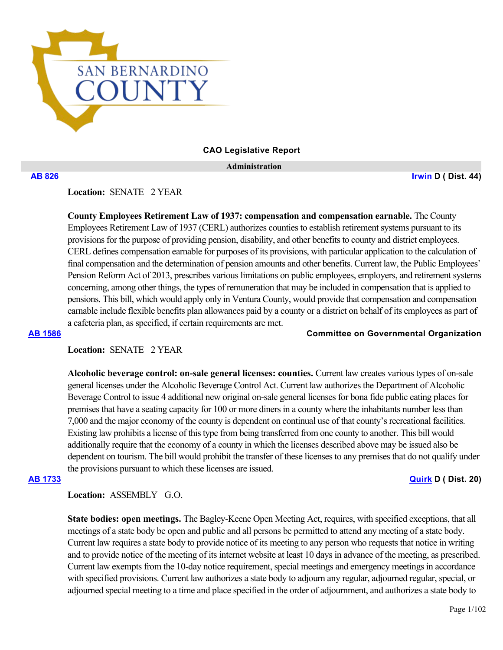

**CAO Legislative Report**

 **Administration**

**[AB 826](https://ctweb.capitoltrack.com/public/publishbillinfo.aspx?bi=%2Bd%2FR9jqxijGKtj2u%2F7e1zBCgWhpt%2FsQl1UEAsSDiQw9xMELbpo%2Bb45u2zVfV2CDE) [Irwin](https://a44.asmdc.org/) D ( Dist. 44)**

**Location:**  SENATE 2 YEAR

**County Employees Retirement Law of 1937: compensation and compensation earnable.** The County Employees Retirement Law of 1937 (CERL) authorizes counties to establish retirement systems pursuant to its provisions for the purpose of providing pension, disability, and other benefits to county and district employees. CERL defines compensation earnable for purposes of its provisions, with particular application to the calculation of final compensation and the determination of pension amounts and other benefits. Current law, the Public Employees' Pension Reform Act of 2013, prescribes various limitations on public employees, employers, and retirement systems concerning, among other things, the types of remuneration that may be included in compensation that is applied to pensions. This bill, which would apply only in Ventura County, would provide that compensation and compensation earnable include flexible benefits plan allowances paid by a county or a district on behalf of its employees as part of a cafeteria plan, as specified, if certain requirements are met.

**[AB 1586](https://ctweb.capitoltrack.com/public/publishbillinfo.aspx?bi=fT8l35SLd2dv2JYZ%2F%2B8gwQJvqj43zZrI5h%2FSP17%2FUmviROlGWSLIyNSw5dHUsG8R) Committee on Governmental Organization**

# **Location:**  SENATE 2 YEAR

**Alcoholic beverage control: on-sale general licenses: counties.** Current law creates various types of on-sale general licenses under the Alcoholic Beverage Control Act. Current law authorizes the Department of Alcoholic Beverage Control to issue 4 additional new original on-sale general licenses for bona fide public eating places for premises that have a seating capacity for 100 or more diners in a county where the inhabitants number less than 7,000 and the major economy of the county is dependent on continual use of that county's recreational facilities. Existing law prohibits a license of this type from being transferred from one county to another. This bill would additionally require that the economy of a county in which the licenses described above may be issued also be dependent on tourism. The bill would prohibit the transfer of these licenses to any premises that do not qualify under the provisions pursuant to which these licenses are issued.

**[AB 1733](https://ctweb.capitoltrack.com/public/publishbillinfo.aspx?bi=gdXgMvvVB%2FXofsbZdlxRMIFcbIyYqdIKF%2BeEXtE2thnO4FAzsCRaxh3Ris06M6Lc) [Quirk](https://a20.asmdc.org/) D ( Dist. 20)**

**Location:**  ASSEMBLY G.O.

**State bodies: open meetings.** The Bagley-Keene Open Meeting Act, requires, with specified exceptions, that all meetings of a state body be open and public and all persons be permitted to attend any meeting of a state body. Current law requires a state body to provide notice of its meeting to any person who requests that notice in writing and to provide notice of the meeting of its internet website at least 10 days in advance of the meeting, as prescribed. Current law exempts from the 10-day notice requirement, special meetings and emergency meetings in accordance with specified provisions. Current law authorizes a state body to adjourn any regular, adjourned regular, special, or adjourned special meeting to a time and place specified in the order of adjournment, and authorizes a state body to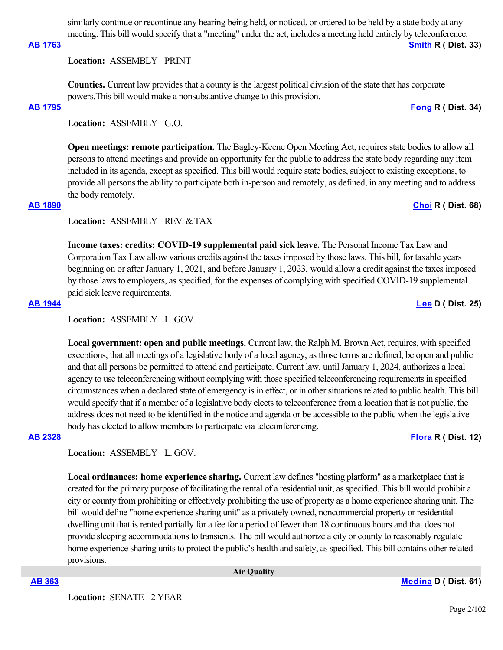similarly continue or recontinue any hearing being held, or noticed, or ordered to be held by a state body at any meeting. This bill would specify that a "meeting" under the act, includes a meeting held entirely by teleconference.

## **[AB 1763](https://ctweb.capitoltrack.com/public/publishbillinfo.aspx?bi=GebF4hg4dh4WZ3wAyMs0i6GyzvPW8jzP71EgQ68nz9qq6JuioNV05c65Wc175BQH) [Smith](https://ad33.asmrc.org/) R ( Dist. 33)**

**Location:**  ASSEMBLY PRINT

**Counties.** Current law provides that a county is the largest political division of the state that has corporate powers.This bill would make a nonsubstantive change to this provision.

## **[AB 1795](https://ctweb.capitoltrack.com/public/publishbillinfo.aspx?bi=wg1t5GtNNHGyFieQeDRThBmcov7bT8yqaJ5lWLv574S4EuG5ZAMvaQaW%2BnnloC16) [Fong](https://ad34.asmrc.org/) R ( Dist. 34)**

**Location:**  ASSEMBLY G.O.

**Open meetings: remote participation.** The Bagley-Keene Open Meeting Act, requires state bodies to allow all persons to attend meetings and provide an opportunity for the public to address the state body regarding any item included in its agenda, except as specified. This bill would require state bodies, subject to existing exceptions, to provide all persons the ability to participate both in-person and remotely, as defined, in any meeting and to address the body remotely.

# **[AB 1890](https://ctweb.capitoltrack.com/public/publishbillinfo.aspx?bi=UH4XiiD51j6u%2Fm9%2BivrxLDVgDB%2F7N36X4xCVmh0l4ha4Q3KXo2y88zA8KDsIGv0u) [Choi](https://ad68.asmrc.org/) R ( Dist. 68)**

**Location:**  ASSEMBLY REV. & TAX

**Income taxes: credits: COVID-19 supplemental paid sick leave.** The Personal Income Tax Law and Corporation Tax Law allow various credits against the taxes imposed by those laws. This bill, for taxable years beginning on or after January 1, 2021, and before January 1, 2023, would allow a credit against the taxes imposed by those laws to employers, as specified, for the expenses of complying with specified COVID-19 supplemental paid sick leave requirements.

## **[AB 1944](https://ctweb.capitoltrack.com/public/publishbillinfo.aspx?bi=mSePNxv%2B%2Bx1IZrircPgIMdYod4tDSh5ebPoxTwOq3k7Z4bYPmtsTzBRCkN2mVl1P) [Lee](https://a25.asmdc.org/) D ( Dist. 25)**

**Location:**  ASSEMBLY L. GOV.

**Local government: open and public meetings.** Current law, the Ralph M. Brown Act, requires, with specified exceptions, that all meetings of a legislative body of a local agency, as those terms are defined, be open and public and that all persons be permitted to attend and participate. Current law, until January 1, 2024, authorizes a local agency to use teleconferencing without complying with those specified teleconferencing requirements in specified circumstances when a declared state of emergency is in effect, or in other situations related to public health. This bill would specify that if a member of a legislative body elects to teleconference from a location that is not public, the address does not need to be identified in the notice and agenda or be accessible to the public when the legislative body has elected to allow members to participate via teleconferencing.

# **[AB 2328](https://ctweb.capitoltrack.com/public/publishbillinfo.aspx?bi=IDdzVxnhiJK6zt%2BZzfp8Q40SlUVv0Cp6JVvxVTCzbk9lw%2B6zxly9JMjyFxwlqXcF) [Flora](https://ad12.asmrc.org/) R ( Dist. 12)**

**Location:**  ASSEMBLY L. GOV.

**Local ordinances: home experience sharing.** Current law defines "hosting platform" as a marketplace that is created for the primary purpose of facilitating the rental of a residential unit, as specified. This bill would prohibit a city or county from prohibiting or effectively prohibiting the use of property as a home experience sharing unit. The bill would define "home experience sharing unit" as a privately owned, noncommercial property or residential dwelling unit that is rented partially for a fee for a period of fewer than 18 continuous hours and that does not provide sleeping accommodations to transients. The bill would authorize a city or county to reasonably regulate home experience sharing units to protect the public's health and safety, as specified. This bill contains other related provisions.

 **Air Quality**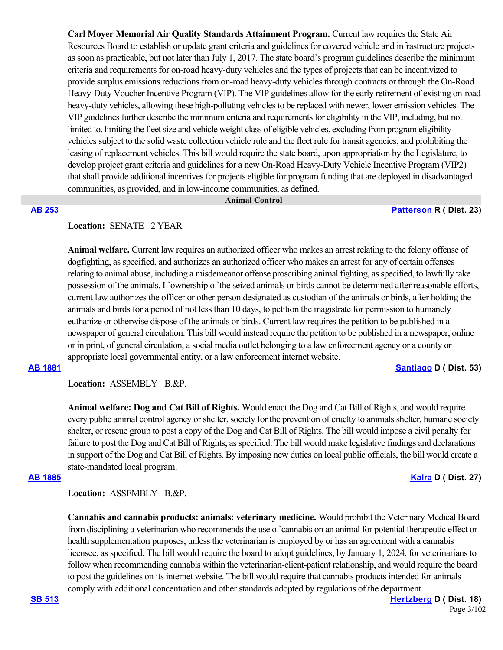**Carl Moyer Memorial Air Quality Standards Attainment Program.** Current law requires the State Air Resources Board to establish or update grant criteria and guidelines for covered vehicle and infrastructure projects as soon as practicable, but not later than July 1, 2017. The state board's program guidelines describe the minimum criteria and requirements for on-road heavy-duty vehicles and the types of projects that can be incentivized to provide surplus emissions reductions from on-road heavy-duty vehicles through contracts or through the On-Road Heavy-Duty Voucher Incentive Program (VIP). The VIP guidelines allow for the early retirement of existing on-road heavy-duty vehicles, allowing these high-polluting vehicles to be replaced with newer, lower emission vehicles. The VIP guidelines further describe the minimum criteria and requirements for eligibility in the VIP, including, but not limited to, limiting the fleet size and vehicle weight class of eligible vehicles, excluding from program eligibility vehicles subject to the solid waste collection vehicle rule and the fleet rule for transit agencies, and prohibiting the leasing of replacement vehicles. This bill would require the state board, upon appropriation by the Legislature, to develop project grant criteria and guidelines for a new On-Road Heavy-Duty Vehicle Incentive Program (VIP2) that shall provide additional incentives for projects eligible for program funding that are deployed in disadvantaged communities, as provided, and in low-income communities, as defined.

 **Animal Control**

### **[AB 253](https://ctweb.capitoltrack.com/public/publishbillinfo.aspx?bi=GQCGowHCDHpTna5zSJgoguowHMgxmK2FRRve1q1XJLAw8a6Trlfhtp%2FefAgWjQBQ) [Patterson](https://ad23.asmrc.org/) R ( Dist. 23)**

# Location: **SENATE** 2 YEAR

**Animal welfare.** Current law requires an authorized officer who makes an arrest relating to the felony offense of dogfighting, as specified, and authorizes an authorized officer who makes an arrest for any of certain offenses relating to animal abuse, including a misdemeanor offense proscribing animal fighting, as specified, to lawfully take possession of the animals. If ownership of the seized animals or birds cannot be determined after reasonable efforts, current law authorizes the officer or other person designated as custodian of the animals or birds, after holding the animals and birds for a period of not less than 10 days, to petition the magistrate for permission to humanely euthanize or otherwise dispose of the animals or birds. Current law requires the petition to be published in a newspaper of general circulation. This bill would instead require the petition to be published in a newspaper, online or in print, of general circulation, a social media outlet belonging to a law enforcement agency or a county or appropriate local governmental entity, or a law enforcement internet website.

**[AB 1881](https://ctweb.capitoltrack.com/public/publishbillinfo.aspx?bi=zcAKfo05bt24NNs4OK7SGvtvcMPtgmi81vdmmOvSwn3NK%2Fc6NKYBm2W00H1%2FnzFy) [Santiago](https://a53.asmdc.org/) D ( Dist. 53)**

Location: ASSEMBLY B.&P.

**Animal welfare: Dog and Cat Bill of Rights.** Would enact the Dog and Cat Bill of Rights, and would require every public animal control agency or shelter, society for the prevention of cruelty to animals shelter, humane society shelter, or rescue group to post a copy of the Dog and Cat Bill of Rights. The bill would impose a civil penalty for failure to post the Dog and Cat Bill of Rights, as specified. The bill would make legislative findings and declarations in support of the Dog and Cat Bill of Rights. By imposing new duties on local public officials, the bill would create a state-mandated local program.

# **[AB 1885](https://ctweb.capitoltrack.com/public/publishbillinfo.aspx?bi=aneE83eLixxKNbR3tbjRiXSOe2tIkggfQag8mwMPqxRqRCHv%2FnWUQYF1HXE77DBn) [Kalra](https://a27.asmdc.org/) D ( Dist. 27)**

# Location: ASSEMBLY B.&P.

**Cannabis and cannabis products: animals: veterinary medicine.** Would prohibit the Veterinary Medical Board from disciplining a veterinarian who recommends the use of cannabis on an animal for potential therapeutic effect or health supplementation purposes, unless the veterinarian is employed by or has an agreement with a cannabis licensee, as specified. The bill would require the board to adopt guidelines, by January 1, 2024, for veterinarians to follow when recommending cannabis within the veterinarian-client-patient relationship, and would require the board to post the guidelines on its internet website. The bill would require that cannabis products intended for animals comply with additional concentration and other standards adopted by regulations of the department.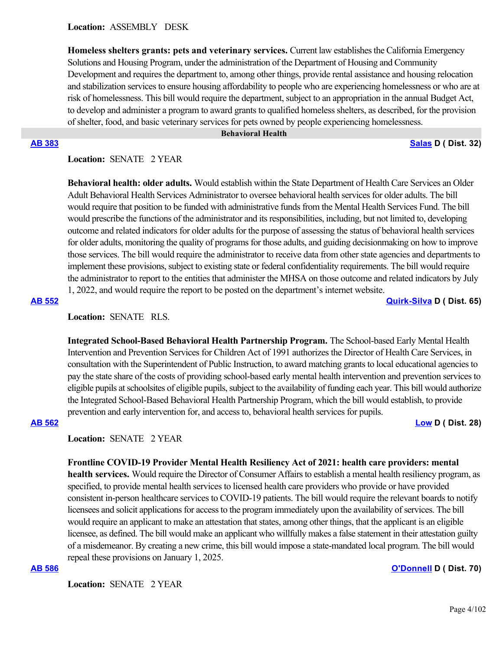**Homeless shelters grants: pets and veterinary services.** Current law establishes the California Emergency Solutions and Housing Program, under the administration of the Department of Housing and Community Development and requires the department to, among other things, provide rental assistance and housing relocation and stabilization services to ensure housing affordability to people who are experiencing homelessness or who are at risk of homelessness. This bill would require the department, subject to an appropriation in the annual Budget Act, to develop and administer a program to award grants to qualified homeless shelters, as described, for the provision of shelter, food, and basic veterinary services for pets owned by people experiencing homelessness.

### **Behavioral Health**

### **[AB 383](https://ctweb.capitoltrack.com/public/publishbillinfo.aspx?bi=%2FQLVv91rOuc2oS6u4AYdMS0GLT81m945bVBlL2js37uuPmk8i2E1QlOSdoauHW%2BB) [Salas](https://a32.asmdc.org/) D ( Dist. 32)**

Location: **SENATE** 2 YEAR

**Behavioral health: older adults.** Would establish within the State Department of Health Care Services an Older Adult Behavioral Health Services Administrator to oversee behavioral health services for older adults. The bill would require that position to be funded with administrative funds from the Mental Health Services Fund. The bill would prescribe the functions of the administrator and its responsibilities, including, but not limited to, developing outcome and related indicators for older adults for the purpose of assessing the status of behavioral health services for older adults, monitoring the quality of programs for those adults, and guiding decisionmaking on how to improve those services. The bill would require the administrator to receive data from other state agencies and departments to implement these provisions, subject to existing state or federal confidentiality requirements. The bill would require the administrator to report to the entities that administer the MHSA on those outcome and related indicators by July 1, 2022, and would require the report to be posted on the department's internet website.

**[AB 552](https://ctweb.capitoltrack.com/public/publishbillinfo.aspx?bi=0B1pP8xZSqmT1PDx5eLChQYAYYE5i75lfquaLpGyuniEx%2FusY9NutFnw5eFM16dd) [Quirk-Silva](https://a65.asmdc.org/) D ( Dist. 65)**

**Location:**  SENATE RLS.

**Integrated School-Based Behavioral Health Partnership Program.** The School-based Early Mental Health Intervention and Prevention Services for Children Act of 1991 authorizes the Director of Health Care Services, in consultation with the Superintendent of Public Instruction, to award matching grants to local educational agencies to pay the state share of the costs of providing school-based early mental health intervention and prevention services to eligible pupils at schoolsites of eligible pupils, subject to the availability of funding each year. This bill would authorize the Integrated School-Based Behavioral Health Partnership Program, which the bill would establish, to provide prevention and early intervention for, and access to, behavioral health services for pupils.

## **[AB 562](https://ctweb.capitoltrack.com/public/publishbillinfo.aspx?bi=0mhpjkHAEcG1jm5Vw8i6jwSxLR%2F%2BNMh0Tavv6YWLyevnje9Nov9EFd1uaN0ONPx4) [Low](https://a28.asmdc.org/) D ( Dist. 28)**

**Location:**  SENATE 2 YEAR

## **Frontline COVID-19 Provider Mental Health Resiliency Act of 2021: health care providers: mental**

**health services.** Would require the Director of Consumer Affairs to establish a mental health resiliency program, as specified, to provide mental health services to licensed health care providers who provide or have provided consistent in-person healthcare services to COVID-19 patients. The bill would require the relevant boards to notify licensees and solicit applications for access to the program immediately upon the availability of services. The bill would require an applicant to make an attestation that states, among other things, that the applicant is an eligible licensee, as defined. The bill would make an applicant who willfully makes a false statement in their attestation guilty of a misdemeanor. By creating a new crime, this bill would impose a state-mandated local program. The bill would repeal these provisions on January 1, 2025.

### **[AB 586](https://ctweb.capitoltrack.com/public/publishbillinfo.aspx?bi=SHR6zabaLsjdf%2BzCcgiD53IVIwpRXk6kA78OcVCQKjFBxFFWbCgeQdTfug6tFoq0) [O'Donnell](https://a70.asmdc.org/) D ( Dist. 70)**

**Location:**  SENATE 2 YEAR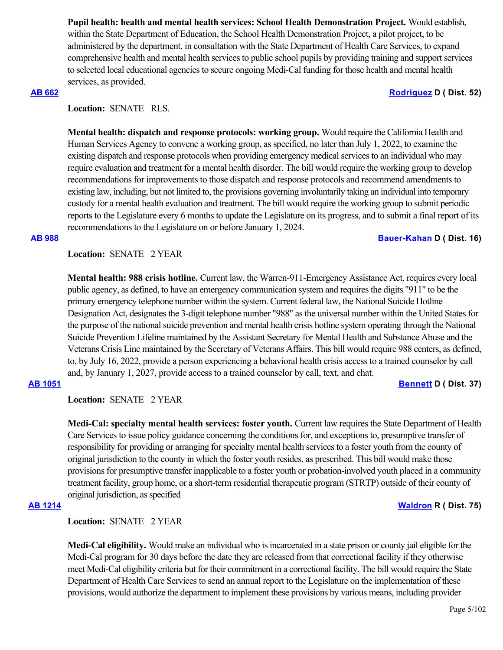**Pupil health: health and mental health services: School Health Demonstration Project.** Would establish, within the State Department of Education, the School Health Demonstration Project, a pilot project, to be administered by the department, in consultation with the State Department of Health Care Services, to expand comprehensive health and mental health services to public school pupils by providing training and support services to selected local educational agencies to secure ongoing Medi-Cal funding for those health and mental health services, as provided.

## **[AB 662](https://ctweb.capitoltrack.com/public/publishbillinfo.aspx?bi=erZ6gMT6w26e4Kk5PP9lLG%2FhPNnZuLja8UX%2FXMqjjoDdiOhjbnCJ4LRDSkVsxH95) [Rodriguez](https://a52.asmdc.org/) D ( Dist. 52)**

**Location:**  SENATE RLS.

**Mental health: dispatch and response protocols: working group.** Would require the California Health and Human Services Agency to convene a working group, as specified, no later than July 1, 2022, to examine the existing dispatch and response protocols when providing emergency medical services to an individual who may require evaluation and treatment for a mental health disorder. The bill would require the working group to develop recommendations for improvements to those dispatch and response protocols and recommend amendments to existing law, including, but not limited to, the provisions governing involuntarily taking an individual into temporary custody for a mental health evaluation and treatment. The bill would require the working group to submit periodic reports to the Legislature every 6 months to update the Legislature on its progress, and to submit a final report of its recommendations to the Legislature on or before January 1, 2024.

## **[AB 988](https://ctweb.capitoltrack.com/public/publishbillinfo.aspx?bi=jPjlAAna2I%2BTXPXFt0nZGgjfP4UQuHD0yMrgtf7cg0IF6eh90GIQOatSW9biM2p8) [Bauer-Kahan](https://a16.asmdc.org/) D ( Dist. 16)**

**Location:**  SENATE 2 YEAR

**Mental health: 988 crisis hotline.** Current law, the Warren-911-Emergency Assistance Act, requires every local public agency, as defined, to have an emergency communication system and requires the digits "911" to be the primary emergency telephone number within the system. Current federal law, the National Suicide Hotline Designation Act, designates the 3-digit telephone number "988" as the universal number within the United States for the purpose of the national suicide prevention and mental health crisis hotline system operating through the National Suicide Prevention Lifeline maintained by the Assistant Secretary for Mental Health and Substance Abuse and the Veterans Crisis Line maintained by the Secretary of Veterans Affairs. This bill would require 988 centers, as defined, to, by July 16, 2022, provide a person experiencing a behavioral health crisis access to a trained counselor by call and, by January 1, 2027, provide access to a trained counselor by call, text, and chat.

# **[AB 1051](https://ctweb.capitoltrack.com/public/publishbillinfo.aspx?bi=a3w1OkLET76v%2BDCLHEBggLONCLqllIvKabF03mplQ91C6hp%2BtvB%2FWO%2BRGDpYXa3l) [Bennett](https://a37.asmdc.org/) D ( Dist. 37)**

**Location:**  SENATE 2 YEAR

**Medi-Cal: specialty mental health services: foster youth.** Current law requires the State Department of Health Care Services to issue policy guidance concerning the conditions for, and exceptions to, presumptive transfer of responsibility for providing or arranging for specialty mental health services to a foster youth from the county of original jurisdiction to the county in which the foster youth resides, as prescribed. This bill would make those provisions for presumptive transfer inapplicable to a foster youth or probation-involved youth placed in a community treatment facility, group home, or a short-term residential therapeutic program (STRTP) outside of their county of original jurisdiction, as specified

# **[AB 1214](https://ctweb.capitoltrack.com/public/publishbillinfo.aspx?bi=0GWU1DaW8dN3saNJzw6FAOQHyt32kczPx0t9YjN6S6m0XO2QN10erzhmYUrvmZpD) [Waldron](https://ad75.asmrc.org/) R ( Dist. 75)**

**Location:**  SENATE 2 YEAR

**Medi-Cal eligibility.** Would make an individual who is incarcerated in a state prison or county jail eligible for the Medi-Cal program for 30 days before the date they are released from that correctional facility if they otherwise meet Medi-Cal eligibility criteria but for their commitment in a correctional facility. The bill would require the State Department of Health Care Services to send an annual report to the Legislature on the implementation of these provisions, would authorize the department to implement these provisions by various means, including provider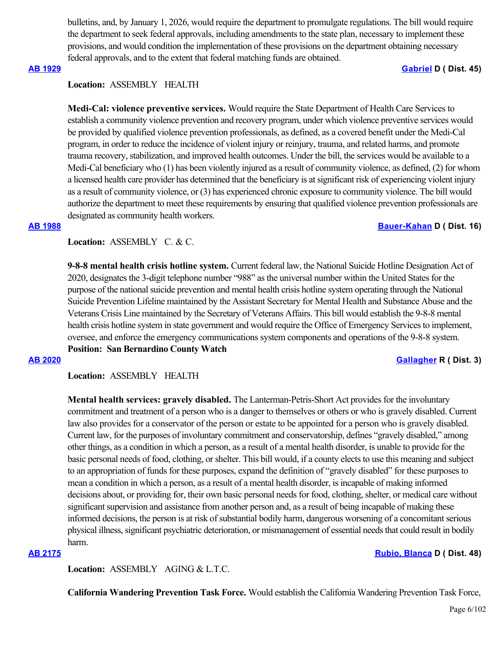bulletins, and, by January 1, 2026, would require the department to promulgate regulations. The bill would require the department to seek federal approvals, including amendments to the state plan, necessary to implement these provisions, and would condition the implementation of these provisions on the department obtaining necessary federal approvals, and to the extent that federal matching funds are obtained.

## **[AB 1929](https://ctweb.capitoltrack.com/public/publishbillinfo.aspx?bi=AK1XcCTxmWnmGvIZovnFVhV4J3B%2F3qPbj%2FhWVd22sjVJoHyCb0gcLTTcaqwxG7Fr) [Gabriel](https://a45.asmdc.org/) D ( Dist. 45)**

### **Location:**  ASSEMBLY HEALTH

**Medi-Cal: violence preventive services.** Would require the State Department of Health Care Services to establish a community violence prevention and recovery program, under which violence preventive services would be provided by qualified violence prevention professionals, as defined, as a covered benefit under the Medi-Cal program, in order to reduce the incidence of violent injury or reinjury, trauma, and related harms, and promote trauma recovery, stabilization, and improved health outcomes. Under the bill, the services would be available to a Medi-Cal beneficiary who (1) has been violently injured as a result of community violence, as defined, (2) for whom a licensed health care provider has determined that the beneficiary is at significant risk of experiencing violent injury as a result of community violence, or (3) has experienced chronic exposure to community violence. The bill would authorize the department to meet these requirements by ensuring that qualified violence prevention professionals are designated as community health workers.

### **[AB 1988](https://ctweb.capitoltrack.com/public/publishbillinfo.aspx?bi=5MRyB49kCImIkL%2FgzLuldFC6VMoEfxEP0KpmrxpgQG1otAo%2FE4NbLe%2FPkH5EC0wd) [Bauer-Kahan](https://a16.asmdc.org/) D ( Dist. 16)**

## Location: ASSEMBLY C. & C.

**9-8-8 mental health crisis hotline system.** Current federal law, the National Suicide Hotline Designation Act of 2020, designates the 3-digit telephone number "988" as the universal number within the United States for the purpose of the national suicide prevention and mental health crisis hotline system operating through the National Suicide Prevention Lifeline maintained by the Assistant Secretary for Mental Health and Substance Abuse and the Veterans Crisis Line maintained by the Secretary of Veterans Affairs. This bill would establish the 9-8-8 mental health crisis hotline system in state government and would require the Office of Emergency Services to implement, oversee, and enforce the emergency communications system components and operations of the 9-8-8 system. **Position: San Bernardino County Watch**

## **[AB 2020](https://ctweb.capitoltrack.com/public/publishbillinfo.aspx?bi=BIhHh%2FbHdc79LXMWOvlhn9xLWK%2F4VkpeBhK8bAW7%2BSeFNqviyeVSjvp2u7vfFuZi) [Gallagher](http://ad03.asmrc.org/) R ( Dist. 3)**

**Location:**  ASSEMBLY HEALTH

**Mental health services: gravely disabled.** The Lanterman-Petris-Short Act provides for the involuntary commitment and treatment of a person who is a danger to themselves or others or who is gravely disabled. Current law also provides for a conservator of the person or estate to be appointed for a person who is gravely disabled. Current law, for the purposes of involuntary commitment and conservatorship, defines "gravely disabled," among other things, as a condition in which a person, as a result of a mental health disorder, is unable to provide for the basic personal needs of food, clothing, or shelter. This bill would, if a county elects to use this meaning and subject to an appropriation of funds for these purposes, expand the definition of "gravely disabled" for these purposes to mean a condition in which a person, as a result of a mental health disorder, is incapable of making informed decisions about, or providing for, their own basic personal needs for food, clothing, shelter, or medical care without significant supervision and assistance from another person and, as a result of being incapable of making these informed decisions, the person is at risk of substantial bodily harm, dangerous worsening of a concomitant serious physical illness, significant psychiatric deterioration, or mismanagement of essential needs that could result in bodily harm.

# **[AB 2175](https://ctweb.capitoltrack.com/public/publishbillinfo.aspx?bi=gRKl8t9Yeg1i5vTZObOz2uZeUoLktAlP7hcmuPuZOoTjdEWIVS%2BTE2b6AEYMttWm) [Rubio, Blanca](https://a48.asmdc.org/) D ( Dist. 48)**

Location: ASSEMBLY AGING & L.T.C.

**California Wandering Prevention Task Force.** Would establish the California Wandering Prevention Task Force,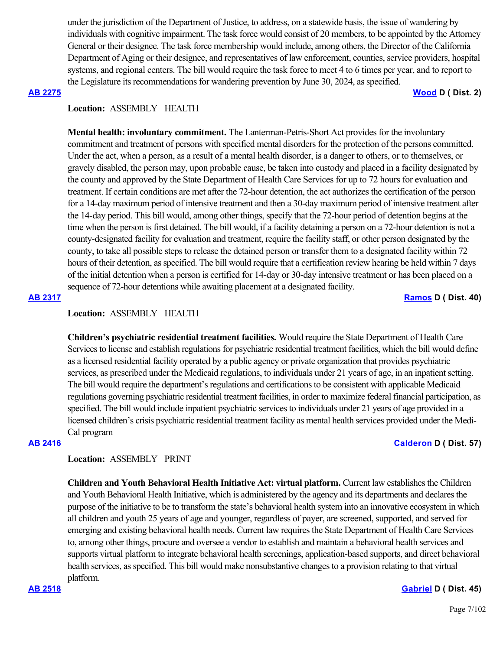under the jurisdiction of the Department of Justice, to address, on a statewide basis, the issue of wandering by individuals with cognitive impairment. The task force would consist of 20 members, to be appointed by the Attorney General or their designee. The task force membership would include, among others, the Director of the California Department of Aging or their designee, and representatives of law enforcement, counties, service providers, hospital systems, and regional centers. The bill would require the task force to meet 4 to 6 times per year, and to report to the Legislature its recommendations for wandering prevention by June 30, 2024, as specified.

**[AB 2275](https://ctweb.capitoltrack.com/public/publishbillinfo.aspx?bi=0rZDZ7V4LfTK8QzVfyOkkaZ6l8fuvqDLIImfTxRCQBE98PfcWrpgr2kxU7rmT3lf) [Wood](https://a02.asmdc.org/) D ( Dist. 2)**

# **Location:**  ASSEMBLY HEALTH

**Mental health: involuntary commitment.** The Lanterman-Petris-Short Act provides for the involuntary commitment and treatment of persons with specified mental disorders for the protection of the persons committed. Under the act, when a person, as a result of a mental health disorder, is a danger to others, or to themselves, or gravely disabled, the person may, upon probable cause, be taken into custody and placed in a facility designated by the county and approved by the State Department of Health Care Services for up to 72 hours for evaluation and treatment. If certain conditions are met after the 72-hour detention, the act authorizes the certification of the person for a 14-day maximum period of intensive treatment and then a 30-day maximum period of intensive treatment after the 14-day period. This bill would, among other things, specify that the 72-hour period of detention begins at the time when the person is first detained. The bill would, if a facility detaining a person on a 72-hour detention is not a county-designated facility for evaluation and treatment, require the facility staff, or other person designated by the county, to take all possible steps to release the detained person or transfer them to a designated facility within 72 hours of their detention, as specified. The bill would require that a certification review hearing be held within 7 days of the initial detention when a person is certified for 14-day or 30-day intensive treatment or has been placed on a sequence of 72-hour detentions while awaiting placement at a designated facility.

## **[AB 2317](https://ctweb.capitoltrack.com/public/publishbillinfo.aspx?bi=z60z4%2Bllm0UZm4nXLxyaoqvJ9Q602PJFfV0eg4q5SLwv9kmGRsycOO9xYP6ti298) [Ramos](https://a40.asmdc.org/) D ( Dist. 40)**

## **Location:**  ASSEMBLY HEALTH

**Children's psychiatric residential treatment facilities.** Would require the State Department of Health Care Services to license and establish regulations for psychiatric residential treatment facilities, which the bill would define as a licensed residential facility operated by a public agency or private organization that provides psychiatric services, as prescribed under the Medicaid regulations, to individuals under 21 years of age, in an inpatient setting. The bill would require the department's regulations and certifications to be consistent with applicable Medicaid regulations governing psychiatric residential treatment facilities, in order to maximize federal financial participation, as specified. The bill would include inpatient psychiatric services to individuals under 21 years of age provided in a licensed children's crisis psychiatric residential treatment facility as mental health services provided under the Medi-Cal program

## **[AB 2416](https://ctweb.capitoltrack.com/public/publishbillinfo.aspx?bi=32PAbi7Xv%2FbAR4Sn8GXSA2GTD%2F7nuFuceLGU5eRvYCiJIwhw9WVfJxMDni8XMBdU) [Calderon](https://a57.asmdc.org/) D ( Dist. 57)**

## **Location:**  ASSEMBLY PRINT

**Children and Youth Behavioral Health Initiative Act: virtual platform.** Current law establishes the Children and Youth Behavioral Health Initiative, which is administered by the agency and its departments and declares the purpose of the initiative to be to transform the state's behavioral health system into an innovative ecosystem in which all children and youth 25 years of age and younger, regardless of payer, are screened, supported, and served for emerging and existing behavioral health needs. Current law requires the State Department of Health Care Services to, among other things, procure and oversee a vendor to establish and maintain a behavioral health services and supports virtual platform to integrate behavioral health screenings, application-based supports, and direct behavioral health services, as specified. This bill would make nonsubstantive changes to a provision relating to that virtual platform.

# **[AB 2518](https://ctweb.capitoltrack.com/public/publishbillinfo.aspx?bi=eAgZGGJreUzxD6pmh%2FcMpNeQoi7jnaR0mOjMvklLird1TG13XolNCJCnTFWeoNE7) [Gabriel](https://a45.asmdc.org/) D ( Dist. 45)**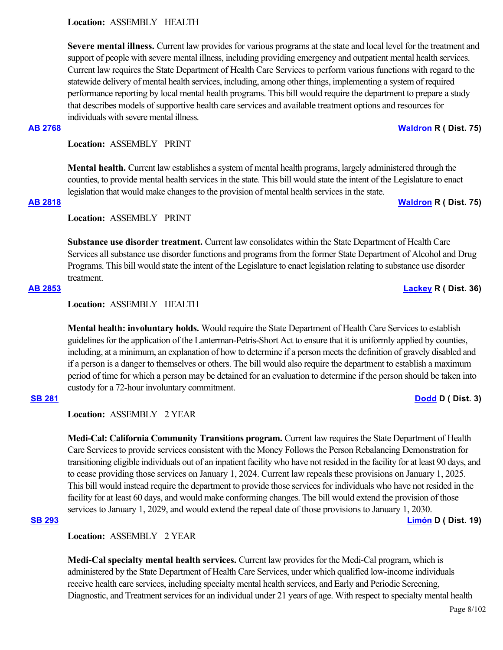**Location:**  ASSEMBLY HEALTH

**Severe mental illness.** Current law provides for various programs at the state and local level for the treatment and support of people with severe mental illness, including providing emergency and outpatient mental health services. Current law requires the State Department of Health Care Services to perform various functions with regard to the statewide delivery of mental health services, including, among other things, implementing a system of required performance reporting by local mental health programs. This bill would require the department to prepare a study that describes models of supportive health care services and available treatment options and resources for individuals with severe mental illness.

## **[AB 2768](https://ctweb.capitoltrack.com/public/publishbillinfo.aspx?bi=5bsMnjTWVpzyp%2Bdc3HmtoyheiTxyQZnhVpxnTxnj%2Bh2iV45313nDjkKmfgkk2nf2) [Waldron](https://ad75.asmrc.org/) R ( Dist. 75)**

**Location:**  ASSEMBLY PRINT

**Mental health.** Current law establishes a system of mental health programs, largely administered through the counties, to provide mental health services in the state. This bill would state the intent of the Legislature to enact legislation that would make changes to the provision of mental health services in the state.

# **[AB 2818](https://ctweb.capitoltrack.com/public/publishbillinfo.aspx?bi=kbqj4MNlmc82Z2AYRMZ22NcsQS3lZukyKNyCYfKeY%2F4xBsH0C9oap8aw8y1MHsF%2F) [Waldron](https://ad75.asmrc.org/) R ( Dist. 75)**

**Location:**  ASSEMBLY PRINT

**Substance use disorder treatment.** Current law consolidates within the State Department of Health Care Services all substance use disorder functions and programs from the former State Department of Alcohol and Drug Programs. This bill would state the intent of the Legislature to enact legislation relating to substance use disorder treatment.

# **[AB 2853](https://ctweb.capitoltrack.com/public/publishbillinfo.aspx?bi=oC6rGWY4TiyP9nFrpVNkjfQuCkVKk7rIRCLbqyC4fK0wxGXq9EieFL8qAxQbgL8p) [Lackey](https://ad36.asmrc.org/) R ( Dist. 36)**

**Location:**  ASSEMBLY HEALTH

**Mental health: involuntary holds.** Would require the State Department of Health Care Services to establish guidelines for the application of the Lanterman-Petris-Short Act to ensure that it is uniformly applied by counties, including, at a minimum, an explanation of how to determine if a person meets the definition of gravely disabled and if a person is a danger to themselves or others. The bill would also require the department to establish a maximum period of time for which a person may be detained for an evaluation to determine if the person should be taken into custody for a 72-hour involuntary commitment. **[SB 281](https://ctweb.capitoltrack.com/public/publishbillinfo.aspx?bi=31%2FBAMEQSqkDJ4SnUHjoay1rhX5GkZBGTzju0xqKfdMWTAgIROvrX%2FRV8PwHlfdY) [Dodd](http://sd03.senate.ca.gov/) D ( Dist. 3)**

**Location:**  ASSEMBLY 2 YEAR

**Medi-Cal: California Community Transitions program.** Current law requires the State Department of Health Care Services to provide services consistent with the Money Follows the Person Rebalancing Demonstration for transitioning eligible individuals out of an inpatient facility who have not resided in the facility for at least 90 days, and to cease providing those services on January 1, 2024. Current law repeals these provisions on January 1, 2025. This bill would instead require the department to provide those services for individuals who have not resided in the facility for at least 60 days, and would make conforming changes. The bill would extend the provision of those services to January 1, 2029, and would extend the repeal date of those provisions to January 1, 2030.

## **[SB 293](https://ctweb.capitoltrack.com/public/publishbillinfo.aspx?bi=mUvfNmpscz%2Fn6%2BS49x%2BVSyD1bPMaRpllCZj7GTDR7ts%2FffO9tJ0wQhEoWSyFW7qH) [Limón](http://sd19.senate.ca.gov/) D ( Dist. 19)**

**Location:**  ASSEMBLY 2 YEAR

**Medi-Cal specialty mental health services.** Current law provides for the Medi-Cal program, which is administered by the State Department of Health Care Services, under which qualified low-income individuals receive health care services, including specialty mental health services, and Early and Periodic Screening, Diagnostic, and Treatment services for an individual under 21 years of age. With respect to specialty mental health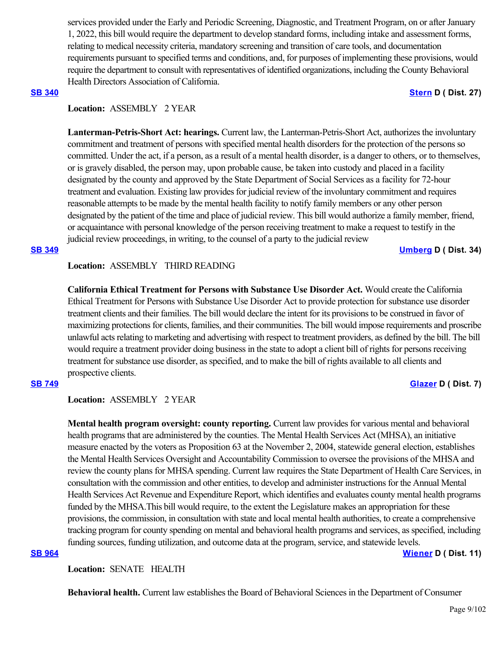services provided under the Early and Periodic Screening, Diagnostic, and Treatment Program, on or after January 1, 2022, this bill would require the department to develop standard forms, including intake and assessment forms, relating to medical necessity criteria, mandatory screening and transition of care tools, and documentation requirements pursuant to specified terms and conditions, and, for purposes of implementing these provisions, would require the department to consult with representatives of identified organizations, including the County Behavioral Health Directors Association of California.

### **[SB 340](https://ctweb.capitoltrack.com/public/publishbillinfo.aspx?bi=o7c4xnROQN3yzqqUUsr3HDvHSt5jsU2jMveJJkW5YKoG0bJsOECHrt2wV%2Fr7HQpj) [Stern](http://sd27.senate.ca.gov/) D ( Dist. 27)**

# **Location:**  ASSEMBLY 2 YEAR

**Lanterman-Petris-Short Act: hearings.** Current law, the Lanterman-Petris-Short Act, authorizes the involuntary commitment and treatment of persons with specified mental health disorders for the protection of the persons so committed. Under the act, if a person, as a result of a mental health disorder, is a danger to others, or to themselves, or is gravely disabled, the person may, upon probable cause, be taken into custody and placed in a facility designated by the county and approved by the State Department of Social Services as a facility for 72-hour treatment and evaluation. Existing law provides for judicial review of the involuntary commitment and requires reasonable attempts to be made by the mental health facility to notify family members or any other person designated by the patient of the time and place of judicial review. This bill would authorize a family member, friend, or acquaintance with personal knowledge of the person receiving treatment to make a request to testify in the judicial review proceedings, in writing, to the counsel of a party to the judicial review

**[SB 349](https://ctweb.capitoltrack.com/public/publishbillinfo.aspx?bi=1L3797EhI2HFs7ApAr3VSL6hzfJ582iH%2BJ%2BuA%2FOxH2OXpHfqUH1jsojsWut4TzeR) [Umberg](https://sd34.senate.ca.gov/) D ( Dist. 34)**

# **Location:**  ASSEMBLY THIRD READING

**California Ethical Treatment for Persons with Substance Use Disorder Act.** Would create the California Ethical Treatment for Persons with Substance Use Disorder Act to provide protection for substance use disorder treatment clients and their families. The bill would declare the intent for its provisions to be construed in favor of maximizing protections for clients, families, and their communities. The bill would impose requirements and proscribe unlawful acts relating to marketing and advertising with respect to treatment providers, as defined by the bill. The bill would require a treatment provider doing business in the state to adopt a client bill of rights for persons receiving treatment for substance use disorder, as specified, and to make the bill of rights available to all clients and prospective clients.

# **[SB 749](https://ctweb.capitoltrack.com/public/publishbillinfo.aspx?bi=IymgRTJUUIDdyuoG0Z0cGRsj2MTvybinG930ba6Cwf%2BGm%2BSh0spGW5TTrTV6Tlge) [Glazer](http://sd07.senate.ca.gov/) D ( Dist. 7)**

# **Location:**  ASSEMBLY 2 YEAR

**Mental health program oversight: county reporting.** Current law provides for various mental and behavioral health programs that are administered by the counties. The Mental Health Services Act (MHSA), an initiative measure enacted by the voters as Proposition 63 at the November 2, 2004, statewide general election, establishes the Mental Health Services Oversight and Accountability Commission to oversee the provisions of the MHSA and review the county plans for MHSA spending. Current law requires the State Department of Health Care Services, in consultation with the commission and other entities, to develop and administer instructions for the Annual Mental Health Services Act Revenue and Expenditure Report, which identifies and evaluates county mental health programs funded by the MHSA.This bill would require, to the extent the Legislature makes an appropriation for these provisions, the commission, in consultation with state and local mental health authorities, to create a comprehensive tracking program for county spending on mental and behavioral health programs and services, as specified, including funding sources, funding utilization, and outcome data at the program, service, and statewide levels. **[SB 964](https://ctweb.capitoltrack.com/public/publishbillinfo.aspx?bi=Jx6xKpgGpUc7MvFj296G%2BNleYv4K2FXUJt1yHrFMk5Kdo6j5nTh%2F6XGOXMLUobmc) [Wiener](http://sd11.senate.ca.gov/) D ( Dist. 11)**

**Location:**  SENATE HEALTH

**Behavioral health.** Current law establishes the Board of Behavioral Sciences in the Department of Consumer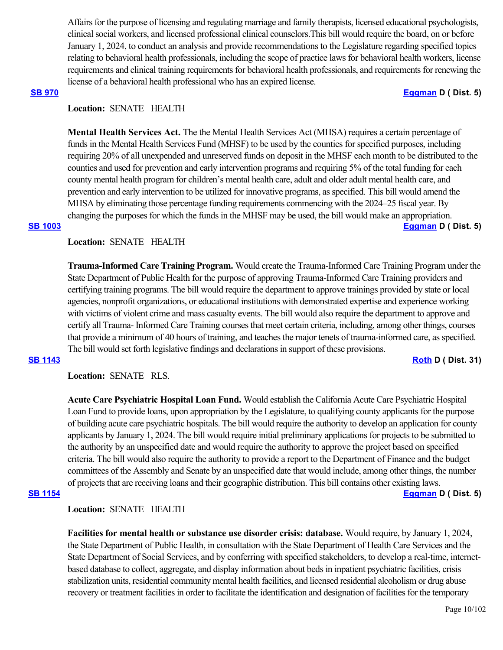Affairs for the purpose of licensing and regulating marriage and family therapists, licensed educational psychologists, clinical social workers, and licensed professional clinical counselors.This bill would require the board, on or before January 1, 2024, to conduct an analysis and provide recommendations to the Legislature regarding specified topics relating to behavioral health professionals, including the scope of practice laws for behavioral health workers, license requirements and clinical training requirements for behavioral health professionals, and requirements for renewing the license of a behavioral health professional who has an expired license.

### **[SB 970](https://ctweb.capitoltrack.com/public/publishbillinfo.aspx?bi=ZPgcc11w7DRukXp4q7xxiYYaN38LmZTBDrZ5wBtHRoPq75SsZznvOO2u%2FCttQ8rz) [Eggman](http://sd05.senate.ca.gov/) D ( Dist. 5)**

# **Location:**  SENATE HEALTH

**Mental Health Services Act.** The the Mental Health Services Act (MHSA) requires a certain percentage of funds in the Mental Health Services Fund (MHSF) to be used by the counties for specified purposes, including requiring 20% of all unexpended and unreserved funds on deposit in the MHSF each month to be distributed to the counties and used for prevention and early intervention programs and requiring 5% of the total funding for each county mental health program for children's mental health care, adult and older adult mental health care, and prevention and early intervention to be utilized for innovative programs, as specified. This bill would amend the MHSA by eliminating those percentage funding requirements commencing with the 2024–25 fiscal year. By changing the purposes for which the funds in the MHSF may be used, the bill would make an appropriation. **[SB 1003](https://ctweb.capitoltrack.com/public/publishbillinfo.aspx?bi=29J6BOFriWd3nFSebHkNfGHl56i9fS5%2FFN%2FktrZ8Ku2J6MCWwnzk30KvjydpkD1q) [Eggman](http://sd05.senate.ca.gov/) D ( Dist. 5)**

# **Location:**  SENATE HEALTH

**Trauma-Informed Care Training Program.** Would create the Trauma-Informed Care Training Program under the State Department of Public Health for the purpose of approving Trauma-Informed Care Training providers and certifying training programs. The bill would require the department to approve trainings provided by state or local agencies, nonprofit organizations, or educational institutions with demonstrated expertise and experience working with victims of violent crime and mass casualty events. The bill would also require the department to approve and certify all Trauma- Informed Care Training courses that meet certain criteria, including, among other things, courses that provide a minimum of 40 hours of training, and teaches the major tenets of trauma-informed care, as specified. The bill would set forth legislative findings and declarations in support of these provisions.

**[SB 1143](https://ctweb.capitoltrack.com/public/publishbillinfo.aspx?bi=j7LE46hg9IZzAOG1zpDoekrYzSLSPnmI1Qibdh6188OP7llHw0CxPu%2Bf%2FMe6h4Bm) [Roth](http://sd31.senate.ca.gov/) D ( Dist. 31)**

**Location:**  SENATE RLS.

**Acute Care Psychiatric Hospital Loan Fund.** Would establish the California Acute Care Psychiatric Hospital Loan Fund to provide loans, upon appropriation by the Legislature, to qualifying county applicants for the purpose of building acute care psychiatric hospitals. The bill would require the authority to develop an application for county applicants by January 1, 2024. The bill would require initial preliminary applications for projects to be submitted to the authority by an unspecified date and would require the authority to approve the project based on specified criteria. The bill would also require the authority to provide a report to the Department of Finance and the budget committees of the Assembly and Senate by an unspecified date that would include, among other things, the number of projects that are receiving loans and their geographic distribution. This bill contains other existing laws.

## **[SB 1154](https://ctweb.capitoltrack.com/public/publishbillinfo.aspx?bi=hl%2FWEq94M3yIQ01HyhS%2B1UzGTcq8gWX33thC55tyPYr0ZhF%2BdfkDCJAHh6xMvPF%2B) [Eggman](http://sd05.senate.ca.gov/) D ( Dist. 5)**

# **Location:**  SENATE HEALTH

**Facilities for mental health or substance use disorder crisis: database.** Would require, by January 1, 2024, the State Department of Public Health, in consultation with the State Department of Health Care Services and the State Department of Social Services, and by conferring with specified stakeholders, to develop a real-time, internetbased database to collect, aggregate, and display information about beds in inpatient psychiatric facilities, crisis stabilization units, residential community mental health facilities, and licensed residential alcoholism or drug abuse recovery or treatment facilities in order to facilitate the identification and designation of facilities for the temporary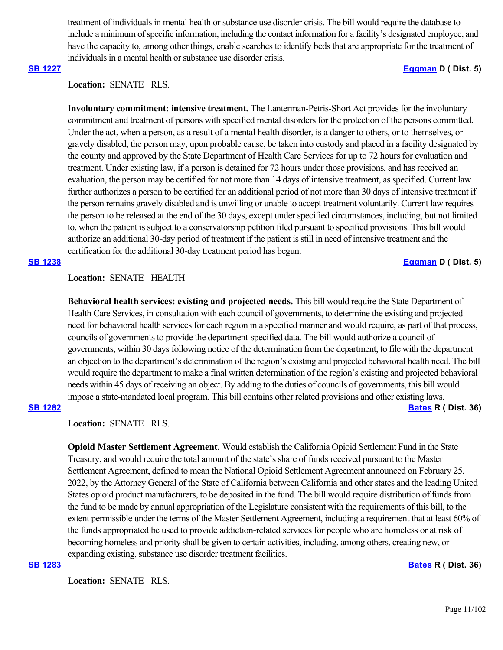treatment of individuals in mental health or substance use disorder crisis. The bill would require the database to include a minimum of specific information, including the contact information for a facility's designated employee, and have the capacity to, among other things, enable searches to identify beds that are appropriate for the treatment of individuals in a mental health or substance use disorder crisis.

# **[SB 1227](https://ctweb.capitoltrack.com/public/publishbillinfo.aspx?bi=lK87z9ghedSNRV7gXfY2qBADgZ8cmfWfH1YA%2BRfSGpJM%2BkbsIsv77jxmzZ%2Bc319F) [Eggman](http://sd05.senate.ca.gov/) D ( Dist. 5)**

**Location:**  SENATE RLS.

**Involuntary commitment: intensive treatment.** The Lanterman-Petris-Short Act provides for the involuntary commitment and treatment of persons with specified mental disorders for the protection of the persons committed. Under the act, when a person, as a result of a mental health disorder, is a danger to others, or to themselves, or gravely disabled, the person may, upon probable cause, be taken into custody and placed in a facility designated by the county and approved by the State Department of Health Care Services for up to 72 hours for evaluation and treatment. Under existing law, if a person is detained for 72 hours under those provisions, and has received an evaluation, the person may be certified for not more than 14 days of intensive treatment, as specified. Current law further authorizes a person to be certified for an additional period of not more than 30 days of intensive treatment if the person remains gravely disabled and is unwilling or unable to accept treatment voluntarily. Current law requires the person to be released at the end of the 30 days, except under specified circumstances, including, but not limited to, when the patient is subject to a conservatorship petition filed pursuant to specified provisions. This bill would authorize an additional 30-day period of treatment if the patient is still in need of intensive treatment and the certification for the additional 30-day treatment period has begun.

**[SB 1238](https://ctweb.capitoltrack.com/public/publishbillinfo.aspx?bi=JSV7DrlxoWQUO2hlB09zDsxFKEwNje0aoS%2Fq4jSncO42yQo6jOqHQ2UQTuXEWXS%2F) [Eggman](http://sd05.senate.ca.gov/) D ( Dist. 5)**

## **Location:**  SENATE HEALTH

**Behavioral health services: existing and projected needs.** This bill would require the State Department of Health Care Services, in consultation with each council of governments, to determine the existing and projected need for behavioral health services for each region in a specified manner and would require, as part of that process, councils of governments to provide the department-specified data. The bill would authorize a council of governments, within 30 days following notice of the determination from the department, to file with the department an objection to the department's determination of the region's existing and projected behavioral health need. The bill would require the department to make a final written determination of the region's existing and projected behavioral needs within 45 days of receiving an object. By adding to the duties of councils of governments, this bill would impose a state-mandated local program. This bill contains other related provisions and other existing laws.

# **[SB 1282](https://ctweb.capitoltrack.com/public/publishbillinfo.aspx?bi=n8UA0NPfn4SyQOkuQafpo%2Fg4wDnezuyeFEA26LE3whCCLYjlkEDc3S530SNiCkef) [Bates](https://bates.cssrc.us/) R ( Dist. 36)**

**Location:**  SENATE RLS.

**Opioid Master Settlement Agreement.** Would establish the California Opioid Settlement Fund in the State Treasury, and would require the total amount of the state's share of funds received pursuant to the Master Settlement Agreement, defined to mean the National Opioid Settlement Agreement announced on February 25, 2022, by the Attorney General of the State of California between California and other states and the leading United States opioid product manufacturers, to be deposited in the fund. The bill would require distribution of funds from the fund to be made by annual appropriation of the Legislature consistent with the requirements of this bill, to the extent permissible under the terms of the Master Settlement Agreement, including a requirement that at least 60% of the funds appropriated be used to provide addiction-related services for people who are homeless or at risk of becoming homeless and priority shall be given to certain activities, including, among others, creating new, or expanding existing, substance use disorder treatment facilities.

### **[SB 1283](https://ctweb.capitoltrack.com/public/publishbillinfo.aspx?bi=rt8TgYWCy9cEhh5r%2BMdAOiotAscg8ADO8Vw6AL75L1lkUUC0wss%2B5hhI7d3w6IM5) [Bates](https://bates.cssrc.us/) R ( Dist. 36)**

**Location:**  SENATE RLS.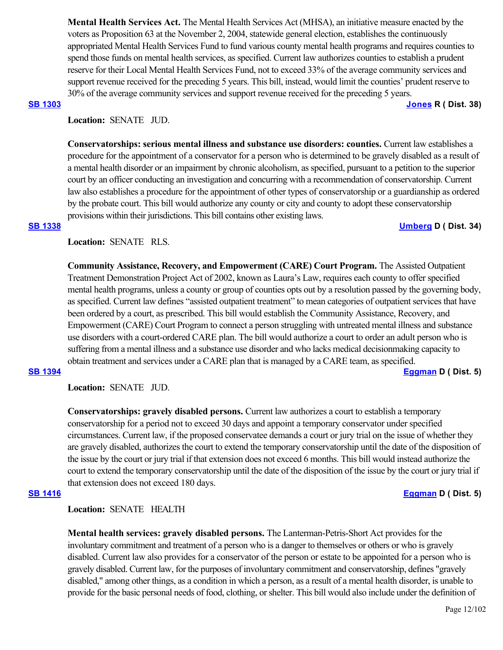**Mental Health Services Act.** The Mental Health Services Act (MHSA), an initiative measure enacted by the voters as Proposition 63 at the November 2, 2004, statewide general election, establishes the continuously appropriated Mental Health Services Fund to fund various county mental health programs and requires counties to spend those funds on mental health services, as specified. Current law authorizes counties to establish a prudent reserve for their Local Mental Health Services Fund, not to exceed 33% of the average community services and support revenue received for the preceding 5 years. This bill, instead, would limit the counties' prudent reserve to 30% of the average community services and support revenue received for the preceding 5 years.

# **[SB 1303](https://ctweb.capitoltrack.com/public/publishbillinfo.aspx?bi=dRa3uUs%2BmKvU%2F1paoLvovnuZHz7I0vke2eOU%2FVJT58GF0%2Bj96b0v2BRA9dYnXWZB) [Jones](https://jones.cssrc.us/) R ( Dist. 38)**

**Location:**  SENATE JUD.

**Conservatorships: serious mental illness and substance use disorders: counties.** Current law establishes a procedure for the appointment of a conservator for a person who is determined to be gravely disabled as a result of a mental health disorder or an impairment by chronic alcoholism, as specified, pursuant to a petition to the superior court by an officer conducting an investigation and concurring with a recommendation of conservatorship. Current law also establishes a procedure for the appointment of other types of conservatorship or a guardianship as ordered by the probate court. This bill would authorize any county or city and county to adopt these conservatorship provisions within their jurisdictions. This bill contains other existing laws.

## **[SB 1338](https://ctweb.capitoltrack.com/public/publishbillinfo.aspx?bi=zkZkYL0QpxhvLHSDrryjYjqhCvBG3i2P4Fy4WwFkw0z6i88mrhk2RP8yfCtLM2XB) [Umberg](https://sd34.senate.ca.gov/) D ( Dist. 34)**

Location: **SENATE** RLS.

**Community Assistance, Recovery, and Empowerment (CARE) Court Program.** The Assisted Outpatient Treatment Demonstration Project Act of 2002, known as Laura's Law, requires each county to offer specified mental health programs, unless a county or group of counties opts out by a resolution passed by the governing body, as specified. Current law defines "assisted outpatient treatment" to mean categories of outpatient services that have been ordered by a court, as prescribed. This bill would establish the Community Assistance, Recovery, and Empowerment (CARE) Court Program to connect a person struggling with untreated mental illness and substance use disorders with a court-ordered CARE plan. The bill would authorize a court to order an adult person who is suffering from a mental illness and a substance use disorder and who lacks medical decisionmaking capacity to obtain treatment and services under a CARE plan that is managed by a CARE team, as specified.

## **[SB 1394](https://ctweb.capitoltrack.com/public/publishbillinfo.aspx?bi=8oiUvbsQbFGCISr3xEIVRRmoTCtOiNbi1Cq1FGsiplH0O7n3Kk0isqE97GEjqp9C) [Eggman](http://sd05.senate.ca.gov/) D ( Dist. 5)**

**Location:**  SENATE JUD.

**Conservatorships: gravely disabled persons.** Current law authorizes a court to establish a temporary conservatorship for a period not to exceed 30 days and appoint a temporary conservator under specified circumstances. Current law, if the proposed conservatee demands a court or jury trial on the issue of whether they are gravely disabled, authorizes the court to extend the temporary conservatorship until the date of the disposition of the issue by the court or jury trial if that extension does not exceed 6 months. This bill would instead authorize the court to extend the temporary conservatorship until the date of the disposition of the issue by the court or jury trial if that extension does not exceed 180 days.

# **[SB 1416](https://ctweb.capitoltrack.com/public/publishbillinfo.aspx?bi=Ckgq9dObZpLNAwfruKS5eoP9WSMjTtFhQ1gjVUmz%2BOdZpz5dJhyuWSOkoYxHwSwv) [Eggman](http://sd05.senate.ca.gov/) D ( Dist. 5)**

**Location:**  SENATE HEALTH

**Mental health services: gravely disabled persons.** The Lanterman-Petris-Short Act provides for the involuntary commitment and treatment of a person who is a danger to themselves or others or who is gravely disabled. Current law also provides for a conservator of the person or estate to be appointed for a person who is gravely disabled. Current law, for the purposes of involuntary commitment and conservatorship, defines "gravely disabled," among other things, as a condition in which a person, as a result of a mental health disorder, is unable to provide for the basic personal needs of food, clothing, or shelter. This bill would also include under the definition of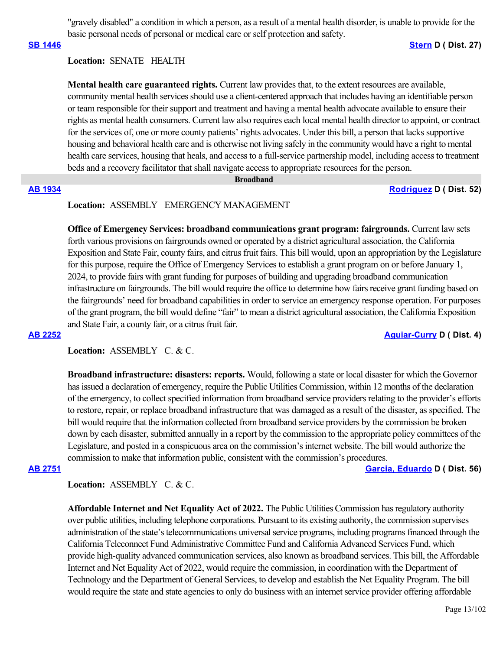"gravely disabled" a condition in which a person, as a result of a mental health disorder, is unable to provide for the basic personal needs of personal or medical care or self protection and safety.

### **[SB 1446](https://ctweb.capitoltrack.com/public/publishbillinfo.aspx?bi=%2BPyPbbZd8k0rY%2Beb6ZLnIbeUfGiSPEabavTPvcxfRO6WcnnjXslyTB6bYmzcy9Hf) [Stern](http://sd27.senate.ca.gov/) D ( Dist. 27)**

# **Location:**  SENATE HEALTH

**Mental health care guaranteed rights.** Current law provides that, to the extent resources are available, community mental health services should use a client-centered approach that includes having an identifiable person or team responsible for their support and treatment and having a mental health advocate available to ensure their rights as mental health consumers. Current law also requires each local mental health director to appoint, or contract for the services of, one or more county patients' rights advocates. Under this bill, a person that lacks supportive housing and behavioral health care and is otherwise not living safely in the community would have a right to mental health care services, housing that heals, and access to a full-service partnership model, including access to treatment beds and a recovery facilitator that shall navigate access to appropriate resources for the person.

### **Broadband**

**[AB 1934](https://ctweb.capitoltrack.com/public/publishbillinfo.aspx?bi=BUCqayROPwPBivesNljqMAm14lMfbZV9QghcystfHTiYbqqGRlLgkHV%2BUsTzh40Q) [Rodriguez](https://a52.asmdc.org/) D ( Dist. 52)**

# **Location:**  ASSEMBLY EMERGENCY MANAGEMENT

**Office of Emergency Services: broadband communications grant program: fairgrounds.** Current law sets forth various provisions on fairgrounds owned or operated by a district agricultural association, the California Exposition and State Fair, county fairs, and citrus fruit fairs. This bill would, upon an appropriation by the Legislature for this purpose, require the Office of Emergency Services to establish a grant program on or before January 1, 2024, to provide fairs with grant funding for purposes of building and upgrading broadband communication infrastructure on fairgrounds. The bill would require the office to determine how fairs receive grant funding based on the fairgrounds' need for broadband capabilities in order to service an emergency response operation. For purposes of the grant program, the bill would define "fair" to mean a district agricultural association, the California Exposition and State Fair, a county fair, or a citrus fruit fair.

## **[AB 2252](https://ctweb.capitoltrack.com/public/publishbillinfo.aspx?bi=%2BuSZVmWWzubXTivYWbjh%2BPvAZb%2FbY7BTvO2y3re6YgC9ekIzo2fDqdXJtSxaN4gc) [Aguiar-Curry](https://a04.asmdc.org/) D ( Dist. 4)**

# Location: ASSEMBLY C. & C.

**Broadband infrastructure: disasters: reports.** Would, following a state or local disaster for which the Governor has issued a declaration of emergency, require the Public Utilities Commission, within 12 months of the declaration of the emergency, to collect specified information from broadband service providers relating to the provider's efforts to restore, repair, or replace broadband infrastructure that was damaged as a result of the disaster, as specified. The bill would require that the information collected from broadband service providers by the commission be broken down by each disaster, submitted annually in a report by the commission to the appropriate policy committees of the Legislature, and posted in a conspicuous area on the commission's internet website. The bill would authorize the commission to make that information public, consistent with the commission's procedures.

**[AB 2751](https://ctweb.capitoltrack.com/public/publishbillinfo.aspx?bi=8cU4y3KaB5bvWbzr2RkC6CQawxCXYJtPlchMoVIlrGXnux8Lsl4JQkzZFk9EYFWS) [Garcia, Eduardo](https://a56.asmdc.org/) D ( Dist. 56)**

## Location: ASSEMBLY C. & C.

**Affordable Internet and Net Equality Act of 2022.** The Public Utilities Commission has regulatory authority over public utilities, including telephone corporations. Pursuant to its existing authority, the commission supervises administration of the state's telecommunications universal service programs, including programs financed through the California Teleconnect Fund Administrative Committee Fund and California Advanced Services Fund, which provide high-quality advanced communication services, also known as broadband services. This bill, the Affordable Internet and Net Equality Act of 2022, would require the commission, in coordination with the Department of Technology and the Department of General Services, to develop and establish the Net Equality Program. The bill would require the state and state agencies to only do business with an internet service provider offering affordable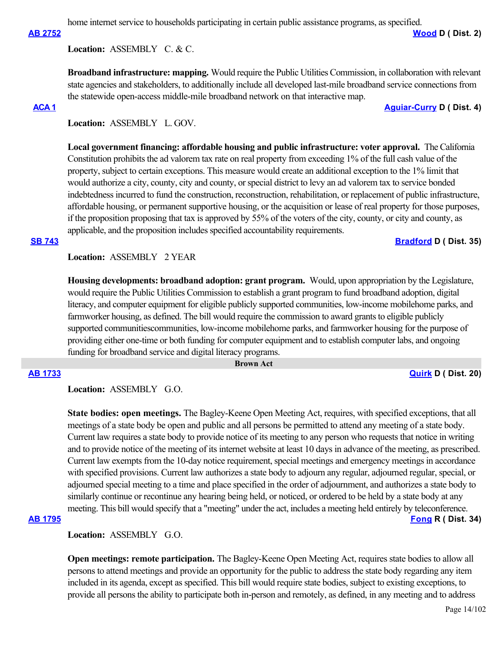home internet service to households participating in certain public assistance programs, as specified.

**[AB 2752](https://ctweb.capitoltrack.com/public/publishbillinfo.aspx?bi=vNkjaRrcr5ARS%2BuprbLa9o5uPmb3tT76%2BiABLiQrgG8gWTeugrnPaEAwBbxKlSLn) [Wood](https://a02.asmdc.org/) D ( Dist. 2)**

**Location:**  ASSEMBLY C. & C.

**Broadband infrastructure: mapping.** Would require the Public Utilities Commission, in collaboration with relevant state agencies and stakeholders, to additionally include all developed last-mile broadband service connections from the statewide open-access middle-mile broadband network on that interactive map.

## **[ACA 1](https://ctweb.capitoltrack.com/public/publishbillinfo.aspx?bi=vkAbgpBB9wOKQrx%2F6m3DJE4Lfzjw%2B69Lv7GxnaWpsGPIGgKDXm0xJSIkZsa8QVVB) [Aguiar-Curry](https://a04.asmdc.org/) D ( Dist. 4)**

**Location:**  ASSEMBLY L. GOV.

**Local government financing: affordable housing and public infrastructure: voter approval.** The California Constitution prohibits the ad valorem tax rate on real property from exceeding 1% of the full cash value of the property, subject to certain exceptions. This measure would create an additional exception to the 1% limit that would authorize a city, county, city and county, or special district to levy an ad valorem tax to service bonded indebtedness incurred to fund the construction, reconstruction, rehabilitation, or replacement of public infrastructure, affordable housing, or permanent supportive housing, or the acquisition or lease of real property for those purposes, if the proposition proposing that tax is approved by 55% of the voters of the city, county, or city and county, as applicable, and the proposition includes specified accountability requirements.

## **[SB 743](https://ctweb.capitoltrack.com/public/publishbillinfo.aspx?bi=7BlsynAWj96xt2uQ%2BjSEcHfrhFZB5GRldZzR9UBh%2BNQd140Q5dnXihta9xv0Ktk6) [Bradford](http://sd35.senate.ca.gov/) D** ( Dist. 35)

**Location:**  ASSEMBLY 2 YEAR

**Housing developments: broadband adoption: grant program.** Would, upon appropriation by the Legislature, would require the Public Utilities Commission to establish a grant program to fund broadband adoption, digital literacy, and computer equipment for eligible publicly supported communities, low-income mobilehome parks, and farmworker housing, as defined. The bill would require the commission to award grants to eligible publicly supported communitiescommunities, low-income mobilehome parks, and farmworker housing for the purpose of providing either one-time or both funding for computer equipment and to establish computer labs, and ongoing funding for broadband service and digital literacy programs.

 **Brown Act**

**[AB 1733](https://ctweb.capitoltrack.com/public/publishbillinfo.aspx?bi=gdXgMvvVB%2FXofsbZdlxRMIFcbIyYqdIKF%2BeEXtE2thnO4FAzsCRaxh3Ris06M6Lc) [Quirk](https://a20.asmdc.org/) D ( Dist. 20)**

**Location:**  ASSEMBLY G.O.

**State bodies: open meetings.** The Bagley-Keene Open Meeting Act, requires, with specified exceptions, that all meetings of a state body be open and public and all persons be permitted to attend any meeting of a state body. Current law requires a state body to provide notice of its meeting to any person who requests that notice in writing and to provide notice of the meeting of its internet website at least 10 days in advance of the meeting, as prescribed. Current law exempts from the 10-day notice requirement, special meetings and emergency meetings in accordance with specified provisions. Current law authorizes a state body to adjourn any regular, adjourned regular, special, or adjourned special meeting to a time and place specified in the order of adjournment, and authorizes a state body to similarly continue or recontinue any hearing being held, or noticed, or ordered to be held by a state body at any meeting. This bill would specify that a "meeting" under the act, includes a meeting held entirely by teleconference.

# **[AB 1795](https://ctweb.capitoltrack.com/public/publishbillinfo.aspx?bi=wg1t5GtNNHGyFieQeDRThBmcov7bT8yqaJ5lWLv574S4EuG5ZAMvaQaW%2BnnloC16) [Fong](https://ad34.asmrc.org/) R ( Dist. 34)**

**Location:**  ASSEMBLY G.O.

**Open meetings: remote participation.** The Bagley-Keene Open Meeting Act, requires state bodies to allow all persons to attend meetings and provide an opportunity for the public to address the state body regarding any item included in its agenda, except as specified. This bill would require state bodies, subject to existing exceptions, to provide all persons the ability to participate both in-person and remotely, as defined, in any meeting and to address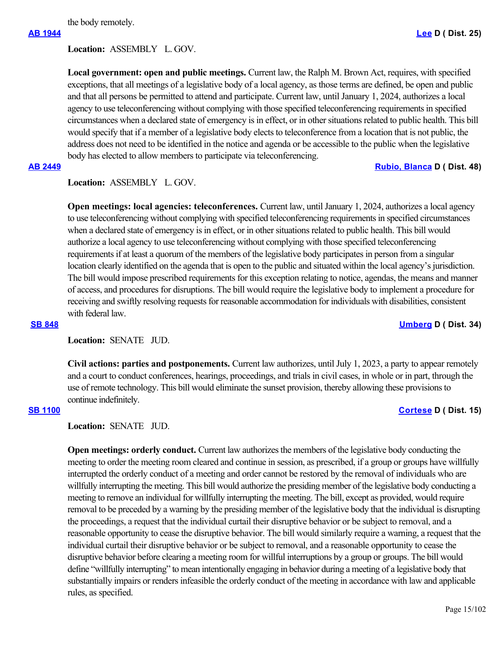the body remotely.

**Location:**  ASSEMBLY L. GOV.

**Local government: open and public meetings.** Current law, the Ralph M. Brown Act, requires, with specified exceptions, that all meetings of a legislative body of a local agency, as those terms are defined, be open and public and that all persons be permitted to attend and participate. Current law, until January 1, 2024, authorizes a local agency to use teleconferencing without complying with those specified teleconferencing requirements in specified circumstances when a declared state of emergency is in effect, or in other situations related to public health. This bill would specify that if a member of a legislative body elects to teleconference from a location that is not public, the address does not need to be identified in the notice and agenda or be accessible to the public when the legislative body has elected to allow members to participate via teleconferencing.

## **[AB 2449](https://ctweb.capitoltrack.com/public/publishbillinfo.aspx?bi=I5n6p2PIkw0De4xQ7eWXu6fKFJQ259uwRtZ%2Fn5otztjndF8XP6zCfd%2FAX7YME6kS) [Rubio, Blanca](https://a48.asmdc.org/) D ( Dist. 48)**

# **Location:**  ASSEMBLY L. GOV.

**Open meetings: local agencies: teleconferences.** Current law, until January 1, 2024, authorizes a local agency to use teleconferencing without complying with specified teleconferencing requirements in specified circumstances when a declared state of emergency is in effect, or in other situations related to public health. This bill would authorize a local agency to use teleconferencing without complying with those specified teleconferencing requirements if at least a quorum of the members of the legislative body participates in person from a singular location clearly identified on the agenda that is open to the public and situated within the local agency's jurisdiction. The bill would impose prescribed requirements for this exception relating to notice, agendas, the means and manner of access, and procedures for disruptions. The bill would require the legislative body to implement a procedure for receiving and swiftly resolving requests for reasonable accommodation for individuals with disabilities, consistent with federal law.

## **[SB 848](https://ctweb.capitoltrack.com/public/publishbillinfo.aspx?bi=6OsQu0oU7JnguhmKtx3Qo65Lrk1CaeXRzGblv4mGeaJYzL4RPAEsXWKf8EIkZC3n) [Umberg](https://sd34.senate.ca.gov/) D ( Dist. 34)**

Location: **SENATE** JUD.

**Civil actions: parties and postponements.** Current law authorizes, until July 1, 2023, a party to appear remotely and a court to conduct conferences, hearings, proceedings, and trials in civil cases, in whole or in part, through the use of remote technology. This bill would eliminate the sunset provision, thereby allowing these provisions to continue indefinitely.

# **[SB 1100](https://ctweb.capitoltrack.com/public/publishbillinfo.aspx?bi=6cJ9L92XQ1NgKD%2B3OrqIkndhxGDFJGzGGp%2F7T2ZSbj03VAA24m7G9hO%2BxENp5OUF) [Cortese](http://sd15.senate.ca.gov/) D ( Dist. 15)**

# **Location:**  SENATE JUD.

**Open meetings: orderly conduct.** Current law authorizes the members of the legislative body conducting the meeting to order the meeting room cleared and continue in session, as prescribed, if a group or groups have willfully interrupted the orderly conduct of a meeting and order cannot be restored by the removal of individuals who are willfully interrupting the meeting. This bill would authorize the presiding member of the legislative body conducting a meeting to remove an individual for willfully interrupting the meeting. The bill, except as provided, would require removal to be preceded by a warning by the presiding member of the legislative body that the individual is disrupting the proceedings, a request that the individual curtail their disruptive behavior or be subject to removal, and a reasonable opportunity to cease the disruptive behavior. The bill would similarly require a warning, a request that the individual curtail their disruptive behavior or be subject to removal, and a reasonable opportunity to cease the disruptive behavior before clearing a meeting room for willful interruptions by a group or groups. The bill would define "willfully interrupting" to mean intentionally engaging in behavior during a meeting of a legislative body that substantially impairs or renders infeasible the orderly conduct of the meeting in accordance with law and applicable rules, as specified.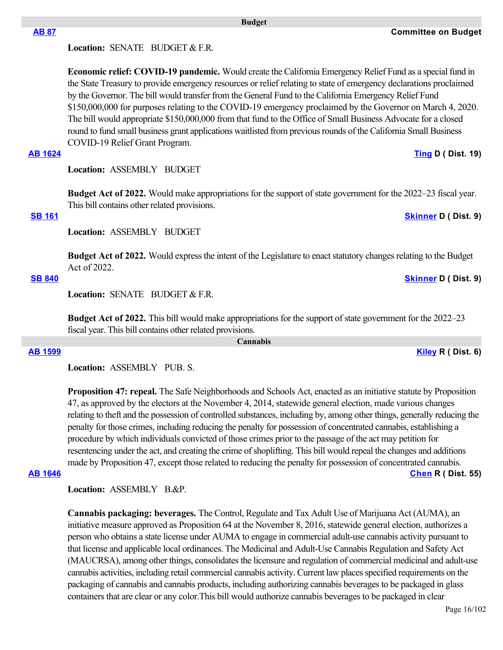Location: **SENATE** BUDGET & F.R.

**Economic relief: COVID-19 pandemic.** Would create the California Emergency Relief Fund as a special fund in the State Treasury to provide emergency resources or relief relating to state of emergency declarations proclaimed by the Governor. The bill would transfer from the General Fund to the California Emergency Relief Fund \$150,000,000 for purposes relating to the COVID-19 emergency proclaimed by the Governor on March 4, 2020. The bill would appropriate \$150,000,000 from that fund to the Office of Small Business Advocate for a closed round to fund small business grant applications waitlisted from previous rounds of the California Small Business COVID-19 Relief Grant Program.

 **Budget**

# **[AB 1624](https://ctweb.capitoltrack.com/public/publishbillinfo.aspx?bi=8EhZvMkg%2Bryj6G2PjZnFDigy2t8yZDTaJEeRdIF6fNUKQ9SyVxwP8F7Vm7OAd2UY) [Ting](https://a19.asmdc.org/) D ( Dist. 19)**

**Location:**  ASSEMBLY BUDGET

**Budget Act of 2022.** Would make appropriations for the support of state government for the 2022–23 fiscal year. This bill contains other related provisions.

Location: **ASSEMBLY BUDGET** 

**Budget Act of 2022.** Would express the intent of the Legislature to enact statutory changes relating to the Budget Act of 2022.

# **[SB 840](https://ctweb.capitoltrack.com/public/publishbillinfo.aspx?bi=xeGjg6Ve%2FOtZtf38qm%2B6zDuHRoAIMtzS%2Fcqi2K6xEZOWe86VC3rs0EgpG%2BceRuLt) [Skinner](http://sd09.senate.ca.gov/) D ( Dist. 9)**

Location: **SENATE** BUDGET & F.R.

**Budget Act of 2022.** This bill would make appropriations for the support of state government for the 2022–23 fiscal year. This bill contains other related provisions.

 **Cannabis**

| Location: ASSEMBLY PUB. S. |  |
|----------------------------|--|
|                            |  |

**Proposition 47: repeal.** The Safe Neighborhoods and Schools Act, enacted as an initiative statute by Proposition 47, as approved by the electors at the November 4, 2014, statewide general election, made various changes relating to theft and the possession of controlled substances, including by, among other things, generally reducing the penalty for those crimes, including reducing the penalty for possession of concentrated cannabis, establishing a procedure by which individuals convicted of those crimes prior to the passage of the act may petition for resentencing under the act, and creating the crime of shoplifting. This bill would repeal the changes and additions made by Proposition 47, except those related to reducing the penalty for possession of concentrated cannabis. **[AB 1646](https://ctweb.capitoltrack.com/public/publishbillinfo.aspx?bi=jIcH8N4M1EmPtLBgwD8FLH%2FWAGSv4rYsb8GY755t12kZmeYbBUaV%2Fw%2B3xK63W1MM) [Chen](https://ad55.asmrc.org/) R ( Dist. 55)**

Location: ASSEMBLY B.&P.

**Cannabis packaging: beverages.** The Control, Regulate and Tax Adult Use of Marijuana Act (AUMA), an initiative measure approved as Proposition 64 at the November 8, 2016, statewide general election, authorizes a person who obtains a state license under AUMA to engage in commercial adult-use cannabis activity pursuant to that license and applicable local ordinances. The Medicinal and Adult-Use Cannabis Regulation and Safety Act (MAUCRSA), among other things, consolidates the licensure and regulation of commercial medicinal and adult-use cannabis activities, including retail commercial cannabis activity. Current law places specified requirements on the packaging of cannabis and cannabis products, including authorizing cannabis beverages to be packaged in glass containers that are clear or any color.This bill would authorize cannabis beverages to be packaged in clear

**[AB 87](https://ctweb.capitoltrack.com/public/publishbillinfo.aspx?bi=aP6tBr0AiMKGFAYx2CsdLBAC6h8IlxwJmhePJG5%2BQYnibqIKe%2FksE37RChPbnT8a) Committee on Budget**

**[SB 161](https://ctweb.capitoltrack.com/public/publishbillinfo.aspx?bi=KgBWpSKaK1qosaVlb8Ds4L7fexWS0bY09GuuGnPYq5%2B2Y3ONYoHOCCncw5ff6KIG) [Skinner](http://sd09.senate.ca.gov/) D ( Dist. 9)**

**[AB 1599](https://ctweb.capitoltrack.com/public/publishbillinfo.aspx?bi=9PiOwnRjRLY4DnAca%2F3COFkubgfkQsdUW9osKyrVqR9UZownSLqTVN%2F6ZVqH%2FBVu) [Kiley](https://ad06.asmrc.org/) R ( Dist. 6)**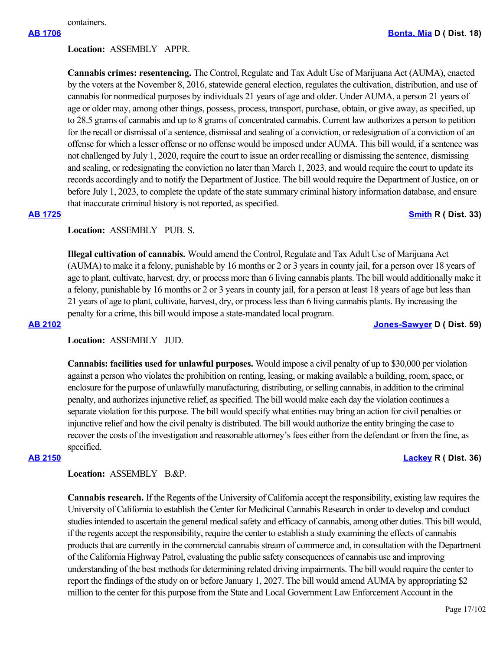containers.

# **Location:**  ASSEMBLY APPR.

**Cannabis crimes: resentencing.** The Control, Regulate and Tax Adult Use of Marijuana Act (AUMA), enacted by the voters at the November 8, 2016, statewide general election, regulates the cultivation, distribution, and use of cannabis for nonmedical purposes by individuals 21 years of age and older. Under AUMA, a person 21 years of age or older may, among other things, possess, process, transport, purchase, obtain, or give away, as specified, up to 28.5 grams of cannabis and up to 8 grams of concentrated cannabis. Current law authorizes a person to petition for the recall or dismissal of a sentence, dismissal and sealing of a conviction, or redesignation of a conviction of an offense for which a lesser offense or no offense would be imposed under AUMA. This bill would, if a sentence was not challenged by July 1, 2020, require the court to issue an order recalling or dismissing the sentence, dismissing and sealing, or redesignating the conviction no later than March 1, 2023, and would require the court to update its records accordingly and to notify the Department of Justice. The bill would require the Department of Justice, on or before July 1, 2023, to complete the update of the state summary criminal history information database, and ensure that inaccurate criminal history is not reported, as specified.

# **[AB 1725](https://ctweb.capitoltrack.com/public/publishbillinfo.aspx?bi=eDF9mvzrhO16tfXjtjgocRb3w2U96hc6wcYATijL3sdIAx4x5R1ko7wfYGLXFOH8) [Smith](https://ad33.asmrc.org/) R ( Dist. 33)**

# **Location:**  ASSEMBLY PUB. S.

**Illegal cultivation of cannabis.** Would amend the Control, Regulate and Tax Adult Use of Marijuana Act (AUMA) to make it a felony, punishable by 16 months or 2 or 3 years in county jail, for a person over 18 years of age to plant, cultivate, harvest, dry, or process more than 6 living cannabis plants. The bill would additionally make it a felony, punishable by 16 months or 2 or 3 years in county jail, for a person at least 18 years of age but less than 21 years of age to plant, cultivate, harvest, dry, or process less than 6 living cannabis plants. By increasing the penalty for a crime, this bill would impose a state-mandated local program.

**[AB 2102](https://ctweb.capitoltrack.com/public/publishbillinfo.aspx?bi=axvV2WSYSOTMOD%2BJjQZLd78r%2B4q1nkZAB5bToerZ7cMO1hgwLRMaps1hYybq1bSp) [Jones-Sawyer](https://a59.asmdc.org/) D ( Dist. 59)**

# **Location:**  ASSEMBLY JUD.

**Cannabis: facilities used for unlawful purposes.** Would impose a civil penalty of up to \$30,000 per violation against a person who violates the prohibition on renting, leasing, or making available a building, room, space, or enclosure for the purpose of unlawfully manufacturing, distributing, or selling cannabis, in addition to the criminal penalty, and authorizes injunctive relief, as specified. The bill would make each day the violation continues a separate violation for this purpose. The bill would specify what entities may bring an action for civil penalties or injunctive relief and how the civil penalty is distributed. The bill would authorize the entity bringing the case to recover the costs of the investigation and reasonable attorney's fees either from the defendant or from the fine, as specified.

# **[AB 2150](https://ctweb.capitoltrack.com/public/publishbillinfo.aspx?bi=7Wmtzh3EFvFL6Y%2Bi8QIOK15SoFNfFsFucrq1L1Kv3c6aIaItT8p0jwtVP4y%2FNSSY) [Lackey](https://ad36.asmrc.org/) R ( Dist. 36)**

Location: ASSEMBLY B.&P.

**Cannabis research.** If the Regents of the University of California accept the responsibility, existing law requires the University of California to establish the Center for Medicinal Cannabis Research in order to develop and conduct studies intended to ascertain the general medical safety and efficacy of cannabis, among other duties. This bill would, if the regents accept the responsibility, require the center to establish a study examining the effects of cannabis products that are currently in the commercial cannabis stream of commerce and, in consultation with the Department of the California Highway Patrol, evaluating the public safety consequences of cannabis use and improving understanding of the best methods for determining related driving impairments. The bill would require the center to report the findings of the study on or before January 1, 2027. The bill would amend AUMA by appropriating \$2 million to the center for this purpose from the State and Local Government Law Enforcement Account in the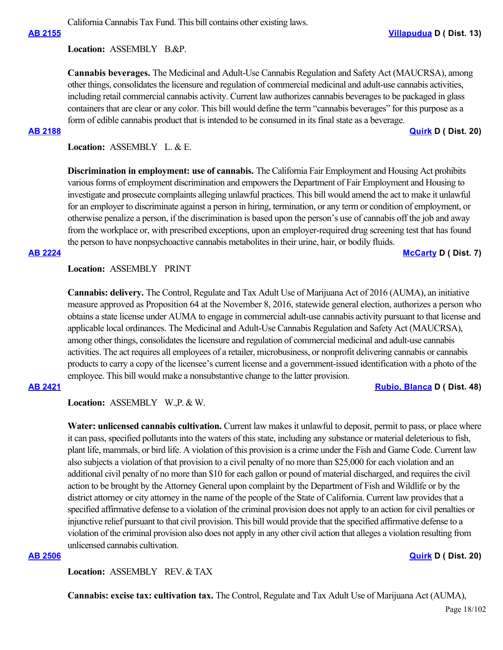California Cannabis Tax Fund. This bill contains other existing laws.

Location: ASSEMBLY B.&P.

**Cannabis beverages.** The Medicinal and Adult-Use Cannabis Regulation and Safety Act (MAUCRSA), among other things, consolidates the licensure and regulation of commercial medicinal and adult-use cannabis activities, including retail commercial cannabis activity. Current law authorizes cannabis beverages to be packaged in glass containers that are clear or any color. This bill would define the term "cannabis beverages" for this purpose as a form of edible cannabis product that is intended to be consumed in its final state as a beverage.

**[AB 2188](https://ctweb.capitoltrack.com/public/publishbillinfo.aspx?bi=eYVa5aaGseAn6pz3DB43INLWZ2wJI0Q%2FhK3T%2FMXLm1xyr6u8wz4eeQvKjXNj2%2F8G) [Quirk](https://a20.asmdc.org/) D ( Dist. 20)**

**Location:**  ASSEMBLY L. & E.

**Discrimination in employment: use of cannabis.** The California Fair Employment and Housing Act prohibits various forms of employment discrimination and empowers the Department of Fair Employment and Housing to investigate and prosecute complaints alleging unlawful practices. This bill would amend the act to make it unlawful for an employer to discriminate against a person in hiring, termination, or any term or condition of employment, or otherwise penalize a person, if the discrimination is based upon the person's use of cannabis off the job and away from the workplace or, with prescribed exceptions, upon an employer-required drug screening test that has found the person to have nonpsychoactive cannabis metabolites in their urine, hair, or bodily fluids.

## **[AB 2224](https://ctweb.capitoltrack.com/public/publishbillinfo.aspx?bi=%2BOZjjrqdVwXp6nm7XJ0QmvoOfWoU73RZymCgS5KZRdWYW8PeSVJdUogxtlI3J7R2) [McCarty](https://a07.asmdc.org/) D ( Dist. 7)**

# **Location:**  ASSEMBLY PRINT

**Cannabis: delivery.** The Control, Regulate and Tax Adult Use of Marijuana Act of 2016 (AUMA), an initiative measure approved as Proposition 64 at the November 8, 2016, statewide general election, authorizes a person who obtains a state license under AUMA to engage in commercial adult-use cannabis activity pursuant to that license and applicable local ordinances. The Medicinal and Adult-Use Cannabis Regulation and Safety Act (MAUCRSA), among other things, consolidates the licensure and regulation of commercial medicinal and adult-use cannabis activities. The act requires all employees of a retailer, microbusiness, or nonprofit delivering cannabis or cannabis products to carry a copy of the licensee's current license and a government-issued identification with a photo of the employee. This bill would make a nonsubstantive change to the latter provision.

## **[AB 2421](https://ctweb.capitoltrack.com/public/publishbillinfo.aspx?bi=Yv5oqQzdvN3CGGfOMWwk35fLfHbS3z%2FMWMlEL9cVlv22eLn1cLkUz%2Bho5IiAs1al) [Rubio, Blanca](https://a48.asmdc.org/) D ( Dist. 48)**

**Location:**  ASSEMBLY W.,P. & W.

**Water: unlicensed cannabis cultivation.** Current law makes it unlawful to deposit, permit to pass, or place where it can pass, specified pollutants into the waters of this state, including any substance or material deleterious to fish, plant life, mammals, or bird life. A violation of this provision is a crime under the Fish and Game Code. Current law also subjects a violation of that provision to a civil penalty of no more than \$25,000 for each violation and an additional civil penalty of no more than \$10 for each gallon or pound of material discharged, and requires the civil action to be brought by the Attorney General upon complaint by the Department of Fish and Wildlife or by the district attorney or city attorney in the name of the people of the State of California. Current law provides that a specified affirmative defense to a violation of the criminal provision does not apply to an action for civil penalties or injunctive relief pursuant to that civil provision. This bill would provide that the specified affirmative defense to a violation of the criminal provision also does not apply in any other civil action that alleges a violation resulting from unlicensed cannabis cultivation.

# **[AB 2506](https://ctweb.capitoltrack.com/public/publishbillinfo.aspx?bi=%2FX98CnUx9WBUHX%2FWBE7uY0Lq84LEagulsMKO97QSvlLBJzcTvzkvLhjjyuzkCG%2Br) [Quirk](https://a20.asmdc.org/) D ( Dist. 20)**

**Location:**  ASSEMBLY REV. & TAX

**Cannabis: excise tax: cultivation tax.** The Control, Regulate and Tax Adult Use of Marijuana Act (AUMA),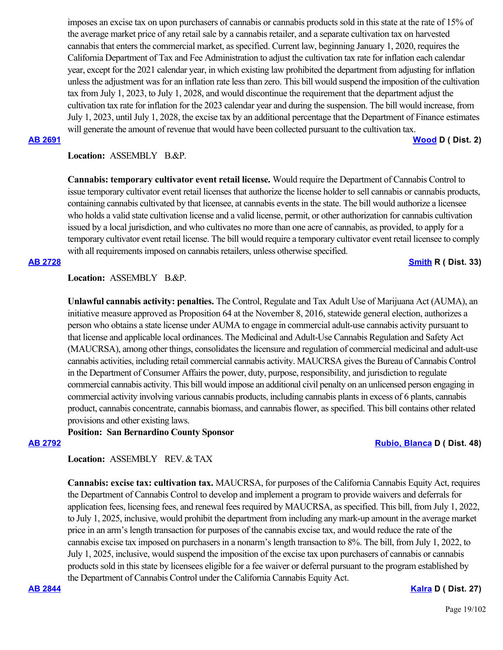imposes an excise tax on upon purchasers of cannabis or cannabis products sold in this state at the rate of 15% of the average market price of any retail sale by a cannabis retailer, and a separate cultivation tax on harvested cannabis that enters the commercial market, as specified. Current law, beginning January 1, 2020, requires the California Department of Tax and Fee Administration to adjust the cultivation tax rate for inflation each calendar year, except for the 2021 calendar year, in which existing law prohibited the department from adjusting for inflation unless the adjustment was for an inflation rate less than zero. This bill would suspend the imposition of the cultivation tax from July 1, 2023, to July 1, 2028, and would discontinue the requirement that the department adjust the cultivation tax rate for inflation for the 2023 calendar year and during the suspension. The bill would increase, from July 1, 2023, until July 1, 2028, the excise tax by an additional percentage that the Department of Finance estimates will generate the amount of revenue that would have been collected pursuant to the cultivation tax.

**[AB 2691](https://ctweb.capitoltrack.com/public/publishbillinfo.aspx?bi=ZVnETwz0hEcFUVt2Jv%2Bho8jf5OLqYe9BddSwBeVb3KfTuJG07cEIA0QwP1%2FIQxIN) [Wood](https://a02.asmdc.org/) D ( Dist. 2)**

## Location: **ASSEMBLY B.&P.**

**Cannabis: temporary cultivator event retail license.** Would require the Department of Cannabis Control to issue temporary cultivator event retail licenses that authorize the license holder to sell cannabis or cannabis products, containing cannabis cultivated by that licensee, at cannabis events in the state. The bill would authorize a licensee who holds a valid state cultivation license and a valid license, permit, or other authorization for cannabis cultivation issued by a local jurisdiction, and who cultivates no more than one acre of cannabis, as provided, to apply for a temporary cultivator event retail license. The bill would require a temporary cultivator event retail licensee to comply with all requirements imposed on cannabis retailers, unless otherwise specified.

# **[AB 2728](https://ctweb.capitoltrack.com/public/publishbillinfo.aspx?bi=e15joL2ba4hu3wxRsnQ1srQ2J3KgmQ%2B%2F7G0sFcWLeSdMMkB5%2FksDtSoncfIzBwy5) [Smith](https://ad33.asmrc.org/) R ( Dist. 33)**

## Location: **ASSEMBLY B.&P.**

**Unlawful cannabis activity: penalties.** The Control, Regulate and Tax Adult Use of Marijuana Act (AUMA), an initiative measure approved as Proposition 64 at the November 8, 2016, statewide general election, authorizes a person who obtains a state license under AUMA to engage in commercial adult-use cannabis activity pursuant to that license and applicable local ordinances. The Medicinal and Adult-Use Cannabis Regulation and Safety Act (MAUCRSA), among other things, consolidates the licensure and regulation of commercial medicinal and adult-use cannabis activities, including retail commercial cannabis activity. MAUCRSA gives the Bureau of Cannabis Control in the Department of Consumer Affairs the power, duty, purpose, responsibility, and jurisdiction to regulate commercial cannabis activity. This bill would impose an additional civil penalty on an unlicensed person engaging in commercial activity involving various cannabis products, including cannabis plants in excess of 6 plants, cannabis product, cannabis concentrate, cannabis biomass, and cannabis flower, as specified. This bill contains other related provisions and other existing laws.

## **Position: San Bernardino County Sponsor**

## **[AB 2792](https://ctweb.capitoltrack.com/public/publishbillinfo.aspx?bi=DN1s%2BXcfMqDd06ex6rMG4n39vndXX0i5k5gkZ1Y2EPfhZjwFfZVp%2FHyXI9EZ5KbZ) [Rubio, Blanca](https://a48.asmdc.org/) D ( Dist. 48)**

# **Location:**  ASSEMBLY REV. & TAX

**Cannabis: excise tax: cultivation tax.** MAUCRSA, for purposes of the California Cannabis Equity Act, requires the Department of Cannabis Control to develop and implement a program to provide waivers and deferrals for application fees, licensing fees, and renewal fees required by MAUCRSA, as specified. This bill, from July 1, 2022, to July 1, 2025, inclusive, would prohibit the department from including any mark-up amount in the average market price in an arm's length transaction for purposes of the cannabis excise tax, and would reduce the rate of the cannabis excise tax imposed on purchasers in a nonarm's length transaction to 8%. The bill, from July 1, 2022, to July 1, 2025, inclusive, would suspend the imposition of the excise tax upon purchasers of cannabis or cannabis products sold in this state by licensees eligible for a fee waiver or deferral pursuant to the program established by the Department of Cannabis Control under the California Cannabis Equity Act.

# **[AB 2844](https://ctweb.capitoltrack.com/public/publishbillinfo.aspx?bi=3hbHSMobGPLaonp%2F9dB3ItChgcX%2BlS2L6K%2FRkI1%2Fe6LOpFhek%2FImVeEUcdXj7qBK) [Kalra](https://a27.asmdc.org/) D ( Dist. 27)**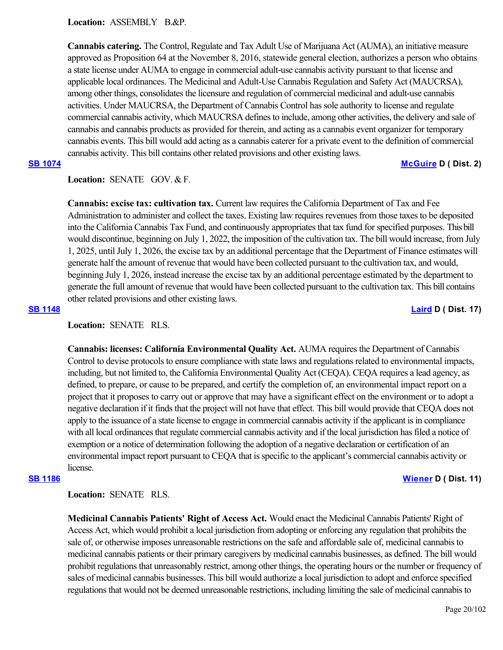Location: ASSEMBLY B.&P.

**Cannabis catering.** The Control, Regulate and Tax Adult Use of Marijuana Act (AUMA), an initiative measure approved as Proposition 64 at the November 8, 2016, statewide general election, authorizes a person who obtains a state license under AUMA to engage in commercial adult-use cannabis activity pursuant to that license and applicable local ordinances. The Medicinal and Adult-Use Cannabis Regulation and Safety Act (MAUCRSA), among other things, consolidates the licensure and regulation of commercial medicinal and adult-use cannabis activities. Under MAUCRSA, the Department of Cannabis Control has sole authority to license and regulate commercial cannabis activity, which MAUCRSA defines to include, among other activities, the delivery and sale of cannabis and cannabis products as provided for therein, and acting as a cannabis event organizer for temporary cannabis events. This bill would add acting as a cannabis caterer for a private event to the definition of commercial cannabis activity. This bill contains other related provisions and other existing laws.

# **[SB 1074](https://ctweb.capitoltrack.com/public/publishbillinfo.aspx?bi=BOKD1I42W%2B9fxc18el1%2FpaZd7tXuTl3K99w1ORc8FzEw%2FwMksia3FG6vVFTrCMto) [McGuire](http://sd02.senate.ca.gov/) D ( Dist. 2)**

# Location: **SENATE** GOV. & F.

**Cannabis: excise tax: cultivation tax.** Current law requires the California Department of Tax and Fee Administration to administer and collect the taxes. Existing law requires revenues from those taxes to be deposited into the California Cannabis Tax Fund, and continuously appropriates that tax fund for specified purposes. This bill would discontinue, beginning on July 1, 2022, the imposition of the cultivation tax. The bill would increase, from July 1, 2025, until July 1, 2026, the excise tax by an additional percentage that the Department of Finance estimates will generate half the amount of revenue that would have been collected pursuant to the cultivation tax, and would, beginning July 1, 2026, instead increase the excise tax by an additional percentage estimated by the department to generate the full amount of revenue that would have been collected pursuant to the cultivation tax. This bill contains other related provisions and other existing laws.

**[SB 1148](https://ctweb.capitoltrack.com/public/publishbillinfo.aspx?bi=eWdfEsHVGZOwUZ5nby3OoNkMTg7El7OgKI4B7b9PKHeor2bWN7wYpHYCLgRbYdgQ) [Laird](http://sd17.senate.ca.gov/) D ( Dist. 17)**

**Location:**  SENATE RLS.

**Cannabis: licenses: California Environmental Quality Act.** AUMA requires the Department of Cannabis Control to devise protocols to ensure compliance with state laws and regulations related to environmental impacts, including, but not limited to, the California Environmental Quality Act (CEQA). CEQA requires a lead agency, as defined, to prepare, or cause to be prepared, and certify the completion of, an environmental impact report on a project that it proposes to carry out or approve that may have a significant effect on the environment or to adopt a negative declaration if it finds that the project will not have that effect. This bill would provide that CEQA does not apply to the issuance of a state license to engage in commercial cannabis activity if the applicant is in compliance with all local ordinances that regulate commercial cannabis activity and if the local jurisdiction has filed a notice of exemption or a notice of determination following the adoption of a negative declaration or certification of an environmental impact report pursuant to CEQA that is specific to the applicant's commercial cannabis activity or license.

# **[SB 1186](https://ctweb.capitoltrack.com/public/publishbillinfo.aspx?bi=aZEIATfZDn7F3H%2FeCiTkG4Xoskr3rjh8y9v%2BaB3GKP8%2FandnpG%2Blfqdn%2Bpt1mskg) [Wiener](http://sd11.senate.ca.gov/) D ( Dist. 11)**

# **Location:**  SENATE RLS.

**Medicinal Cannabis Patients' Right of Access Act.** Would enact the Medicinal Cannabis Patients' Right of Access Act, which would prohibit a local jurisdiction from adopting or enforcing any regulation that prohibits the sale of, or otherwise imposes unreasonable restrictions on the safe and affordable sale of, medicinal cannabis to medicinal cannabis patients or their primary caregivers by medicinal cannabis businesses, as defined. The bill would prohibit regulations that unreasonably restrict, among other things, the operating hours or the number or frequency of sales of medicinal cannabis businesses. This bill would authorize a local jurisdiction to adopt and enforce specified regulations that would not be deemed unreasonable restrictions, including limiting the sale of medicinal cannabis to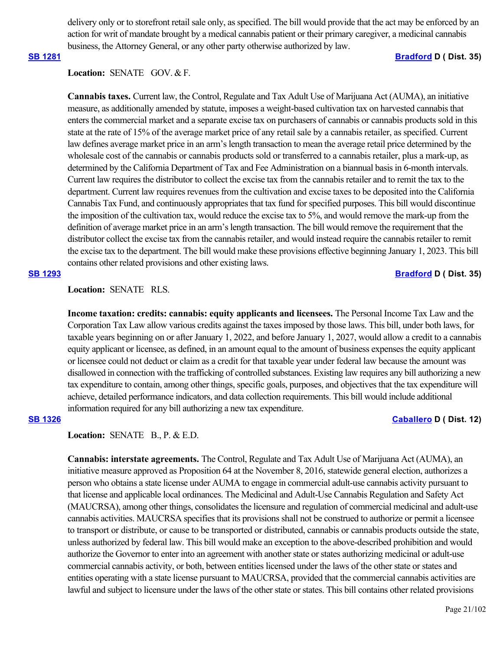delivery only or to storefront retail sale only, as specified. The bill would provide that the act may be enforced by an action for writ of mandate brought by a medical cannabis patient or their primary caregiver, a medicinal cannabis business, the Attorney General, or any other party otherwise authorized by law.

## **[SB 1281](https://ctweb.capitoltrack.com/public/publishbillinfo.aspx?bi=AwrD8cLRqJrERBVRLN11c0we6PZ2hU31gehT15k6CadkzF6eVhz2m8K1sCGyycTo) [Bradford](http://sd35.senate.ca.gov/) D ( Dist. 35)**

# Location: **SENATE** GOV. & F.

**Cannabis taxes.** Current law, the Control, Regulate and Tax Adult Use of Marijuana Act (AUMA), an initiative measure, as additionally amended by statute, imposes a weight-based cultivation tax on harvested cannabis that enters the commercial market and a separate excise tax on purchasers of cannabis or cannabis products sold in this state at the rate of 15% of the average market price of any retail sale by a cannabis retailer, as specified. Current law defines average market price in an arm's length transaction to mean the average retail price determined by the wholesale cost of the cannabis or cannabis products sold or transferred to a cannabis retailer, plus a mark-up, as determined by the California Department of Tax and Fee Administration on a biannual basis in 6-month intervals. Current law requires the distributor to collect the excise tax from the cannabis retailer and to remit the tax to the department. Current law requires revenues from the cultivation and excise taxes to be deposited into the California Cannabis Tax Fund, and continuously appropriates that tax fund for specified purposes. This bill would discontinue the imposition of the cultivation tax, would reduce the excise tax to 5%, and would remove the mark-up from the definition of average market price in an arm's length transaction. The bill would remove the requirement that the distributor collect the excise tax from the cannabis retailer, and would instead require the cannabis retailer to remit the excise tax to the department. The bill would make these provisions effective beginning January 1, 2023. This bill contains other related provisions and other existing laws.

## **[SB 1293](https://ctweb.capitoltrack.com/public/publishbillinfo.aspx?bi=UghdHMcFy0bjuDeKnWRwyIYEfFA%2BHtWABJLzDbDEXvZZMIQ3S1EO72ROaYQeZHup) [Bradford](http://sd35.senate.ca.gov/) D ( Dist. 35)**

# **Location:**  SENATE RLS.

**Income taxation: credits: cannabis: equity applicants and licensees.** The Personal Income Tax Law and the Corporation Tax Law allow various credits against the taxes imposed by those laws. This bill, under both laws, for taxable years beginning on or after January 1, 2022, and before January 1, 2027, would allow a credit to a cannabis equity applicant or licensee, as defined, in an amount equal to the amount of business expenses the equity applicant or licensee could not deduct or claim as a credit for that taxable year under federal law because the amount was disallowed in connection with the trafficking of controlled substances. Existing law requires any bill authorizing a new tax expenditure to contain, among other things, specific goals, purposes, and objectives that the tax expenditure will achieve, detailed performance indicators, and data collection requirements. This bill would include additional information required for any bill authorizing a new tax expenditure.

# **[SB 1326](https://ctweb.capitoltrack.com/public/publishbillinfo.aspx?bi=Uvj4ld1LVP57xTt0EWozChDT4VdKOn0Tl3x63L6%2BeO0kqPl3h1vf8YC6RGZfzrrn) [Caballero](https://sd12.senate.ca.gov/) D ( Dist. 12)**

Location: **SENATE B., P. & E.D.** 

**Cannabis: interstate agreements.** The Control, Regulate and Tax Adult Use of Marijuana Act (AUMA), an initiative measure approved as Proposition 64 at the November 8, 2016, statewide general election, authorizes a person who obtains a state license under AUMA to engage in commercial adult-use cannabis activity pursuant to that license and applicable local ordinances. The Medicinal and Adult-Use Cannabis Regulation and Safety Act (MAUCRSA), among other things, consolidates the licensure and regulation of commercial medicinal and adult-use cannabis activities. MAUCRSA specifies that its provisions shall not be construed to authorize or permit a licensee to transport or distribute, or cause to be transported or distributed, cannabis or cannabis products outside the state, unless authorized by federal law. This bill would make an exception to the above-described prohibition and would authorize the Governor to enter into an agreement with another state or states authorizing medicinal or adult-use commercial cannabis activity, or both, between entities licensed under the laws of the other state or states and entities operating with a state license pursuant to MAUCRSA, provided that the commercial cannabis activities are lawful and subject to licensure under the laws of the other state or states. This bill contains other related provisions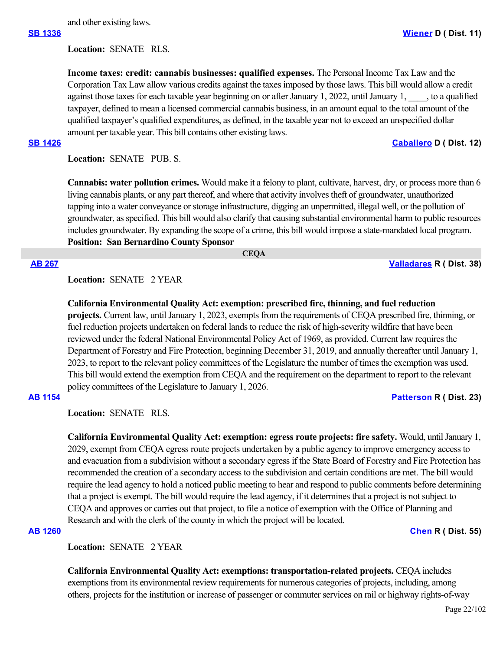**Location:**  SENATE RLS.

**Income taxes: credit: cannabis businesses: qualified expenses.** The Personal Income Tax Law and the Corporation Tax Law allow various credits against the taxes imposed by those laws. This bill would allow a credit against those taxes for each taxable year beginning on or after January 1, 2022, until January 1,  $\ldots$ , to a qualified taxpayer, defined to mean a licensed commercial cannabis business, in an amount equal to the total amount of the qualified taxpayer's qualified expenditures, as defined, in the taxable year not to exceed an unspecified dollar amount per taxable year. This bill contains other existing laws.

### **[SB 1426](https://ctweb.capitoltrack.com/public/publishbillinfo.aspx?bi=GQl2nfJ%2FKvoazRd4%2FxxsOOUa6OJSZeiuD2mR3vAOV9gOxaFQqsN0hIdo00DR3HVg) [Caballero](https://sd12.senate.ca.gov/) D ( Dist. 12)**

Location: **SENATE** PUB. S.

**Cannabis: water pollution crimes.** Would make it a felony to plant, cultivate, harvest, dry, or process more than 6 living cannabis plants, or any part thereof, and where that activity involves theft of groundwater, unauthorized tapping into a water conveyance or storage infrastructure, digging an unpermitted, illegal well, or the pollution of groundwater, as specified. This bill would also clarify that causing substantial environmental harm to public resources includes groundwater. By expanding the scope of a crime, this bill would impose a state-mandated local program. **Position: San Bernardino County Sponsor**

# **CEQA**

**[AB 267](https://ctweb.capitoltrack.com/public/publishbillinfo.aspx?bi=3SE2825yVeoD%2FVeb1naH%2BjNacVwbKBjyd6shO3zqBpjbBxwZfGAepSO1w%2BhXWhOD) [Valladares](https://ad38.asmrc.org/) R ( Dist. 38)**

# **Location:**  SENATE 2 YEAR

**California Environmental Quality Act: exemption: prescribed fire, thinning, and fuel reduction projects.** Current law, until January 1, 2023, exempts from the requirements of CEQA prescribed fire, thinning, or fuel reduction projects undertaken on federal lands to reduce the risk of high-severity wildfire that have been reviewed under the federal National Environmental Policy Act of 1969, as provided. Current law requires the Department of Forestry and Fire Protection, beginning December 31, 2019, and annually thereafter until January 1, 2023, to report to the relevant policy committees of the Legislature the number of times the exemption was used. This bill would extend the exemption from CEQA and the requirement on the department to report to the relevant policy committees of the Legislature to January 1, 2026.

# **[AB 1154](https://ctweb.capitoltrack.com/public/publishbillinfo.aspx?bi=UCyEx1IB6TyfbDhZpEvO4kdry%2FpzQ0Fg%2FzmM4L17MWOAhH1SXcwsAUg8Cy2%2BaOSe) [Patterson](https://ad23.asmrc.org/) R ( Dist. 23)**

**Location:**  SENATE RLS.

**California Environmental Quality Act: exemption: egress route projects: fire safety.** Would, until January 1, 2029, exempt from CEQA egress route projects undertaken by a public agency to improve emergency access to and evacuation from a subdivision without a secondary egress if the State Board of Forestry and Fire Protection has recommended the creation of a secondary access to the subdivision and certain conditions are met. The bill would require the lead agency to hold a noticed public meeting to hear and respond to public comments before determining that a project is exempt. The bill would require the lead agency, if it determines that a project is not subject to CEQA and approves or carries out that project, to file a notice of exemption with the Office of Planning and Research and with the clerk of the county in which the project will be located.

## **[AB 1260](https://ctweb.capitoltrack.com/public/publishbillinfo.aspx?bi=SRTX5Ak31muoQcxtPr3jql0Ko01jkRJXkViKXJzc7Yqd3%2FPnVEtaZ9HuTiIGk4aa) [Chen](https://ad55.asmrc.org/) R ( Dist. 55)**

**Location:**  SENATE 2 YEAR

**California Environmental Quality Act: exemptions: transportation-related projects.** CEQA includes exemptions from its environmental review requirements for numerous categories of projects, including, among others, projects for the institution or increase of passenger or commuter services on rail or highway rights-of-way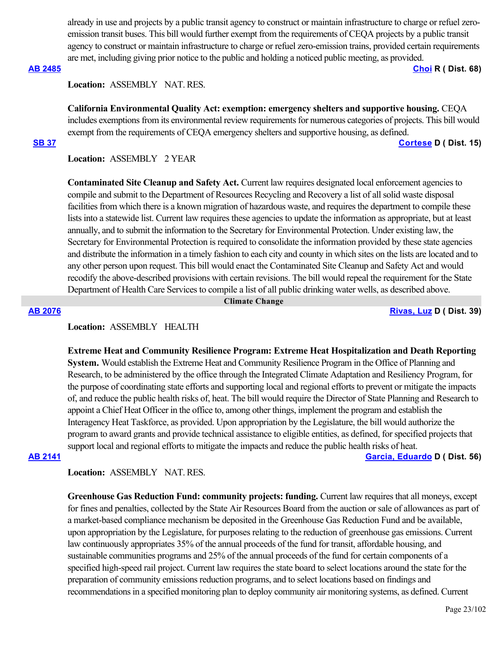already in use and projects by a public transit agency to construct or maintain infrastructure to charge or refuel zeroemission transit buses. This bill would further exempt from the requirements of CEQA projects by a public transit agency to construct or maintain infrastructure to charge or refuel zero-emission trains, provided certain requirements are met, including giving prior notice to the public and holding a noticed public meeting, as provided.

**[AB 2485](https://ctweb.capitoltrack.com/public/publishbillinfo.aspx?bi=wBAcRBC4rTrVvtdWcof5AfjMAMyVsJYCCq0SLi9aPCoSt5upjibBkOiqg%2FY3%2FQYs) [Choi](https://ad68.asmrc.org/) R ( Dist. 68)**

**Location:**  ASSEMBLY NAT. RES.

**California Environmental Quality Act: exemption: emergency shelters and supportive housing.** CEQA includes exemptions from its environmental review requirements for numerous categories of projects. This bill would exempt from the requirements of CEQA emergency shelters and supportive housing, as defined.

### **[SB 37](https://ctweb.capitoltrack.com/public/publishbillinfo.aspx?bi=e6GR7C%2FWKjH9PI%2BKMFfeLfzvWIEVemeF97Sg5XzwtXgHTkr%2BNLxNGc%2BEk%2F%2BKQ9e0) [Cortese](http://sd15.senate.ca.gov/) D ( Dist. 15)**

**Location:**  ASSEMBLY 2 YEAR

**Contaminated Site Cleanup and Safety Act.** Current law requires designated local enforcement agencies to compile and submit to the Department of Resources Recycling and Recovery a list of all solid waste disposal facilities from which there is a known migration of hazardous waste, and requires the department to compile these lists into a statewide list. Current law requires these agencies to update the information as appropriate, but at least annually, and to submit the information to the Secretary for Environmental Protection. Under existing law, the Secretary for Environmental Protection is required to consolidate the information provided by these state agencies and distribute the information in a timely fashion to each city and county in which sites on the lists are located and to any other person upon request. This bill would enact the Contaminated Site Cleanup and Safety Act and would recodify the above-described provisions with certain revisions. The bill would repeal the requirement for the State Department of Health Care Services to compile a list of all public drinking water wells, as described above.

 **Climate Change**

**[AB 2076](https://ctweb.capitoltrack.com/public/publishbillinfo.aspx?bi=Nusf9z8NLufWyse9kNOxxo3Nyq9n9oiqTyubgl9kSWU0irGIMY2y8cTITqozWuJu) [Rivas, Luz](https://a39.asmdc.org/) D ( Dist. 39)**

# **Location:**  ASSEMBLY HEALTH

**Extreme Heat and Community Resilience Program: Extreme Heat Hospitalization and Death Reporting System.** Would establish the Extreme Heat and Community Resilience Program in the Office of Planning and Research, to be administered by the office through the Integrated Climate Adaptation and Resiliency Program, for the purpose of coordinating state efforts and supporting local and regional efforts to prevent or mitigate the impacts of, and reduce the public health risks of, heat. The bill would require the Director of State Planning and Research to appoint a Chief Heat Officer in the office to, among other things, implement the program and establish the Interagency Heat Taskforce, as provided. Upon appropriation by the Legislature, the bill would authorize the program to award grants and provide technical assistance to eligible entities, as defined, for specified projects that support local and regional efforts to mitigate the impacts and reduce the public health risks of heat.

**[AB 2141](https://ctweb.capitoltrack.com/public/publishbillinfo.aspx?bi=3ukR%2Ft3xsMv4fkZQqBKZ%2BJ8mSTxKuGcmj62bBiEyAW1wsE0HhQ0sZ8M3QuFw694G) [Garcia, Eduardo](https://a56.asmdc.org/) D ( Dist. 56)**

### **Location:**  ASSEMBLY NAT. RES.

**Greenhouse Gas Reduction Fund: community projects: funding.** Current law requires that all moneys, except for fines and penalties, collected by the State Air Resources Board from the auction or sale of allowances as part of a market-based compliance mechanism be deposited in the Greenhouse Gas Reduction Fund and be available, upon appropriation by the Legislature, for purposes relating to the reduction of greenhouse gas emissions. Current law continuously appropriates 35% of the annual proceeds of the fund for transit, affordable housing, and sustainable communities programs and 25% of the annual proceeds of the fund for certain components of a specified high-speed rail project. Current law requires the state board to select locations around the state for the preparation of community emissions reduction programs, and to select locations based on findings and recommendations in a specified monitoring plan to deploy community air monitoring systems, as defined. Current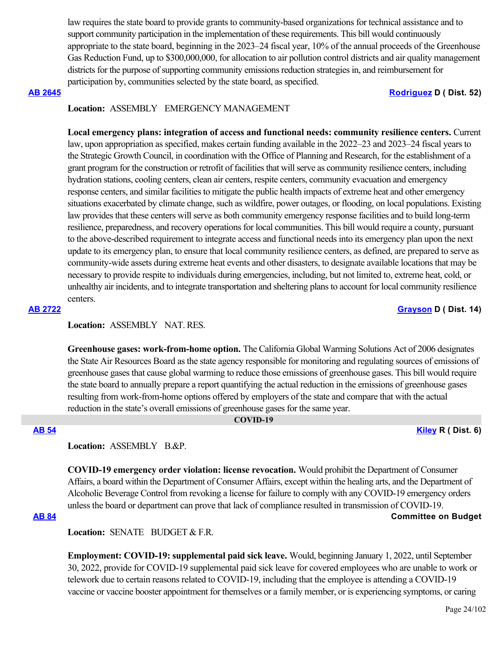law requires the state board to provide grants to community-based organizations for technical assistance and to support community participation in the implementation of these requirements. This bill would continuously appropriate to the state board, beginning in the 2023–24 fiscal year, 10% of the annual proceeds of the Greenhouse Gas Reduction Fund, up to \$300,000,000, for allocation to air pollution control districts and air quality management districts for the purpose of supporting community emissions reduction strategies in, and reimbursement for participation by, communities selected by the state board, as specified.

## **[AB 2645](https://ctweb.capitoltrack.com/public/publishbillinfo.aspx?bi=tPUJNKqS9AKg%2F3glzIuTN%2B06DAsSMNB7zhjBg0j6bPakTgYVVC9wBy%2BGYWYxLwgO) [Rodriguez](https://a52.asmdc.org/) D ( Dist. 52)**

# **Location:**  ASSEMBLY EMERGENCY MANAGEMENT

**Local emergency plans: integration of access and functional needs: community resilience centers.** Current law, upon appropriation as specified, makes certain funding available in the 2022–23 and 2023–24 fiscal years to the Strategic Growth Council, in coordination with the Office of Planning and Research, for the establishment of a grant program for the construction or retrofit of facilities that will serve as community resilience centers, including hydration stations, cooling centers, clean air centers, respite centers, community evacuation and emergency response centers, and similar facilities to mitigate the public health impacts of extreme heat and other emergency situations exacerbated by climate change, such as wildfire, power outages, or flooding, on local populations. Existing law provides that these centers will serve as both community emergency response facilities and to build long-term resilience, preparedness, and recovery operations for local communities. This bill would require a county, pursuant to the above-described requirement to integrate access and functional needs into its emergency plan upon the next update to its emergency plan, to ensure that local community resilience centers, as defined, are prepared to serve as community-wide assets during extreme heat events and other disasters, to designate available locations that may be necessary to provide respite to individuals during emergencies, including, but not limited to, extreme heat, cold, or unhealthy air incidents, and to integrate transportation and sheltering plans to account for local community resilience centers.

**[AB 2722](https://ctweb.capitoltrack.com/public/publishbillinfo.aspx?bi=bihttr6qnDwCQvrf4bQZ5qpRMNIuON6c5E0jtUL%2FwH3%2F9UL%2FAGcKG%2BxqAkUsdv5l) [Grayson](https://a14.asmdc.org/) D ( Dist. 14)**

# **Location:**  ASSEMBLY NAT. RES.

**Greenhouse gases: work-from-home option.** The California Global Warming Solutions Act of 2006 designates the State Air Resources Board as the state agency responsible for monitoring and regulating sources of emissions of greenhouse gases that cause global warming to reduce those emissions of greenhouse gases. This bill would require the state board to annually prepare a report quantifying the actual reduction in the emissions of greenhouse gases resulting from work-from-home options offered by employers of the state and compare that with the actual reduction in the state's overall emissions of greenhouse gases for the same year.

# **COVID-19**

**[AB 54](https://ctweb.capitoltrack.com/public/publishbillinfo.aspx?bi=9021JKHMtlTxMIObe7amrtFqto5D0p7TzouRVJDvQ%2FLJZlG6rft2i%2BaaEI0Uqviv) [Kiley](https://ad06.asmrc.org/) R ( Dist. 6)**

## Location: ASSEMBLY B.&P.

**COVID-19 emergency order violation: license revocation.** Would prohibit the Department of Consumer Affairs, a board within the Department of Consumer Affairs, except within the healing arts, and the Department of Alcoholic Beverage Control from revoking a license for failure to comply with any COVID-19 emergency orders unless the board or department can prove that lack of compliance resulted in transmission of COVID-19.

# **[AB 84](https://ctweb.capitoltrack.com/public/publishbillinfo.aspx?bi=B%2FFJylx76BV7l52%2B3XhF6j%2FwR52JBWNxjEXhy3jtbD2GBvwl2cN4wsF%2FNmRfG1Iy) Committee on Budget**

Location: **SENATE** BUDGET & F.R.

**Employment: COVID-19: supplemental paid sick leave.** Would, beginning January 1, 2022, until September 30, 2022, provide for COVID-19 supplemental paid sick leave for covered employees who are unable to work or telework due to certain reasons related to COVID-19, including that the employee is attending a COVID-19 vaccine or vaccine booster appointment for themselves or a family member, or is experiencing symptoms, or caring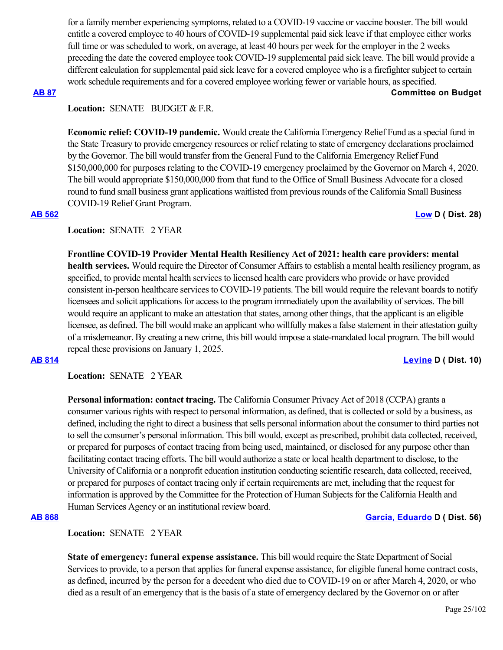for a family member experiencing symptoms, related to a COVID-19 vaccine or vaccine booster. The bill would entitle a covered employee to 40 hours of COVID-19 supplemental paid sick leave if that employee either works full time or was scheduled to work, on average, at least 40 hours per week for the employer in the 2 weeks preceding the date the covered employee took COVID-19 supplemental paid sick leave. The bill would provide a different calculation for supplemental paid sick leave for a covered employee who is a firefighter subject to certain work schedule requirements and for a covered employee working fewer or variable hours, as specified.

## **[AB 87](https://ctweb.capitoltrack.com/public/publishbillinfo.aspx?bi=aP6tBr0AiMKGFAYx2CsdLBAC6h8IlxwJmhePJG5%2BQYnibqIKe%2FksE37RChPbnT8a) Committee on Budget**

# Location: **SENATE** BUDGET & F.R.

**Economic relief: COVID-19 pandemic.** Would create the California Emergency Relief Fund as a special fund in the State Treasury to provide emergency resources or relief relating to state of emergency declarations proclaimed by the Governor. The bill would transfer from the General Fund to the California Emergency Relief Fund \$150,000,000 for purposes relating to the COVID-19 emergency proclaimed by the Governor on March 4, 2020. The bill would appropriate \$150,000,000 from that fund to the Office of Small Business Advocate for a closed round to fund small business grant applications waitlisted from previous rounds of the California Small Business COVID-19 Relief Grant Program.

## **[AB 562](https://ctweb.capitoltrack.com/public/publishbillinfo.aspx?bi=0mhpjkHAEcG1jm5Vw8i6jwSxLR%2F%2BNMh0Tavv6YWLyevnje9Nov9EFd1uaN0ONPx4) [Low](https://a28.asmdc.org/) D ( Dist. 28)**

# **Location:**  SENATE 2 YEAR

**Frontline COVID-19 Provider Mental Health Resiliency Act of 2021: health care providers: mental health services.** Would require the Director of Consumer Affairs to establish a mental health resiliency program, as specified, to provide mental health services to licensed health care providers who provide or have provided consistent in-person healthcare services to COVID-19 patients. The bill would require the relevant boards to notify licensees and solicit applications for access to the program immediately upon the availability of services. The bill would require an applicant to make an attestation that states, among other things, that the applicant is an eligible licensee, as defined. The bill would make an applicant who willfully makes a false statement in their attestation guilty of a misdemeanor. By creating a new crime, this bill would impose a state-mandated local program. The bill would repeal these provisions on January 1, 2025.

## **[AB 814](https://ctweb.capitoltrack.com/public/publishbillinfo.aspx?bi=RnzsWrsse0DSnaOSXa4Kh2CNrwFN%2FNO8Gq6Pi9LVDZqkcFeJE7HApcj87yyTuHGO) [Levine](https://a10.asmdc.org/) D ( Dist. 10)**

**Location:**  SENATE 2 YEAR

**Personal information: contact tracing.** The California Consumer Privacy Act of 2018 (CCPA) grants a consumer various rights with respect to personal information, as defined, that is collected or sold by a business, as defined, including the right to direct a business that sells personal information about the consumer to third parties not to sell the consumer's personal information. This bill would, except as prescribed, prohibit data collected, received, or prepared for purposes of contact tracing from being used, maintained, or disclosed for any purpose other than facilitating contact tracing efforts. The bill would authorize a state or local health department to disclose, to the University of California or a nonprofit education institution conducting scientific research, data collected, received, or prepared for purposes of contact tracing only if certain requirements are met, including that the request for information is approved by the Committee for the Protection of Human Subjects for the California Health and Human Services Agency or an institutional review board.

## **[AB 868](https://ctweb.capitoltrack.com/public/publishbillinfo.aspx?bi=8QmAwJb1BV9eh4AvmBqrTdSnVRBdWnK%2BIjPe8UXKXQLvRsHwgHlSu5jhSWPH3Gcv) [Garcia, Eduardo](https://a56.asmdc.org/) D ( Dist. 56)**

**Location:**  SENATE 2 YEAR

**State of emergency: funeral expense assistance.** This bill would require the State Department of Social Services to provide, to a person that applies for funeral expense assistance, for eligible funeral home contract costs, as defined, incurred by the person for a decedent who died due to COVID-19 on or after March 4, 2020, or who died as a result of an emergency that is the basis of a state of emergency declared by the Governor on or after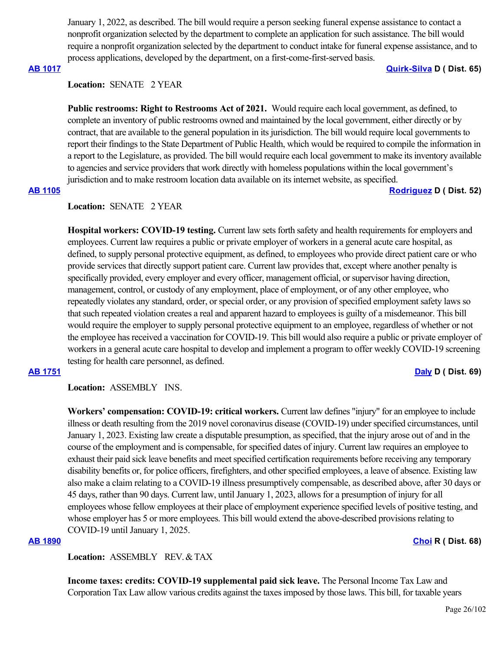January 1, 2022, as described. The bill would require a person seeking funeral expense assistance to contact a nonprofit organization selected by the department to complete an application for such assistance. The bill would require a nonprofit organization selected by the department to conduct intake for funeral expense assistance, and to process applications, developed by the department, on a first-come-first-served basis.

**[AB 1017](https://ctweb.capitoltrack.com/public/publishbillinfo.aspx?bi=JYyt31DOcZMu5clq9Dg25K%2FwlQRmm9Z%2B4UUjhX8nItz1trRK6ZBuw7gaDVRacfEb) [Quirk-Silva](https://a65.asmdc.org/) D ( Dist. 65)**

## **Location:**  SENATE 2 YEAR

Public restrooms: Right to Restrooms Act of 2021. Would require each local government, as defined, to complete an inventory of public restrooms owned and maintained by the local government, either directly or by contract, that are available to the general population in its jurisdiction. The bill would require local governments to report their findings to the State Department of Public Health, which would be required to compile the information in a report to the Legislature, as provided. The bill would require each local government to make its inventory available to agencies and service providers that work directly with homeless populations within the local government's jurisdiction and to make restroom location data available on its internet website, as specified.

# **[AB 1105](https://ctweb.capitoltrack.com/public/publishbillinfo.aspx?bi=2Xnp3gCQ3R%2BTr%2F2rMdcDXh44TnBiRcdN2rSBP9FE8Z8ZLIz75E%2Foog7n%2BGhCXw5F) [Rodriguez](https://a52.asmdc.org/) D ( Dist. 52)**

## **Location:**  SENATE 2 YEAR

**Hospital workers: COVID-19 testing.** Current law sets forth safety and health requirements for employers and employees. Current law requires a public or private employer of workers in a general acute care hospital, as defined, to supply personal protective equipment, as defined, to employees who provide direct patient care or who provide services that directly support patient care. Current law provides that, except where another penalty is specifically provided, every employer and every officer, management official, or supervisor having direction, management, control, or custody of any employment, place of employment, or of any other employee, who repeatedly violates any standard, order, or special order, or any provision of specified employment safety laws so that such repeated violation creates a real and apparent hazard to employees is guilty of a misdemeanor. This bill would require the employer to supply personal protective equipment to an employee, regardless of whether or not the employee has received a vaccination for COVID-19. This bill would also require a public or private employer of workers in a general acute care hospital to develop and implement a program to offer weekly COVID-19 screening testing for health care personnel, as defined.

# **[AB 1751](https://ctweb.capitoltrack.com/public/publishbillinfo.aspx?bi=S7XmI9HIEpfvqcE2S97500WChRNKdeJY3yh2%2FnAAN85y8d4E1sm2piSZ%2B4MoOglX) [Daly](https://a69.asmdc.org/) D ( Dist. 69)**

# **Location:**  ASSEMBLY INS.

**Workers' compensation: COVID-19: critical workers.** Current law defines "injury" for an employee to include illness or death resulting from the 2019 novel coronavirus disease (COVID-19) under specified circumstances, until January 1, 2023. Existing law create a disputable presumption, as specified, that the injury arose out of and in the course of the employment and is compensable, for specified dates of injury. Current law requires an employee to exhaust their paid sick leave benefits and meet specified certification requirements before receiving any temporary disability benefits or, for police officers, firefighters, and other specified employees, a leave of absence. Existing law also make a claim relating to a COVID-19 illness presumptively compensable, as described above, after 30 days or 45 days, rather than 90 days. Current law, until January 1, 2023, allows for a presumption of injury for all employees whose fellow employees at their place of employment experience specified levels of positive testing, and whose employer has 5 or more employees. This bill would extend the above-described provisions relating to COVID-19 until January 1, 2025.

# **[AB 1890](https://ctweb.capitoltrack.com/public/publishbillinfo.aspx?bi=UH4XiiD51j6u%2Fm9%2BivrxLDVgDB%2F7N36X4xCVmh0l4ha4Q3KXo2y88zA8KDsIGv0u) [Choi](https://ad68.asmrc.org/) R ( Dist. 68)**

**Location:**  ASSEMBLY REV. & TAX

**Income taxes: credits: COVID-19 supplemental paid sick leave.** The Personal Income Tax Law and Corporation Tax Law allow various credits against the taxes imposed by those laws. This bill, for taxable years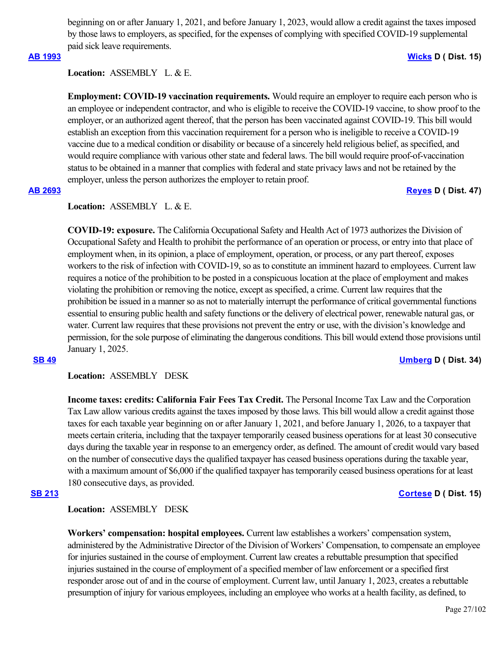beginning on or after January 1, 2021, and before January 1, 2023, would allow a credit against the taxes imposed by those laws to employers, as specified, for the expenses of complying with specified COVID-19 supplemental paid sick leave requirements.

# **[AB 1993](https://ctweb.capitoltrack.com/public/publishbillinfo.aspx?bi=QmCg%2Fcnc5ELYXdB2pSkWdqKi04IkZpmz%2BGGbV6Cf1%2BurKW%2FP1csDA7f0GBfb3ESV) [Wicks](https://a15.asmdc.org/) D ( Dist. 15)**

**Location:**  ASSEMBLY L. & E.

**Employment: COVID-19 vaccination requirements.** Would require an employer to require each person who is an employee or independent contractor, and who is eligible to receive the COVID-19 vaccine, to show proof to the employer, or an authorized agent thereof, that the person has been vaccinated against COVID-19. This bill would establish an exception from this vaccination requirement for a person who is ineligible to receive a COVID-19 vaccine due to a medical condition or disability or because of a sincerely held religious belief, as specified, and would require compliance with various other state and federal laws. The bill would require proof-of-vaccination status to be obtained in a manner that complies with federal and state privacy laws and not be retained by the employer, unless the person authorizes the employer to retain proof.

# **[AB 2693](https://ctweb.capitoltrack.com/public/publishbillinfo.aspx?bi=Z%2B4Te6Auq13a%2BTxq0pv6hq9uRegjG8HwuPIu%2B0tN0%2FM5YEqMeGt1qDFsFCgeTLFP) [Reyes](https://a47.asmdc.org/) D ( Dist. 47)**

# **Location:**  ASSEMBLY L. & E.

**COVID-19: exposure.** The California Occupational Safety and Health Act of 1973 authorizes the Division of Occupational Safety and Health to prohibit the performance of an operation or process, or entry into that place of employment when, in its opinion, a place of employment, operation, or process, or any part thereof, exposes workers to the risk of infection with COVID-19, so as to constitute an imminent hazard to employees. Current law requires a notice of the prohibition to be posted in a conspicuous location at the place of employment and makes violating the prohibition or removing the notice, except as specified, a crime. Current law requires that the prohibition be issued in a manner so as not to materially interrupt the performance of critical governmental functions essential to ensuring public health and safety functions or the delivery of electrical power, renewable natural gas, or water. Current law requires that these provisions not prevent the entry or use, with the division's knowledge and permission, for the sole purpose of eliminating the dangerous conditions. This bill would extend those provisions until January 1, 2025.

**[SB 49](https://ctweb.capitoltrack.com/public/publishbillinfo.aspx?bi=LeawU591DHL1YSZO%2BsNmhdeVjWw0K%2FJvFqqITwNu5I86lZCJdIvtneV7Rjwpufoj) [Umberg](https://sd34.senate.ca.gov/) D ( Dist. 34)**

**Location:**  ASSEMBLY DESK

**Income taxes: credits: California Fair Fees Tax Credit.** The Personal Income Tax Law and the Corporation Tax Law allow various credits against the taxes imposed by those laws. This bill would allow a credit against those taxes for each taxable year beginning on or after January 1, 2021, and before January 1, 2026, to a taxpayer that meets certain criteria, including that the taxpayer temporarily ceased business operations for at least 30 consecutive days during the taxable year in response to an emergency order, as defined. The amount of credit would vary based on the number of consecutive days the qualified taxpayer has ceased business operations during the taxable year, with a maximum amount of \$6,000 if the qualified taxpayer has temporarily ceased business operations for at least 180 consecutive days, as provided.

## **[SB 213](https://ctweb.capitoltrack.com/public/publishbillinfo.aspx?bi=0m%2B3caG8a3d2CIH%2BUVHqAJMtNZM2BkUgp4CQ7RuwbxepuvpzjPoVaMeM%2Fp%2FwKI87) [Cortese](http://sd15.senate.ca.gov/) D ( Dist. 15)**

# **Location:**  ASSEMBLY DESK

**Workers' compensation: hospital employees.** Current law establishes a workers' compensation system, administered by the Administrative Director of the Division of Workers' Compensation, to compensate an employee for injuries sustained in the course of employment. Current law creates a rebuttable presumption that specified injuries sustained in the course of employment of a specified member of law enforcement or a specified first responder arose out of and in the course of employment. Current law, until January 1, 2023, creates a rebuttable presumption of injury for various employees, including an employee who works at a health facility, as defined, to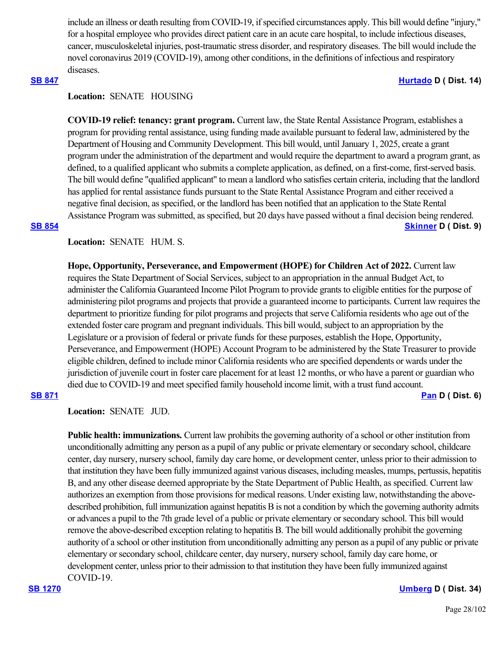include an illness or death resulting from COVID-19, if specified circumstances apply. This bill would define "injury," for a hospital employee who provides direct patient care in an acute care hospital, to include infectious diseases, cancer, musculoskeletal injuries, post-traumatic stress disorder, and respiratory diseases. The bill would include the novel coronavirus 2019 (COVID-19), among other conditions, in the definitions of infectious and respiratory diseases.

# **[SB 847](https://ctweb.capitoltrack.com/public/publishbillinfo.aspx?bi=%2FHlilsx8485HaNkWIkVJJ3fXqlihEgUuulZxrNNwmrEgNQ9i8qmEeVt6712MsA1h) [Hurtado](https://sd14.senate.ca.gov/) D ( Dist. 14)**

# **Location:**  SENATE HOUSING

**COVID-19 relief: tenancy: grant program.** Current law, the State Rental Assistance Program, establishes a program for providing rental assistance, using funding made available pursuant to federal law, administered by the Department of Housing and Community Development. This bill would, until January 1, 2025, create a grant program under the administration of the department and would require the department to award a program grant, as defined, to a qualified applicant who submits a complete application, as defined, on a first-come, first-served basis. The bill would define "qualified applicant" to mean a landlord who satisfies certain criteria, including that the landlord has applied for rental assistance funds pursuant to the State Rental Assistance Program and either received a negative final decision, as specified, or the landlord has been notified that an application to the State Rental Assistance Program was submitted, as specified, but 20 days have passed without a final decision being rendered. **[SB 854](https://ctweb.capitoltrack.com/public/publishbillinfo.aspx?bi=dswE5BqiBskFV7t9venVyBYseMH1Heu%2BpU6HsdhvXXAyas89h%2FHgj%2BCjsrieVx9y) [Skinner](http://sd09.senate.ca.gov/) D ( Dist. 9)**

# Location: **SENATE** HUM. S.

**Hope, Opportunity, Perseverance, and Empowerment (HOPE) for Children Act of 2022.** Current law requires the State Department of Social Services, subject to an appropriation in the annual Budget Act, to administer the California Guaranteed Income Pilot Program to provide grants to eligible entities for the purpose of administering pilot programs and projects that provide a guaranteed income to participants. Current law requires the department to prioritize funding for pilot programs and projects that serve California residents who age out of the extended foster care program and pregnant individuals. This bill would, subject to an appropriation by the Legislature or a provision of federal or private funds for these purposes, establish the Hope, Opportunity, Perseverance, and Empowerment (HOPE) Account Program to be administered by the State Treasurer to provide eligible children, defined to include minor California residents who are specified dependents or wards under the jurisdiction of juvenile court in foster care placement for at least 12 months, or who have a parent or guardian who died due to COVID-19 and meet specified family household income limit, with a trust fund account.

## **[SB 871](https://ctweb.capitoltrack.com/public/publishbillinfo.aspx?bi=zg17N3H78wuAHw6UznmyKJ5pZZaWo2roAwrBaY%2BfZUWY7ivrgCWennq%2FqaYNNzfv) [Pan](http://sd06.senate.ca.gov/) D ( Dist. 6)**

**Location:**  SENATE JUD.

**Public health: immunizations.** Current law prohibits the governing authority of a school or other institution from unconditionally admitting any person as a pupil of any public or private elementary or secondary school, childcare center, day nursery, nursery school, family day care home, or development center, unless prior to their admission to that institution they have been fully immunized against various diseases, including measles, mumps, pertussis, hepatitis B, and any other disease deemed appropriate by the State Department of Public Health, as specified. Current law authorizes an exemption from those provisions for medical reasons. Under existing law, notwithstanding the abovedescribed prohibition, full immunization against hepatitis B is not a condition by which the governing authority admits or advances a pupil to the 7th grade level of a public or private elementary or secondary school. This bill would remove the above-described exception relating to hepatitis B. The bill would additionally prohibit the governing authority of a school or other institution from unconditionally admitting any person as a pupil of any public or private elementary or secondary school, childcare center, day nursery, nursery school, family day care home, or development center, unless prior to their admission to that institution they have been fully immunized against COVID-19.

**[SB 1270](https://ctweb.capitoltrack.com/public/publishbillinfo.aspx?bi=HzyGTo%2F2NJKgmdLR9c77lfeLplPaJVpK%2BBId9iYITDEptL8IxGz7o02209jDqVTI) [Umberg](https://sd34.senate.ca.gov/) D ( Dist. 34)**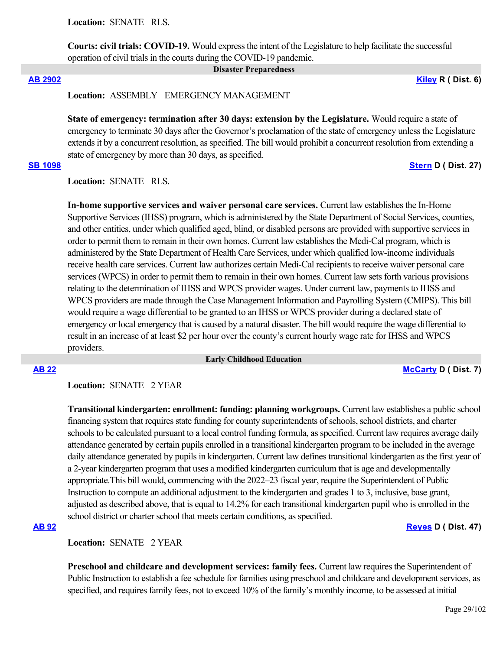**Location:**  SENATE RLS.

**Courts: civil trials: COVID-19.** Would express the intent of the Legislature to help facilitate the successful operation of civil trials in the courts during the COVID-19 pandemic.

 **Disaster Preparedness**

**[AB 2902](https://ctweb.capitoltrack.com/public/publishbillinfo.aspx?bi=7CD2G4hi6b2KfxxSYIU8JkiH%2FEAsEUD79k6bIXfCiWgnjA5r9k35ed6hp8CouN38) [Kiley](https://ad06.asmrc.org/) R ( Dist. 6)**

**Location:**  ASSEMBLY EMERGENCY MANAGEMENT

**State of emergency: termination after 30 days: extension by the Legislature.** Would require a state of emergency to terminate 30 days after the Governor's proclamation of the state of emergency unless the Legislature extends it by a concurrent resolution, as specified. The bill would prohibit a concurrent resolution from extending a state of emergency by more than 30 days, as specified.

# **[SB 1098](https://ctweb.capitoltrack.com/public/publishbillinfo.aspx?bi=3odrIF%2FX0agswv4uf1ARewOCRRhsUUQTzpXApFIyaM%2Bk1RgKWJQEOBfAp8FwGUSN) [Stern](http://sd27.senate.ca.gov/) D ( Dist. 27)**

**Location:**  SENATE RLS.

**In-home supportive services and waiver personal care services.** Current law establishes the In-Home Supportive Services (IHSS) program, which is administered by the State Department of Social Services, counties, and other entities, under which qualified aged, blind, or disabled persons are provided with supportive services in order to permit them to remain in their own homes. Current law establishes the Medi-Cal program, which is administered by the State Department of Health Care Services, under which qualified low-income individuals receive health care services. Current law authorizes certain Medi-Cal recipients to receive waiver personal care services (WPCS) in order to permit them to remain in their own homes. Current law sets forth various provisions relating to the determination of IHSS and WPCS provider wages. Under current law, payments to IHSS and WPCS providers are made through the Case Management Information and Payrolling System (CMIPS). This bill would require a wage differential to be granted to an IHSS or WPCS provider during a declared state of emergency or local emergency that is caused by a natural disaster. The bill would require the wage differential to result in an increase of at least \$2 per hour over the county's current hourly wage rate for IHSS and WPCS providers.

 **Early Childhood Education**

**[AB 22](https://ctweb.capitoltrack.com/public/publishbillinfo.aspx?bi=wQSdCmcDIfZoiYUfy3sAf5d%2BwMh6ss4wB3L7m6k91poVyzrOjeF4QGrej8GJydem) [McCarty](https://a07.asmdc.org/) D ( Dist. 7)**

Location: **SENATE** 2 YEAR

**Transitional kindergarten: enrollment: funding: planning workgroups.** Current law establishes a public school financing system that requires state funding for county superintendents of schools, school districts, and charter schools to be calculated pursuant to a local control funding formula, as specified. Current law requires average daily attendance generated by certain pupils enrolled in a transitional kindergarten program to be included in the average daily attendance generated by pupils in kindergarten. Current law defines transitional kindergarten as the first year of a 2-year kindergarten program that uses a modified kindergarten curriculum that is age and developmentally appropriate.This bill would, commencing with the 2022–23 fiscal year, require the Superintendent of Public Instruction to compute an additional adjustment to the kindergarten and grades 1 to 3, inclusive, base grant, adjusted as described above, that is equal to 14.2% for each transitional kindergarten pupil who is enrolled in the school district or charter school that meets certain conditions, as specified.

**[AB 92](https://ctweb.capitoltrack.com/public/publishbillinfo.aspx?bi=i55u%2Bg%2F1nSmKp3teQk7heGTxplh1jc%2FeBIc3y3hjITJI%2FzqyNTlcGS1vnSFy6BH%2F) [Reyes](https://a47.asmdc.org/) D ( Dist. 47)**

Location: **SENATE** 2 YEAR

**Preschool and childcare and development services: family fees.** Current law requires the Superintendent of Public Instruction to establish a fee schedule for families using preschool and childcare and development services, as specified, and requires family fees, not to exceed 10% of the family's monthly income, to be assessed at initial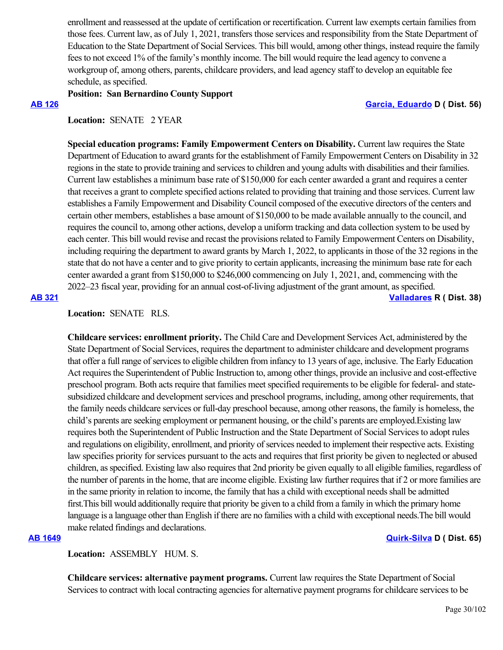enrollment and reassessed at the update of certification or recertification. Current law exempts certain families from those fees. Current law, as of July 1, 2021, transfers those services and responsibility from the State Department of Education to the State Department of Social Services. This bill would, among other things, instead require the family fees to not exceed 1% of the family's monthly income. The bill would require the lead agency to convene a workgroup of, among others, parents, childcare providers, and lead agency staff to develop an equitable fee schedule, as specified.

## **Position: San Bernardino County Support**

### **[AB 126](https://ctweb.capitoltrack.com/public/publishbillinfo.aspx?bi=cabNNPfnUEwI3KjZ3ebKiy4waaXjx8oSSUoiKQZJSYxbx%2FHuyi4fZYmng%2BzJXzv6) [Garcia, Eduardo](https://a56.asmdc.org/) D ( Dist. 56)**

## Location: **SENATE** 2 YEAR

**Special education programs: Family Empowerment Centers on Disability.** Current law requires the State Department of Education to award grants for the establishment of Family Empowerment Centers on Disability in 32 regions in the state to provide training and services to children and young adults with disabilities and their families. Current law establishes a minimum base rate of \$150,000 for each center awarded a grant and requires a center that receives a grant to complete specified actions related to providing that training and those services. Current law establishes a Family Empowerment and Disability Council composed of the executive directors of the centers and certain other members, establishes a base amount of \$150,000 to be made available annually to the council, and requires the council to, among other actions, develop a uniform tracking and data collection system to be used by each center. This bill would revise and recast the provisions related to Family Empowerment Centers on Disability, including requiring the department to award grants by March 1, 2022, to applicants in those of the 32 regions in the state that do not have a center and to give priority to certain applicants, increasing the minimum base rate for each center awarded a grant from \$150,000 to \$246,000 commencing on July 1, 2021, and, commencing with the 2022–23 fiscal year, providing for an annual cost-of-living adjustment of the grant amount, as specified.

**[AB 321](https://ctweb.capitoltrack.com/public/publishbillinfo.aspx?bi=uxa3GWxRxvJ5orgS27LvFoThnCGCxPyMaWHCZgBo2NVKiGebABGx7cGjx2UQ8GcF) [Valladares](https://ad38.asmrc.org/) R ( Dist. 38)**

# **Location:**  SENATE RLS.

**Childcare services: enrollment priority.** The Child Care and Development Services Act, administered by the State Department of Social Services, requires the department to administer childcare and development programs that offer a full range of services to eligible children from infancy to 13 years of age, inclusive. The Early Education Act requires the Superintendent of Public Instruction to, among other things, provide an inclusive and cost-effective preschool program. Both acts require that families meet specified requirements to be eligible for federal- and statesubsidized childcare and development services and preschool programs, including, among other requirements, that the family needs childcare services or full-day preschool because, among other reasons, the family is homeless, the child's parents are seeking employment or permanent housing, or the child's parents are employed.Existing law requires both the Superintendent of Public Instruction and the State Department of Social Services to adopt rules and regulations on eligibility, enrollment, and priority of services needed to implement their respective acts. Existing law specifies priority for services pursuant to the acts and requires that first priority be given to neglected or abused children, as specified. Existing law also requires that 2nd priority be given equally to all eligible families, regardless of the number of parents in the home, that are income eligible. Existing law further requires that if 2 or more families are in the same priority in relation to income, the family that has a child with exceptional needs shall be admitted first.This bill would additionally require that priority be given to a child from a family in which the primary home language is a language other than English if there are no families with a child with exceptional needs.The bill would make related findings and declarations.

### **[AB 1649](https://ctweb.capitoltrack.com/public/publishbillinfo.aspx?bi=UJmzFb7ycYe1XqlwONEFbcb06L7gR1HhfRCIk9psYgOiCUm0u8iY06Rxa2ce5UpI) [Quirk-Silva](https://a65.asmdc.org/) D ( Dist. 65)**

**Location:**  ASSEMBLY HUM. S.

**Childcare services: alternative payment programs.** Current law requires the State Department of Social Services to contract with local contracting agencies for alternative payment programs for childcare services to be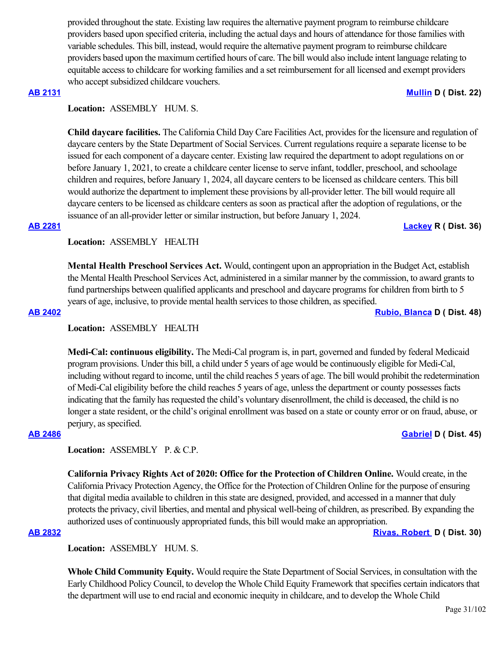provided throughout the state. Existing law requires the alternative payment program to reimburse childcare providers based upon specified criteria, including the actual days and hours of attendance for those families with variable schedules. This bill, instead, would require the alternative payment program to reimburse childcare providers based upon the maximum certified hours of care. The bill would also include intent language relating to equitable access to childcare for working families and a set reimbursement for all licensed and exempt providers who accept subsidized childcare vouchers.

### **[AB 2131](https://ctweb.capitoltrack.com/public/publishbillinfo.aspx?bi=7cCZgb0cdwBrwKTIU2N9HAPsaHY5XIBmhCMV0KPwdaSXEIuIFoFKwFwA%2F9qh9MZA) [Mullin](https://a22.asmdc.org/) D ( Dist. 22)**

# **Location:**  ASSEMBLY HUM. S.

**Child daycare facilities.** The California Child Day Care Facilities Act, provides for the licensure and regulation of daycare centers by the State Department of Social Services. Current regulations require a separate license to be issued for each component of a daycare center. Existing law required the department to adopt regulations on or before January 1, 2021, to create a childcare center license to serve infant, toddler, preschool, and schoolage children and requires, before January 1, 2024, all daycare centers to be licensed as childcare centers. This bill would authorize the department to implement these provisions by all-provider letter. The bill would require all daycare centers to be licensed as childcare centers as soon as practical after the adoption of regulations, or the issuance of an all-provider letter or similar instruction, but before January 1, 2024.

# **[AB 2281](https://ctweb.capitoltrack.com/public/publishbillinfo.aspx?bi=lWihjvJkBlUMFvxSj9glGtqGk65uUppHc15tHvadBP%2Bhr3jMKIyePa%2FKrvZE3fPm) [Lackey](https://ad36.asmrc.org/) R ( Dist. 36)**

**Location:**  ASSEMBLY HEALTH

**Mental Health Preschool Services Act.** Would, contingent upon an appropriation in the Budget Act, establish the Mental Health Preschool Services Act, administered in a similar manner by the commission, to award grants to fund partnerships between qualified applicants and preschool and daycare programs for children from birth to 5 years of age, inclusive, to provide mental health services to those children, as specified.

**[AB 2402](https://ctweb.capitoltrack.com/public/publishbillinfo.aspx?bi=YqM%2BWH%2F2%2BvRU%2FwPlWxCqZxQy%2FFXeZs2nZ%2BKFpktm0maNsLjlBr3p4bZVARTig3Pe) [Rubio, Blanca](https://a48.asmdc.org/) D ( Dist. 48)**

# **Location:**  ASSEMBLY HEALTH

**Medi-Cal: continuous eligibility.** The Medi-Cal program is, in part, governed and funded by federal Medicaid program provisions. Under this bill, a child under 5 years of age would be continuously eligible for Medi-Cal, including without regard to income, until the child reaches 5 years of age. The bill would prohibit the redetermination of Medi-Cal eligibility before the child reaches 5 years of age, unless the department or county possesses facts indicating that the family has requested the child's voluntary disenrollment, the child is deceased, the child is no longer a state resident, or the child's original enrollment was based on a state or county error or on fraud, abuse, or perjury, as specified.

# **[AB 2486](https://ctweb.capitoltrack.com/public/publishbillinfo.aspx?bi=6wsxbK3WIEiRg%2BeOJkQNpbjnM6Fs8fKMGcBx2vX%2F%2BFi4SY6C7N6jtEY9RaIl%2FEqU) [Gabriel](https://a45.asmdc.org/) D ( Dist. 45)**

# Location: ASSEMBLY P. & C.P.

**California Privacy Rights Act of 2020: Office for the Protection of Children Online.** Would create, in the California Privacy Protection Agency, the Office for the Protection of Children Online for the purpose of ensuring that digital media available to children in this state are designed, provided, and accessed in a manner that duly protects the privacy, civil liberties, and mental and physical well-being of children, as prescribed. By expanding the authorized uses of continuously appropriated funds, this bill would make an appropriation.

# **[AB 2832](https://ctweb.capitoltrack.com/public/publishbillinfo.aspx?bi=J38DFLEoOOO0c6gmgwRynnnnocffHmVxjoRK%2F4NUI3SXWHlkwshT7k0E%2FPvXOKLS) [Rivas, Robert](https://a30.asmdc.org/)  D ( Dist. 30)**

**Location:**  ASSEMBLY HUM. S.

**Whole Child Community Equity.** Would require the State Department of Social Services, in consultation with the Early Childhood Policy Council, to develop the Whole Child Equity Framework that specifies certain indicators that the department will use to end racial and economic inequity in childcare, and to develop the Whole Child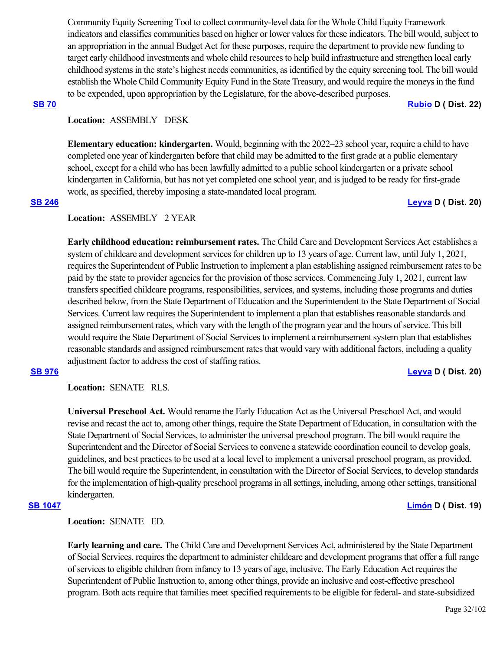Community Equity Screening Tool to collect community-level data for the Whole Child Equity Framework indicators and classifies communities based on higher or lower values for these indicators. The bill would, subject to an appropriation in the annual Budget Act for these purposes, require the department to provide new funding to target early childhood investments and whole child resources to help build infrastructure and strengthen local early childhood systems in the state's highest needs communities, as identified by the equity screening tool. The bill would establish the Whole Child Community Equity Fund in the State Treasury, and would require the moneys in the fund to be expended, upon appropriation by the Legislature, for the above-described purposes.

### **[SB 70](https://ctweb.capitoltrack.com/public/publishbillinfo.aspx?bi=y51p%2B%2Bav7%2By2j7KNARv%2FQ65ag6GebJVLhb7tnBcOanuCxmz8ISYhYlV12V5f8M%2FD) [Rubio](http://sd22.senate.ca.gov/) D ( Dist. 22)**

# **Location:**  ASSEMBLY DESK

**Elementary education: kindergarten.** Would, beginning with the 2022–23 school year, require a child to have completed one year of kindergarten before that child may be admitted to the first grade at a public elementary school, except for a child who has been lawfully admitted to a public school kindergarten or a private school kindergarten in California, but has not yet completed one school year, and is judged to be ready for first-grade work, as specified, thereby imposing a state-mandated local program.

## **[SB 246](https://ctweb.capitoltrack.com/public/publishbillinfo.aspx?bi=lacCMXDQKxjsfxexm3%2BWQIz5jMLglBCdXbhnz%2F%2BIo7LL4mpPPKWP9MolKBlob9AO) [Leyva](http://sd20.senate.ca.gov/) D ( Dist. 20)**

## **Location:**  ASSEMBLY 2 YEAR

**Early childhood education: reimbursement rates.** The Child Care and Development Services Act establishes a system of childcare and development services for children up to 13 years of age. Current law, until July 1, 2021, requires the Superintendent of Public Instruction to implement a plan establishing assigned reimbursement rates to be paid by the state to provider agencies for the provision of those services. Commencing July 1, 2021, current law transfers specified childcare programs, responsibilities, services, and systems, including those programs and duties described below, from the State Department of Education and the Superintendent to the State Department of Social Services. Current law requires the Superintendent to implement a plan that establishes reasonable standards and assigned reimbursement rates, which vary with the length of the program year and the hours of service. This bill would require the State Department of Social Services to implement a reimbursement system plan that establishes reasonable standards and assigned reimbursement rates that would vary with additional factors, including a quality adjustment factor to address the cost of staffing ratios.

## **[SB 976](https://ctweb.capitoltrack.com/public/publishbillinfo.aspx?bi=0nyFqaWr0kBbVFSEOTIVxXi4XRWu87PB4%2F4oBRIVPaYsnNg8pDuZWcaX%2BmfCtCDs) [Leyva](http://sd20.senate.ca.gov/) D ( Dist. 20)**

**Location:**  SENATE RLS.

**Universal Preschool Act.** Would rename the Early Education Act as the Universal Preschool Act, and would revise and recast the act to, among other things, require the State Department of Education, in consultation with the State Department of Social Services, to administer the universal preschool program. The bill would require the Superintendent and the Director of Social Services to convene a statewide coordination council to develop goals, guidelines, and best practices to be used at a local level to implement a universal preschool program, as provided. The bill would require the Superintendent, in consultation with the Director of Social Services, to develop standards for the implementation of high-quality preschool programs in all settings, including, among other settings, transitional kindergarten.

**Location:**  SENATE ED.

**Early learning and care.** The Child Care and Development Services Act, administered by the State Department of Social Services, requires the department to administer childcare and development programs that offer a full range of services to eligible children from infancy to 13 years of age, inclusive. The Early Education Act requires the Superintendent of Public Instruction to, among other things, provide an inclusive and cost-effective preschool program. Both acts require that families meet specified requirements to be eligible for federal- and state-subsidized

**[SB 1047](https://ctweb.capitoltrack.com/public/publishbillinfo.aspx?bi=dPMuhs4wDim1F330jXFLaMO3aBrTbdfFiKuZ2dfOlofmB1%2BoL2I0LmQk727uBdrB) [Limón](http://sd19.senate.ca.gov/) D ( Dist. 19)**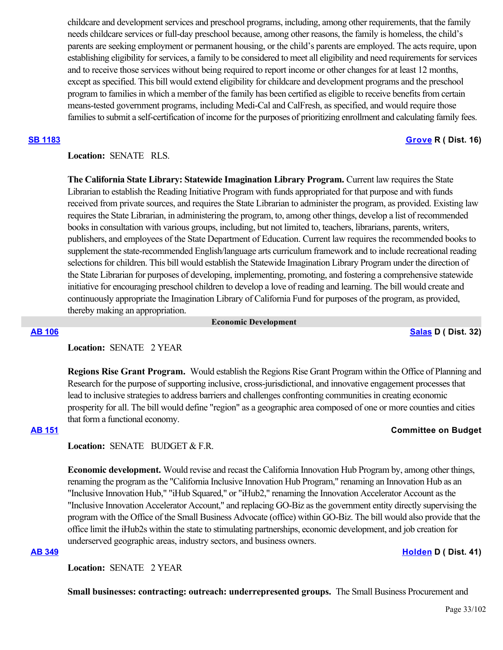childcare and development services and preschool programs, including, among other requirements, that the family needs childcare services or full-day preschool because, among other reasons, the family is homeless, the child's parents are seeking employment or permanent housing, or the child's parents are employed. The acts require, upon establishing eligibility for services, a family to be considered to meet all eligibility and need requirements for services and to receive those services without being required to report income or other changes for at least 12 months, except as specified. This bill would extend eligibility for childcare and development programs and the preschool program to families in which a member of the family has been certified as eligible to receive benefits from certain means-tested government programs, including Medi-Cal and CalFresh, as specified, and would require those families to submit a self-certification of income for the purposes of prioritizing enrollment and calculating family fees.

# **[SB 1183](https://ctweb.capitoltrack.com/public/publishbillinfo.aspx?bi=j5O5GXhk8WF5Iw11L6BO21QH5OcPG6uMT%2FaT0ELfac1diQPNJCYerNRdzSvCMd2H) [Grove](https://grove.cssrc.us/) R ( Dist. 16)**

# **Location:**  SENATE RLS.

**The California State Library: Statewide Imagination Library Program.** Current law requires the State Librarian to establish the Reading Initiative Program with funds appropriated for that purpose and with funds received from private sources, and requires the State Librarian to administer the program, as provided. Existing law requires the State Librarian, in administering the program, to, among other things, develop a list of recommended books in consultation with various groups, including, but not limited to, teachers, librarians, parents, writers, publishers, and employees of the State Department of Education. Current law requires the recommended books to supplement the state-recommended English/language arts curriculum framework and to include recreational reading selections for children. This bill would establish the Statewide Imagination Library Program under the direction of the State Librarian for purposes of developing, implementing, promoting, and fostering a comprehensive statewide initiative for encouraging preschool children to develop a love of reading and learning. The bill would create and continuously appropriate the Imagination Library of California Fund for purposes of the program, as provided, thereby making an appropriation.

 **Economic Development**

**[AB 106](https://ctweb.capitoltrack.com/public/publishbillinfo.aspx?bi=TSHJENppxbfSG53un6%2BUCngvhXso2lgVZ4pSYQx3GPXcEkM9Nfz4NFNaLhigTmpX) [Salas](https://a32.asmdc.org/) D ( Dist. 32)**

# **Location:**  SENATE 2 YEAR

**Regions Rise Grant Program.** Would establish the Regions Rise Grant Program within the Office of Planning and Research for the purpose of supporting inclusive, cross-jurisdictional, and innovative engagement processes that lead to inclusive strategies to address barriers and challenges confronting communities in creating economic prosperity for all. The bill would define "region" as a geographic area composed of one or more counties and cities that form a functional economy.

## **[AB 151](https://ctweb.capitoltrack.com/public/publishbillinfo.aspx?bi=U0qr%2FZVUrLbiyEMHYgcYcJNQ%2FEoPiLKYs8qT3FQRgVS5mO9aZufT%2BPx8NQdMQFn9) Committee on Budget**

# Location: **SENATE** BUDGET & F.R.

**Economic development.** Would revise and recast the California Innovation Hub Program by, among other things, renaming the program as the "California Inclusive Innovation Hub Program," renaming an Innovation Hub as an "Inclusive Innovation Hub," "iHub Squared," or "iHub2," renaming the Innovation Accelerator Account as the "Inclusive Innovation Accelerator Account," and replacing GO-Biz as the government entity directly supervising the program with the Office of the Small Business Advocate (office) within GO-Biz. The bill would also provide that the office limit the iHub2s within the state to stimulating partnerships, economic development, and job creation for underserved geographic areas, industry sectors, and business owners.

# **[AB 349](https://ctweb.capitoltrack.com/public/publishbillinfo.aspx?bi=U8nmvOR631fi48JMAAZe7u%2FsiOgOtxxKCZl6G21Isl4eCS35cRf7Fp%2FbLC21krjt) [Holden](https://a41.asmdc.org/) D ( Dist. 41)**

Location: **SENATE 2 YEAR** 

**Small businesses: contracting: outreach: underrepresented groups.** The Small Business Procurement and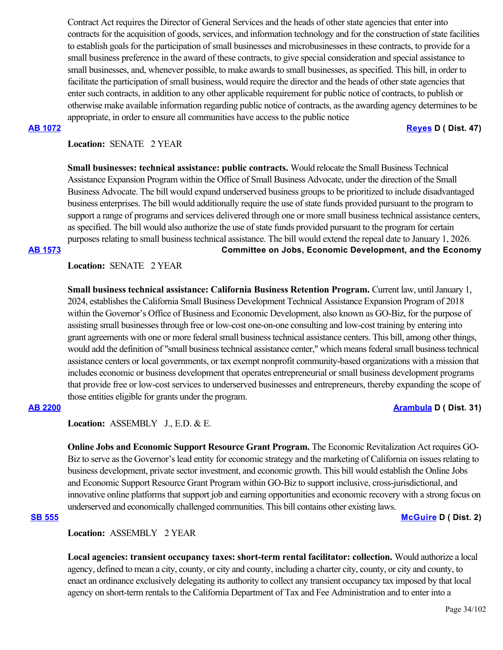Contract Act requires the Director of General Services and the heads of other state agencies that enter into contracts for the acquisition of goods, services, and information technology and for the construction of state facilities to establish goals for the participation of small businesses and microbusinesses in these contracts, to provide for a small business preference in the award of these contracts, to give special consideration and special assistance to small businesses, and, whenever possible, to make awards to small businesses, as specified. This bill, in order to facilitate the participation of small business, would require the director and the heads of other state agencies that enter such contracts, in addition to any other applicable requirement for public notice of contracts, to publish or otherwise make available information regarding public notice of contracts, as the awarding agency determines to be appropriate, in order to ensure all communities have access to the public notice

**[AB 1072](https://ctweb.capitoltrack.com/public/publishbillinfo.aspx?bi=%2BmxX%2Fs%2Bw32vV%2FlbWmYi%2FTCYKWQVhgxlVJciVh5jN8KWH8uMHlAf7i2ZogVOnaNbb) [Reyes](https://a47.asmdc.org/) D ( Dist. 47)**

# **Location:**  SENATE 2 YEAR

**Small businesses: technical assistance: public contracts.** Would relocate the Small Business Technical Assistance Expansion Program within the Office of Small Business Advocate, under the direction of the Small Business Advocate. The bill would expand underserved business groups to be prioritized to include disadvantaged business enterprises. The bill would additionally require the use of state funds provided pursuant to the program to support a range of programs and services delivered through one or more small business technical assistance centers, as specified. The bill would also authorize the use of state funds provided pursuant to the program for certain purposes relating to small business technical assistance. The bill would extend the repeal date to January 1, 2026.

**[AB 1573](https://ctweb.capitoltrack.com/public/publishbillinfo.aspx?bi=uG4iiSs6cpsdRSxlFFXnkSXLizceI6F6k0IBJ%2FRiu99VjLbV8%2BDACFZsjdZk49B%2F) Committee on Jobs, Economic Development, and the Economy**

# **Location:**  SENATE 2 YEAR

**Small business technical assistance: California Business Retention Program.** Current law, until January 1, 2024, establishes the California Small Business Development Technical Assistance Expansion Program of 2018 within the Governor's Office of Business and Economic Development, also known as GO-Biz, for the purpose of assisting small businesses through free or low-cost one-on-one consulting and low-cost training by entering into grant agreements with one or more federal small business technical assistance centers. This bill, among other things, would add the definition of "small business technical assistance center," which means federal small business technical assistance centers or local governments, or tax exempt nonprofit community-based organizations with a mission that includes economic or business development that operates entrepreneurial or small business development programs that provide free or low-cost services to underserved businesses and entrepreneurs, thereby expanding the scope of those entities eligible for grants under the program.

**[AB 2200](https://ctweb.capitoltrack.com/public/publishbillinfo.aspx?bi=OoivwYo4TGVtDJhwl8ijdtRzhr3B7%2BONOPZFSg%2B6sPivc%2By1gTYAMPFet9xKKgHZ) [Arambula](https://a31.asmdc.org/) D ( Dist. 31)**

**Location:**  ASSEMBLY J., E.D. & E.

**Online Jobs and Economic Support Resource Grant Program.** The Economic Revitalization Act requires GO-Biz to serve as the Governor's lead entity for economic strategy and the marketing of California on issues relating to business development, private sector investment, and economic growth. This bill would establish the Online Jobs and Economic Support Resource Grant Program within GO-Biz to support inclusive, cross-jurisdictional, and innovative online platforms that support job and earning opportunities and economic recovery with a strong focus on underserved and economically challenged communities. This bill contains other existing laws.

**[SB 555](https://ctweb.capitoltrack.com/public/publishbillinfo.aspx?bi=t8gFkA8BMy0t6f2bRZ8kSp8EPfEC1tXi5Xz2ToWCPSP67Zlb%2FyBWj7cbNkwJuqhB) [McGuire](http://sd02.senate.ca.gov/) D ( Dist. 2)**

# **Location:**  ASSEMBLY 2 YEAR

**Local agencies: transient occupancy taxes: short-term rental facilitator: collection.** Would authorize a local agency, defined to mean a city, county, or city and county, including a charter city, county, or city and county, to enact an ordinance exclusively delegating its authority to collect any transient occupancy tax imposed by that local agency on short-term rentals to the California Department of Tax and Fee Administration and to enter into a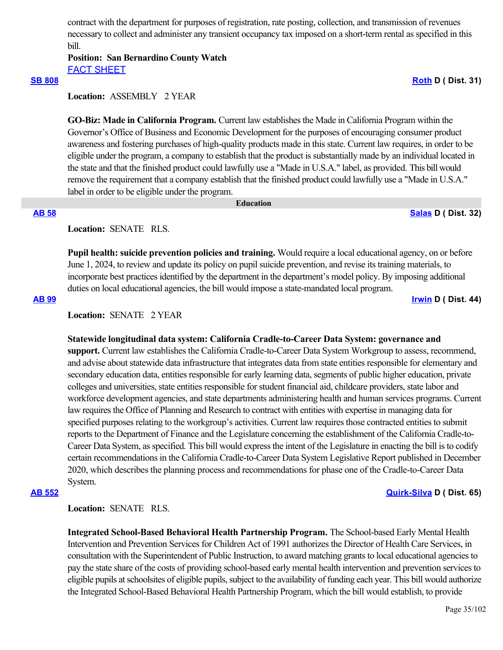contract with the department for purposes of registration, rate posting, collection, and transmission of revenues necessary to collect and administer any transient occupancy tax imposed on a short-term rental as specified in this bill.

# **Position: San Bernardino County Watch** [FACT SHEET](https://ctweb.capitoltrack.com/public/publishviewdoc.ashx?di=i%2BWpOgjBguUiU7ZNORsdINh1Rh8PPysNPwy8Jpu1RVk%3D)

## **[SB 808](https://ctweb.capitoltrack.com/public/publishbillinfo.aspx?bi=3GyKMke5BlTmy5PIltzX9TUa4viu0QUyktofzbF4fgUWcL7zZVt0oHREm%2Bvc3euY) [Roth](http://sd31.senate.ca.gov/)** D ( Dist. 31)

# **Location:**  ASSEMBLY 2 YEAR

**GO-Biz: Made in California Program.** Current law establishes the Made in California Program within the Governor's Office of Business and Economic Development for the purposes of encouraging consumer product awareness and fostering purchases of high-quality products made in this state. Current law requires, in order to be eligible under the program, a company to establish that the product is substantially made by an individual located in the state and that the finished product could lawfully use a "Made in U.S.A." label, as provided. This bill would remove the requirement that a company establish that the finished product could lawfully use a "Made in U.S.A." label in order to be eligible under the program.

## **Education**

**[AB 58](https://ctweb.capitoltrack.com/public/publishbillinfo.aspx?bi=WgrShyLX0MOnEOOovH9DdfcF5bwwiKbfN2AOah4jbt5RSeYbDiX6n8MX0tyiVoj7) [Salas](https://a32.asmdc.org/) D ( Dist. 32)**

# **Location:**  SENATE RLS.

**Pupil health: suicide prevention policies and training.** Would require a local educational agency, on or before June 1, 2024, to review and update its policy on pupil suicide prevention, and revise its training materials, to incorporate best practices identified by the department in the department's model policy. By imposing additional duties on local educational agencies, the bill would impose a state-mandated local program.

**[AB 99](https://ctweb.capitoltrack.com/public/publishbillinfo.aspx?bi=gm2jgRdveobWf5LybuEXyLjwh4QWhan1fDoAiwXcruBh8Eth5pdMGXsjrNvf1Ffy) [Irwin](https://a44.asmdc.org/) D ( Dist. 44)**

# **Location:**  SENATE 2 YEAR

## **Statewide longitudinal data system: California Cradle-to-Career Data System: governance and**

**support.** Current law establishes the California Cradle-to-Career Data System Workgroup to assess, recommend, and advise about statewide data infrastructure that integrates data from state entities responsible for elementary and secondary education data, entities responsible for early learning data, segments of public higher education, private colleges and universities, state entities responsible for student financial aid, childcare providers, state labor and workforce development agencies, and state departments administering health and human services programs. Current law requires the Office of Planning and Research to contract with entities with expertise in managing data for specified purposes relating to the workgroup's activities. Current law requires those contracted entities to submit reports to the Department of Finance and the Legislature concerning the establishment of the California Cradle-to-Career Data System, as specified. This bill would express the intent of the Legislature in enacting the bill is to codify certain recommendations in the California Cradle-to-Career Data System Legislative Report published in December 2020, which describes the planning process and recommendations for phase one of the Cradle-to-Career Data System.

## **[AB 552](https://ctweb.capitoltrack.com/public/publishbillinfo.aspx?bi=0B1pP8xZSqmT1PDx5eLChQYAYYE5i75lfquaLpGyuniEx%2FusY9NutFnw5eFM16dd) [Quirk-Silva](https://a65.asmdc.org/) D ( Dist. 65)**

# **Location:**  SENATE RLS.

**Integrated School-Based Behavioral Health Partnership Program.** The School-based Early Mental Health Intervention and Prevention Services for Children Act of 1991 authorizes the Director of Health Care Services, in consultation with the Superintendent of Public Instruction, to award matching grants to local educational agencies to pay the state share of the costs of providing school-based early mental health intervention and prevention services to eligible pupils at schoolsites of eligible pupils, subject to the availability of funding each year. This bill would authorize the Integrated School-Based Behavioral Health Partnership Program, which the bill would establish, to provide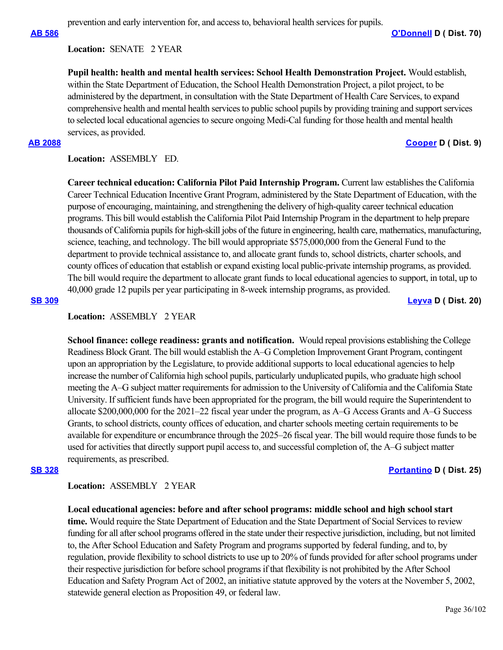## **Location:**  SENATE 2 YEAR

**Pupil health: health and mental health services: School Health Demonstration Project.** Would establish, within the State Department of Education, the School Health Demonstration Project, a pilot project, to be administered by the department, in consultation with the State Department of Health Care Services, to expand comprehensive health and mental health services to public school pupils by providing training and support services to selected local educational agencies to secure ongoing Medi-Cal funding for those health and mental health services, as provided.

prevention and early intervention for, and access to, behavioral health services for pupils.

### **[AB 2088](https://ctweb.capitoltrack.com/public/publishbillinfo.aspx?bi=KGHPh8uYt805tahbEhlr%2BoPbSLvIX5B%2FK3%2Bj4AI2cB51qd%2B9HGFWh6AWUyeDXjVj) [Cooper](https://a09.asmdc.org/) D ( Dist. 9)**

**Location:**  ASSEMBLY ED.

**Career technical education: California Pilot Paid Internship Program.** Current law establishes the California Career Technical Education Incentive Grant Program, administered by the State Department of Education, with the purpose of encouraging, maintaining, and strengthening the delivery of high-quality career technical education programs. This bill would establish the California Pilot Paid Internship Program in the department to help prepare thousands of California pupils for high-skill jobs of the future in engineering, health care, mathematics, manufacturing, science, teaching, and technology. The bill would appropriate \$575,000,000 from the General Fund to the department to provide technical assistance to, and allocate grant funds to, school districts, charter schools, and county offices of education that establish or expand existing local public-private internship programs, as provided. The bill would require the department to allocate grant funds to local educational agencies to support, in total, up to 40,000 grade 12 pupils per year participating in 8-week internship programs, as provided.

**[SB 309](https://ctweb.capitoltrack.com/public/publishbillinfo.aspx?bi=rSpanUljIGECicuYY1QxDdrK2c%2BbfD%2FtqWJDtz2lMGdUcQFgsMbVhkXpMqXs2f97) [Leyva](http://sd20.senate.ca.gov/) D ( Dist. 20)**

## **Location:**  ASSEMBLY 2 YEAR

**School finance: college readiness: grants and notification.** Would repeal provisions establishing the College Readiness Block Grant. The bill would establish the A–G Completion Improvement Grant Program, contingent upon an appropriation by the Legislature, to provide additional supports to local educational agencies to help increase the number of California high school pupils, particularly unduplicated pupils, who graduate high school meeting the A–G subject matter requirements for admission to the University of California and the California State University. If sufficient funds have been appropriated for the program, the bill would require the Superintendent to allocate \$200,000,000 for the 2021–22 fiscal year under the program, as A–G Access Grants and A–G Success Grants, to school districts, county offices of education, and charter schools meeting certain requirements to be available for expenditure or encumbrance through the 2025–26 fiscal year. The bill would require those funds to be used for activities that directly support pupil access to, and successful completion of, the A–G subject matter requirements, as prescribed.

## **[SB 328](https://ctweb.capitoltrack.com/public/publishbillinfo.aspx?bi=9KMazkSPgREg0w%2FGsBAYs8jt5rj8KVB5DuFu5Te%2BE87U0gaR9vHAWkZPAuGrF1gu) [Portantino](http://sd25.senate.ca.gov/) D ( Dist. 25)**

**Location:**  ASSEMBLY 2 YEAR

# **Local educational agencies: before and after school programs: middle school and high school start**

**time.** Would require the State Department of Education and the State Department of Social Services to review funding for all after school programs offered in the state under their respective jurisdiction, including, but not limited to, the After School Education and Safety Program and programs supported by federal funding, and to, by regulation, provide flexibility to school districts to use up to 20% of funds provided for after school programs under their respective jurisdiction for before school programs if that flexibility is not prohibited by the After School Education and Safety Program Act of 2002, an initiative statute approved by the voters at the November 5, 2002, statewide general election as Proposition 49, or federal law.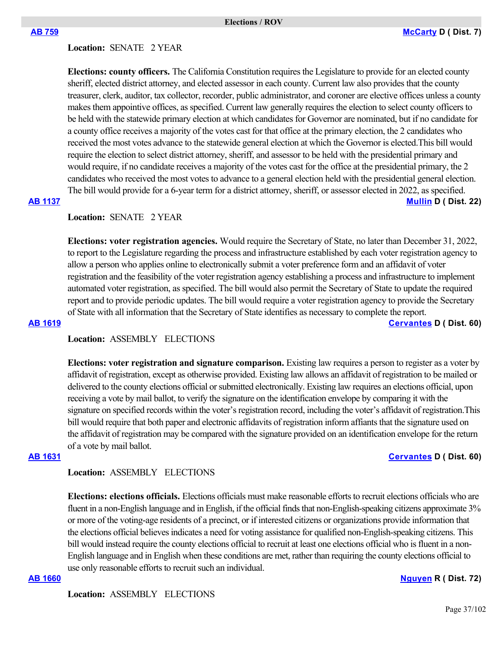### **Location:**  SENATE 2 YEAR

**Elections: county officers.** The California Constitution requires the Legislature to provide for an elected county sheriff, elected district attorney, and elected assessor in each county. Current law also provides that the county treasurer, clerk, auditor, tax collector, recorder, public administrator, and coroner are elective offices unless a county makes them appointive offices, as specified. Current law generally requires the election to select county officers to be held with the statewide primary election at which candidates for Governor are nominated, but if no candidate for a county office receives a majority of the votes cast for that office at the primary election, the 2 candidates who received the most votes advance to the statewide general election at which the Governor is elected.This bill would require the election to select district attorney, sheriff, and assessor to be held with the presidential primary and would require, if no candidate receives a majority of the votes cast for the office at the presidential primary, the 2 candidates who received the most votes to advance to a general election held with the presidential general election. The bill would provide for a 6-year term for a district attorney, sheriff, or assessor elected in 2022, as specified.

### **[AB 1137](https://ctweb.capitoltrack.com/public/publishbillinfo.aspx?bi=PQ2UN9IAlNJFxjb5YT%2FgJ4bkxE9aiGC7PaIOD9LbqXyIHNXL3yT0suFLISgX8PWM) [Mullin](https://a22.asmdc.org/) D ( Dist. 22)**

### **Location:**  SENATE 2 YEAR

**Elections: voter registration agencies.** Would require the Secretary of State, no later than December 31, 2022, to report to the Legislature regarding the process and infrastructure established by each voter registration agency to allow a person who applies online to electronically submit a voter preference form and an affidavit of voter registration and the feasibility of the voter registration agency establishing a process and infrastructure to implement automated voter registration, as specified. The bill would also permit the Secretary of State to update the required report and to provide periodic updates. The bill would require a voter registration agency to provide the Secretary of State with all information that the Secretary of State identifies as necessary to complete the report.

### **[AB 1619](https://ctweb.capitoltrack.com/public/publishbillinfo.aspx?bi=ekCRCLgfuOrqyUemGSuk3Yc5r61cnKuQ1Ly87vRD%2BQPz4UzwCxZLt2wHH%2BnWgi4x) [Cervantes](https://a60.asmdc.org/) D ( Dist. 60)**

# **Location:**  ASSEMBLY ELECTIONS

**Elections: voter registration and signature comparison.** Existing law requires a person to register as a voter by affidavit of registration, except as otherwise provided. Existing law allows an affidavit of registration to be mailed or delivered to the county elections official or submitted electronically. Existing law requires an elections official, upon receiving a vote by mail ballot, to verify the signature on the identification envelope by comparing it with the signature on specified records within the voter's registration record, including the voter's affidavit of registration.This bill would require that both paper and electronic affidavits of registration inform affiants that the signature used on the affidavit of registration may be compared with the signature provided on an identification envelope for the return of a vote by mail ballot.

**[AB 1631](https://ctweb.capitoltrack.com/public/publishbillinfo.aspx?bi=0ywmK0CuNrLsAD1oYOidV6zulDveABZf5C88dIwxuGh%2BCaya%2FJHJPFUhJGRcDTHk) [Cervantes](https://a60.asmdc.org/) D ( Dist. 60)**

# **Location:**  ASSEMBLY ELECTIONS

**Elections: elections officials.** Elections officials must make reasonable efforts to recruit elections officials who are fluent in a non-English language and in English, if the official finds that non-English-speaking citizens approximate 3% or more of the voting-age residents of a precinct, or if interested citizens or organizations provide information that the elections official believes indicates a need for voting assistance for qualified non-English-speaking citizens. This bill would instead require the county elections official to recruit at least one elections official who is fluent in a non-English language and in English when these conditions are met, rather than requiring the county elections official to use only reasonable efforts to recruit such an individual.

### **[AB 1660](https://ctweb.capitoltrack.com/public/publishbillinfo.aspx?bi=iwVojYjkD5b6CSyUVSyXU6K%2B0yORR7LQnOuZlXFJn5ZGku4GMJpS%2B2rmfdp4nwBb) [Nguyen](https://ad72.asmrc.org/) R ( Dist. 72)**

**Location:**  ASSEMBLY ELECTIONS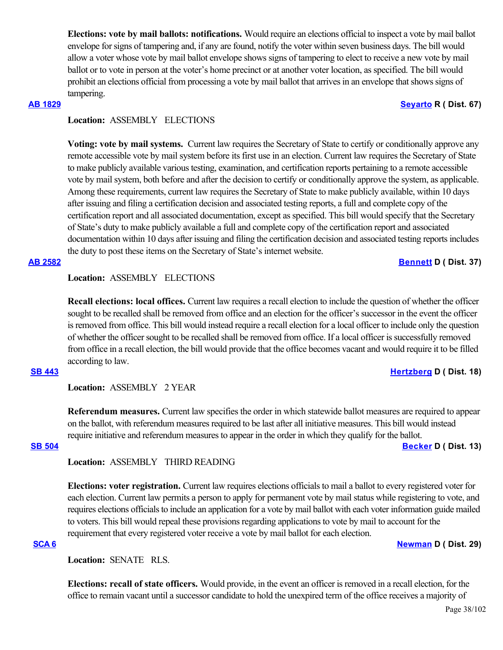**Elections: vote by mail ballots: notifications.** Would require an elections official to inspect a vote by mail ballot envelope for signs of tampering and, if any are found, notify the voter within seven business days. The bill would allow a voter whose vote by mail ballot envelope shows signs of tampering to elect to receive a new vote by mail ballot or to vote in person at the voter's home precinct or at another voter location, as specified. The bill would prohibit an elections official from processing a vote by mail ballot that arrives in an envelope that shows signs of tampering.

### **[AB 1829](https://ctweb.capitoltrack.com/public/publishbillinfo.aspx?bi=7LeIL3qtYb8NkA50Pox%2Bt3sd6quV79MJiJ1G%2F2dvjihcEaLftZiXUU93zhv%2BjANQ) [Seyarto](https://ad67.asmrc.org/) R ( Dist. 67)**

# **Location:**  ASSEMBLY ELECTIONS

**Voting: vote by mail systems.** Current law requires the Secretary of State to certify or conditionally approve any remote accessible vote by mail system before its first use in an election. Current law requires the Secretary of State to make publicly available various testing, examination, and certification reports pertaining to a remote accessible vote by mail system, both before and after the decision to certify or conditionally approve the system, as applicable. Among these requirements, current law requires the Secretary of State to make publicly available, within 10 days after issuing and filing a certification decision and associated testing reports, a full and complete copy of the certification report and all associated documentation, except as specified. This bill would specify that the Secretary of State's duty to make publicly available a full and complete copy of the certification report and associated documentation within 10 days after issuing and filing the certification decision and associated testing reports includes the duty to post these items on the Secretary of State's internet website.

**[AB 2582](https://ctweb.capitoltrack.com/public/publishbillinfo.aspx?bi=9QH49%2Fv9x0wno%2Fr8%2BU4D%2BPwDG4Wn%2F1WT9Q0sv8DfciZ7utggbgY47FYUoFzYzODX) [Bennett](https://a37.asmdc.org/) D ( Dist. 37)**

# **Location:**  ASSEMBLY ELECTIONS

**Recall elections: local offices.** Current law requires a recall election to include the question of whether the officer sought to be recalled shall be removed from office and an election for the officer's successor in the event the officer is removed from office. This bill would instead require a recall election for a local officer to include only the question of whether the officer sought to be recalled shall be removed from office. If a local officer is successfully removed from office in a recall election, the bill would provide that the office becomes vacant and would require it to be filled according to law.

### **[SB 443](https://ctweb.capitoltrack.com/public/publishbillinfo.aspx?bi=HIojWqTdpascDXzdrowFDmZfMBn6ikUpCG3ceZICtuNK6Drr9Vz38JPGnn2sEp40) [Hertzberg](https://sd18.senate.ca.gov/) D ( Dist. 18)**

## **Location:**  ASSEMBLY 2 YEAR

**Referendum measures.** Current law specifies the order in which statewide ballot measures are required to appear on the ballot, with referendum measures required to be last after all initiative measures. This bill would instead require initiative and referendum measures to appear in the order in which they qualify for the ballot.

**[SB 504](https://ctweb.capitoltrack.com/public/publishbillinfo.aspx?bi=VK5PXElFKMX63ipoeDnRaJ0FG9klpyiyj9cPSVnLp242P%2Fpeg9GnjaCHyM5zmkgx) [Becker](http://sd13.senate.ca.gov/) D ( Dist. 13)**

## **Location:**  ASSEMBLY THIRD READING

**Elections: voter registration.** Current law requires elections officials to mail a ballot to every registered voter for each election. Current law permits a person to apply for permanent vote by mail status while registering to vote, and requires elections officials to include an application for a vote by mail ballot with each voter information guide mailed to voters. This bill would repeal these provisions regarding applications to vote by mail to account for the requirement that every registered voter receive a vote by mail ballot for each election.

# **[SCA 6](https://ctweb.capitoltrack.com/public/publishbillinfo.aspx?bi=2atZrudWC%2FU8zJkaoOmSp3UbneK%2FRHqnwUEC7hkhNabYuZUEKSQ2uBjClBD%2FQjUV) [Newman](https://sd29.senate.ca.gov/) D ( Dist. 29)**

**Location:**  SENATE RLS.

**Elections: recall of state officers.** Would provide, in the event an officer is removed in a recall election, for the office to remain vacant until a successor candidate to hold the unexpired term of the office receives a majority of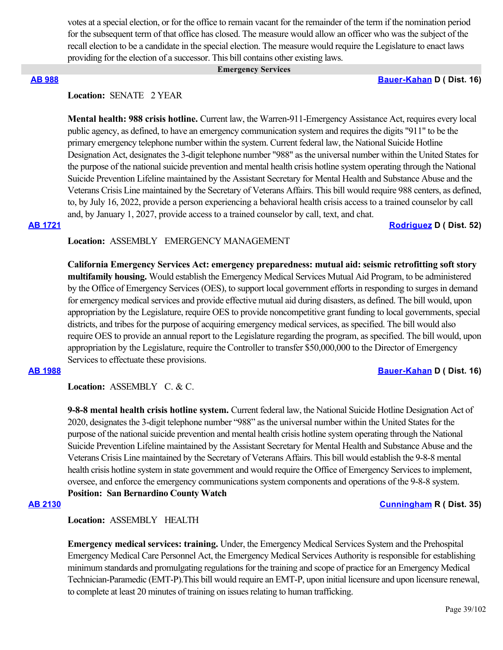votes at a special election, or for the office to remain vacant for the remainder of the term if the nomination period for the subsequent term of that office has closed. The measure would allow an officer who was the subject of the recall election to be a candidate in the special election. The measure would require the Legislature to enact laws providing for the election of a successor. This bill contains other existing laws.

### **Emergency Services**

### **[AB 988](https://ctweb.capitoltrack.com/public/publishbillinfo.aspx?bi=jPjlAAna2I%2BTXPXFt0nZGgjfP4UQuHD0yMrgtf7cg0IF6eh90GIQOatSW9biM2p8) [Bauer-Kahan](https://a16.asmdc.org/) D ( Dist. 16)**

# **Location:**  SENATE 2 YEAR

**Mental health: 988 crisis hotline.** Current law, the Warren-911-Emergency Assistance Act, requires every local public agency, as defined, to have an emergency communication system and requires the digits "911" to be the primary emergency telephone number within the system. Current federal law, the National Suicide Hotline Designation Act, designates the 3-digit telephone number "988" as the universal number within the United States for the purpose of the national suicide prevention and mental health crisis hotline system operating through the National Suicide Prevention Lifeline maintained by the Assistant Secretary for Mental Health and Substance Abuse and the Veterans Crisis Line maintained by the Secretary of Veterans Affairs. This bill would require 988 centers, as defined, to, by July 16, 2022, provide a person experiencing a behavioral health crisis access to a trained counselor by call and, by January 1, 2027, provide access to a trained counselor by call, text, and chat.

### **[AB 1721](https://ctweb.capitoltrack.com/public/publishbillinfo.aspx?bi=ZQ99%2BBgY3s1f3zG1pd1hs%2F92PtmQkrdlWMrqzJXYT6LYVJTZp5mhiwmFRR1rIHNo) [Rodriguez](https://a52.asmdc.org/) D ( Dist. 52)**

# **Location:**  ASSEMBLY EMERGENCY MANAGEMENT

**California Emergency Services Act: emergency preparedness: mutual aid: seismic retrofitting soft story multifamily housing.** Would establish the Emergency Medical Services Mutual Aid Program, to be administered by the Office of Emergency Services (OES), to support local government efforts in responding to surges in demand for emergency medical services and provide effective mutual aid during disasters, as defined. The bill would, upon appropriation by the Legislature, require OES to provide noncompetitive grant funding to local governments, special districts, and tribes for the purpose of acquiring emergency medical services, as specified. The bill would also require OES to provide an annual report to the Legislature regarding the program, as specified. The bill would, upon appropriation by the Legislature, require the Controller to transfer \$50,000,000 to the Director of Emergency Services to effectuate these provisions.

### **[AB 1988](https://ctweb.capitoltrack.com/public/publishbillinfo.aspx?bi=5MRyB49kCImIkL%2FgzLuldFC6VMoEfxEP0KpmrxpgQG1otAo%2FE4NbLe%2FPkH5EC0wd) [Bauer-Kahan](https://a16.asmdc.org/) D ( Dist. 16)**

**Location:**  ASSEMBLY C. & C.

**9-8-8 mental health crisis hotline system.** Current federal law, the National Suicide Hotline Designation Act of 2020, designates the 3-digit telephone number "988" as the universal number within the United States for the purpose of the national suicide prevention and mental health crisis hotline system operating through the National Suicide Prevention Lifeline maintained by the Assistant Secretary for Mental Health and Substance Abuse and the Veterans Crisis Line maintained by the Secretary of Veterans Affairs. This bill would establish the 9-8-8 mental health crisis hotline system in state government and would require the Office of Emergency Services to implement, oversee, and enforce the emergency communications system components and operations of the 9-8-8 system. **Position: San Bernardino County Watch**

### **[AB 2130](https://ctweb.capitoltrack.com/public/publishbillinfo.aspx?bi=z8rZLWNJeXK%2Fv14HZGfQowiDrkKlR%2BXDegp2nYoppjre2cWUP4uiqM0rp3SJCTmD) [Cunningham](https://ad35.asmrc.org/) R ( Dist. 35)**

**Location:**  ASSEMBLY HEALTH

**Emergency medical services: training.** Under, the Emergency Medical Services System and the Prehospital Emergency Medical Care Personnel Act, the Emergency Medical Services Authority is responsible for establishing minimum standards and promulgating regulations for the training and scope of practice for an Emergency Medical Technician-Paramedic (EMT-P).This bill would require an EMT-P, upon initial licensure and upon licensure renewal, to complete at least 20 minutes of training on issues relating to human trafficking.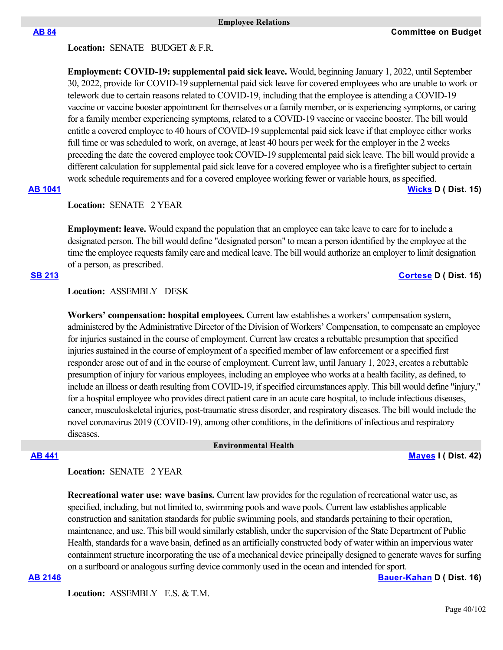### Location: **SENATE** BUDGET & F.R.

**Employment: COVID-19: supplemental paid sick leave.** Would, beginning January 1, 2022, until September 30, 2022, provide for COVID-19 supplemental paid sick leave for covered employees who are unable to work or telework due to certain reasons related to COVID-19, including that the employee is attending a COVID-19 vaccine or vaccine booster appointment for themselves or a family member, or is experiencing symptoms, or caring for a family member experiencing symptoms, related to a COVID-19 vaccine or vaccine booster. The bill would entitle a covered employee to 40 hours of COVID-19 supplemental paid sick leave if that employee either works full time or was scheduled to work, on average, at least 40 hours per week for the employer in the 2 weeks preceding the date the covered employee took COVID-19 supplemental paid sick leave. The bill would provide a different calculation for supplemental paid sick leave for a covered employee who is a firefighter subject to certain work schedule requirements and for a covered employee working fewer or variable hours, as specified. **[AB 1041](https://ctweb.capitoltrack.com/public/publishbillinfo.aspx?bi=5AdbS012iolk0S%2BR8OXCTbezQbDtY%2FRyuueXH9Dq%2Bq%2FTbNCW2s2qDttEyECBZAw%2F) [Wicks](https://a15.asmdc.org/) D ( Dist. 15)**

# Location: **SENATE** 2 YEAR

**Employment: leave.** Would expand the population that an employee can take leave to care for to include a designated person. The bill would define "designated person" to mean a person identified by the employee at the time the employee requests family care and medical leave. The bill would authorize an employer to limit designation of a person, as prescribed.

# **[SB 213](https://ctweb.capitoltrack.com/public/publishbillinfo.aspx?bi=0m%2B3caG8a3d2CIH%2BUVHqAJMtNZM2BkUgp4CQ7RuwbxepuvpzjPoVaMeM%2Fp%2FwKI87) [Cortese](http://sd15.senate.ca.gov/) D ( Dist. 15)**

### **Location:**  ASSEMBLY DESK

**Workers' compensation: hospital employees.** Current law establishes a workers' compensation system, administered by the Administrative Director of the Division of Workers' Compensation, to compensate an employee for injuries sustained in the course of employment. Current law creates a rebuttable presumption that specified injuries sustained in the course of employment of a specified member of law enforcement or a specified first responder arose out of and in the course of employment. Current law, until January 1, 2023, creates a rebuttable presumption of injury for various employees, including an employee who works at a health facility, as defined, to include an illness or death resulting from COVID-19, if specified circumstances apply. This bill would define "injury," for a hospital employee who provides direct patient care in an acute care hospital, to include infectious diseases, cancer, musculoskeletal injuries, post-traumatic stress disorder, and respiratory diseases. The bill would include the novel coronavirus 2019 (COVID-19), among other conditions, in the definitions of infectious and respiratory diseases.

### **Environmental Health**

**[AB 441](https://ctweb.capitoltrack.com/public/publishbillinfo.aspx?bi=oqyp6GJ0p0sy9WvFZ2GTH%2FYL4lTm5%2B6CBmHGWmTfS%2FGDq1drB5MKBjVuoTtcFywR) [Mayes](https://www.assembly.ca.gov/assemblymemberchadmayes) I ( Dist. 42)**

# **Location:**  SENATE 2 YEAR

**Recreational water use: wave basins.** Current law provides for the regulation of recreational water use, as specified, including, but not limited to, swimming pools and wave pools. Current law establishes applicable construction and sanitation standards for public swimming pools, and standards pertaining to their operation, maintenance, and use. This bill would similarly establish, under the supervision of the State Department of Public Health, standards for a wave basin, defined as an artificially constructed body of water within an impervious water containment structure incorporating the use of a mechanical device principally designed to generate waves for surfing on a surfboard or analogous surfing device commonly used in the ocean and intended for sport.

**[AB 2146](https://ctweb.capitoltrack.com/public/publishbillinfo.aspx?bi=6AFXPpEBDN9lLjI4DDgV03M%2FJHmgRht2lPu2ti%2BJKj0j05vvMY3IxKS%2BTt581ivS) [Bauer-Kahan](https://a16.asmdc.org/) D ( Dist. 16)**

Location: ASSEMBLY E.S. & T.M.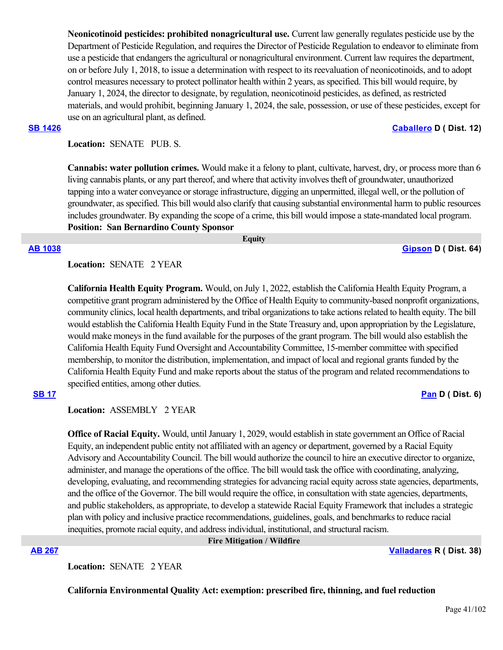**Neonicotinoid pesticides: prohibited nonagricultural use.** Current law generally regulates pesticide use by the Department of Pesticide Regulation, and requires the Director of Pesticide Regulation to endeavor to eliminate from use a pesticide that endangers the agricultural or nonagricultural environment. Current law requires the department, on or before July 1, 2018, to issue a determination with respect to its reevaluation of neonicotinoids, and to adopt control measures necessary to protect pollinator health within 2 years, as specified. This bill would require, by January 1, 2024, the director to designate, by regulation, neonicotinoid pesticides, as defined, as restricted materials, and would prohibit, beginning January 1, 2024, the sale, possession, or use of these pesticides, except for use on an agricultural plant, as defined.

### **[SB 1426](https://ctweb.capitoltrack.com/public/publishbillinfo.aspx?bi=GQl2nfJ%2FKvoazRd4%2FxxsOOUa6OJSZeiuD2mR3vAOV9gOxaFQqsN0hIdo00DR3HVg) [Caballero](https://sd12.senate.ca.gov/) D ( Dist. 12)**

Location: **SENATE** PUB. S.

**Cannabis: water pollution crimes.** Would make it a felony to plant, cultivate, harvest, dry, or process more than 6 living cannabis plants, or any part thereof, and where that activity involves theft of groundwater, unauthorized tapping into a water conveyance or storage infrastructure, digging an unpermitted, illegal well, or the pollution of groundwater, as specified. This bill would also clarify that causing substantial environmental harm to public resources includes groundwater. By expanding the scope of a crime, this bill would impose a state-mandated local program. **Position: San Bernardino County Sponsor**

 **Equity**

## **[AB 1038](https://ctweb.capitoltrack.com/public/publishbillinfo.aspx?bi=IoY8rQUCyOZF5Yc9dfaGuYjz9MtGrCcOJ%2FAMaQRm%2BvFhHTupuZNOKklpgRMr0YdL) [Gipson](https://a64.asmdc.org/) D ( Dist. 64)**

**Location:**  SENATE 2 YEAR

**California Health Equity Program.** Would, on July 1, 2022, establish the California Health Equity Program, a competitive grant program administered by the Office of Health Equity to community-based nonprofit organizations, community clinics, local health departments, and tribal organizations to take actions related to health equity. The bill would establish the California Health Equity Fund in the State Treasury and, upon appropriation by the Legislature, would make moneys in the fund available for the purposes of the grant program. The bill would also establish the California Health Equity Fund Oversight and Accountability Committee, 15-member committee with specified membership, to monitor the distribution, implementation, and impact of local and regional grants funded by the California Health Equity Fund and make reports about the status of the program and related recommendations to specified entities, among other duties.

# **[SB 17](https://ctweb.capitoltrack.com/public/publishbillinfo.aspx?bi=%2BE4NoDKMLnuTFxzoM1Xo99BcuN4ryD73nF0rJQY%2ByFcnjPHcHP1MVGB5QCwtLcFz) [Pan](http://sd06.senate.ca.gov/) D ( Dist. 6)**

**Location:**  ASSEMBLY 2 YEAR

**Office of Racial Equity.** Would, until January 1, 2029, would establish in state government an Office of Racial Equity, an independent public entity not affiliated with an agency or department, governed by a Racial Equity Advisory and Accountability Council. The bill would authorize the council to hire an executive director to organize, administer, and manage the operations of the office. The bill would task the office with coordinating, analyzing, developing, evaluating, and recommending strategies for advancing racial equity across state agencies, departments, and the office of the Governor. The bill would require the office, in consultation with state agencies, departments, and public stakeholders, as appropriate, to develop a statewide Racial Equity Framework that includes a strategic plan with policy and inclusive practice recommendations, guidelines, goals, and benchmarks to reduce racial inequities, promote racial equity, and address individual, institutional, and structural racism.

# **[AB 267](https://ctweb.capitoltrack.com/public/publishbillinfo.aspx?bi=3SE2825yVeoD%2FVeb1naH%2BjNacVwbKBjyd6shO3zqBpjbBxwZfGAepSO1w%2BhXWhOD) [Valladares](https://ad38.asmrc.org/) R ( Dist. 38)**

Location: **SENATE 2 YEAR** 

**California Environmental Quality Act: exemption: prescribed fire, thinning, and fuel reduction**

 **Fire Mitigation / Wildfire**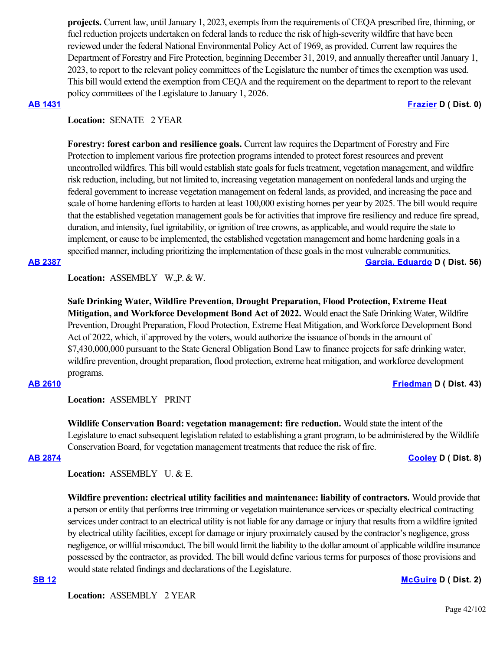**projects.** Current law, until January 1, 2023, exempts from the requirements of CEQA prescribed fire, thinning, or fuel reduction projects undertaken on federal lands to reduce the risk of high-severity wildfire that have been reviewed under the federal National Environmental Policy Act of 1969, as provided. Current law requires the Department of Forestry and Fire Protection, beginning December 31, 2019, and annually thereafter until January 1, 2023, to report to the relevant policy committees of the Legislature the number of times the exemption was used. This bill would extend the exemption from CEQA and the requirement on the department to report to the relevant policy committees of the Legislature to January 1, 2026.

# **[AB 1431](https://ctweb.capitoltrack.com/public/publishbillinfo.aspx?bi=Yq6ghj%2Ftr2poYSBQbPIhqVyClNmo475qyX3stugPUKTdL%2BjDeAT%2FEGG%2B9VwQRGtc) [Frazier](https://a11.asmdc.org/) D ( Dist. 0)**

# Location: **SENATE** 2 YEAR

**Forestry: forest carbon and resilience goals.** Current law requires the Department of Forestry and Fire Protection to implement various fire protection programs intended to protect forest resources and prevent uncontrolled wildfires. This bill would establish state goals for fuels treatment, vegetation management, and wildfire risk reduction, including, but not limited to, increasing vegetation management on nonfederal lands and urging the federal government to increase vegetation management on federal lands, as provided, and increasing the pace and scale of home hardening efforts to harden at least 100,000 existing homes per year by 2025. The bill would require that the established vegetation management goals be for activities that improve fire resiliency and reduce fire spread, duration, and intensity, fuel ignitability, or ignition of tree crowns, as applicable, and would require the state to implement, or cause to be implemented, the established vegetation management and home hardening goals in a specified manner, including prioritizing the implementation of these goals in the most vulnerable communities.

**[AB 2387](https://ctweb.capitoltrack.com/public/publishbillinfo.aspx?bi=mAsKx02WwTNLoXWuXh8d4TjCjo3Lvn%2BgRbIrd0vXWo5WJFK5Aq09vk3pePdlwvw%2F) [Garcia, Eduardo](https://a56.asmdc.org/) D ( Dist. 56)**

**Location:**  ASSEMBLY W.,P. & W.

**Safe Drinking Water, Wildfire Prevention, Drought Preparation, Flood Protection, Extreme Heat Mitigation, and Workforce Development Bond Act of 2022.** Would enact the Safe Drinking Water, Wildfire Prevention, Drought Preparation, Flood Protection, Extreme Heat Mitigation, and Workforce Development Bond Act of 2022, which, if approved by the voters, would authorize the issuance of bonds in the amount of \$7,430,000,000 pursuant to the State General Obligation Bond Law to finance projects for safe drinking water, wildfire prevention, drought preparation, flood protection, extreme heat mitigation, and workforce development programs.

## **[AB 2610](https://ctweb.capitoltrack.com/public/publishbillinfo.aspx?bi=HlSqpxpWyo3VRh%2Fu4KX%2F3hqpWepuBE%2FaAyWEhmjScXgi32FqVNTRznc1zFZXBG%2Bg) [Friedman](https://a43.asmdc.org/) D ( Dist. 43)**

**Location:**  ASSEMBLY PRINT

**Wildlife Conservation Board: vegetation management: fire reduction.** Would state the intent of the Legislature to enact subsequent legislation related to establishing a grant program, to be administered by the Wildlife Conservation Board, for vegetation management treatments that reduce the risk of fire.

### **[AB 2874](https://ctweb.capitoltrack.com/public/publishbillinfo.aspx?bi=%2FB2KB31xvuPitfm9nuh94yP9ihTSqJnOg4sUN5o5sLZPUD%2BHpdcPzCTeeAVsW%2Fim) [Cooley](https://a08.asmdc.org/) D ( Dist. 8)**

**Location:**  ASSEMBLY U. & E.

**Wildfire prevention: electrical utility facilities and maintenance: liability of contractors.** Would provide that a person or entity that performs tree trimming or vegetation maintenance services or specialty electrical contracting services under contract to an electrical utility is not liable for any damage or injury that results from a wildfire ignited by electrical utility facilities, except for damage or injury proximately caused by the contractor's negligence, gross negligence, or willful misconduct. The bill would limit the liability to the dollar amount of applicable wildfire insurance possessed by the contractor, as provided. The bill would define various terms for purposes of those provisions and would state related findings and declarations of the Legislature.

# **[SB 12](https://ctweb.capitoltrack.com/public/publishbillinfo.aspx?bi=iH%2F%2FFgFB5uNEO9mn6EmBkyuBjJw94E72dmogINjFfiA5CHBEKXu6y51VY2VvDZAR) [McGuire](http://sd02.senate.ca.gov/) D ( Dist. 2)**

**Location:**  ASSEMBLY 2 YEAR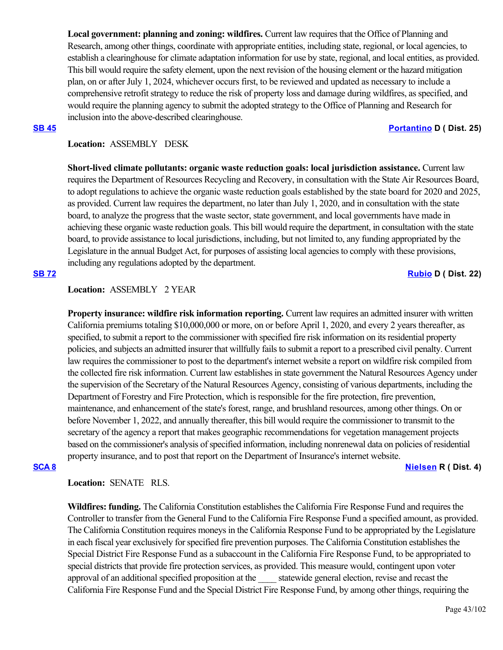**Local government: planning and zoning: wildfires.** Current law requires that the Office of Planning and Research, among other things, coordinate with appropriate entities, including state, regional, or local agencies, to establish a clearinghouse for climate adaptation information for use by state, regional, and local entities, as provided. This bill would require the safety element, upon the next revision of the housing element or the hazard mitigation plan, on or after July 1, 2024, whichever occurs first, to be reviewed and updated as necessary to include a comprehensive retrofit strategy to reduce the risk of property loss and damage during wildfires, as specified, and would require the planning agency to submit the adopted strategy to the Office of Planning and Research for inclusion into the above-described clearinghouse.

### **[SB 45](https://ctweb.capitoltrack.com/public/publishbillinfo.aspx?bi=XDzDifgqVMy0XBOqonq3NDw2YsdmIpuQ1JXO6HXO%2B7sRhXSzmAlyf%2B4AVVWujK32) [Portantino](http://sd25.senate.ca.gov/) D ( Dist. 25)**

# **Location:**  ASSEMBLY DESK

**Short-lived climate pollutants: organic waste reduction goals: local jurisdiction assistance.** Current law requires the Department of Resources Recycling and Recovery, in consultation with the State Air Resources Board, to adopt regulations to achieve the organic waste reduction goals established by the state board for 2020 and 2025, as provided. Current law requires the department, no later than July 1, 2020, and in consultation with the state board, to analyze the progress that the waste sector, state government, and local governments have made in achieving these organic waste reduction goals. This bill would require the department, in consultation with the state board, to provide assistance to local jurisdictions, including, but not limited to, any funding appropriated by the Legislature in the annual Budget Act, for purposes of assisting local agencies to comply with these provisions, including any regulations adopted by the department.

## **[SB 72](https://ctweb.capitoltrack.com/public/publishbillinfo.aspx?bi=RwmJMe9s2JscBqpxkWuTdtwYUdb4HESgyWyHFmzT%2BLH1Gr8o%2FKmFWJbTi94SjK%2B8) [Rubio](http://sd22.senate.ca.gov/) D ( Dist. 22)**

# **Location:**  ASSEMBLY 2 YEAR

**Property insurance: wildfire risk information reporting.** Current law requires an admitted insurer with written California premiums totaling \$10,000,000 or more, on or before April 1, 2020, and every 2 years thereafter, as specified, to submit a report to the commissioner with specified fire risk information on its residential property policies, and subjects an admitted insurer that willfully fails to submit a report to a prescribed civil penalty. Current law requires the commissioner to post to the department's internet website a report on wildfire risk compiled from the collected fire risk information. Current law establishes in state government the Natural Resources Agency under the supervision of the Secretary of the Natural Resources Agency, consisting of various departments, including the Department of Forestry and Fire Protection, which is responsible for the fire protection, fire prevention, maintenance, and enhancement of the state's forest, range, and brushland resources, among other things. On or before November 1, 2022, and annually thereafter, this bill would require the commissioner to transmit to the secretary of the agency a report that makes geographic recommendations for vegetation management projects based on the commissioner's analysis of specified information, including nonrenewal data on policies of residential property insurance, and to post that report on the Department of Insurance's internet website.

### **[SCA 8](https://ctweb.capitoltrack.com/public/publishbillinfo.aspx?bi=sgW5iv%2Bd8HnB9y7OelMIyW2Tbwnejz3ZISUjA90x%2BFx7C9fY32aRrAgiezeRLSTS) [Nielsen](http://nielsen.cssrc.us/) R ( Dist. 4)**

# **Location:**  SENATE RLS.

**Wildfires: funding.** The California Constitution establishes the California Fire Response Fund and requires the Controller to transfer from the General Fund to the California Fire Response Fund a specified amount, as provided. The California Constitution requires moneys in the California Response Fund to be appropriated by the Legislature in each fiscal year exclusively for specified fire prevention purposes. The California Constitution establishes the Special District Fire Response Fund as a subaccount in the California Fire Response Fund, to be appropriated to special districts that provide fire protection services, as provided. This measure would, contingent upon voter approval of an additional specified proposition at the \_\_\_\_ statewide general election, revise and recast the California Fire Response Fund and the Special District Fire Response Fund, by among other things, requiring the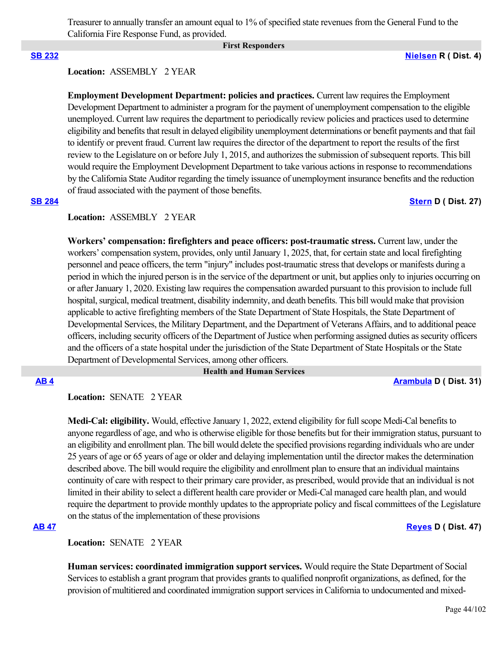Treasurer to annually transfer an amount equal to 1% of specified state revenues from the General Fund to the California Fire Response Fund, as provided.

### **First Responders**

### **[SB 232](https://ctweb.capitoltrack.com/public/publishbillinfo.aspx?bi=HuMeyuzGJk2mqEyG9IeWvXXbdtW4WugJveLkG%2FL2%2BCbfM5Xhex5kekJKG6Vt4LtW) [Nielsen](http://nielsen.cssrc.us/) R ( Dist. 4)**

### **Location:**  ASSEMBLY 2 YEAR

**Employment Development Department: policies and practices.** Current law requires the Employment Development Department to administer a program for the payment of unemployment compensation to the eligible unemployed. Current law requires the department to periodically review policies and practices used to determine eligibility and benefits that result in delayed eligibility unemployment determinations or benefit payments and that fail to identify or prevent fraud. Current law requires the director of the department to report the results of the first review to the Legislature on or before July 1, 2015, and authorizes the submission of subsequent reports. This bill would require the Employment Development Department to take various actions in response to recommendations by the California State Auditor regarding the timely issuance of unemployment insurance benefits and the reduction of fraud associated with the payment of those benefits.

### **[SB 284](https://ctweb.capitoltrack.com/public/publishbillinfo.aspx?bi=pfo59AaC5CcBlbAG1B14p2QyzY9s%2Fy6%2F4GGrAzrDy118E94jS7x9jr06vKUaTB3e) [Stern](http://sd27.senate.ca.gov/) D ( Dist. 27)**

# **Location:**  ASSEMBLY 2 YEAR

**Workers' compensation: firefighters and peace officers: post-traumatic stress.** Current law, under the workers' compensation system, provides, only until January 1, 2025, that, for certain state and local firefighting personnel and peace officers, the term "injury" includes post-traumatic stress that develops or manifests during a period in which the injured person is in the service of the department or unit, but applies only to injuries occurring on or after January 1, 2020. Existing law requires the compensation awarded pursuant to this provision to include full hospital, surgical, medical treatment, disability indemnity, and death benefits. This bill would make that provision applicable to active firefighting members of the State Department of State Hospitals, the State Department of Developmental Services, the Military Department, and the Department of Veterans Affairs, and to additional peace officers, including security officers of the Department of Justice when performing assigned duties as security officers and the officers of a state hospital under the jurisdiction of the State Department of State Hospitals or the State Department of Developmental Services, among other officers.

### **Health and Human Services**

**[AB 4](https://ctweb.capitoltrack.com/public/publishbillinfo.aspx?bi=gy7%2B%2F%2FSworWr53yrsQv%2FCEbi4rGhUc9NFdyQ7AMZKsgTYO48XJIEaRFlvfOy8LnY) [Arambula](https://a31.asmdc.org/) D ( Dist. 31)**

Location: **SENATE** 2 YEAR

**Medi-Cal: eligibility.** Would, effective January 1, 2022, extend eligibility for full scope Medi-Cal benefits to anyone regardless of age, and who is otherwise eligible for those benefits but for their immigration status, pursuant to an eligibility and enrollment plan. The bill would delete the specified provisions regarding individuals who are under 25 years of age or 65 years of age or older and delaying implementation until the director makes the determination described above. The bill would require the eligibility and enrollment plan to ensure that an individual maintains continuity of care with respect to their primary care provider, as prescribed, would provide that an individual is not limited in their ability to select a different health care provider or Medi-Cal managed care health plan, and would require the department to provide monthly updates to the appropriate policy and fiscal committees of the Legislature on the status of the implementation of these provisions

### **[AB 47](https://ctweb.capitoltrack.com/public/publishbillinfo.aspx?bi=%2Fa0YW4RU81u0tfnzXer%2FrpfqAKX00ohuxXYd5d4bDFGEID0ZI8r0U%2BhEEQBazghF) [Reyes](https://a47.asmdc.org/) D ( Dist. 47)**

**Location:**  SENATE 2 YEAR

**Human services: coordinated immigration support services.** Would require the State Department of Social Services to establish a grant program that provides grants to qualified nonprofit organizations, as defined, for the provision of multitiered and coordinated immigration support services in California to undocumented and mixed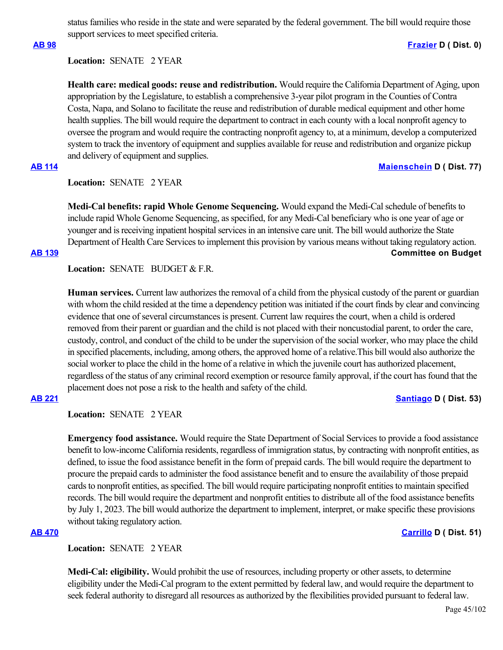status families who reside in the state and were separated by the federal government. The bill would require those support services to meet specified criteria.

### **[AB 98](https://ctweb.capitoltrack.com/public/publishbillinfo.aspx?bi=2AP7Z%2BSfWPwTjY7pLpJnVvICIB0PB6RxMicaXIQV4NUvKm9S7g60uYAHDWRfPpxF) [Frazier](https://a11.asmdc.org/) D ( Dist. 0)**

# **Location:**  SENATE 2 YEAR

**Health care: medical goods: reuse and redistribution.** Would require the California Department of Aging, upon appropriation by the Legislature, to establish a comprehensive 3-year pilot program in the Counties of Contra Costa, Napa, and Solano to facilitate the reuse and redistribution of durable medical equipment and other home health supplies. The bill would require the department to contract in each county with a local nonprofit agency to oversee the program and would require the contracting nonprofit agency to, at a minimum, develop a computerized system to track the inventory of equipment and supplies available for reuse and redistribution and organize pickup and delivery of equipment and supplies.

# **[AB 114](https://ctweb.capitoltrack.com/public/publishbillinfo.aspx?bi=BKUuzEt%2Fxonhdg%2Bi2T8KyDCF6bz%2BIDuv834ghq13Zdn4cLjhKDnmQtDrecEqAQaS) [Maienschein](https://a77.asmdc.org/) D ( Dist. 77)**

# **Location:**  SENATE 2 YEAR

**Medi-Cal benefits: rapid Whole Genome Sequencing.** Would expand the Medi-Cal schedule of benefits to include rapid Whole Genome Sequencing, as specified, for any Medi-Cal beneficiary who is one year of age or younger and is receiving inpatient hospital services in an intensive care unit. The bill would authorize the State Department of Health Care Services to implement this provision by various means without taking regulatory action. **[AB 139](https://ctweb.capitoltrack.com/public/publishbillinfo.aspx?bi=l%2Bqf1HKAYbiO2vnXgSkNFvP52AvYvGwS55q5grxeTIDUkuR%2B6g%2FDd47QjjGa3TlF) Committee on Budget**

Location: **SENATE** BUDGET & F.R.

**Human services.** Current law authorizes the removal of a child from the physical custody of the parent or guardian with whom the child resided at the time a dependency petition was initiated if the court finds by clear and convincing evidence that one of several circumstances is present. Current law requires the court, when a child is ordered removed from their parent or guardian and the child is not placed with their noncustodial parent, to order the care, custody, control, and conduct of the child to be under the supervision of the social worker, who may place the child in specified placements, including, among others, the approved home of a relative.This bill would also authorize the social worker to place the child in the home of a relative in which the juvenile court has authorized placement, regardless of the status of any criminal record exemption or resource family approval, if the court has found that the placement does not pose a risk to the health and safety of the child.

# **[AB 221](https://ctweb.capitoltrack.com/public/publishbillinfo.aspx?bi=nUrcgqgFqZ8B1P14cntIk6aXgDF0M7Lp6G4c5Cm30ZOmPImvKDQolwe9YTH%2FLx%2Fb) [Santiago](https://a53.asmdc.org/) D ( Dist. 53)**

**Location:**  SENATE 2 YEAR

**Emergency food assistance.** Would require the State Department of Social Services to provide a food assistance benefit to low-income California residents, regardless of immigration status, by contracting with nonprofit entities, as defined, to issue the food assistance benefit in the form of prepaid cards. The bill would require the department to procure the prepaid cards to administer the food assistance benefit and to ensure the availability of those prepaid cards to nonprofit entities, as specified. The bill would require participating nonprofit entities to maintain specified records. The bill would require the department and nonprofit entities to distribute all of the food assistance benefits by July 1, 2023. The bill would authorize the department to implement, interpret, or make specific these provisions without taking regulatory action.

# **[AB 470](https://ctweb.capitoltrack.com/public/publishbillinfo.aspx?bi=OEB%2BQhJxARTG49Y5UEsB3vTfYxvcZWAWPRt3OtGUebE%2BpiAXSw248LcoHVxeVTDv) [Carrillo](https://a51.asmdc.org/) D ( Dist. 51)**

**Location:**  SENATE 2 YEAR

**Medi-Cal: eligibility.** Would prohibit the use of resources, including property or other assets, to determine eligibility under the Medi-Cal program to the extent permitted by federal law, and would require the department to seek federal authority to disregard all resources as authorized by the flexibilities provided pursuant to federal law.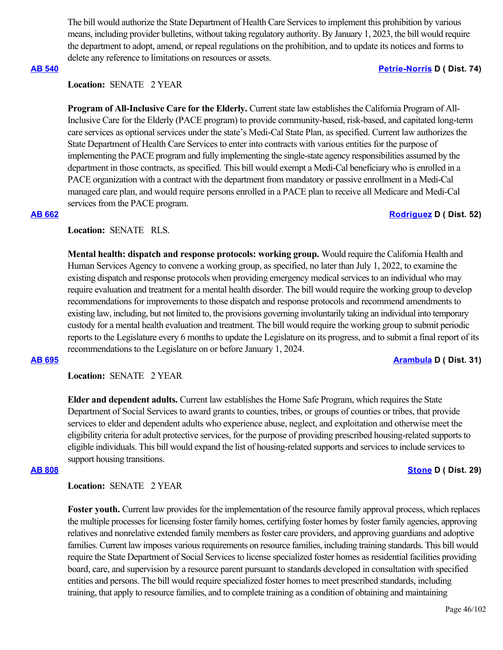The bill would authorize the State Department of Health Care Services to implement this prohibition by various means, including provider bulletins, without taking regulatory authority. By January 1, 2023, the bill would require the department to adopt, amend, or repeal regulations on the prohibition, and to update its notices and forms to delete any reference to limitations on resources or assets.

# **[AB 540](https://ctweb.capitoltrack.com/public/publishbillinfo.aspx?bi=AVUJH1BvfBKsx4maUnrxiuqXofDhe1Gp4CX0BmqWXHhCebw395JUgNQ%2FF8Dr7yhH) [Petrie-Norris](https://a74.asmdc.org/) D ( Dist. 74)**

# **Location:**  SENATE 2 YEAR

**Program of All-Inclusive Care for the Elderly.** Current state law establishes the California Program of All-Inclusive Care for the Elderly (PACE program) to provide community-based, risk-based, and capitated long-term care services as optional services under the state's Medi-Cal State Plan, as specified. Current law authorizes the State Department of Health Care Services to enter into contracts with various entities for the purpose of implementing the PACE program and fully implementing the single-state agency responsibilities assumed by the department in those contracts, as specified. This bill would exempt a Medi-Cal beneficiary who is enrolled in a PACE organization with a contract with the department from mandatory or passive enrollment in a Medi-Cal managed care plan, and would require persons enrolled in a PACE plan to receive all Medicare and Medi-Cal services from the PACE program.

# **[AB 662](https://ctweb.capitoltrack.com/public/publishbillinfo.aspx?bi=erZ6gMT6w26e4Kk5PP9lLG%2FhPNnZuLja8UX%2FXMqjjoDdiOhjbnCJ4LRDSkVsxH95) [Rodriguez](https://a52.asmdc.org/) D ( Dist. 52)**

# **Location:**  SENATE RLS.

**Mental health: dispatch and response protocols: working group.** Would require the California Health and Human Services Agency to convene a working group, as specified, no later than July 1, 2022, to examine the existing dispatch and response protocols when providing emergency medical services to an individual who may require evaluation and treatment for a mental health disorder. The bill would require the working group to develop recommendations for improvements to those dispatch and response protocols and recommend amendments to existing law, including, but not limited to, the provisions governing involuntarily taking an individual into temporary custody for a mental health evaluation and treatment. The bill would require the working group to submit periodic reports to the Legislature every 6 months to update the Legislature on its progress, and to submit a final report of its recommendations to the Legislature on or before January 1, 2024.

### **[AB 695](https://ctweb.capitoltrack.com/public/publishbillinfo.aspx?bi=a5quxfjYfupuC5UCqqqyg4MBUjRXp3iLFBvDwOfvCJ02lUZTnHFGw211CHA0r28F) [Arambula](https://a31.asmdc.org/) D ( Dist. 31)**

**Location:**  SENATE 2 YEAR

**Elder and dependent adults.** Current law establishes the Home Safe Program, which requires the State Department of Social Services to award grants to counties, tribes, or groups of counties or tribes, that provide services to elder and dependent adults who experience abuse, neglect, and exploitation and otherwise meet the eligibility criteria for adult protective services, for the purpose of providing prescribed housing-related supports to eligible individuals. This bill would expand the list of housing-related supports and services to include services to support housing transitions.

### **[AB 808](https://ctweb.capitoltrack.com/public/publishbillinfo.aspx?bi=O4vhqmRfMZ0IxGSDGH%2BhTK0ZEJDFzR4NtgjcE2JbEGFIajvbN4xuym6HsFRi9Ar1) [Stone](https://a29.asmdc.org/) D ( Dist. 29)**

**Location:**  SENATE 2 YEAR

**Foster youth.** Current law provides for the implementation of the resource family approval process, which replaces the multiple processes for licensing foster family homes, certifying foster homes by foster family agencies, approving relatives and nonrelative extended family members as foster care providers, and approving guardians and adoptive families. Current law imposes various requirements on resource families, including training standards. This bill would require the State Department of Social Services to license specialized foster homes as residential facilities providing board, care, and supervision by a resource parent pursuant to standards developed in consultation with specified entities and persons. The bill would require specialized foster homes to meet prescribed standards, including training, that apply to resource families, and to complete training as a condition of obtaining and maintaining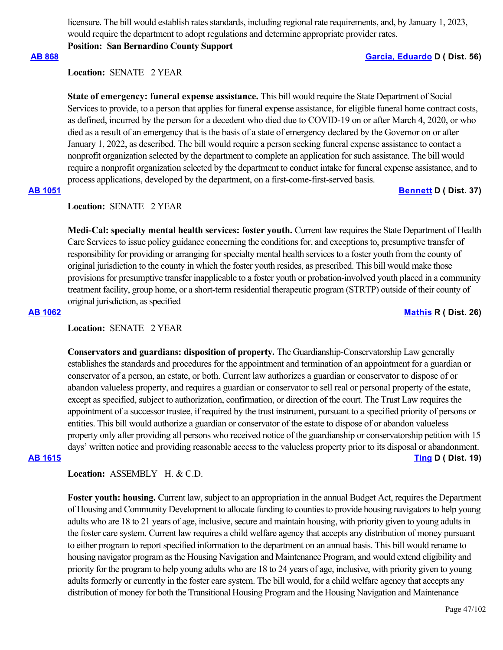licensure. The bill would establish rates standards, including regional rate requirements, and, by January 1, 2023, would require the department to adopt regulations and determine appropriate provider rates.

**Position: San Bernardino County Support**

### **[AB 868](https://ctweb.capitoltrack.com/public/publishbillinfo.aspx?bi=8QmAwJb1BV9eh4AvmBqrTdSnVRBdWnK%2BIjPe8UXKXQLvRsHwgHlSu5jhSWPH3Gcv) [Garcia, Eduardo](https://a56.asmdc.org/) D ( Dist. 56)**

Location: **SENATE** 2 YEAR

**State of emergency: funeral expense assistance.** This bill would require the State Department of Social Services to provide, to a person that applies for funeral expense assistance, for eligible funeral home contract costs, as defined, incurred by the person for a decedent who died due to COVID-19 on or after March 4, 2020, or who died as a result of an emergency that is the basis of a state of emergency declared by the Governor on or after January 1, 2022, as described. The bill would require a person seeking funeral expense assistance to contact a nonprofit organization selected by the department to complete an application for such assistance. The bill would require a nonprofit organization selected by the department to conduct intake for funeral expense assistance, and to process applications, developed by the department, on a first-come-first-served basis.

### **[AB 1051](https://ctweb.capitoltrack.com/public/publishbillinfo.aspx?bi=a3w1OkLET76v%2BDCLHEBggLONCLqllIvKabF03mplQ91C6hp%2BtvB%2FWO%2BRGDpYXa3l) [Bennett](https://a37.asmdc.org/) D ( Dist. 37)**

### **Location:**  SENATE 2 YEAR

**Medi-Cal: specialty mental health services: foster youth.** Current law requires the State Department of Health Care Services to issue policy guidance concerning the conditions for, and exceptions to, presumptive transfer of responsibility for providing or arranging for specialty mental health services to a foster youth from the county of original jurisdiction to the county in which the foster youth resides, as prescribed. This bill would make those provisions for presumptive transfer inapplicable to a foster youth or probation-involved youth placed in a community treatment facility, group home, or a short-term residential therapeutic program (STRTP) outside of their county of original jurisdiction, as specified

**[AB 1062](https://ctweb.capitoltrack.com/public/publishbillinfo.aspx?bi=XuquM%2FvdgMAAi6ING5NRI22vA2vP80IW2jLhdIc1%2F%2FLgRyx%2FFNvOcZYVIWoiRiAK) [Mathis](http://ad26.asmrc.org/) R ( Dist. 26)**

### **Location:**  SENATE 2 YEAR

**Conservators and guardians: disposition of property.** The Guardianship-Conservatorship Law generally establishes the standards and procedures for the appointment and termination of an appointment for a guardian or conservator of a person, an estate, or both. Current law authorizes a guardian or conservator to dispose of or abandon valueless property, and requires a guardian or conservator to sell real or personal property of the estate, except as specified, subject to authorization, confirmation, or direction of the court. The Trust Law requires the appointment of a successor trustee, if required by the trust instrument, pursuant to a specified priority of persons or entities. This bill would authorize a guardian or conservator of the estate to dispose of or abandon valueless property only after providing all persons who received notice of the guardianship or conservatorship petition with 15 days' written notice and providing reasonable access to the valueless property prior to its disposal or abandonment. **[AB 1615](https://ctweb.capitoltrack.com/public/publishbillinfo.aspx?bi=Ihg8jet8ZgZryPZYJwF59r5JuTJN6bZZxXwOFSwLL7LNrIgNGi5KqjKmHsR6aklo) [Ting](https://a19.asmdc.org/) D ( Dist. 19)**

Location: ASSEMBLY H. & C.D.

**Foster youth: housing.** Current law, subject to an appropriation in the annual Budget Act, requires the Department of Housing and Community Development to allocate funding to counties to provide housing navigators to help young adults who are 18 to 21 years of age, inclusive, secure and maintain housing, with priority given to young adults in the foster care system. Current law requires a child welfare agency that accepts any distribution of money pursuant to either program to report specified information to the department on an annual basis. This bill would rename to housing navigator program as the Housing Navigation and Maintenance Program, and would extend eligibility and priority for the program to help young adults who are 18 to 24 years of age, inclusive, with priority given to young adults formerly or currently in the foster care system. The bill would, for a child welfare agency that accepts any distribution of money for both the Transitional Housing Program and the Housing Navigation and Maintenance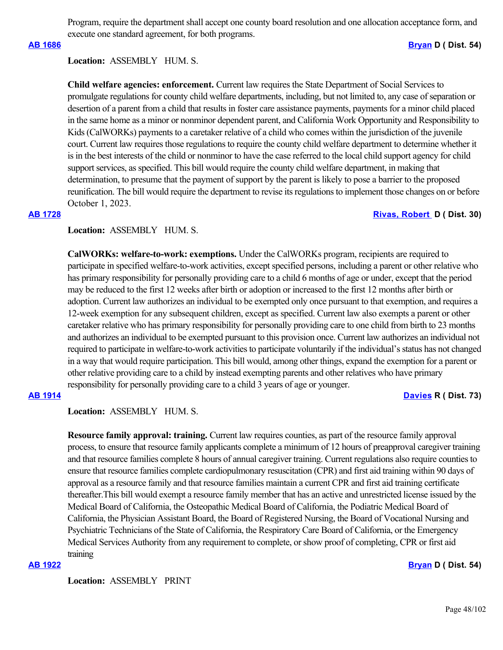Program, require the department shall accept one county board resolution and one allocation acceptance form, and execute one standard agreement, for both programs.

**[AB 1686](https://ctweb.capitoltrack.com/public/publishbillinfo.aspx?bi=NINeyhwlOeC6rU%2FEugmKc%2B%2FD5wJsOAGJr%2BEFGk4dFqgT8HwFovFwBtwlgbPN%2FcXu) [Bryan](https://a54.asmdc.org/) D ( Dist. 54)**

### **Location:**  ASSEMBLY HUM. S.

**Child welfare agencies: enforcement.** Current law requires the State Department of Social Services to promulgate regulations for county child welfare departments, including, but not limited to, any case of separation or desertion of a parent from a child that results in foster care assistance payments, payments for a minor child placed in the same home as a minor or nonminor dependent parent, and California Work Opportunity and Responsibility to Kids (CalWORKs) payments to a caretaker relative of a child who comes within the jurisdiction of the juvenile court. Current law requires those regulations to require the county child welfare department to determine whether it is in the best interests of the child or nonminor to have the case referred to the local child support agency for child support services, as specified. This bill would require the county child welfare department, in making that determination, to presume that the payment of support by the parent is likely to pose a barrier to the proposed reunification. The bill would require the department to revise its regulations to implement those changes on or before October 1, 2023.

# **[AB 1728](https://ctweb.capitoltrack.com/public/publishbillinfo.aspx?bi=hmXIw44O3ZpSqM%2BslUvL44tO%2BszEpSvJBgFAYg0LCNNfSYwvmPqY6U4%2BOJVx3tEN) [Rivas, Robert](https://a30.asmdc.org/)  D ( Dist. 30)**

# **Location:**  ASSEMBLY HUM. S.

**CalWORKs: welfare-to-work: exemptions.** Under the CalWORKs program, recipients are required to participate in specified welfare-to-work activities, except specified persons, including a parent or other relative who has primary responsibility for personally providing care to a child 6 months of age or under, except that the period may be reduced to the first 12 weeks after birth or adoption or increased to the first 12 months after birth or adoption. Current law authorizes an individual to be exempted only once pursuant to that exemption, and requires a 12-week exemption for any subsequent children, except as specified. Current law also exempts a parent or other caretaker relative who has primary responsibility for personally providing care to one child from birth to 23 months and authorizes an individual to be exempted pursuant to this provision once. Current law authorizes an individual not required to participate in welfare-to-work activities to participate voluntarily if the individual's status has not changed in a way that would require participation. This bill would, among other things, expand the exemption for a parent or other relative providing care to a child by instead exempting parents and other relatives who have primary responsibility for personally providing care to a child 3 years of age or younger.

**[AB 1914](https://ctweb.capitoltrack.com/public/publishbillinfo.aspx?bi=kaJf%2BMOhxXt2zDeQgNSgtqibAZsQ5uy9PJfDfEHu9OduAgeVWhqfpAdeHBGcfCeT) [Davies](http://ad73.asmrc.org/) R ( Dist. 73)**

**Location:**  ASSEMBLY HUM. S.

**Resource family approval: training.** Current law requires counties, as part of the resource family approval process, to ensure that resource family applicants complete a minimum of 12 hours of preapproval caregiver training and that resource families complete 8 hours of annual caregiver training. Current regulations also require counties to ensure that resource families complete cardiopulmonary resuscitation (CPR) and first aid training within 90 days of approval as a resource family and that resource families maintain a current CPR and first aid training certificate thereafter.This bill would exempt a resource family member that has an active and unrestricted license issued by the Medical Board of California, the Osteopathic Medical Board of California, the Podiatric Medical Board of California, the Physician Assistant Board, the Board of Registered Nursing, the Board of Vocational Nursing and Psychiatric Technicians of the State of California, the Respiratory Care Board of California, or the Emergency Medical Services Authority from any requirement to complete, or show proof of completing, CPR or first aid training

### **[AB 1922](https://ctweb.capitoltrack.com/public/publishbillinfo.aspx?bi=V5R9vFfdBwL8MwFDtuMSDbDnceeRSIPtz7myZHrdlO27EDluS9ItyJ%2BT%2FmFR2UOq) [Bryan](https://a54.asmdc.org/) D ( Dist. 54)**

**Location:**  ASSEMBLY PRINT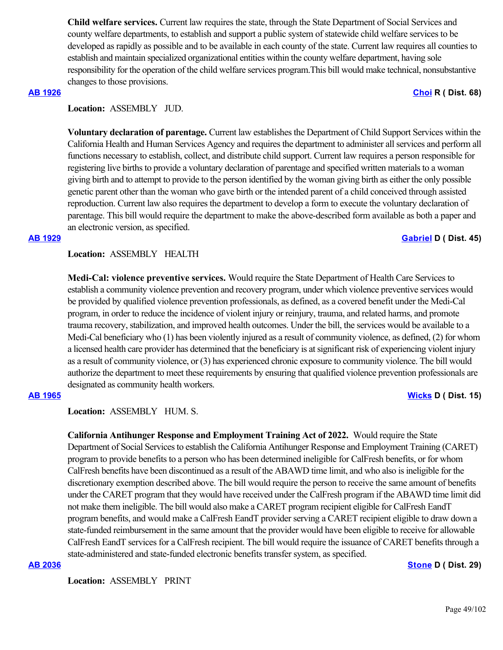**Child welfare services.** Current law requires the state, through the State Department of Social Services and county welfare departments, to establish and support a public system of statewide child welfare services to be developed as rapidly as possible and to be available in each county of the state. Current law requires all counties to establish and maintain specialized organizational entities within the county welfare department, having sole responsibility for the operation of the child welfare services program.This bill would make technical, nonsubstantive changes to those provisions.

### **[AB 1926](https://ctweb.capitoltrack.com/public/publishbillinfo.aspx?bi=2IwWyTGJkNVCGbeVVAIClWnl%2BkZZIoTOFb2RQ93Z5RIKDiKXNZLJQ3%2BeG48gtXzF) [Choi](https://ad68.asmrc.org/) R ( Dist. 68)**

**Location:**  ASSEMBLY JUD.

**Voluntary declaration of parentage.** Current law establishes the Department of Child Support Services within the California Health and Human Services Agency and requires the department to administer all services and perform all functions necessary to establish, collect, and distribute child support. Current law requires a person responsible for registering live births to provide a voluntary declaration of parentage and specified written materials to a woman giving birth and to attempt to provide to the person identified by the woman giving birth as either the only possible genetic parent other than the woman who gave birth or the intended parent of a child conceived through assisted reproduction. Current law also requires the department to develop a form to execute the voluntary declaration of parentage. This bill would require the department to make the above-described form available as both a paper and an electronic version, as specified.

### **[AB 1929](https://ctweb.capitoltrack.com/public/publishbillinfo.aspx?bi=AK1XcCTxmWnmGvIZovnFVhV4J3B%2F3qPbj%2FhWVd22sjVJoHyCb0gcLTTcaqwxG7Fr) [Gabriel](https://a45.asmdc.org/) D ( Dist. 45)**

**Location:**  ASSEMBLY HEALTH

**Medi-Cal: violence preventive services.** Would require the State Department of Health Care Services to establish a community violence prevention and recovery program, under which violence preventive services would be provided by qualified violence prevention professionals, as defined, as a covered benefit under the Medi-Cal program, in order to reduce the incidence of violent injury or reinjury, trauma, and related harms, and promote trauma recovery, stabilization, and improved health outcomes. Under the bill, the services would be available to a Medi-Cal beneficiary who (1) has been violently injured as a result of community violence, as defined, (2) for whom a licensed health care provider has determined that the beneficiary is at significant risk of experiencing violent injury as a result of community violence, or (3) has experienced chronic exposure to community violence. The bill would authorize the department to meet these requirements by ensuring that qualified violence prevention professionals are designated as community health workers.

**[AB 1965](https://ctweb.capitoltrack.com/public/publishbillinfo.aspx?bi=wJJ2nzkkU5n98Ijy8YIuE5a9P5n8WT7qNKtShzjoLskZ%2B%2Fgd1e1Ng3%2FJM3761Y4C) [Wicks](https://a15.asmdc.org/) D ( Dist. 15)**

**Location:**  ASSEMBLY HUM. S.

**California Antihunger Response and Employment Training Act of 2022.** Would require the State Department of Social Services to establish the California Antihunger Response and Employment Training (CARET) program to provide benefits to a person who has been determined ineligible for CalFresh benefits, or for whom CalFresh benefits have been discontinued as a result of the ABAWD time limit, and who also is ineligible for the discretionary exemption described above. The bill would require the person to receive the same amount of benefits under the CARET program that they would have received under the CalFresh program if the ABAWD time limit did not make them ineligible. The bill would also make a CARET program recipient eligible for CalFresh EandT program benefits, and would make a CalFresh EandT provider serving a CARET recipient eligible to draw down a state-funded reimbursement in the same amount that the provider would have been eligible to receive for allowable CalFresh EandT services for a CalFresh recipient. The bill would require the issuance of CARET benefits through a state-administered and state-funded electronic benefits transfer system, as specified.

### **[AB 2036](https://ctweb.capitoltrack.com/public/publishbillinfo.aspx?bi=fm2eeISRhhLpY9Uui28%2BlHALVoLu4f03ppv23xQQspuDDqo0Oc9wZ3W72ocOTPZQ) [Stone](https://a29.asmdc.org/) D ( Dist. 29)**

**Location:**  ASSEMBLY PRINT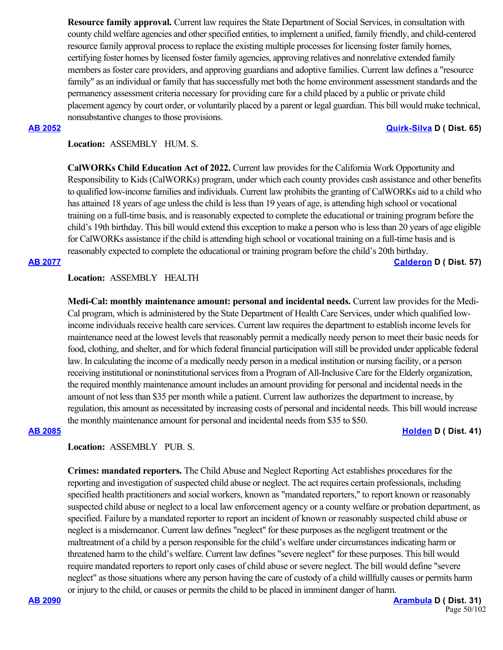**Resource family approval.** Current law requires the State Department of Social Services, in consultation with county child welfare agencies and other specified entities, to implement a unified, family friendly, and child-centered resource family approval process to replace the existing multiple processes for licensing foster family homes, certifying foster homes by licensed foster family agencies, approving relatives and nonrelative extended family members as foster care providers, and approving guardians and adoptive families. Current law defines a "resource family" as an individual or family that has successfully met both the home environment assessment standards and the permanency assessment criteria necessary for providing care for a child placed by a public or private child placement agency by court order, or voluntarily placed by a parent or legal guardian. This bill would make technical, nonsubstantive changes to those provisions.

### **[AB 2052](https://ctweb.capitoltrack.com/public/publishbillinfo.aspx?bi=18Bmkay4kHu%2Fg%2FakoN89TlZ3luoDi3aUO%2FpG20T5%2B1LZuSKteKKqVZfK24jLxwjF) [Quirk-Silva](https://a65.asmdc.org/) D ( Dist. 65)**

# **Location:**  ASSEMBLY HUM. S.

**CalWORKs Child Education Act of 2022.** Current law provides for the California Work Opportunity and Responsibility to Kids (CalWORKs) program, under which each county provides cash assistance and other benefits to qualified low-income families and individuals. Current law prohibits the granting of CalWORKs aid to a child who has attained 18 years of age unless the child is less than 19 years of age, is attending high school or vocational training on a full-time basis, and is reasonably expected to complete the educational or training program before the child's 19th birthday. This bill would extend this exception to make a person who is less than 20 years of age eligible for CalWORKs assistance if the child is attending high school or vocational training on a full-time basis and is reasonably expected to complete the educational or training program before the child's 20th birthday.

**[AB 2077](https://ctweb.capitoltrack.com/public/publishbillinfo.aspx?bi=3qbGQjJybjweU8%2BBUMwFQSKivXB2LXFVpvWNRvBhHV8neDLzTjIDa%2BSY5rojyaN%2F) [Calderon](https://a57.asmdc.org/) D ( Dist. 57)**

### **Location:**  ASSEMBLY HEALTH

**Medi-Cal: monthly maintenance amount: personal and incidental needs.** Current law provides for the Medi-Cal program, which is administered by the State Department of Health Care Services, under which qualified lowincome individuals receive health care services. Current law requires the department to establish income levels for maintenance need at the lowest levels that reasonably permit a medically needy person to meet their basic needs for food, clothing, and shelter, and for which federal financial participation will still be provided under applicable federal law. In calculating the income of a medically needy person in a medical institution or nursing facility, or a person receiving institutional or noninstitutional services from a Program of All-Inclusive Care for the Elderly organization, the required monthly maintenance amount includes an amount providing for personal and incidental needs in the amount of not less than \$35 per month while a patient. Current law authorizes the department to increase, by regulation, this amount as necessitated by increasing costs of personal and incidental needs. This bill would increase the monthly maintenance amount for personal and incidental needs from \$35 to \$50.

### **[AB 2085](https://ctweb.capitoltrack.com/public/publishbillinfo.aspx?bi=ZJ0XPG5zgAkfV9L60sP%2FK2h6P4YYrk6PXElI%2FLp9k2zEut2BtjVJS7j2B8GoUQsW) [Holden](https://a41.asmdc.org/) D ( Dist. 41)**

# **Location:**  ASSEMBLY PUB. S.

**Crimes: mandated reporters.** The Child Abuse and Neglect Reporting Act establishes procedures for the reporting and investigation of suspected child abuse or neglect. The act requires certain professionals, including specified health practitioners and social workers, known as "mandated reporters," to report known or reasonably suspected child abuse or neglect to a local law enforcement agency or a county welfare or probation department, as specified. Failure by a mandated reporter to report an incident of known or reasonably suspected child abuse or neglect is a misdemeanor. Current law defines "neglect" for these purposes as the negligent treatment or the maltreatment of a child by a person responsible for the child's welfare under circumstances indicating harm or threatened harm to the child's welfare. Current law defines "severe neglect" for these purposes. This bill would require mandated reporters to report only cases of child abuse or severe neglect. The bill would define "severe neglect" as those situations where any person having the care of custody of a child willfully causes or permits harm or injury to the child, or causes or permits the child to be placed in imminent danger of harm.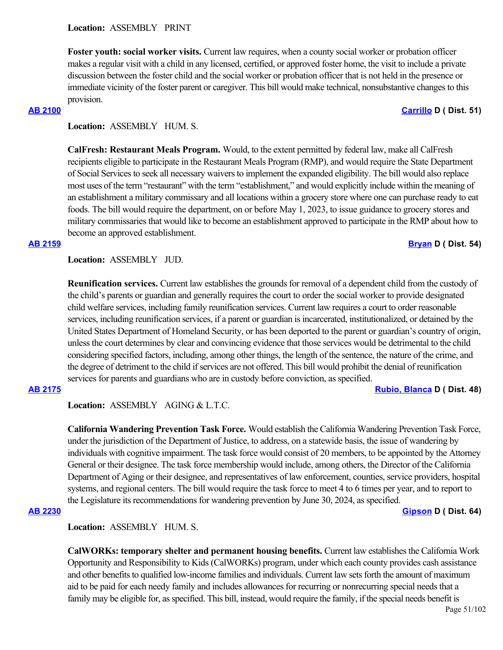**Foster youth: social worker visits.** Current law requires, when a county social worker or probation officer makes a regular visit with a child in any licensed, certified, or approved foster home, the visit to include a private discussion between the foster child and the social worker or probation officer that is not held in the presence or immediate vicinity of the foster parent or caregiver. This bill would make technical, nonsubstantive changes to this provision.

**[AB 2100](https://ctweb.capitoltrack.com/public/publishbillinfo.aspx?bi=M7iL5p2aqxFCxVhVoSeGP%2Fnnc4A%2BVTo0F2erfulE8bkFeJPH4UoF8XwgvVDqKmua) [Carrillo](https://a51.asmdc.org/) D ( Dist. 51)**

# **Location:**  ASSEMBLY HUM. S.

**CalFresh: Restaurant Meals Program.** Would, to the extent permitted by federal law, make all CalFresh recipients eligible to participate in the Restaurant Meals Program (RMP), and would require the State Department of Social Services to seek all necessary waivers to implement the expanded eligibility. The bill would also replace most uses of the term "restaurant" with the term "establishment," and would explicitly include within the meaning of an establishment a military commissary and all locations within a grocery store where one can purchase ready to eat foods. The bill would require the department, on or before May 1, 2023, to issue guidance to grocery stores and military commissaries that would like to become an establishment approved to participate in the RMP about how to become an approved establishment.

# **[AB 2159](https://ctweb.capitoltrack.com/public/publishbillinfo.aspx?bi=pd7uTzK9XxDKok0rb%2Fh8xNdkrVsdlEBnUFccce%2F%2BZiHdJKiF5NtoS2xYScE%2BpPMc) [Bryan](https://a54.asmdc.org/) D ( Dist. 54)**

**Location:**  ASSEMBLY JUD.

**Reunification services.** Current law establishes the grounds for removal of a dependent child from the custody of the child's parents or guardian and generally requires the court to order the social worker to provide designated child welfare services, including family reunification services. Current law requires a court to order reasonable services, including reunification services, if a parent or guardian is incarcerated, institutionalized, or detained by the United States Department of Homeland Security, or has been deported to the parent or guardian's country of origin, unless the court determines by clear and convincing evidence that those services would be detrimental to the child considering specified factors, including, among other things, the length of the sentence, the nature of the crime, and the degree of detriment to the child if services are not offered. This bill would prohibit the denial of reunification services for parents and guardians who are in custody before conviction, as specified.

### **[AB 2175](https://ctweb.capitoltrack.com/public/publishbillinfo.aspx?bi=gRKl8t9Yeg1i5vTZObOz2uZeUoLktAlP7hcmuPuZOoTjdEWIVS%2BTE2b6AEYMttWm) [Rubio, Blanca](https://a48.asmdc.org/) D ( Dist. 48)**

Location: ASSEMBLY AGING & L.T.C.

**California Wandering Prevention Task Force.** Would establish the California Wandering Prevention Task Force, under the jurisdiction of the Department of Justice, to address, on a statewide basis, the issue of wandering by individuals with cognitive impairment. The task force would consist of 20 members, to be appointed by the Attorney General or their designee. The task force membership would include, among others, the Director of the California Department of Aging or their designee, and representatives of law enforcement, counties, service providers, hospital systems, and regional centers. The bill would require the task force to meet 4 to 6 times per year, and to report to the Legislature its recommendations for wandering prevention by June 30, 2024, as specified.

**[AB 2230](https://ctweb.capitoltrack.com/public/publishbillinfo.aspx?bi=5ibHNb%2FAd%2BmPwPIbRSy5VjM04b8CxVRu%2BxXXtAvzeXJCtaFF0UuBxqZz8CZgYcOI) [Gipson](https://a64.asmdc.org/) D ( Dist. 64)**

**Location:**  ASSEMBLY HUM. S.

**CalWORKs: temporary shelter and permanent housing benefits.** Current law establishes the California Work Opportunity and Responsibility to Kids (CalWORKs) program, under which each county provides cash assistance and other benefits to qualified low-income families and individuals. Current law sets forth the amount of maximum aid to be paid for each needy family and includes allowances for recurring or nonrecurring special needs that a family may be eligible for, as specified. This bill, instead, would require the family, if the special needs benefit is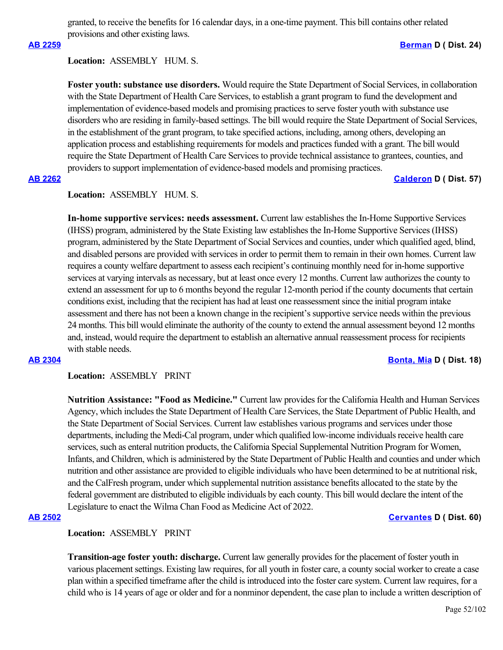granted, to receive the benefits for 16 calendar days, in a one-time payment. This bill contains other related provisions and other existing laws.

# **[AB 2259](https://ctweb.capitoltrack.com/public/publishbillinfo.aspx?bi=RFwxkOm8Wmnx9RgTOYbZRY3AcEUM53Vgt4kmV2Uz%2FABp9U%2Bs2L9Qp7CGHsbs4ZJa) [Berman](https://a24.asmdc.org/) D ( Dist. 24)**

### **Location:**  ASSEMBLY HUM. S.

**Foster youth: substance use disorders.** Would require the State Department of Social Services, in collaboration with the State Department of Health Care Services, to establish a grant program to fund the development and implementation of evidence-based models and promising practices to serve foster youth with substance use disorders who are residing in family-based settings. The bill would require the State Department of Social Services, in the establishment of the grant program, to take specified actions, including, among others, developing an application process and establishing requirements for models and practices funded with a grant. The bill would require the State Department of Health Care Services to provide technical assistance to grantees, counties, and providers to support implementation of evidence-based models and promising practices.

### **[AB 2262](https://ctweb.capitoltrack.com/public/publishbillinfo.aspx?bi=amWGdk77IeEDRpiDEtqgriqEb7si6nHZ5iV9vQUfudiDCSmZ3TP9PihD8IE%2BQqgN) [Calderon](https://a57.asmdc.org/) D ( Dist. 57)**

# **Location:**  ASSEMBLY HUM. S.

**In-home supportive services: needs assessment.** Current law establishes the In-Home Supportive Services (IHSS) program, administered by the State Existing law establishes the In-Home Supportive Services (IHSS) program, administered by the State Department of Social Services and counties, under which qualified aged, blind, and disabled persons are provided with services in order to permit them to remain in their own homes. Current law requires a county welfare department to assess each recipient's continuing monthly need for in-home supportive services at varying intervals as necessary, but at least once every 12 months. Current law authorizes the county to extend an assessment for up to 6 months beyond the regular 12-month period if the county documents that certain conditions exist, including that the recipient has had at least one reassessment since the initial program intake assessment and there has not been a known change in the recipient's supportive service needs within the previous 24 months. This bill would eliminate the authority of the county to extend the annual assessment beyond 12 months and, instead, would require the department to establish an alternative annual reassessment process for recipients with stable needs

**[AB 2304](https://ctweb.capitoltrack.com/public/publishbillinfo.aspx?bi=SbODNOkAlda38Xb8QBMcCPC4FbYDk1AVLdt4ue9ul8LfdSUdXZZ2wlOE4t2Ikl5D) [Bonta, Mia](https://a18.asmdc.org/) D ( Dist. 18)**

### **Location:**  ASSEMBLY PRINT

**Nutrition Assistance: "Food as Medicine."** Current law provides for the California Health and Human Services Agency, which includes the State Department of Health Care Services, the State Department of Public Health, and the State Department of Social Services. Current law establishes various programs and services under those departments, including the Medi-Cal program, under which qualified low-income individuals receive health care services, such as enteral nutrition products, the California Special Supplemental Nutrition Program for Women, Infants, and Children, which is administered by the State Department of Public Health and counties and under which nutrition and other assistance are provided to eligible individuals who have been determined to be at nutritional risk, and the CalFresh program, under which supplemental nutrition assistance benefits allocated to the state by the federal government are distributed to eligible individuals by each county. This bill would declare the intent of the Legislature to enact the Wilma Chan Food as Medicine Act of 2022.

### **[AB 2502](https://ctweb.capitoltrack.com/public/publishbillinfo.aspx?bi=%2BiSBlvEsY%2BYJEjnPHMR4LJ3UO156T882vvEFHssujhKZlU5VH%2FMCGADaEma%2FKfG%2B) [Cervantes](https://a60.asmdc.org/) D ( Dist. 60)**

# **Location:**  ASSEMBLY PRINT

**Transition-age foster youth: discharge.** Current law generally provides for the placement of foster youth in various placement settings. Existing law requires, for all youth in foster care, a county social worker to create a case plan within a specified timeframe after the child is introduced into the foster care system. Current law requires, for a child who is 14 years of age or older and for a nonminor dependent, the case plan to include a written description of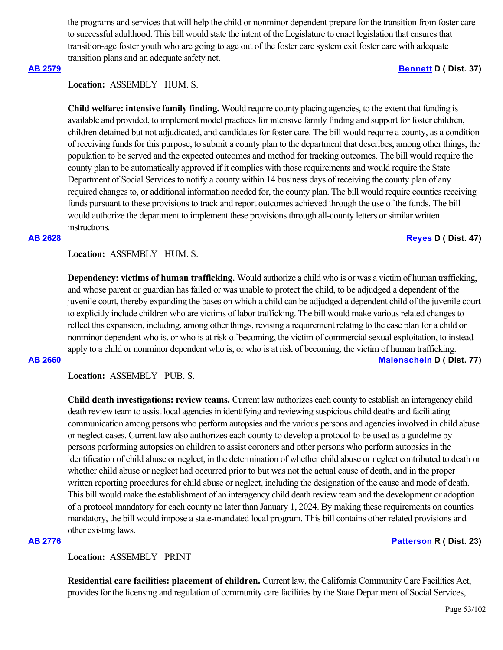the programs and services that will help the child or nonminor dependent prepare for the transition from foster care to successful adulthood. This bill would state the intent of the Legislature to enact legislation that ensures that transition-age foster youth who are going to age out of the foster care system exit foster care with adequate transition plans and an adequate safety net.

### **[AB 2579](https://ctweb.capitoltrack.com/public/publishbillinfo.aspx?bi=NIWTsBbMOWP87QnD39mEQAU76Vm2C6v44oHM0KU9b6ncYajg7fZ%2FAswt9LX4Orpt) [Bennett](https://a37.asmdc.org/) D ( Dist. 37)**

# **Location:**  ASSEMBLY HUM. S.

**Child welfare: intensive family finding.** Would require county placing agencies, to the extent that funding is available and provided, to implement model practices for intensive family finding and support for foster children, children detained but not adjudicated, and candidates for foster care. The bill would require a county, as a condition of receiving funds for this purpose, to submit a county plan to the department that describes, among other things, the population to be served and the expected outcomes and method for tracking outcomes. The bill would require the county plan to be automatically approved if it complies with those requirements and would require the State Department of Social Services to notify a county within 14 business days of receiving the county plan of any required changes to, or additional information needed for, the county plan. The bill would require counties receiving funds pursuant to these provisions to track and report outcomes achieved through the use of the funds. The bill would authorize the department to implement these provisions through all-county letters or similar written instructions.

### **[AB 2628](https://ctweb.capitoltrack.com/public/publishbillinfo.aspx?bi=023M9iva%2Fu%2B%2Bpyot%2BN%2By5LsE5gWJuwE%2BJp%2Fl%2Blr2bnVR7Qf0tdq0zJwZLuqto7wp) [Reyes](https://a47.asmdc.org/) D ( Dist. 47)**

**Location:**  ASSEMBLY HUM. S.

**Dependency: victims of human trafficking.** Would authorize a child who is or was a victim of human trafficking, and whose parent or guardian has failed or was unable to protect the child, to be adjudged a dependent of the juvenile court, thereby expanding the bases on which a child can be adjudged a dependent child of the juvenile court to explicitly include children who are victims of labor trafficking. The bill would make various related changes to reflect this expansion, including, among other things, revising a requirement relating to the case plan for a child or nonminor dependent who is, or who is at risk of becoming, the victim of commercial sexual exploitation, to instead apply to a child or nonminor dependent who is, or who is at risk of becoming, the victim of human trafficking. **[AB 2660](https://ctweb.capitoltrack.com/public/publishbillinfo.aspx?bi=lzGPiH64Jq7YgO%2FDXbtOwE45SmSi7mdQaHA9l1d8S161kluEYT0Qig3UWiBTfDlW) [Maienschein](https://a77.asmdc.org/) D ( Dist. 77)**

**Location:**  ASSEMBLY PUB. S.

**Child death investigations: review teams.** Current law authorizes each county to establish an interagency child death review team to assist local agencies in identifying and reviewing suspicious child deaths and facilitating communication among persons who perform autopsies and the various persons and agencies involved in child abuse or neglect cases. Current law also authorizes each county to develop a protocol to be used as a guideline by persons performing autopsies on children to assist coroners and other persons who perform autopsies in the identification of child abuse or neglect, in the determination of whether child abuse or neglect contributed to death or whether child abuse or neglect had occurred prior to but was not the actual cause of death, and in the proper written reporting procedures for child abuse or neglect, including the designation of the cause and mode of death. This bill would make the establishment of an interagency child death review team and the development or adoption of a protocol mandatory for each county no later than January 1, 2024. By making these requirements on counties mandatory, the bill would impose a state-mandated local program. This bill contains other related provisions and other existing laws.

**[AB 2776](https://ctweb.capitoltrack.com/public/publishbillinfo.aspx?bi=OrJqJK1MgtWLYHu1hezmJCEnOzN9Z1QlnvOwTKQcB7OY5wswlJhJED3fUVg32Q3P) [Patterson](https://ad23.asmrc.org/) R ( Dist. 23)**

**Location:**  ASSEMBLY PRINT

**Residential care facilities: placement of children.** Current law, the California Community Care Facilities Act, provides for the licensing and regulation of community care facilities by the State Department of Social Services,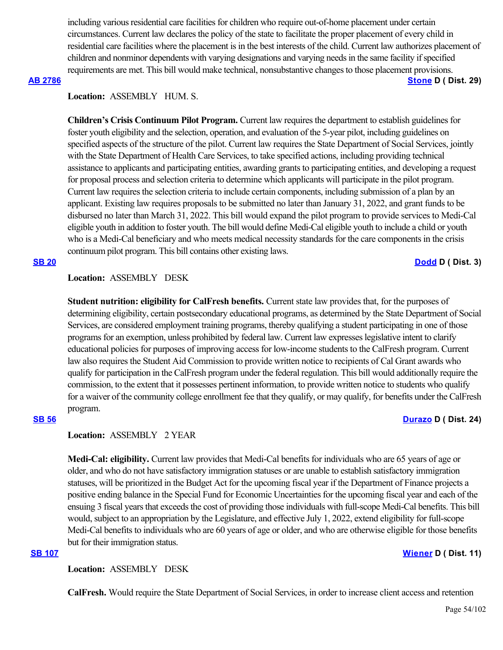including various residential care facilities for children who require out-of-home placement under certain circumstances. Current law declares the policy of the state to facilitate the proper placement of every child in residential care facilities where the placement is in the best interests of the child. Current law authorizes placement of children and nonminor dependents with varying designations and varying needs in the same facility if specified requirements are met. This bill would make technical, nonsubstantive changes to those placement provisions.

### **[AB 2786](https://ctweb.capitoltrack.com/public/publishbillinfo.aspx?bi=3tKvgsDqnL4CG0AHcWsTIkS6CiLKDnevF1O%2B%2FDWPw6iQ%2BAOWGeyVoA3g4loa7MAc) [Stone](https://a29.asmdc.org/) D ( Dist. 29)**

# **Location:**  ASSEMBLY HUM. S.

**Children's Crisis Continuum Pilot Program.** Current law requires the department to establish guidelines for foster youth eligibility and the selection, operation, and evaluation of the 5-year pilot, including guidelines on specified aspects of the structure of the pilot. Current law requires the State Department of Social Services, jointly with the State Department of Health Care Services, to take specified actions, including providing technical assistance to applicants and participating entities, awarding grants to participating entities, and developing a request for proposal process and selection criteria to determine which applicants will participate in the pilot program. Current law requires the selection criteria to include certain components, including submission of a plan by an applicant. Existing law requires proposals to be submitted no later than January 31, 2022, and grant funds to be disbursed no later than March 31, 2022. This bill would expand the pilot program to provide services to Medi-Cal eligible youth in addition to foster youth. The bill would define Medi-Cal eligible youth to include a child or youth who is a Medi-Cal beneficiary and who meets medical necessity standards for the care components in the crisis continuum pilot program. This bill contains other existing laws.

# **[SB 20](https://ctweb.capitoltrack.com/public/publishbillinfo.aspx?bi=w6X2XeD0mlhhWOsoJxAMz%2FNGms6QgRnRS3qt79AKkaPD81tS23UU65L9cuQrp4p%2B) [Dodd](http://sd03.senate.ca.gov/) D ( Dist. 3)**

# **Location:**  ASSEMBLY DESK

**Student nutrition: eligibility for CalFresh benefits.** Current state law provides that, for the purposes of determining eligibility, certain postsecondary educational programs, as determined by the State Department of Social Services, are considered employment training programs, thereby qualifying a student participating in one of those programs for an exemption, unless prohibited by federal law. Current law expresses legislative intent to clarify educational policies for purposes of improving access for low-income students to the CalFresh program. Current law also requires the Student Aid Commission to provide written notice to recipients of Cal Grant awards who qualify for participation in the CalFresh program under the federal regulation. This bill would additionally require the commission, to the extent that it possesses pertinent information, to provide written notice to students who qualify for a waiver of the community college enrollment fee that they qualify, or may qualify, for benefits under the CalFresh program.

# **[SB 56](https://ctweb.capitoltrack.com/public/publishbillinfo.aspx?bi=V8F%2FN1%2B6be8PTuO0KRgcYcIKP34nEPutT%2BarvGaPQQihj9UBp%2FaVZ2u2Hs6RyYwt) [Durazo](http://sd24.senate.ca.gov/) D ( Dist. 24)**

# **Location:**  ASSEMBLY 2 YEAR

**Medi-Cal: eligibility.** Current law provides that Medi-Cal benefits for individuals who are 65 years of age or older, and who do not have satisfactory immigration statuses or are unable to establish satisfactory immigration statuses, will be prioritized in the Budget Act for the upcoming fiscal year if the Department of Finance projects a positive ending balance in the Special Fund for Economic Uncertainties for the upcoming fiscal year and each of the ensuing 3 fiscal years that exceeds the cost of providing those individuals with full-scope Medi-Cal benefits. This bill would, subject to an appropriation by the Legislature, and effective July 1, 2022, extend eligibility for full-scope Medi-Cal benefits to individuals who are 60 years of age or older, and who are otherwise eligible for those benefits but for their immigration status.

**Location:**  ASSEMBLY DESK

**CalFresh.** Would require the State Department of Social Services, in order to increase client access and retention

### **[SB 107](https://ctweb.capitoltrack.com/public/publishbillinfo.aspx?bi=eLh66gkgqpf43PmQSyrj6NOg1h3XBxBWX0Ecxr6qH00uvdBTQ5lcwvrD70HbfSYg) [Wiener](http://sd11.senate.ca.gov/) D ( Dist. 11)**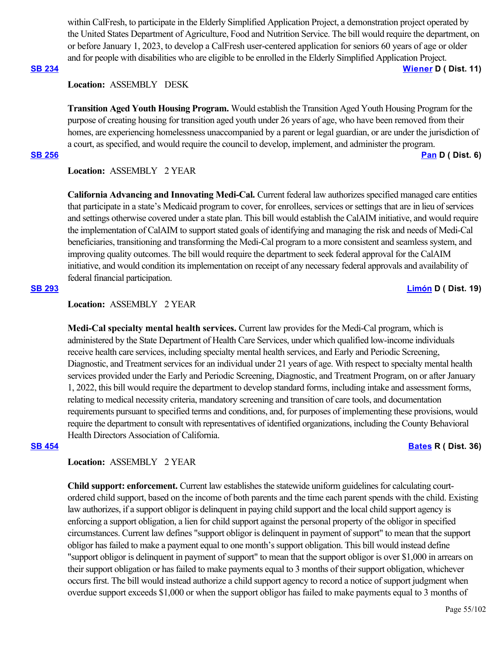within CalFresh, to participate in the Elderly Simplified Application Project, a demonstration project operated by the United States Department of Agriculture, Food and Nutrition Service. The bill would require the department, on or before January 1, 2023, to develop a CalFresh user-centered application for seniors 60 years of age or older and for people with disabilities who are eligible to be enrolled in the Elderly Simplified Application Project. **[SB 234](https://ctweb.capitoltrack.com/public/publishbillinfo.aspx?bi=iEkzZBxvcq1lPQq6DiwmfTIdgclzo2RsnhcsI5AJEKTbdMMKPgS168uGlpL40dJT) [Wiener](http://sd11.senate.ca.gov/) D ( Dist. 11)**

### **Location:**  ASSEMBLY DESK

**Transition Aged Youth Housing Program.** Would establish the Transition Aged Youth Housing Program for the purpose of creating housing for transition aged youth under 26 years of age, who have been removed from their homes, are experiencing homelessness unaccompanied by a parent or legal guardian, or are under the jurisdiction of a court, as specified, and would require the council to develop, implement, and administer the program.

**[SB 256](https://ctweb.capitoltrack.com/public/publishbillinfo.aspx?bi=2NjuuTY%2FCz%2BbV2FCivdwDMFSxte4UkHC0Sg%2Ff9bEvzncgiyT9rOHHRBgcgsXYEkm) [Pan](http://sd06.senate.ca.gov/) D ( Dist. 6)**

## **Location:**  ASSEMBLY 2 YEAR

**California Advancing and Innovating Medi-Cal.** Current federal law authorizes specified managed care entities that participate in a state's Medicaid program to cover, for enrollees, services or settings that are in lieu of services and settings otherwise covered under a state plan. This bill would establish the CalAIM initiative, and would require the implementation of CalAIM to support stated goals of identifying and managing the risk and needs of Medi-Cal beneficiaries, transitioning and transforming the Medi-Cal program to a more consistent and seamless system, and improving quality outcomes. The bill would require the department to seek federal approval for the CalAIM initiative, and would condition its implementation on receipt of any necessary federal approvals and availability of federal financial participation.

# **[SB 293](https://ctweb.capitoltrack.com/public/publishbillinfo.aspx?bi=mUvfNmpscz%2Fn6%2BS49x%2BVSyD1bPMaRpllCZj7GTDR7ts%2FffO9tJ0wQhEoWSyFW7qH) [Limón](http://sd19.senate.ca.gov/) D ( Dist. 19)**

# **Location:**  ASSEMBLY 2 YEAR

**Medi-Cal specialty mental health services.** Current law provides for the Medi-Cal program, which is administered by the State Department of Health Care Services, under which qualified low-income individuals receive health care services, including specialty mental health services, and Early and Periodic Screening, Diagnostic, and Treatment services for an individual under 21 years of age. With respect to specialty mental health services provided under the Early and Periodic Screening, Diagnostic, and Treatment Program, on or after January 1, 2022, this bill would require the department to develop standard forms, including intake and assessment forms, relating to medical necessity criteria, mandatory screening and transition of care tools, and documentation requirements pursuant to specified terms and conditions, and, for purposes of implementing these provisions, would require the department to consult with representatives of identified organizations, including the County Behavioral Health Directors Association of California.

## **[SB 454](https://ctweb.capitoltrack.com/public/publishbillinfo.aspx?bi=LV4hR08vJbc%2FajGYXibzZEKGCVI19pgx8urI1YY0aYCP%2BgaFGh%2FC1qBBHbUelDLS) [Bates](https://bates.cssrc.us/) R ( Dist. 36)**

# **Location:**  ASSEMBLY 2 YEAR

**Child support: enforcement.** Current law establishes the statewide uniform guidelines for calculating courtordered child support, based on the income of both parents and the time each parent spends with the child. Existing law authorizes, if a support obligor is delinquent in paying child support and the local child support agency is enforcing a support obligation, a lien for child support against the personal property of the obligor in specified circumstances. Current law defines "support obligor is delinquent in payment of support" to mean that the support obligor has failed to make a payment equal to one month's support obligation. This bill would instead define "support obligor is delinquent in payment of support" to mean that the support obligor is over \$1,000 in arrears on their support obligation or has failed to make payments equal to 3 months of their support obligation, whichever occurs first. The bill would instead authorize a child support agency to record a notice of support judgment when overdue support exceeds \$1,000 or when the support obligor has failed to make payments equal to 3 months of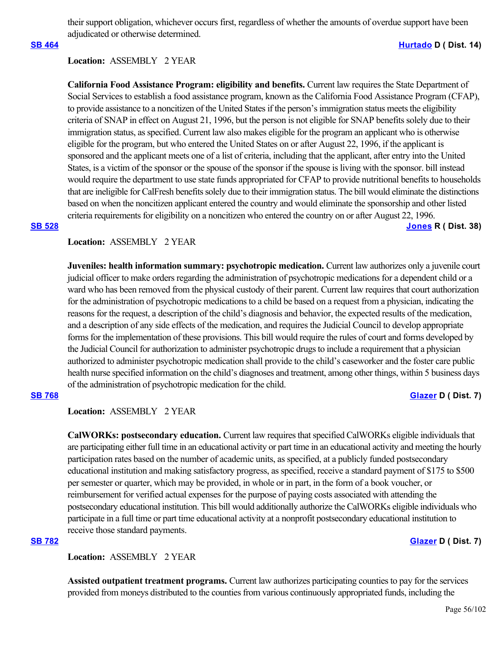their support obligation, whichever occurs first, regardless of whether the amounts of overdue support have been adjudicated or otherwise determined.

### **[SB 464](https://ctweb.capitoltrack.com/public/publishbillinfo.aspx?bi=YeR2vPSL4pj%2FERBmUjmPXEt83s3oO%2BkrrlLILGYWFZOtrQE4ceP1lB9wg5IltNYo) [Hurtado](https://sd14.senate.ca.gov/) D ( Dist. 14)**

### **Location:**  ASSEMBLY 2 YEAR

**California Food Assistance Program: eligibility and benefits.** Current law requires the State Department of Social Services to establish a food assistance program, known as the California Food Assistance Program (CFAP), to provide assistance to a noncitizen of the United States if the person's immigration status meets the eligibility criteria of SNAP in effect on August 21, 1996, but the person is not eligible for SNAP benefits solely due to their immigration status, as specified. Current law also makes eligible for the program an applicant who is otherwise eligible for the program, but who entered the United States on or after August 22, 1996, if the applicant is sponsored and the applicant meets one of a list of criteria, including that the applicant, after entry into the United States, is a victim of the sponsor or the spouse of the sponsor if the spouse is living with the sponsor. bill instead would require the department to use state funds appropriated for CFAP to provide nutritional benefits to households that are ineligible for CalFresh benefits solely due to their immigration status. The bill would eliminate the distinctions based on when the noncitizen applicant entered the country and would eliminate the sponsorship and other listed criteria requirements for eligibility on a noncitizen who entered the country on or after August 22, 1996. **[SB 528](https://ctweb.capitoltrack.com/public/publishbillinfo.aspx?bi=%2Bp1SVv8r%2B8m4BUvQhxIFJFUgY7rQ%2Fn1ZUHgdvToxqarY%2BNVzaNCc5waobYT6SzgJ) [Jones](https://jones.cssrc.us/) R ( Dist. 38)**

### **Location:**  ASSEMBLY 2 YEAR

**Juveniles: health information summary: psychotropic medication.** Current law authorizes only a juvenile court judicial officer to make orders regarding the administration of psychotropic medications for a dependent child or a ward who has been removed from the physical custody of their parent. Current law requires that court authorization for the administration of psychotropic medications to a child be based on a request from a physician, indicating the reasons for the request, a description of the child's diagnosis and behavior, the expected results of the medication, and a description of any side effects of the medication, and requires the Judicial Council to develop appropriate forms for the implementation of these provisions. This bill would require the rules of court and forms developed by the Judicial Council for authorization to administer psychotropic drugs to include a requirement that a physician authorized to administer psychotropic medication shall provide to the child's caseworker and the foster care public health nurse specified information on the child's diagnoses and treatment, among other things, within 5 business days of the administration of psychotropic medication for the child.

### **[SB 768](https://ctweb.capitoltrack.com/public/publishbillinfo.aspx?bi=HRunm91TsMFrrfgX1inq%2BJ4Cb89gFa4MbLfxSDQyaDuO6SKluR5%2Be%2FCnwDfiWnKI) [Glazer](http://sd07.senate.ca.gov/) D ( Dist. 7)**

**Location:**  ASSEMBLY 2 YEAR

**CalWORKs: postsecondary education.** Current law requires that specified CalWORKs eligible individuals that are participating either full time in an educational activity or part time in an educational activity and meeting the hourly participation rates based on the number of academic units, as specified, at a publicly funded postsecondary educational institution and making satisfactory progress, as specified, receive a standard payment of \$175 to \$500 per semester or quarter, which may be provided, in whole or in part, in the form of a book voucher, or reimbursement for verified actual expenses for the purpose of paying costs associated with attending the postsecondary educational institution. This bill would additionally authorize the CalWORKs eligible individuals who participate in a full time or part time educational activity at a nonprofit postsecondary educational institution to receive those standard payments.

### **[SB 782](https://ctweb.capitoltrack.com/public/publishbillinfo.aspx?bi=9YH1KYQFgvchoVPb0ttHwMSeA5o5URmXbLoIPFrg%2FeY7%2BY%2Fhb2VkTffiVSLF5N0P) [Glazer](http://sd07.senate.ca.gov/) D ( Dist. 7)**

**Location:**  ASSEMBLY 2 YEAR

**Assisted outpatient treatment programs.** Current law authorizes participating counties to pay for the services provided from moneys distributed to the counties from various continuously appropriated funds, including the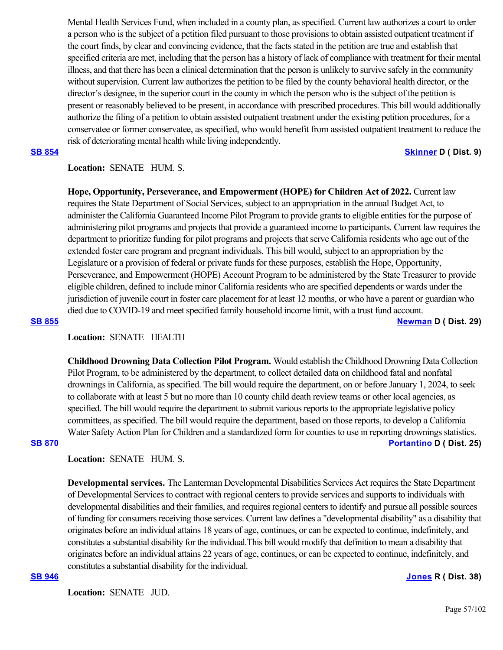Mental Health Services Fund, when included in a county plan, as specified. Current law authorizes a court to order a person who is the subject of a petition filed pursuant to those provisions to obtain assisted outpatient treatment if the court finds, by clear and convincing evidence, that the facts stated in the petition are true and establish that specified criteria are met, including that the person has a history of lack of compliance with treatment for their mental illness, and that there has been a clinical determination that the person is unlikely to survive safely in the community without supervision. Current law authorizes the petition to be filed by the county behavioral health director, or the director's designee, in the superior court in the county in which the person who is the subject of the petition is present or reasonably believed to be present, in accordance with prescribed procedures. This bill would additionally authorize the filing of a petition to obtain assisted outpatient treatment under the existing petition procedures, for a conservatee or former conservatee, as specified, who would benefit from assisted outpatient treatment to reduce the risk of deteriorating mental health while living independently.

**[SB 854](https://ctweb.capitoltrack.com/public/publishbillinfo.aspx?bi=dswE5BqiBskFV7t9venVyBYseMH1Heu%2BpU6HsdhvXXAyas89h%2FHgj%2BCjsrieVx9y) [Skinner](http://sd09.senate.ca.gov/) D ( Dist. 9)**

# **Location:**  SENATE HUM. S.

**Hope, Opportunity, Perseverance, and Empowerment (HOPE) for Children Act of 2022.** Current law requires the State Department of Social Services, subject to an appropriation in the annual Budget Act, to administer the California Guaranteed Income Pilot Program to provide grants to eligible entities for the purpose of administering pilot programs and projects that provide a guaranteed income to participants. Current law requires the department to prioritize funding for pilot programs and projects that serve California residents who age out of the extended foster care program and pregnant individuals. This bill would, subject to an appropriation by the Legislature or a provision of federal or private funds for these purposes, establish the Hope, Opportunity, Perseverance, and Empowerment (HOPE) Account Program to be administered by the State Treasurer to provide eligible children, defined to include minor California residents who are specified dependents or wards under the jurisdiction of juvenile court in foster care placement for at least 12 months, or who have a parent or guardian who died due to COVID-19 and meet specified family household income limit, with a trust fund account. **[SB 855](https://ctweb.capitoltrack.com/public/publishbillinfo.aspx?bi=asP%2BPVY1VtNcJs0S%2FCNLrvQ6S6T7%2B3KwDqoC49fml8iWxwyOGVJqz0n%2FAqOUglle) [Newman](https://sd29.senate.ca.gov/) D ( Dist. 29)**

## **Location:**  SENATE HEALTH

**Childhood Drowning Data Collection Pilot Program.** Would establish the Childhood Drowning Data Collection Pilot Program, to be administered by the department, to collect detailed data on childhood fatal and nonfatal drownings in California, as specified. The bill would require the department, on or before January 1, 2024, to seek to collaborate with at least 5 but no more than 10 county child death review teams or other local agencies, as specified. The bill would require the department to submit various reports to the appropriate legislative policy committees, as specified. The bill would require the department, based on those reports, to develop a California Water Safety Action Plan for Children and a standardized form for counties to use in reporting drownings statistics. **[SB 870](https://ctweb.capitoltrack.com/public/publishbillinfo.aspx?bi=GUaLqTjneeQ3alyMdJC%2FFOz79b5HtR4JnKgHXjmy8p1YQn7nGmNWOTILNgQAS1c9) [Portantino](http://sd25.senate.ca.gov/) D ( Dist. 25)**

**Location:**  SENATE HUM. S.

**Developmental services.** The Lanterman Developmental Disabilities Services Act requires the State Department of Developmental Services to contract with regional centers to provide services and supports to individuals with developmental disabilities and their families, and requires regional centers to identify and pursue all possible sources of funding for consumers receiving those services. Current law defines a "developmental disability" as a disability that originates before an individual attains 18 years of age, continues, or can be expected to continue, indefinitely, and constitutes a substantial disability for the individual.This bill would modify that definition to mean a disability that originates before an individual attains 22 years of age, continues, or can be expected to continue, indefinitely, and constitutes a substantial disability for the individual.

### **[SB 946](https://ctweb.capitoltrack.com/public/publishbillinfo.aspx?bi=26VsPu7Qy%2Bwbm8AH3DiFkNFZBD8TdOjLVTqCqXvnYojrxIvR%2FarBU9Mlf0pF9MOJ) [Jones](https://jones.cssrc.us/) R ( Dist. 38)**

**Location:**  SENATE JUD.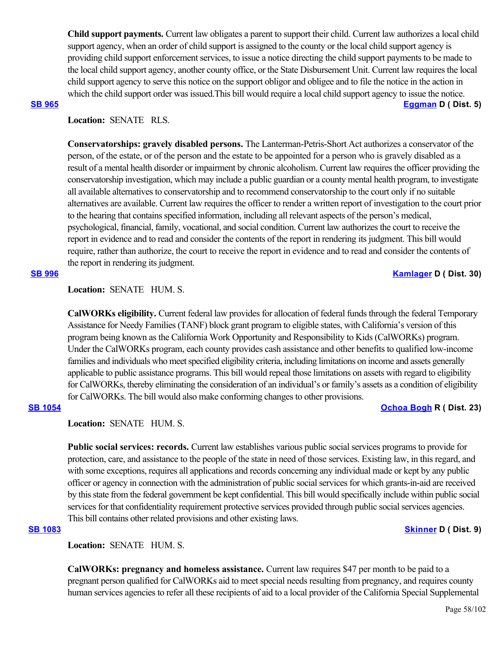**Child support payments.** Current law obligates a parent to support their child. Current law authorizes a local child support agency, when an order of child support is assigned to the county or the local child support agency is providing child support enforcement services, to issue a notice directing the child support payments to be made to the local child support agency, another county office, or the State Disbursement Unit. Current law requires the local child support agency to serve this notice on the support obligor and obligee and to file the notice in the action in which the child support order was issued.This bill would require a local child support agency to issue the notice. **[SB 965](https://ctweb.capitoltrack.com/public/publishbillinfo.aspx?bi=LNp%2FO2xEqzfAvTXqT3vxU4%2BrdcokZaxrnrnCXVPTIYUK7s%2FrXRvSqK80uBmVULg8) [Eggman](http://sd05.senate.ca.gov/) D ( Dist. 5)**

# **Location:**  SENATE RLS.

**Conservatorships: gravely disabled persons.** The Lanterman-Petris-Short Act authorizes a conservator of the person, of the estate, or of the person and the estate to be appointed for a person who is gravely disabled as a result of a mental health disorder or impairment by chronic alcoholism. Current law requires the officer providing the conservatorship investigation, which may include a public guardian or a county mental health program, to investigate all available alternatives to conservatorship and to recommend conservatorship to the court only if no suitable alternatives are available. Current law requires the officer to render a written report of investigation to the court prior to the hearing that contains specified information, including all relevant aspects of the person's medical, psychological, financial, family, vocational, and social condition. Current law authorizes the court to receive the report in evidence and to read and consider the contents of the report in rendering its judgment. This bill would require, rather than authorize, the court to receive the report in evidence and to read and consider the contents of the report in rendering its judgment.

# **Location:**  SENATE HUM. S.

**CalWORKs eligibility.** Current federal law provides for allocation of federal funds through the federal Temporary Assistance for Needy Families (TANF) block grant program to eligible states, with California's version of this program being known as the California Work Opportunity and Responsibility to Kids (CalWORKs) program. Under the CalWORKs program, each county provides cash assistance and other benefits to qualified low-income families and individuals who meet specified eligibility criteria, including limitations on income and assets generally applicable to public assistance programs. This bill would repeal those limitations on assets with regard to eligibility for CalWORKs, thereby eliminating the consideration of an individual's or family's assets as a condition of eligibility for CalWORKs. The bill would also make conforming changes to other provisions.

# **[SB 1054](https://ctweb.capitoltrack.com/public/publishbillinfo.aspx?bi=Qtl%2BgxK91yCNT3a2kpo%2BIfa7%2FuvEjlxjPQO6NuJGhUp8NMq4mpTVZnnqHDU2u%2BIh) [Ochoa Bogh](https://ochoa-bogh.cssrc.us/) R ( Dist. 23)**

# **Location:**  SENATE HUM. S.

**Public social services: records.** Current law establishes various public social services programs to provide for protection, care, and assistance to the people of the state in need of those services. Existing law, in this regard, and with some exceptions, requires all applications and records concerning any individual made or kept by any public officer or agency in connection with the administration of public social services for which grants-in-aid are received by this state from the federal government be kept confidential. This bill would specifically include within public social services for that confidentiality requirement protective services provided through public social services agencies. This bill contains other related provisions and other existing laws.

# **[SB 1083](https://ctweb.capitoltrack.com/public/publishbillinfo.aspx?bi=nyR5xKFdvjgWOiFxErozxafayEMoUq6fhnZJoJqqKIgbVFzAKupcq8k8sCWnsFJc) [Skinner](http://sd09.senate.ca.gov/) D ( Dist. 9)**

**Location:**  SENATE HUM. S.

**CalWORKs: pregnancy and homeless assistance.** Current law requires \$47 per month to be paid to a pregnant person qualified for CalWORKs aid to meet special needs resulting from pregnancy, and requires county human services agencies to refer all these recipients of aid to a local provider of the California Special Supplemental

### **[SB 996](https://ctweb.capitoltrack.com/public/publishbillinfo.aspx?bi=8PPLDvCPtO0FWbCZuzSWdCAeaFb9%2Fm0uFhGgWFn4yjpoVu3GNt8cmtIYhic1tFbT) [Kamlager](https://sd30.senate.ca.gov/) D ( Dist. 30)**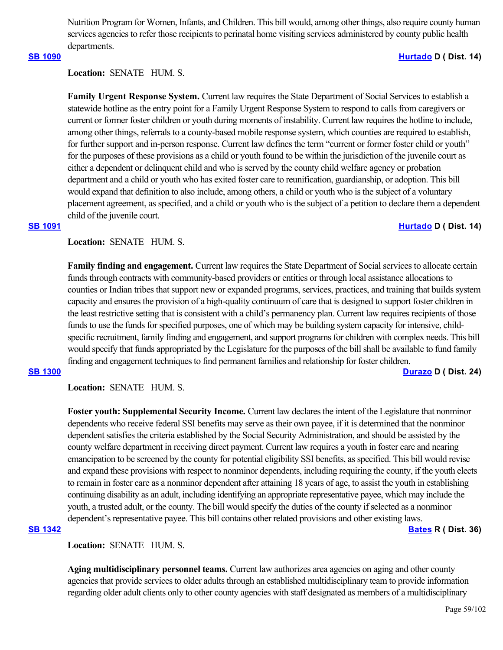Nutrition Program for Women, Infants, and Children. This bill would, among other things, also require county human services agencies to refer those recipients to perinatal home visiting services administered by county public health departments.

# **[SB 1090](https://ctweb.capitoltrack.com/public/publishbillinfo.aspx?bi=N4BhfrW95LsPrfxAZJ4%2FjBHe5%2B9k3QBHVXT2JgBuTmVVV9uaFTt5OD02OUCJHH7a) [Hurtado](https://sd14.senate.ca.gov/) D ( Dist. 14)**

Location: **SENATE** HUM. S.

**Family Urgent Response System.** Current law requires the State Department of Social Services to establish a statewide hotline as the entry point for a Family Urgent Response System to respond to calls from caregivers or current or former foster children or youth during moments of instability. Current law requires the hotline to include, among other things, referrals to a county-based mobile response system, which counties are required to establish, for further support and in-person response. Current law defines the term "current or former foster child or youth" for the purposes of these provisions as a child or youth found to be within the jurisdiction of the juvenile court as either a dependent or delinquent child and who is served by the county child welfare agency or probation department and a child or youth who has exited foster care to reunification, guardianship, or adoption. This bill would expand that definition to also include, among others, a child or youth who is the subject of a voluntary placement agreement, as specified, and a child or youth who is the subject of a petition to declare them a dependent child of the juvenile court.

### **[SB 1091](https://ctweb.capitoltrack.com/public/publishbillinfo.aspx?bi=zclqHYZ%2FFxJj9DyFO4BeldDFohg6F0cb%2BCyqbBnpWYp%2FoKKdcEuNfbL7JEPCT6yn) [Hurtado](https://sd14.senate.ca.gov/) D ( Dist. 14)**

Location: **SENATE** HUM. S.

**Family finding and engagement.** Current law requires the State Department of Social services to allocate certain funds through contracts with community-based providers or entities or through local assistance allocations to counties or Indian tribes that support new or expanded programs, services, practices, and training that builds system capacity and ensures the provision of a high-quality continuum of care that is designed to support foster children in the least restrictive setting that is consistent with a child's permanency plan. Current law requires recipients of those funds to use the funds for specified purposes, one of which may be building system capacity for intensive, childspecific recruitment, family finding and engagement, and support programs for children with complex needs. This bill would specify that funds appropriated by the Legislature for the purposes of the bill shall be available to fund family finding and engagement techniques to find permanent families and relationship for foster children.

**[SB 1300](https://ctweb.capitoltrack.com/public/publishbillinfo.aspx?bi=FpTU0PGzXGxKpcgfBLAGV3ZSbB7MkaclJPj%2B8B%2BFm2RCTUxSu8YjD1Ice2DZ3oNx) [Durazo](http://sd24.senate.ca.gov/) D ( Dist. 24)**

**Location:**  SENATE HUM. S.

**Foster youth: Supplemental Security Income.** Current law declares the intent of the Legislature that nonminor dependents who receive federal SSI benefits may serve as their own payee, if it is determined that the nonminor dependent satisfies the criteria established by the Social Security Administration, and should be assisted by the county welfare department in receiving direct payment. Current law requires a youth in foster care and nearing emancipation to be screened by the county for potential eligibility SSI benefits, as specified. This bill would revise and expand these provisions with respect to nonminor dependents, including requiring the county, if the youth elects to remain in foster care as a nonminor dependent after attaining 18 years of age, to assist the youth in establishing continuing disability as an adult, including identifying an appropriate representative payee, which may include the youth, a trusted adult, or the county. The bill would specify the duties of the county if selected as a nonminor dependent's representative payee. This bill contains other related provisions and other existing laws.

# **[SB 1342](https://ctweb.capitoltrack.com/public/publishbillinfo.aspx?bi=3x0pQwF%2Fowkybce13nMqMK8tE1vVeOrWtH%2BMstHgNGuQUQUmEYOxhWGIhbBprNGi) [Bates](https://bates.cssrc.us/) R ( Dist. 36)**

**Location:**  SENATE HUM. S.

**Aging multidisciplinary personnel teams.** Current law authorizes area agencies on aging and other county agencies that provide services to older adults through an established multidisciplinary team to provide information regarding older adult clients only to other county agencies with staff designated as members of a multidisciplinary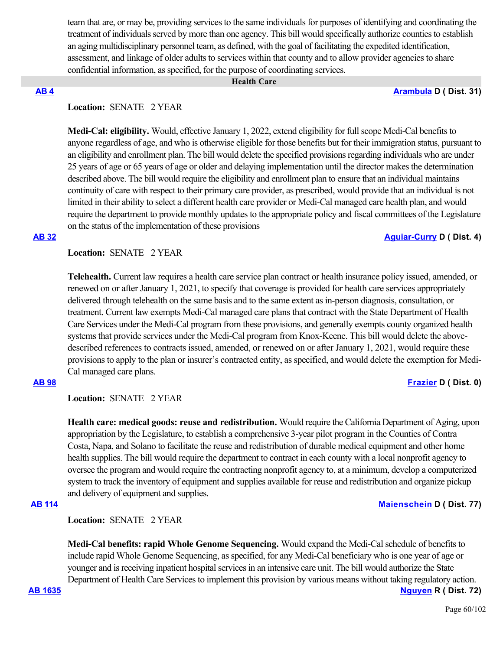team that are, or may be, providing services to the same individuals for purposes of identifying and coordinating the treatment of individuals served by more than one agency. This bill would specifically authorize counties to establish an aging multidisciplinary personnel team, as defined, with the goal of facilitating the expedited identification, assessment, and linkage of older adults to services within that county and to allow provider agencies to share confidential information, as specified, for the purpose of coordinating services.

### **Health Care**

### **[AB 4](https://ctweb.capitoltrack.com/public/publishbillinfo.aspx?bi=gy7%2B%2F%2FSworWr53yrsQv%2FCEbi4rGhUc9NFdyQ7AMZKsgTYO48XJIEaRFlvfOy8LnY) [Arambula](https://a31.asmdc.org/) D ( Dist. 31)**

# **Location:**  SENATE 2 YEAR

**Medi-Cal: eligibility.** Would, effective January 1, 2022, extend eligibility for full scope Medi-Cal benefits to anyone regardless of age, and who is otherwise eligible for those benefits but for their immigration status, pursuant to an eligibility and enrollment plan. The bill would delete the specified provisions regarding individuals who are under 25 years of age or 65 years of age or older and delaying implementation until the director makes the determination described above. The bill would require the eligibility and enrollment plan to ensure that an individual maintains continuity of care with respect to their primary care provider, as prescribed, would provide that an individual is not limited in their ability to select a different health care provider or Medi-Cal managed care health plan, and would require the department to provide monthly updates to the appropriate policy and fiscal committees of the Legislature on the status of the implementation of these provisions

### **[AB 32](https://ctweb.capitoltrack.com/public/publishbillinfo.aspx?bi=Grhe2F064fXyGGwz2gvvUqCmKwNRB0mErpFgshYyJBq6G%2BlG8lMKS%2FZOlSAKYGj4) [Aguiar-Curry](https://a04.asmdc.org/) D ( Dist. 4)**

# **Location:**  SENATE 2 YEAR

**Telehealth.** Current law requires a health care service plan contract or health insurance policy issued, amended, or renewed on or after January 1, 2021, to specify that coverage is provided for health care services appropriately delivered through telehealth on the same basis and to the same extent as in-person diagnosis, consultation, or treatment. Current law exempts Medi-Cal managed care plans that contract with the State Department of Health Care Services under the Medi-Cal program from these provisions, and generally exempts county organized health systems that provide services under the Medi-Cal program from Knox-Keene. This bill would delete the abovedescribed references to contracts issued, amended, or renewed on or after January 1, 2021, would require these provisions to apply to the plan or insurer's contracted entity, as specified, and would delete the exemption for Medi-Cal managed care plans.

# **[AB 98](https://ctweb.capitoltrack.com/public/publishbillinfo.aspx?bi=2AP7Z%2BSfWPwTjY7pLpJnVvICIB0PB6RxMicaXIQV4NUvKm9S7g60uYAHDWRfPpxF) [Frazier](https://a11.asmdc.org/) D ( Dist. 0)**

**Location:**  SENATE 2 YEAR

**Health care: medical goods: reuse and redistribution.** Would require the California Department of Aging, upon appropriation by the Legislature, to establish a comprehensive 3-year pilot program in the Counties of Contra Costa, Napa, and Solano to facilitate the reuse and redistribution of durable medical equipment and other home health supplies. The bill would require the department to contract in each county with a local nonprofit agency to oversee the program and would require the contracting nonprofit agency to, at a minimum, develop a computerized system to track the inventory of equipment and supplies available for reuse and redistribution and organize pickup and delivery of equipment and supplies.

# **[AB 114](https://ctweb.capitoltrack.com/public/publishbillinfo.aspx?bi=BKUuzEt%2Fxonhdg%2Bi2T8KyDCF6bz%2BIDuv834ghq13Zdn4cLjhKDnmQtDrecEqAQaS) [Maienschein](https://a77.asmdc.org/) D ( Dist. 77)**

**Location:**  SENATE 2 YEAR

**Medi-Cal benefits: rapid Whole Genome Sequencing.** Would expand the Medi-Cal schedule of benefits to include rapid Whole Genome Sequencing, as specified, for any Medi-Cal beneficiary who is one year of age or younger and is receiving inpatient hospital services in an intensive care unit. The bill would authorize the State Department of Health Care Services to implement this provision by various means without taking regulatory action.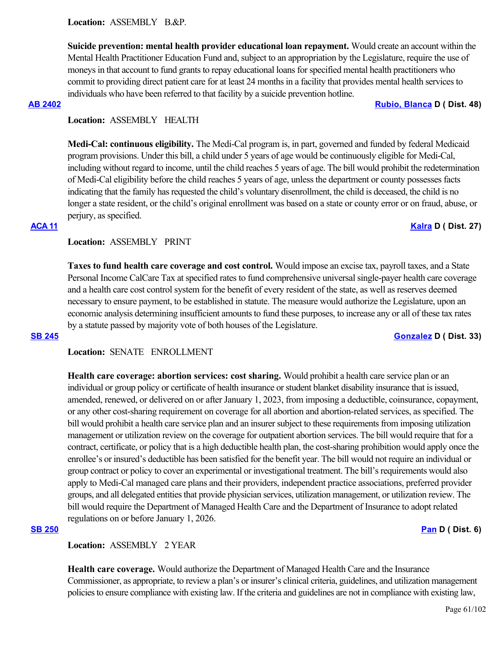**Suicide prevention: mental health provider educational loan repayment.** Would create an account within the Mental Health Practitioner Education Fund and, subject to an appropriation by the Legislature, require the use of moneys in that account to fund grants to repay educational loans for specified mental health practitioners who commit to providing direct patient care for at least 24 months in a facility that provides mental health services to individuals who have been referred to that facility by a suicide prevention hotline.

### **[AB 2402](https://ctweb.capitoltrack.com/public/publishbillinfo.aspx?bi=YqM%2BWH%2F2%2BvRU%2FwPlWxCqZxQy%2FFXeZs2nZ%2BKFpktm0maNsLjlBr3p4bZVARTig3Pe) [Rubio, Blanca](https://a48.asmdc.org/) D ( Dist. 48)**

# **Location:**  ASSEMBLY HEALTH

**Medi-Cal: continuous eligibility.** The Medi-Cal program is, in part, governed and funded by federal Medicaid program provisions. Under this bill, a child under 5 years of age would be continuously eligible for Medi-Cal, including without regard to income, until the child reaches 5 years of age. The bill would prohibit the redetermination of Medi-Cal eligibility before the child reaches 5 years of age, unless the department or county possesses facts indicating that the family has requested the child's voluntary disenrollment, the child is deceased, the child is no longer a state resident, or the child's original enrollment was based on a state or county error or on fraud, abuse, or perjury, as specified.

# **[ACA 11](https://ctweb.capitoltrack.com/public/publishbillinfo.aspx?bi=fpuO%2BPOi8ulJjQ3D7VHjve1XIBFx5TtOQkkWEIpu9KUmCJSxrjhMRnLzbXFAUzkT) [Kalra](https://a27.asmdc.org/) D ( Dist. 27)**

# **Location:**  ASSEMBLY PRINT

**Taxes to fund health care coverage and cost control.** Would impose an excise tax, payroll taxes, and a State Personal Income CalCare Tax at specified rates to fund comprehensive universal single-payer health care coverage and a health care cost control system for the benefit of every resident of the state, as well as reserves deemed necessary to ensure payment, to be established in statute. The measure would authorize the Legislature, upon an economic analysis determining insufficient amounts to fund these purposes, to increase any or all of these tax rates by a statute passed by majority vote of both houses of the Legislature.

## **[SB 245](https://ctweb.capitoltrack.com/public/publishbillinfo.aspx?bi=QNtPH5SYxPee8Q29vEv2RScAoZBhmrgRNzQrcsX%2FbDAjwz1eOzrD3F%2F9DElX71LF) [Gonzalez](https://sd33.senate.ca.gov/) D ( Dist. 33)**

# **Location:**  SENATE ENROLLMENT

**Health care coverage: abortion services: cost sharing.** Would prohibit a health care service plan or an individual or group policy or certificate of health insurance or student blanket disability insurance that is issued, amended, renewed, or delivered on or after January 1, 2023, from imposing a deductible, coinsurance, copayment, or any other cost-sharing requirement on coverage for all abortion and abortion-related services, as specified. The bill would prohibit a health care service plan and an insurer subject to these requirements from imposing utilization management or utilization review on the coverage for outpatient abortion services. The bill would require that for a contract, certificate, or policy that is a high deductible health plan, the cost-sharing prohibition would apply once the enrollee's or insured's deductible has been satisfied for the benefit year. The bill would not require an individual or group contract or policy to cover an experimental or investigational treatment. The bill's requirements would also apply to Medi-Cal managed care plans and their providers, independent practice associations, preferred provider groups, and all delegated entities that provide physician services, utilization management, or utilization review. The bill would require the Department of Managed Health Care and the Department of Insurance to adopt related regulations on or before January 1, 2026.

## **[SB 250](https://ctweb.capitoltrack.com/public/publishbillinfo.aspx?bi=BnCOzpopID6GQoWegGodJxrjMNzo%2BJ3uJ5si6TG77rD6s%2Fx6go67dI1SJw5%2FDCTF) [Pan](http://sd06.senate.ca.gov/) D ( Dist. 6)**

# **Location:**  ASSEMBLY 2 YEAR

**Health care coverage.** Would authorize the Department of Managed Health Care and the Insurance Commissioner, as appropriate, to review a plan's or insurer's clinical criteria, guidelines, and utilization management policies to ensure compliance with existing law. If the criteria and guidelines are not in compliance with existing law,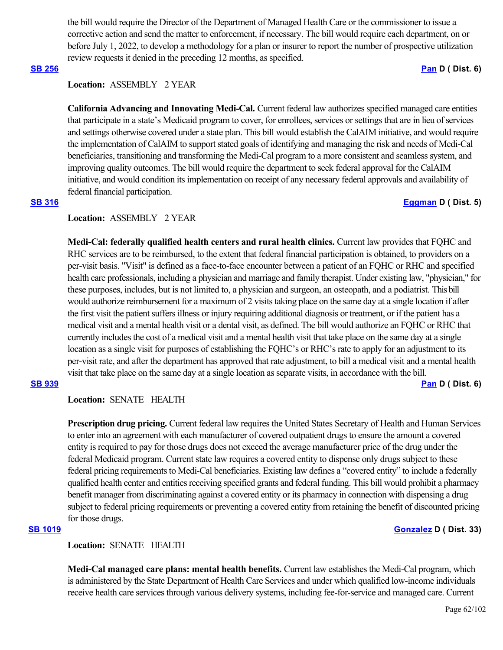the bill would require the Director of the Department of Managed Health Care or the commissioner to issue a corrective action and send the matter to enforcement, if necessary. The bill would require each department, on or before July 1, 2022, to develop a methodology for a plan or insurer to report the number of prospective utilization review requests it denied in the preceding 12 months, as specified.

### **[SB 256](https://ctweb.capitoltrack.com/public/publishbillinfo.aspx?bi=2NjuuTY%2FCz%2BbV2FCivdwDMFSxte4UkHC0Sg%2Ff9bEvzncgiyT9rOHHRBgcgsXYEkm) [Pan](http://sd06.senate.ca.gov/) D ( Dist. 6)**

# **Location:**  ASSEMBLY 2 YEAR

**California Advancing and Innovating Medi-Cal.** Current federal law authorizes specified managed care entities that participate in a state's Medicaid program to cover, for enrollees, services or settings that are in lieu of services and settings otherwise covered under a state plan. This bill would establish the CalAIM initiative, and would require the implementation of CalAIM to support stated goals of identifying and managing the risk and needs of Medi-Cal beneficiaries, transitioning and transforming the Medi-Cal program to a more consistent and seamless system, and improving quality outcomes. The bill would require the department to seek federal approval for the CalAIM initiative, and would condition its implementation on receipt of any necessary federal approvals and availability of federal financial participation.

# **[SB 316](https://ctweb.capitoltrack.com/public/publishbillinfo.aspx?bi=TlXUrHHOYi53LsvO2HDsX7Wwg%2FygtobVGtTVLua3BEE46gwBtIf4%2BI1KaNI8CMr0) [Eggman](http://sd05.senate.ca.gov/) D ( Dist. 5)**

# **Location:**  ASSEMBLY 2 YEAR

**Medi-Cal: federally qualified health centers and rural health clinics.** Current law provides that FQHC and RHC services are to be reimbursed, to the extent that federal financial participation is obtained, to providers on a per-visit basis. "Visit" is defined as a face-to-face encounter between a patient of an FQHC or RHC and specified health care professionals, including a physician and marriage and family therapist. Under existing law, "physician," for these purposes, includes, but is not limited to, a physician and surgeon, an osteopath, and a podiatrist. This bill would authorize reimbursement for a maximum of 2 visits taking place on the same day at a single location if after the first visit the patient suffers illness or injury requiring additional diagnosis or treatment, or if the patient has a medical visit and a mental health visit or a dental visit, as defined. The bill would authorize an FQHC or RHC that currently includes the cost of a medical visit and a mental health visit that take place on the same day at a single location as a single visit for purposes of establishing the FQHC's or RHC's rate to apply for an adjustment to its per-visit rate, and after the department has approved that rate adjustment, to bill a medical visit and a mental health visit that take place on the same day at a single location as separate visits, in accordance with the bill.

## **Location:**  SENATE HEALTH

**Prescription drug pricing.** Current federal law requires the United States Secretary of Health and Human Services to enter into an agreement with each manufacturer of covered outpatient drugs to ensure the amount a covered entity is required to pay for those drugs does not exceed the average manufacturer price of the drug under the federal Medicaid program. Current state law requires a covered entity to dispense only drugs subject to these federal pricing requirements to Medi-Cal beneficiaries. Existing law defines a "covered entity" to include a federally qualified health center and entities receiving specified grants and federal funding. This bill would prohibit a pharmacy benefit manager from discriminating against a covered entity or its pharmacy in connection with dispensing a drug subject to federal pricing requirements or preventing a covered entity from retaining the benefit of discounted pricing for those drugs.

**Location:**  SENATE HEALTH

**Medi-Cal managed care plans: mental health benefits.** Current law establishes the Medi-Cal program, which is administered by the State Department of Health Care Services and under which qualified low-income individuals receive health care services through various delivery systems, including fee-for-service and managed care. Current

# **[SB 1019](https://ctweb.capitoltrack.com/public/publishbillinfo.aspx?bi=We5lPapdZATa0uI1%2FYWIXuhp%2FQQ1gcjJhKS7nM83QNtdBmGa6Tt%2BI4i9%2FlF2hTwO) [Gonzalez](https://sd33.senate.ca.gov/) D ( Dist. 33)**

**[SB 939](https://ctweb.capitoltrack.com/public/publishbillinfo.aspx?bi=GgZVNIf56uwu9SsyoodtvwLL%2BhSlj43VTm8IYKtL5BUToxIz1xTDjwEq8j46ZgEQ) [Pan](http://sd06.senate.ca.gov/) D ( Dist. 6)**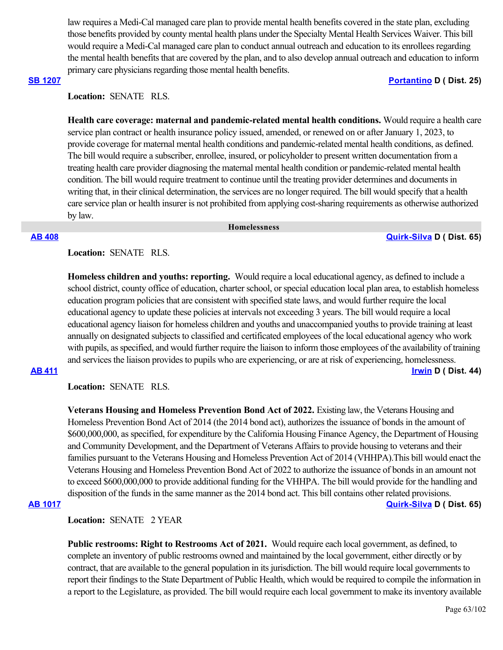law requires a Medi-Cal managed care plan to provide mental health benefits covered in the state plan, excluding those benefits provided by county mental health plans under the Specialty Mental Health Services Waiver. This bill would require a Medi-Cal managed care plan to conduct annual outreach and education to its enrollees regarding the mental health benefits that are covered by the plan, and to also develop annual outreach and education to inform primary care physicians regarding those mental health benefits.

# **[SB 1207](https://ctweb.capitoltrack.com/public/publishbillinfo.aspx?bi=27qv7wGZxmvSJuw4ijRqCLlO8e6i6W0C3fBtAb88cSyjDDD7zAtodu7bLMetQGcs) [Portantino](http://sd25.senate.ca.gov/) D ( Dist. 25)**

# **Location:**  SENATE RLS.

**Health care coverage: maternal and pandemic-related mental health conditions.** Would require a health care service plan contract or health insurance policy issued, amended, or renewed on or after January 1, 2023, to provide coverage for maternal mental health conditions and pandemic-related mental health conditions, as defined. The bill would require a subscriber, enrollee, insured, or policyholder to present written documentation from a treating health care provider diagnosing the maternal mental health condition or pandemic-related mental health condition. The bill would require treatment to continue until the treating provider determines and documents in writing that, in their clinical determination, the services are no longer required. The bill would specify that a health care service plan or health insurer is not prohibited from applying cost-sharing requirements as otherwise authorized by law.

 **Homelessness**

### **[AB 408](https://ctweb.capitoltrack.com/public/publishbillinfo.aspx?bi=m3m8rEkAcDZBKMwu3d7LNwvEQkFtgVtPg5HZ0KUQxJdi%2FpPLe0OhkVrxV0vi59Zr) [Quirk-Silva](https://a65.asmdc.org/) D ( Dist. 65)**

**Location:**  SENATE RLS.

**Homeless children and youths: reporting.** Would require a local educational agency, as defined to include a school district, county office of education, charter school, or special education local plan area, to establish homeless education program policies that are consistent with specified state laws, and would further require the local educational agency to update these policies at intervals not exceeding 3 years. The bill would require a local educational agency liaison for homeless children and youths and unaccompanied youths to provide training at least annually on designated subjects to classified and certificated employees of the local educational agency who work with pupils, as specified, and would further require the liaison to inform those employees of the availability of training and services the liaison provides to pupils who are experiencing, or are at risk of experiencing, homelessness.

**[AB 411](https://ctweb.capitoltrack.com/public/publishbillinfo.aspx?bi=6IwhXVaxMzjl9v%2BGayCf4CP6tdK1hC14JWJSWj9pNaZK2MjOO4pqVVPP%2BlmhXeUY) [Irwin](https://a44.asmdc.org/) D ( Dist. 44)**

**Location:**  SENATE RLS.

**Veterans Housing and Homeless Prevention Bond Act of 2022.** Existing law, the Veterans Housing and Homeless Prevention Bond Act of 2014 (the 2014 bond act), authorizes the issuance of bonds in the amount of \$600,000,000, as specified, for expenditure by the California Housing Finance Agency, the Department of Housing and Community Development, and the Department of Veterans Affairs to provide housing to veterans and their families pursuant to the Veterans Housing and Homeless Prevention Act of 2014 (VHHPA).This bill would enact the Veterans Housing and Homeless Prevention Bond Act of 2022 to authorize the issuance of bonds in an amount not to exceed \$600,000,000 to provide additional funding for the VHHPA. The bill would provide for the handling and disposition of the funds in the same manner as the 2014 bond act. This bill contains other related provisions.

### **[AB 1017](https://ctweb.capitoltrack.com/public/publishbillinfo.aspx?bi=JYyt31DOcZMu5clq9Dg25K%2FwlQRmm9Z%2B4UUjhX8nItz1trRK6ZBuw7gaDVRacfEb) [Quirk-Silva](https://a65.asmdc.org/) D ( Dist. 65)**

**Location:**  SENATE 2 YEAR

**Public restrooms: Right to Restrooms Act of 2021.** Would require each local government, as defined, to complete an inventory of public restrooms owned and maintained by the local government, either directly or by contract, that are available to the general population in its jurisdiction. The bill would require local governments to report their findings to the State Department of Public Health, which would be required to compile the information in a report to the Legislature, as provided. The bill would require each local government to make its inventory available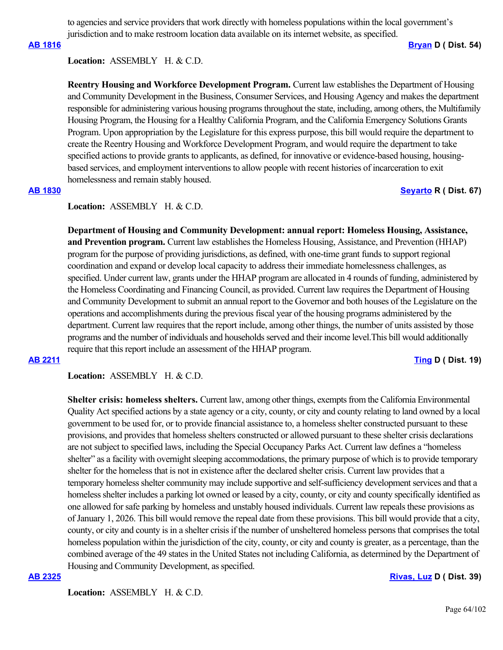to agencies and service providers that work directly with homeless populations within the local government's jurisdiction and to make restroom location data available on its internet website, as specified.

**[AB 1816](https://ctweb.capitoltrack.com/public/publishbillinfo.aspx?bi=J61mpejvz2vJ6zt3Dde1usn6mCchpsi2zEPLx6TwI0spERB07IcdBkzd8OQlOQMr) [Bryan](https://a54.asmdc.org/) D ( Dist. 54)**

### **Location:**  ASSEMBLY H. & C.D.

**Reentry Housing and Workforce Development Program.** Current law establishes the Department of Housing and Community Development in the Business, Consumer Services, and Housing Agency and makes the department responsible for administering various housing programs throughout the state, including, among others, the Multifamily Housing Program, the Housing for a Healthy California Program, and the California Emergency Solutions Grants Program. Upon appropriation by the Legislature for this express purpose, this bill would require the department to create the Reentry Housing and Workforce Development Program, and would require the department to take specified actions to provide grants to applicants, as defined, for innovative or evidence-based housing, housingbased services, and employment interventions to allow people with recent histories of incarceration to exit homelessness and remain stably housed.

### **[AB 1830](https://ctweb.capitoltrack.com/public/publishbillinfo.aspx?bi=i09zcSfvWMEZLWdKRJgeMuOyllSu19v885k2Ccvst%2BIQcCajsoj3Mmt0xbDpNlEc) [Seyarto](https://ad67.asmrc.org/) R ( Dist. 67)**

### Location: ASSEMBLY H. & C.D.

**Department of Housing and Community Development: annual report: Homeless Housing, Assistance, and Prevention program.** Current law establishes the Homeless Housing, Assistance, and Prevention (HHAP) program for the purpose of providing jurisdictions, as defined, with one-time grant funds to support regional coordination and expand or develop local capacity to address their immediate homelessness challenges, as specified. Under current law, grants under the HHAP program are allocated in 4 rounds of funding, administered by the Homeless Coordinating and Financing Council, as provided. Current law requires the Department of Housing and Community Development to submit an annual report to the Governor and both houses of the Legislature on the operations and accomplishments during the previous fiscal year of the housing programs administered by the department. Current law requires that the report include, among other things, the number of units assisted by those programs and the number of individuals and households served and their income level.This bill would additionally require that this report include an assessment of the HHAP program.

### **[AB 2211](https://ctweb.capitoltrack.com/public/publishbillinfo.aspx?bi=msWnTuY5dIp2HRRWLXEIVAi2M8DCNWN%2BF90P5uzGxUCmiuTOZC1mXDAAbVFJ%2Fpvq) [Ting](https://a19.asmdc.org/) D ( Dist. 19)**

Location: ASSEMBLY H. & C.D.

**Shelter crisis: homeless shelters.** Current law, among other things, exempts from the California Environmental Quality Act specified actions by a state agency or a city, county, or city and county relating to land owned by a local government to be used for, or to provide financial assistance to, a homeless shelter constructed pursuant to these provisions, and provides that homeless shelters constructed or allowed pursuant to these shelter crisis declarations are not subject to specified laws, including the Special Occupancy Parks Act. Current law defines a "homeless shelter" as a facility with overnight sleeping accommodations, the primary purpose of which is to provide temporary shelter for the homeless that is not in existence after the declared shelter crisis. Current law provides that a temporary homeless shelter community may include supportive and self-sufficiency development services and that a homeless shelter includes a parking lot owned or leased by a city, county, or city and county specifically identified as one allowed for safe parking by homeless and unstably housed individuals. Current law repeals these provisions as of January 1, 2026. This bill would remove the repeal date from these provisions. This bill would provide that a city, county, or city and county is in a shelter crisis if the number of unsheltered homeless persons that comprises the total homeless population within the jurisdiction of the city, county, or city and county is greater, as a percentage, than the combined average of the 49 states in the United States not including California, as determined by the Department of Housing and Community Development, as specified.

### **[AB 2325](https://ctweb.capitoltrack.com/public/publishbillinfo.aspx?bi=8qNwC9y1XcynRfcXPs0i6gmVG5evZNVAU7XMG%2BhxmFE%2FCbBqo7F3TdGFLGUM28NQ) [Rivas, Luz](https://a39.asmdc.org/) D ( Dist. 39)**

Location: ASSEMBLY H. & C.D.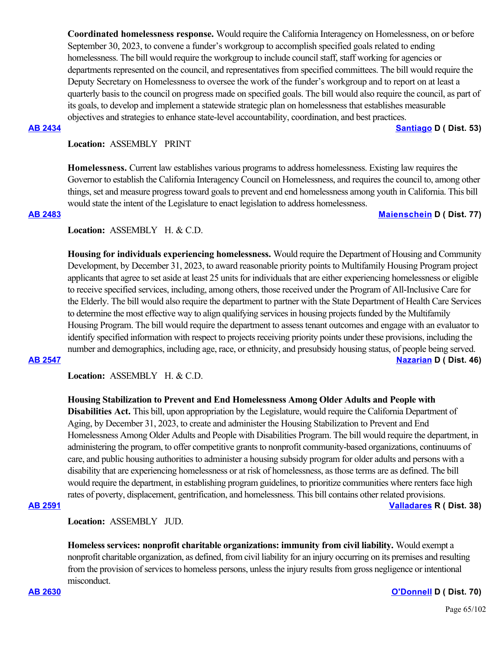**Coordinated homelessness response.** Would require the California Interagency on Homelessness, on or before September 30, 2023, to convene a funder's workgroup to accomplish specified goals related to ending homelessness. The bill would require the workgroup to include council staff, staff working for agencies or departments represented on the council, and representatives from specified committees. The bill would require the Deputy Secretary on Homelessness to oversee the work of the funder's workgroup and to report on at least a quarterly basis to the council on progress made on specified goals. The bill would also require the council, as part of its goals, to develop and implement a statewide strategic plan on homelessness that establishes measurable objectives and strategies to enhance state-level accountability, coordination, and best practices.

**[AB 2434](https://ctweb.capitoltrack.com/public/publishbillinfo.aspx?bi=P%2F8T1KAjC4PTCUirl2KYEDfHr0MD8fpGUBVpFgTvsYmeC9MoTAcSz0PwR3Bj8xbb) [Santiago](https://a53.asmdc.org/) D ( Dist. 53)**

# **Location:**  ASSEMBLY PRINT

**Homelessness.** Current law establishes various programs to address homelessness. Existing law requires the Governor to establish the California Interagency Council on Homelessness, and requires the council to, among other things, set and measure progress toward goals to prevent and end homelessness among youth in California. This bill would state the intent of the Legislature to enact legislation to address homelessness.

### **[AB 2483](https://ctweb.capitoltrack.com/public/publishbillinfo.aspx?bi=OiST46PovuZH4FCNoQRwqf%2BBxhw%2F2cHsZr4mIbHwyi7R1VThsS5ak9TOIOFuevtF) [Maienschein](https://a77.asmdc.org/) D ( Dist. 77)**

### Location: ASSEMBLY H. & C.D.

**Housing for individuals experiencing homelessness.** Would require the Department of Housing and Community Development, by December 31, 2023, to award reasonable priority points to Multifamily Housing Program project applicants that agree to set aside at least 25 units for individuals that are either experiencing homelessness or eligible to receive specified services, including, among others, those received under the Program of All-Inclusive Care for the Elderly. The bill would also require the department to partner with the State Department of Health Care Services to determine the most effective way to align qualifying services in housing projects funded by the Multifamily Housing Program. The bill would require the department to assess tenant outcomes and engage with an evaluator to identify specified information with respect to projects receiving priority points under these provisions, including the number and demographics, including age, race, or ethnicity, and presubsidy housing status, of people being served. **[AB 2547](https://ctweb.capitoltrack.com/public/publishbillinfo.aspx?bi=jIxr8iJLj8ClXJ2KRtwkgG5yGtXD3buM6ED19Q6bILxmwfgpLPjU%2BjYAQgyZW%2BSB) [Nazarian](https://a46.asmdc.org/) D ( Dist. 46)**

Location: ASSEMBLY H. & C.D.

## **Housing Stabilization to Prevent and End Homelessness Among Older Adults and People with**

**Disabilities Act.** This bill, upon appropriation by the Legislature, would require the California Department of Aging, by December 31, 2023, to create and administer the Housing Stabilization to Prevent and End Homelessness Among Older Adults and People with Disabilities Program. The bill would require the department, in administering the program, to offer competitive grants to nonprofit community-based organizations, continuums of care, and public housing authorities to administer a housing subsidy program for older adults and persons with a disability that are experiencing homelessness or at risk of homelessness, as those terms are as defined. The bill would require the department, in establishing program guidelines, to prioritize communities where renters face high rates of poverty, displacement, gentrification, and homelessness. This bill contains other related provisions.

**[AB 2591](https://ctweb.capitoltrack.com/public/publishbillinfo.aspx?bi=C%2B49NA1ecBmBN2JDUjEhnLW5x5QFsd3jPEWqLSXbRdq9JP4pNn29FdnlkOiT7gR2) [Valladares](https://ad38.asmrc.org/) R ( Dist. 38)**

**Location:**  ASSEMBLY JUD.

**Homeless services: nonprofit charitable organizations: immunity from civil liability.** Would exempt a nonprofit charitable organization, as defined, from civil liability for an injury occurring on its premises and resulting from the provision of services to homeless persons, unless the injury results from gross negligence or intentional misconduct.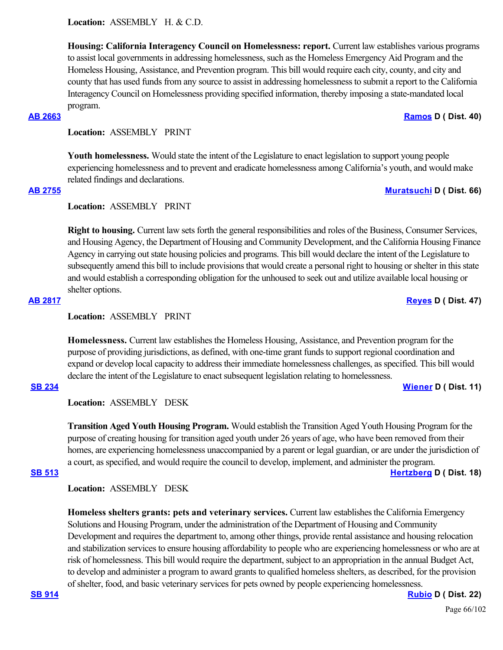**Housing: California Interagency Council on Homelessness: report.** Current law establishes various programs to assist local governments in addressing homelessness, such as the Homeless Emergency Aid Program and the Homeless Housing, Assistance, and Prevention program. This bill would require each city, county, and city and county that has used funds from any source to assist in addressing homelessness to submit a report to the California Interagency Council on Homelessness providing specified information, thereby imposing a state-mandated local program.

**Location:**  ASSEMBLY PRINT

**Youth homelessness.** Would state the intent of the Legislature to enact legislation to support young people experiencing homelessness and to prevent and eradicate homelessness among California's youth, and would make related findings and declarations.

**Location:**  ASSEMBLY PRINT

**Right to housing.** Current law sets forth the general responsibilities and roles of the Business, Consumer Services, and Housing Agency, the Department of Housing and Community Development, and the California Housing Finance Agency in carrying out state housing policies and programs. This bill would declare the intent of the Legislature to subsequently amend this bill to include provisions that would create a personal right to housing or shelter in this state and would establish a corresponding obligation for the unhoused to seek out and utilize available local housing or shelter options.

**Location:**  ASSEMBLY PRINT

**Homelessness.** Current law establishes the Homeless Housing, Assistance, and Prevention program for the purpose of providing jurisdictions, as defined, with one-time grant funds to support regional coordination and expand or develop local capacity to address their immediate homelessness challenges, as specified. This bill would declare the intent of the Legislature to enact subsequent legislation relating to homelessness.

### **[SB 234](https://ctweb.capitoltrack.com/public/publishbillinfo.aspx?bi=iEkzZBxvcq1lPQq6DiwmfTIdgclzo2RsnhcsI5AJEKTbdMMKPgS168uGlpL40dJT) [Wiener](http://sd11.senate.ca.gov/) D ( Dist. 11)**

**Location:**  ASSEMBLY DESK

**Transition Aged Youth Housing Program.** Would establish the Transition Aged Youth Housing Program for the purpose of creating housing for transition aged youth under 26 years of age, who have been removed from their homes, are experiencing homelessness unaccompanied by a parent or legal guardian, or are under the jurisdiction of a court, as specified, and would require the council to develop, implement, and administer the program. **[SB 513](https://ctweb.capitoltrack.com/public/publishbillinfo.aspx?bi=8rAiPCILSOx%2Ba5qZD1C%2BUVZLEGY%2FQ1SKwzRPzRbwGYWNvP7Yy86Hg2xQVqgUoAvo) [Hertzberg](https://sd18.senate.ca.gov/) D ( Dist. 18)**

**Location:**  ASSEMBLY DESK

**Homeless shelters grants: pets and veterinary services.** Current law establishes the California Emergency Solutions and Housing Program, under the administration of the Department of Housing and Community Development and requires the department to, among other things, provide rental assistance and housing relocation and stabilization services to ensure housing affordability to people who are experiencing homelessness or who are at risk of homelessness. This bill would require the department, subject to an appropriation in the annual Budget Act, to develop and administer a program to award grants to qualified homeless shelters, as described, for the provision of shelter, food, and basic veterinary services for pets owned by people experiencing homelessness.

**[SB 914](https://ctweb.capitoltrack.com/public/publishbillinfo.aspx?bi=TKG8QeaKG%2F3%2BcauV7ZH7GoerdT3nX63%2FxNgVUtCNsYkChIvX962LT5YYA%2BqadLLJ) [Rubio](http://sd22.senate.ca.gov/) D ( Dist. 22)**

# **[AB 2663](https://ctweb.capitoltrack.com/public/publishbillinfo.aspx?bi=%2Bc%2Fj%2Bz82xw5Vy7W8kQCfthZ6TkBzaMRvmfYQrr%2F2ylFR%2FsCcjoD%2FYSZzO4f1QR6X) [Ramos](https://a40.asmdc.org/) D ( Dist. 40)**

**[AB 2755](https://ctweb.capitoltrack.com/public/publishbillinfo.aspx?bi=PRWRrpyHuvByL8Wle2nba%2F962igbdRDOLjqws7EcC3NRHKQ2R5MNn%2FpS7RqPcTWQ) [Muratsuchi](https://a66.asmdc.org/) D ( Dist. 66)**

**[AB 2817](https://ctweb.capitoltrack.com/public/publishbillinfo.aspx?bi=%2BJpesvjFmBAI6aUQv20y0mwdZgx0OrsuKkA1KcX6%2FCQWs1VeaFkhTH9pZ6vAs0MT) [Reyes](https://a47.asmdc.org/) D ( Dist. 47)**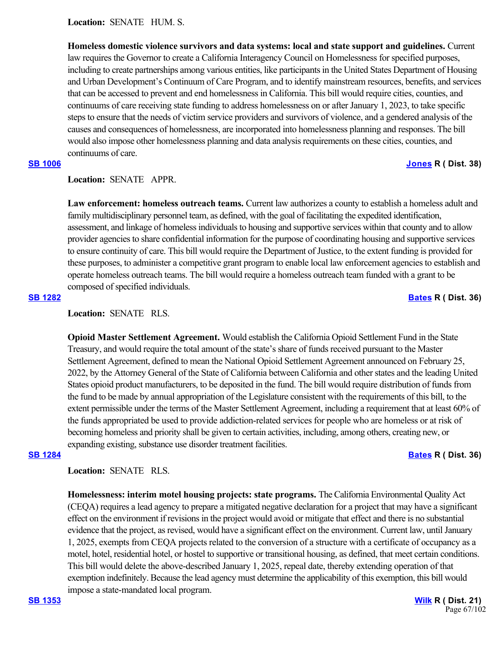**Location:**  SENATE HUM. S.

**Homeless domestic violence survivors and data systems: local and state support and guidelines.** Current law requires the Governor to create a California Interagency Council on Homelessness for specified purposes, including to create partnerships among various entities, like participants in the United States Department of Housing and Urban Development's Continuum of Care Program, and to identify mainstream resources, benefits, and services that can be accessed to prevent and end homelessness in California. This bill would require cities, counties, and continuums of care receiving state funding to address homelessness on or after January 1, 2023, to take specific steps to ensure that the needs of victim service providers and survivors of violence, and a gendered analysis of the causes and consequences of homelessness, are incorporated into homelessness planning and responses. The bill would also impose other homelessness planning and data analysis requirements on these cities, counties, and continuums of care.

## **[SB 1006](https://ctweb.capitoltrack.com/public/publishbillinfo.aspx?bi=gZelNEGn9O6SxL3rreN1sS6dLjYUnGmLnKQsJWkp1iO5dl%2B7lM3Fc2XxtyWW%2BDAT) [Jones](https://jones.cssrc.us/) R ( Dist. 38)**

### **Location:**  SENATE APPR.

**Law enforcement: homeless outreach teams.** Current law authorizes a county to establish a homeless adult and family multidisciplinary personnel team, as defined, with the goal of facilitating the expedited identification, assessment, and linkage of homeless individuals to housing and supportive services within that county and to allow provider agencies to share confidential information for the purpose of coordinating housing and supportive services to ensure continuity of care. This bill would require the Department of Justice, to the extent funding is provided for these purposes, to administer a competitive grant program to enable local law enforcement agencies to establish and operate homeless outreach teams. The bill would require a homeless outreach team funded with a grant to be composed of specified individuals.

# **[SB 1282](https://ctweb.capitoltrack.com/public/publishbillinfo.aspx?bi=n8UA0NPfn4SyQOkuQafpo%2Fg4wDnezuyeFEA26LE3whCCLYjlkEDc3S530SNiCkef) [Bates](https://bates.cssrc.us/) R ( Dist. 36)**

# **Location:**  SENATE RLS.

**Opioid Master Settlement Agreement.** Would establish the California Opioid Settlement Fund in the State Treasury, and would require the total amount of the state's share of funds received pursuant to the Master Settlement Agreement, defined to mean the National Opioid Settlement Agreement announced on February 25, 2022, by the Attorney General of the State of California between California and other states and the leading United States opioid product manufacturers, to be deposited in the fund. The bill would require distribution of funds from the fund to be made by annual appropriation of the Legislature consistent with the requirements of this bill, to the extent permissible under the terms of the Master Settlement Agreement, including a requirement that at least 60% of the funds appropriated be used to provide addiction-related services for people who are homeless or at risk of becoming homeless and priority shall be given to certain activities, including, among others, creating new, or expanding existing, substance use disorder treatment facilities.

### **[SB 1284](https://ctweb.capitoltrack.com/public/publishbillinfo.aspx?bi=wZi%2FWz9wYu%2FODFcYu5Sk2kts0gkhePMAHvYXr0Y81OAGlhveEFPVKXZLWOU%2B6tem) [Bates](https://bates.cssrc.us/) R ( Dist. 36)**

**Location:**  SENATE RLS.

**Homelessness: interim motel housing projects: state programs.** The California Environmental Quality Act (CEQA) requires a lead agency to prepare a mitigated negative declaration for a project that may have a significant effect on the environment if revisions in the project would avoid or mitigate that effect and there is no substantial evidence that the project, as revised, would have a significant effect on the environment. Current law, until January 1, 2025, exempts from CEQA projects related to the conversion of a structure with a certificate of occupancy as a motel, hotel, residential hotel, or hostel to supportive or transitional housing, as defined, that meet certain conditions. This bill would delete the above-described January 1, 2025, repeal date, thereby extending operation of that exemption indefinitely. Because the lead agency must determine the applicability of this exemption, this bill would impose a state-mandated local program.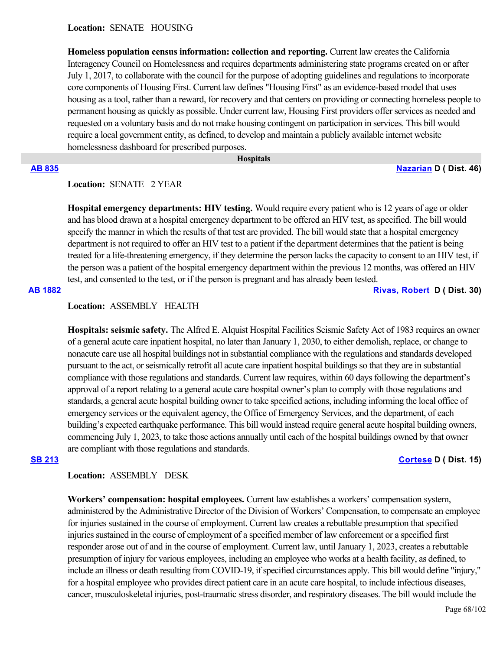### **Location:**  SENATE HOUSING

**Homeless population census information: collection and reporting.** Current law creates the California Interagency Council on Homelessness and requires departments administering state programs created on or after July 1, 2017, to collaborate with the council for the purpose of adopting guidelines and regulations to incorporate core components of Housing First. Current law defines "Housing First" as an evidence-based model that uses housing as a tool, rather than a reward, for recovery and that centers on providing or connecting homeless people to permanent housing as quickly as possible. Under current law, Housing First providers offer services as needed and requested on a voluntary basis and do not make housing contingent on participation in services. This bill would require a local government entity, as defined, to develop and maintain a publicly available internet website homelessness dashboard for prescribed purposes.

 **Hospitals**

# **[AB 835](https://ctweb.capitoltrack.com/public/publishbillinfo.aspx?bi=2aCiLjbhCP3GuNjWxI7nne8Ypa3W1fu5QHCJohjB9tlXBiqOqjdKFj4o2ETqWh%2BE) [Nazarian](https://a46.asmdc.org/) D ( Dist. 46)**

# **Location:**  SENATE 2 YEAR

**Hospital emergency departments: HIV testing.** Would require every patient who is 12 years of age or older and has blood drawn at a hospital emergency department to be offered an HIV test, as specified. The bill would specify the manner in which the results of that test are provided. The bill would state that a hospital emergency department is not required to offer an HIV test to a patient if the department determines that the patient is being treated for a life-threatening emergency, if they determine the person lacks the capacity to consent to an HIV test, if the person was a patient of the hospital emergency department within the previous 12 months, was offered an HIV test, and consented to the test, or if the person is pregnant and has already been tested.

**[AB 1882](https://ctweb.capitoltrack.com/public/publishbillinfo.aspx?bi=lQuvDReAoncEJ3j9V%2BXjgkUwoC6rFhHRNc7aS9hCNiNNtKE8wW1%2BSRh7CYfV065c) [Rivas, Robert](https://a30.asmdc.org/)  D ( Dist. 30)**

### **Location:**  ASSEMBLY HEALTH

**Hospitals: seismic safety.** The Alfred E. Alquist Hospital Facilities Seismic Safety Act of 1983 requires an owner of a general acute care inpatient hospital, no later than January 1, 2030, to either demolish, replace, or change to nonacute care use all hospital buildings not in substantial compliance with the regulations and standards developed pursuant to the act, or seismically retrofit all acute care inpatient hospital buildings so that they are in substantial compliance with those regulations and standards. Current law requires, within 60 days following the department's approval of a report relating to a general acute care hospital owner's plan to comply with those regulations and standards, a general acute hospital building owner to take specified actions, including informing the local office of emergency services or the equivalent agency, the Office of Emergency Services, and the department, of each building's expected earthquake performance. This bill would instead require general acute hospital building owners, commencing July 1, 2023, to take those actions annually until each of the hospital buildings owned by that owner are compliant with those regulations and standards.

### **[SB 213](https://ctweb.capitoltrack.com/public/publishbillinfo.aspx?bi=0m%2B3caG8a3d2CIH%2BUVHqAJMtNZM2BkUgp4CQ7RuwbxepuvpzjPoVaMeM%2Fp%2FwKI87) [Cortese](http://sd15.senate.ca.gov/) D ( Dist. 15)**

### **Location:**  ASSEMBLY DESK

**Workers' compensation: hospital employees.** Current law establishes a workers' compensation system, administered by the Administrative Director of the Division of Workers' Compensation, to compensate an employee for injuries sustained in the course of employment. Current law creates a rebuttable presumption that specified injuries sustained in the course of employment of a specified member of law enforcement or a specified first responder arose out of and in the course of employment. Current law, until January 1, 2023, creates a rebuttable presumption of injury for various employees, including an employee who works at a health facility, as defined, to include an illness or death resulting from COVID-19, if specified circumstances apply. This bill would define "injury," for a hospital employee who provides direct patient care in an acute care hospital, to include infectious diseases, cancer, musculoskeletal injuries, post-traumatic stress disorder, and respiratory diseases. The bill would include the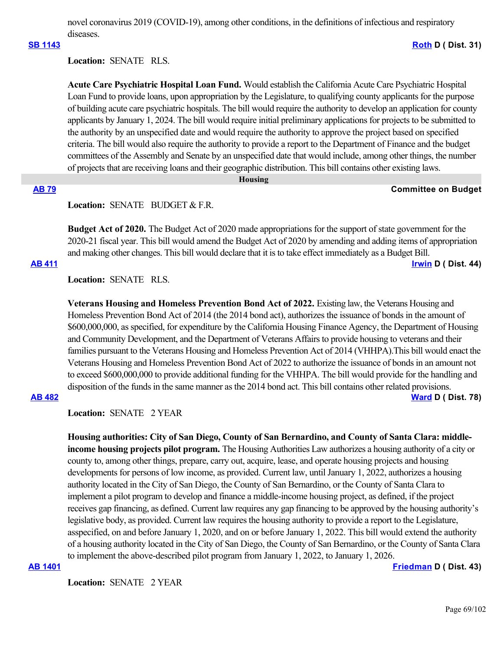novel coronavirus 2019 (COVID-19), among other conditions, in the definitions of infectious and respiratory diseases.

### **[SB 1143](https://ctweb.capitoltrack.com/public/publishbillinfo.aspx?bi=j7LE46hg9IZzAOG1zpDoekrYzSLSPnmI1Qibdh6188OP7llHw0CxPu%2Bf%2FMe6h4Bm) [Roth](http://sd31.senate.ca.gov/) D ( Dist. 31)**

# **Location:**  SENATE RLS.

**Acute Care Psychiatric Hospital Loan Fund.** Would establish the California Acute Care Psychiatric Hospital Loan Fund to provide loans, upon appropriation by the Legislature, to qualifying county applicants for the purpose of building acute care psychiatric hospitals. The bill would require the authority to develop an application for county applicants by January 1, 2024. The bill would require initial preliminary applications for projects to be submitted to the authority by an unspecified date and would require the authority to approve the project based on specified criteria. The bill would also require the authority to provide a report to the Department of Finance and the budget committees of the Assembly and Senate by an unspecified date that would include, among other things, the number of projects that are receiving loans and their geographic distribution. This bill contains other existing laws.

### **Housing**

### **[AB 79](https://ctweb.capitoltrack.com/public/publishbillinfo.aspx?bi=Vq6wUtKCzSJGuRANgm4zTNCM2soxCjkxuajlmV2OgA98nRW4AY0xVXiDJWRmXaB2) Committee on Budget**

### Location: **SENATE** BUDGET & F.R.

**Budget Act of 2020.** The Budget Act of 2020 made appropriations for the support of state government for the 2020-21 fiscal year. This bill would amend the Budget Act of 2020 by amending and adding items of appropriation and making other changes. This bill would declare that it is to take effect immediately as a Budget Bill. **[AB 411](https://ctweb.capitoltrack.com/public/publishbillinfo.aspx?bi=6IwhXVaxMzjl9v%2BGayCf4CP6tdK1hC14JWJSWj9pNaZK2MjOO4pqVVPP%2BlmhXeUY) [Irwin](https://a44.asmdc.org/) D ( Dist. 44)**

**Location:**  SENATE RLS.

**Veterans Housing and Homeless Prevention Bond Act of 2022.** Existing law, the Veterans Housing and Homeless Prevention Bond Act of 2014 (the 2014 bond act), authorizes the issuance of bonds in the amount of \$600,000,000, as specified, for expenditure by the California Housing Finance Agency, the Department of Housing and Community Development, and the Department of Veterans Affairs to provide housing to veterans and their families pursuant to the Veterans Housing and Homeless Prevention Act of 2014 (VHHPA).This bill would enact the Veterans Housing and Homeless Prevention Bond Act of 2022 to authorize the issuance of bonds in an amount not to exceed \$600,000,000 to provide additional funding for the VHHPA. The bill would provide for the handling and disposition of the funds in the same manner as the 2014 bond act. This bill contains other related provisions. **[AB 482](https://ctweb.capitoltrack.com/public/publishbillinfo.aspx?bi=hF5AUnwqQNk4L4pilnUpeCZoJtb7LrZN%2BWtN0rtmYyFzXQZ0gm%2Frs56xCQ9J%2BNE4) [Ward](https://a78.asmdc.org/) D ( Dist. 78)**

Location: **SENATE** 2 YEAR

**Housing authorities: City of San Diego, County of San Bernardino, and County of Santa Clara: middleincome housing projects pilot program.** The Housing Authorities Law authorizes a housing authority of a city or county to, among other things, prepare, carry out, acquire, lease, and operate housing projects and housing developments for persons of low income, as provided. Current law, until January 1, 2022, authorizes a housing authority located in the City of San Diego, the County of San Bernardino, or the County of Santa Clara to implement a pilot program to develop and finance a middle-income housing project, as defined, if the project receives gap financing, as defined. Current law requires any gap financing to be approved by the housing authority's legislative body, as provided. Current law requires the housing authority to provide a report to the Legislature, asspecified, on and before January 1, 2020, and on or before January 1, 2022. This bill would extend the authority of a housing authority located in the City of San Diego, the County of San Bernardino, or the County of Santa Clara to implement the above-described pilot program from January 1, 2022, to January 1, 2026.

**[AB 1401](https://ctweb.capitoltrack.com/public/publishbillinfo.aspx?bi=fQ56FfKqG7a6sZSjOVyOjXlJ95OI%2FLKyiBiPvRiGpmvkWVikUcdun8b73Dk0GSDa) [Friedman](https://a43.asmdc.org/) D ( Dist. 43)**

**Location:**  SENATE 2 YEAR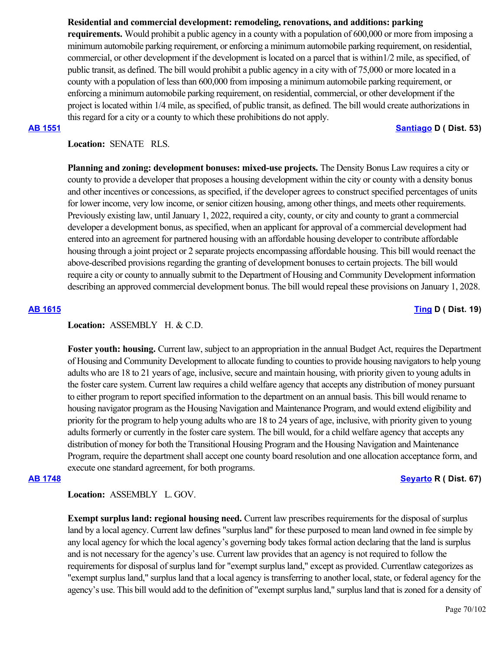# **Residential and commercial development: remodeling, renovations, and additions: parking**

**requirements.** Would prohibit a public agency in a county with a population of 600,000 or more from imposing a minimum automobile parking requirement, or enforcing a minimum automobile parking requirement, on residential, commercial, or other development if the development is located on a parcel that is within1/2 mile, as specified, of public transit, as defined. The bill would prohibit a public agency in a city with of 75,000 or more located in a county with a population of less than 600,000 from imposing a minimum automobile parking requirement, or enforcing a minimum automobile parking requirement, on residential, commercial, or other development if the project is located within 1/4 mile, as specified, of public transit, as defined. The bill would create authorizations in this regard for a city or a county to which these prohibitions do not apply.

## **[AB 1551](https://ctweb.capitoltrack.com/public/publishbillinfo.aspx?bi=0afc6OOFaLcM8dcJXpiKK03jBFTo5%2FHoYXn7P36YwA%2FHh77jsLNwEaud6vI2DQvi) [Santiago](https://a53.asmdc.org/) D ( Dist. 53)**

# **Location:**  SENATE RLS.

**Planning and zoning: development bonuses: mixed-use projects.** The Density Bonus Law requires a city or county to provide a developer that proposes a housing development within the city or county with a density bonus and other incentives or concessions, as specified, if the developer agrees to construct specified percentages of units for lower income, very low income, or senior citizen housing, among other things, and meets other requirements. Previously existing law, until January 1, 2022, required a city, county, or city and county to grant a commercial developer a development bonus, as specified, when an applicant for approval of a commercial development had entered into an agreement for partnered housing with an affordable housing developer to contribute affordable housing through a joint project or 2 separate projects encompassing affordable housing. This bill would reenact the above-described provisions regarding the granting of development bonuses to certain projects. The bill would require a city or county to annually submit to the Department of Housing and Community Development information describing an approved commercial development bonus. The bill would repeal these provisions on January 1, 2028.

# **[AB 1615](https://ctweb.capitoltrack.com/public/publishbillinfo.aspx?bi=Ihg8jet8ZgZryPZYJwF59r5JuTJN6bZZxXwOFSwLL7LNrIgNGi5KqjKmHsR6aklo) [Ting](https://a19.asmdc.org/) D ( Dist. 19)**

# Location: ASSEMBLY H. & C.D.

**Foster youth: housing.** Current law, subject to an appropriation in the annual Budget Act, requires the Department of Housing and Community Development to allocate funding to counties to provide housing navigators to help young adults who are 18 to 21 years of age, inclusive, secure and maintain housing, with priority given to young adults in the foster care system. Current law requires a child welfare agency that accepts any distribution of money pursuant to either program to report specified information to the department on an annual basis. This bill would rename to housing navigator program as the Housing Navigation and Maintenance Program, and would extend eligibility and priority for the program to help young adults who are 18 to 24 years of age, inclusive, with priority given to young adults formerly or currently in the foster care system. The bill would, for a child welfare agency that accepts any distribution of money for both the Transitional Housing Program and the Housing Navigation and Maintenance Program, require the department shall accept one county board resolution and one allocation acceptance form, and execute one standard agreement, for both programs.

# **[AB 1748](https://ctweb.capitoltrack.com/public/publishbillinfo.aspx?bi=3K9CLvfUQfu70HwVNUgjVxN02m8kFmILgxLYc81ajxpJ%2FQasO168G5e7vKSc%2F7sm) [Seyarto](https://ad67.asmrc.org/) R ( Dist. 67)**

# **Location:**  ASSEMBLY L. GOV.

**Exempt surplus land: regional housing need.** Current law prescribes requirements for the disposal of surplus land by a local agency. Current law defines "surplus land" for these purposed to mean land owned in fee simple by any local agency for which the local agency's governing body takes formal action declaring that the land is surplus and is not necessary for the agency's use. Current law provides that an agency is not required to follow the requirements for disposal of surplus land for "exempt surplus land," except as provided. Currentlaw categorizes as "exempt surplus land," surplus land that a local agency is transferring to another local, state, or federal agency for the agency's use. This bill would add to the definition of "exempt surplus land," surplus land that is zoned for a density of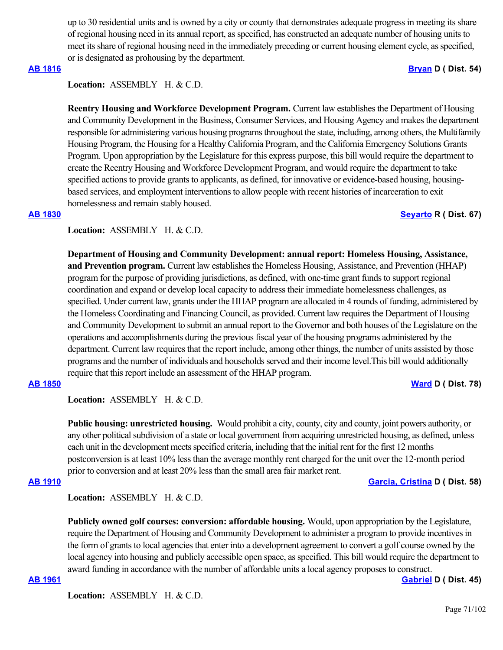up to 30 residential units and is owned by a city or county that demonstrates adequate progress in meeting its share of regional housing need in its annual report, as specified, has constructed an adequate number of housing units to meet its share of regional housing need in the immediately preceding or current housing element cycle, as specified, or is designated as prohousing by the department.

### **[AB 1816](https://ctweb.capitoltrack.com/public/publishbillinfo.aspx?bi=J61mpejvz2vJ6zt3Dde1usn6mCchpsi2zEPLx6TwI0spERB07IcdBkzd8OQlOQMr) [Bryan](https://a54.asmdc.org/) D ( Dist. 54)**

**Location:**  ASSEMBLY H. & C.D.

**Reentry Housing and Workforce Development Program.** Current law establishes the Department of Housing and Community Development in the Business, Consumer Services, and Housing Agency and makes the department responsible for administering various housing programs throughout the state, including, among others, the Multifamily Housing Program, the Housing for a Healthy California Program, and the California Emergency Solutions Grants Program. Upon appropriation by the Legislature for this express purpose, this bill would require the department to create the Reentry Housing and Workforce Development Program, and would require the department to take specified actions to provide grants to applicants, as defined, for innovative or evidence-based housing, housingbased services, and employment interventions to allow people with recent histories of incarceration to exit homelessness and remain stably housed.

### **[AB 1830](https://ctweb.capitoltrack.com/public/publishbillinfo.aspx?bi=i09zcSfvWMEZLWdKRJgeMuOyllSu19v885k2Ccvst%2BIQcCajsoj3Mmt0xbDpNlEc) [Seyarto](https://ad67.asmrc.org/) R ( Dist. 67)**

# Location: ASSEMBLY H. & C.D.

**Department of Housing and Community Development: annual report: Homeless Housing, Assistance, and Prevention program.** Current law establishes the Homeless Housing, Assistance, and Prevention (HHAP) program for the purpose of providing jurisdictions, as defined, with one-time grant funds to support regional coordination and expand or develop local capacity to address their immediate homelessness challenges, as specified. Under current law, grants under the HHAP program are allocated in 4 rounds of funding, administered by the Homeless Coordinating and Financing Council, as provided. Current law requires the Department of Housing and Community Development to submit an annual report to the Governor and both houses of the Legislature on the operations and accomplishments during the previous fiscal year of the housing programs administered by the department. Current law requires that the report include, among other things, the number of units assisted by those programs and the number of individuals and households served and their income level.This bill would additionally require that this report include an assessment of the HHAP program.

**[AB 1850](https://ctweb.capitoltrack.com/public/publishbillinfo.aspx?bi=IiYRnRe19%2F8ewMkgEzhgz7afY%2ByUh7MgYb0qAjkR32vQO%2FE3cjgtEotsxNwlER%2Bp) [Ward](https://a78.asmdc.org/) D ( Dist. 78)**

Location: ASSEMBLY H. & C.D.

**Public housing: unrestricted housing.** Would prohibit a city, county, city and county, joint powers authority, or any other political subdivision of a state or local government from acquiring unrestricted housing, as defined, unless each unit in the development meets specified criteria, including that the initial rent for the first 12 months postconversion is at least 10% less than the average monthly rent charged for the unit over the 12-month period prior to conversion and at least 20% less than the small area fair market rent.

### **[AB 1910](https://ctweb.capitoltrack.com/public/publishbillinfo.aspx?bi=8u%2FGcemZYUcF5I2szOXMaRuNdKCmdD0fHBUwXAmHIyahREqfFG%2FkuyzrqDxihFaq) [Garcia, Cristina](https://a58.asmdc.org/) D ( Dist. 58)**

Location: ASSEMBLY H. & C.D.

**Publicly owned golf courses: conversion: affordable housing.** Would, upon appropriation by the Legislature, require the Department of Housing and Community Development to administer a program to provide incentives in the form of grants to local agencies that enter into a development agreement to convert a golf course owned by the local agency into housing and publicly accessible open space, as specified. This bill would require the department to award funding in accordance with the number of affordable units a local agency proposes to construct.

**[AB 1961](https://ctweb.capitoltrack.com/public/publishbillinfo.aspx?bi=rlwBZWFsc5MjdEhnRGgWbKAOoXOlHP6oVXGYWPOqy8DpsbqrJTUK7JqY1MXPBLhq) [Gabriel](https://a45.asmdc.org/) D ( Dist. 45)**

Location: ASSEMBLY H. & C.D.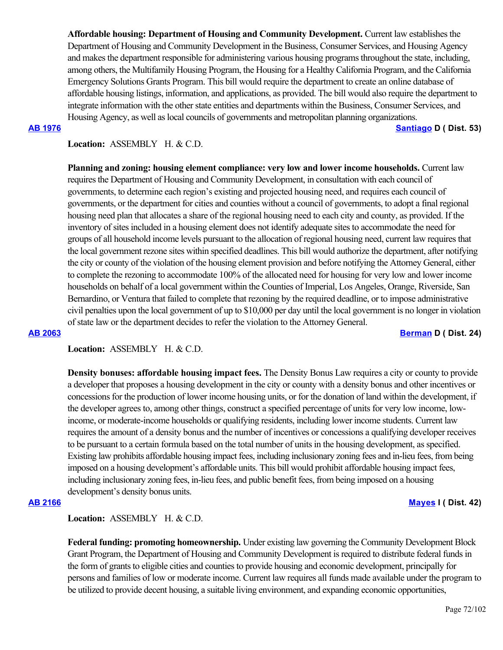**Affordable housing: Department of Housing and Community Development.** Current law establishes the Department of Housing and Community Development in the Business, Consumer Services, and Housing Agency and makes the department responsible for administering various housing programs throughout the state, including, among others, the Multifamily Housing Program, the Housing for a Healthy California Program, and the California Emergency Solutions Grants Program. This bill would require the department to create an online database of affordable housing listings, information, and applications, as provided. The bill would also require the department to integrate information with the other state entities and departments within the Business, Consumer Services, and Housing Agency, as well as local councils of governments and metropolitan planning organizations.

**[AB 1976](https://ctweb.capitoltrack.com/public/publishbillinfo.aspx?bi=bFiF9iNwYmdZy9%2Ftv27kUI5sbTFYU3UNxq9fyi%2BWHPavcmc9qNO1KpyHngJ99Ix9) [Santiago](https://a53.asmdc.org/) D ( Dist. 53)**

# Location: ASSEMBLY H. & C.D.

**Planning and zoning: housing element compliance: very low and lower income households.** Current law requires the Department of Housing and Community Development, in consultation with each council of governments, to determine each region's existing and projected housing need, and requires each council of governments, or the department for cities and counties without a council of governments, to adopt a final regional housing need plan that allocates a share of the regional housing need to each city and county, as provided. If the inventory of sites included in a housing element does not identify adequate sites to accommodate the need for groups of all household income levels pursuant to the allocation of regional housing need, current law requires that the local government rezone sites within specified deadlines. This bill would authorize the department, after notifying the city or county of the violation of the housing element provision and before notifying the Attorney General, either to complete the rezoning to accommodate 100% of the allocated need for housing for very low and lower income households on behalf of a local government within the Counties of Imperial, Los Angeles, Orange, Riverside, San Bernardino, or Ventura that failed to complete that rezoning by the required deadline, or to impose administrative civil penalties upon the local government of up to \$10,000 per day until the local government is no longer in violation of state law or the department decides to refer the violation to the Attorney General.

### **[AB 2063](https://ctweb.capitoltrack.com/public/publishbillinfo.aspx?bi=fO5A99vaBFYF1dow4OuL1ZupxQoNaewBcL74n3sTFjzWkHBbY6IgwlcrvnNaoxC%2F) [Berman](https://a24.asmdc.org/) D ( Dist. 24)**

**Location:**  ASSEMBLY H. & C.D.

**Density bonuses: affordable housing impact fees.** The Density Bonus Law requires a city or county to provide a developer that proposes a housing development in the city or county with a density bonus and other incentives or concessions for the production of lower income housing units, or for the donation of land within the development, if the developer agrees to, among other things, construct a specified percentage of units for very low income, lowincome, or moderate-income households or qualifying residents, including lower income students. Current law requires the amount of a density bonus and the number of incentives or concessions a qualifying developer receives to be pursuant to a certain formula based on the total number of units in the housing development, as specified. Existing law prohibits affordable housing impact fees, including inclusionary zoning fees and in-lieu fees, from being imposed on a housing development's affordable units. This bill would prohibit affordable housing impact fees, including inclusionary zoning fees, in-lieu fees, and public benefit fees, from being imposed on a housing development's density bonus units.

**[AB 2166](https://ctweb.capitoltrack.com/public/publishbillinfo.aspx?bi=vBK%2FkbYboX%2BG9RK7ng4OTlNrjw43mVZHt8d9N%2F9zFs9CJk1vvGH8S7m8cPkizIlE) [Mayes](https://www.assembly.ca.gov/assemblymemberchadmayes) I ( Dist. 42)**

Location: ASSEMBLY H. & C.D.

**Federal funding: promoting homeownership.** Under existing law governing the Community Development Block Grant Program, the Department of Housing and Community Development is required to distribute federal funds in the form of grants to eligible cities and counties to provide housing and economic development, principally for persons and families of low or moderate income. Current law requires all funds made available under the program to be utilized to provide decent housing, a suitable living environment, and expanding economic opportunities,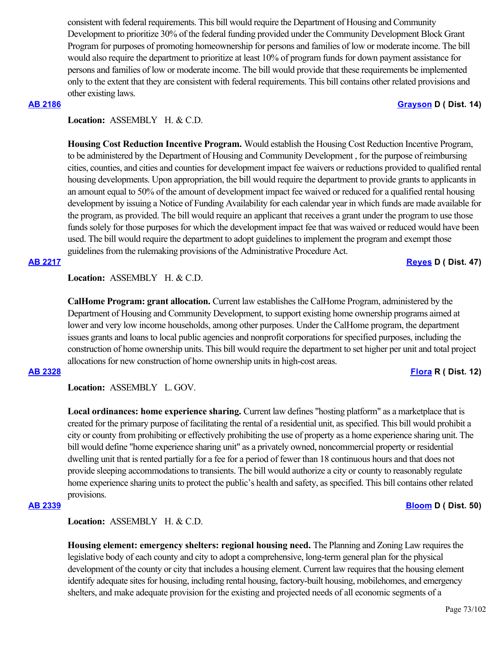consistent with federal requirements. This bill would require the Department of Housing and Community Development to prioritize 30% of the federal funding provided under the Community Development Block Grant Program for purposes of promoting homeownership for persons and families of low or moderate income. The bill would also require the department to prioritize at least 10% of program funds for down payment assistance for persons and families of low or moderate income. The bill would provide that these requirements be implemented only to the extent that they are consistent with federal requirements. This bill contains other related provisions and other existing laws.

## **[AB 2186](https://ctweb.capitoltrack.com/public/publishbillinfo.aspx?bi=5XLEZvyadyyMv09YjNvoqFkQHSAqFHpR6iFi6Cu%2BRsm6oKQOY458n9wVg8BBx0OL) [Grayson](https://a14.asmdc.org/) D ( Dist. 14)**

### Location: ASSEMBLY H. & C.D.

**Housing Cost Reduction Incentive Program.** Would establish the Housing Cost Reduction Incentive Program, to be administered by the Department of Housing and Community Development , for the purpose of reimbursing cities, counties, and cities and counties for development impact fee waivers or reductions provided to qualified rental housing developments. Upon appropriation, the bill would require the department to provide grants to applicants in an amount equal to 50% of the amount of development impact fee waived or reduced for a qualified rental housing development by issuing a Notice of Funding Availability for each calendar year in which funds are made available for the program, as provided. The bill would require an applicant that receives a grant under the program to use those funds solely for those purposes for which the development impact fee that was waived or reduced would have been used. The bill would require the department to adopt guidelines to implement the program and exempt those guidelines from the rulemaking provisions of the Administrative Procedure Act.

**[AB 2217](https://ctweb.capitoltrack.com/public/publishbillinfo.aspx?bi=tyZCc7YgOdlMC9Bz8e94OP8sOPqzxM2KBMPtrzvuYvymvfxK55CWrwhGWzKrQkck) [Reyes](https://a47.asmdc.org/) D ( Dist. 47)**

Location: ASSEMBLY H. & C.D.

**CalHome Program: grant allocation.** Current law establishes the CalHome Program, administered by the Department of Housing and Community Development, to support existing home ownership programs aimed at lower and very low income households, among other purposes. Under the CalHome program, the department issues grants and loans to local public agencies and nonprofit corporations for specified purposes, including the construction of home ownership units. This bill would require the department to set higher per unit and total project allocations for new construction of home ownership units in high-cost areas.

**[AB 2328](https://ctweb.capitoltrack.com/public/publishbillinfo.aspx?bi=IDdzVxnhiJK6zt%2BZzfp8Q40SlUVv0Cp6JVvxVTCzbk9lw%2B6zxly9JMjyFxwlqXcF) [Flora](https://ad12.asmrc.org/) R ( Dist. 12)**

**Location:**  ASSEMBLY L. GOV.

**Local ordinances: home experience sharing.** Current law defines "hosting platform" as a marketplace that is created for the primary purpose of facilitating the rental of a residential unit, as specified. This bill would prohibit a city or county from prohibiting or effectively prohibiting the use of property as a home experience sharing unit. The bill would define "home experience sharing unit" as a privately owned, noncommercial property or residential dwelling unit that is rented partially for a fee for a period of fewer than 18 continuous hours and that does not provide sleeping accommodations to transients. The bill would authorize a city or county to reasonably regulate home experience sharing units to protect the public's health and safety, as specified. This bill contains other related provisions.

**[AB 2339](https://ctweb.capitoltrack.com/public/publishbillinfo.aspx?bi=%2B6PWfMHzOq0tJvTdyYEg94iPI7NdT2oSAxfunUTGUlmCQpIZQjbocf2xnDpfxUGa) [Bloom](https://a50.asmdc.org/) D ( Dist. 50)**

Location: ASSEMBLY H. & C.D.

**Housing element: emergency shelters: regional housing need.** The Planning and Zoning Law requires the legislative body of each county and city to adopt a comprehensive, long-term general plan for the physical development of the county or city that includes a housing element. Current law requires that the housing element identify adequate sites for housing, including rental housing, factory-built housing, mobilehomes, and emergency shelters, and make adequate provision for the existing and projected needs of all economic segments of a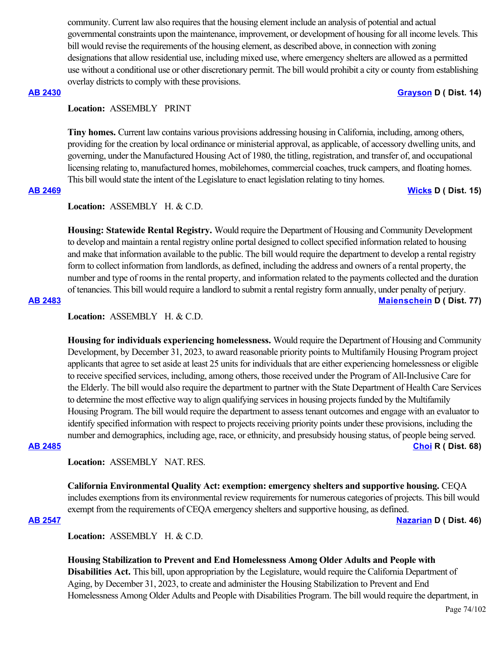community. Current law also requires that the housing element include an analysis of potential and actual governmental constraints upon the maintenance, improvement, or development of housing for all income levels. This bill would revise the requirements of the housing element, as described above, in connection with zoning designations that allow residential use, including mixed use, where emergency shelters are allowed as a permitted use without a conditional use or other discretionary permit. The bill would prohibit a city or county from establishing overlay districts to comply with these provisions.

### **[AB 2430](https://ctweb.capitoltrack.com/public/publishbillinfo.aspx?bi=YLR49iJVpv%2Bvg%2FczJWu1GWNJrsr4m9m6v38V4iWlHKc0yc4ZcMu%2BnZe152eGDiWi) [Grayson](https://a14.asmdc.org/) D ( Dist. 14)**

## **Location:**  ASSEMBLY PRINT

**Tiny homes.** Current law contains various provisions addressing housing in California, including, among others, providing for the creation by local ordinance or ministerial approval, as applicable, of accessory dwelling units, and governing, under the Manufactured Housing Act of 1980, the titling, registration, and transfer of, and occupational licensing relating to, manufactured homes, mobilehomes, commercial coaches, truck campers, and floating homes. This bill would state the intent of the Legislature to enact legislation relating to tiny homes.

**[AB 2469](https://ctweb.capitoltrack.com/public/publishbillinfo.aspx?bi=ld9hystH3cuSW1fhkINdwETgJ7pHXCFlh4h79f2D2tDlsfHTG3apL5WlyExqFZZz) [Wicks](https://a15.asmdc.org/) D ( Dist. 15)**

## Location: ASSEMBLY H. & C.D.

**Housing: Statewide Rental Registry.** Would require the Department of Housing and Community Development to develop and maintain a rental registry online portal designed to collect specified information related to housing and make that information available to the public. The bill would require the department to develop a rental registry form to collect information from landlords, as defined, including the address and owners of a rental property, the number and type of rooms in the rental property, and information related to the payments collected and the duration of tenancies. This bill would require a landlord to submit a rental registry form annually, under penalty of perjury. **[AB 2483](https://ctweb.capitoltrack.com/public/publishbillinfo.aspx?bi=OiST46PovuZH4FCNoQRwqf%2BBxhw%2F2cHsZr4mIbHwyi7R1VThsS5ak9TOIOFuevtF) [Maienschein](https://a77.asmdc.org/) D ( Dist. 77)**

Location: ASSEMBLY H. & C.D.

**Housing for individuals experiencing homelessness.** Would require the Department of Housing and Community Development, by December 31, 2023, to award reasonable priority points to Multifamily Housing Program project applicants that agree to set aside at least 25 units for individuals that are either experiencing homelessness or eligible to receive specified services, including, among others, those received under the Program of All-Inclusive Care for the Elderly. The bill would also require the department to partner with the State Department of Health Care Services to determine the most effective way to align qualifying services in housing projects funded by the Multifamily Housing Program. The bill would require the department to assess tenant outcomes and engage with an evaluator to identify specified information with respect to projects receiving priority points under these provisions, including the number and demographics, including age, race, or ethnicity, and presubsidy housing status, of people being served. **[AB 2485](https://ctweb.capitoltrack.com/public/publishbillinfo.aspx?bi=wBAcRBC4rTrVvtdWcof5AfjMAMyVsJYCCq0SLi9aPCoSt5upjibBkOiqg%2FY3%2FQYs) [Choi](https://ad68.asmrc.org/) R ( Dist. 68)**

## **Location:**  ASSEMBLY NAT. RES.

**California Environmental Quality Act: exemption: emergency shelters and supportive housing.** CEQA includes exemptions from its environmental review requirements for numerous categories of projects. This bill would exempt from the requirements of CEQA emergency shelters and supportive housing, as defined.

**[AB 2547](https://ctweb.capitoltrack.com/public/publishbillinfo.aspx?bi=jIxr8iJLj8ClXJ2KRtwkgG5yGtXD3buM6ED19Q6bILxmwfgpLPjU%2BjYAQgyZW%2BSB) [Nazarian](https://a46.asmdc.org/) D ( Dist. 46)**

Location: ASSEMBLY H. & C.D.

**Housing Stabilization to Prevent and End Homelessness Among Older Adults and People with Disabilities Act.** This bill, upon appropriation by the Legislature, would require the California Department of Aging, by December 31, 2023, to create and administer the Housing Stabilization to Prevent and End Homelessness Among Older Adults and People with Disabilities Program. The bill would require the department, in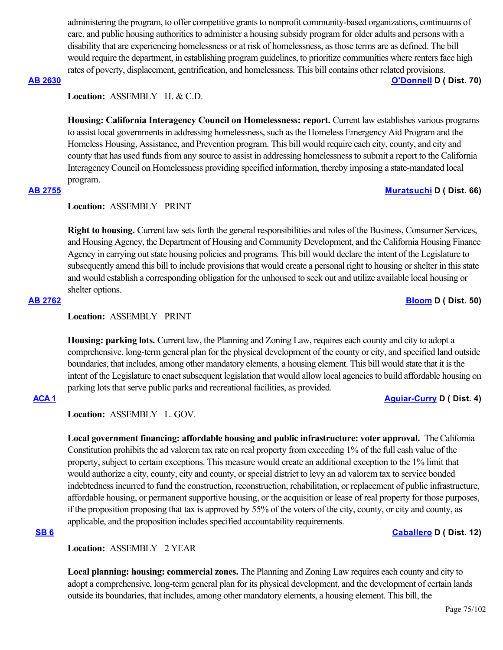administering the program, to offer competitive grants to nonprofit community-based organizations, continuums of care, and public housing authorities to administer a housing subsidy program for older adults and persons with a disability that are experiencing homelessness or at risk of homelessness, as those terms are as defined. The bill would require the department, in establishing program guidelines, to prioritize communities where renters face high rates of poverty, displacement, gentrification, and homelessness. This bill contains other related provisions.

## **[AB 2630](https://ctweb.capitoltrack.com/public/publishbillinfo.aspx?bi=8qoYIWCo3kcUL80PnkXIf7Ld%2FslommSBm8VXdmEWlGTqxtjPSSZsEYapaGnOoqId) [O'Donnell](https://a70.asmdc.org/) D ( Dist. 70)**

Location: ASSEMBLY H. & C.D.

**Housing: California Interagency Council on Homelessness: report.** Current law establishes various programs to assist local governments in addressing homelessness, such as the Homeless Emergency Aid Program and the Homeless Housing, Assistance, and Prevention program. This bill would require each city, county, and city and county that has used funds from any source to assist in addressing homelessness to submit a report to the California Interagency Council on Homelessness providing specified information, thereby imposing a state-mandated local program.

# **[AB 2755](https://ctweb.capitoltrack.com/public/publishbillinfo.aspx?bi=PRWRrpyHuvByL8Wle2nba%2F962igbdRDOLjqws7EcC3NRHKQ2R5MNn%2FpS7RqPcTWQ) [Muratsuchi](https://a66.asmdc.org/) D ( Dist. 66)**

## **Location:**  ASSEMBLY PRINT

**Right to housing.** Current law sets forth the general responsibilities and roles of the Business, Consumer Services, and Housing Agency, the Department of Housing and Community Development, and the California Housing Finance Agency in carrying out state housing policies and programs. This bill would declare the intent of the Legislature to subsequently amend this bill to include provisions that would create a personal right to housing or shelter in this state and would establish a corresponding obligation for the unhoused to seek out and utilize available local housing or shelter options. **[AB 2762](https://ctweb.capitoltrack.com/public/publishbillinfo.aspx?bi=NNGNHGpuoKtjY%2FVZ7Q%2FfmQi5WzK%2BnAR5M8wnPKEA1KeIGYtuFNKVtvh8tP8xUGDB) [Bloom](https://a50.asmdc.org/) D ( Dist. 50)**

## **Location:**  ASSEMBLY PRINT

**Housing: parking lots.** Current law, the Planning and Zoning Law, requires each county and city to adopt a comprehensive, long-term general plan for the physical development of the county or city, and specified land outside boundaries, that includes, among other mandatory elements, a housing element. This bill would state that it is the intent of the Legislature to enact subsequent legislation that would allow local agencies to build affordable housing on parking lots that serve public parks and recreational facilities, as provided.

# **[ACA 1](https://ctweb.capitoltrack.com/public/publishbillinfo.aspx?bi=vkAbgpBB9wOKQrx%2F6m3DJE4Lfzjw%2B69Lv7GxnaWpsGPIGgKDXm0xJSIkZsa8QVVB) [Aguiar-Curry](https://a04.asmdc.org/) D ( Dist. 4)**

**Location:**  ASSEMBLY L. GOV.

**Local government financing: affordable housing and public infrastructure: voter approval.** The California Constitution prohibits the ad valorem tax rate on real property from exceeding 1% of the full cash value of the property, subject to certain exceptions. This measure would create an additional exception to the 1% limit that would authorize a city, county, city and county, or special district to levy an ad valorem tax to service bonded indebtedness incurred to fund the construction, reconstruction, rehabilitation, or replacement of public infrastructure, affordable housing, or permanent supportive housing, or the acquisition or lease of real property for those purposes, if the proposition proposing that tax is approved by 55% of the voters of the city, county, or city and county, as applicable, and the proposition includes specified accountability requirements.

# **[SB 6](https://ctweb.capitoltrack.com/public/publishbillinfo.aspx?bi=oXSFwTOkDelqHhcTo%2B6z6m20UF3xamGd0AcFGP8968UI8lDQe47eNKPzSta6KQu4) [Caballero](https://sd12.senate.ca.gov/) D ( Dist. 12)**

# **Location:**  ASSEMBLY 2 YEAR

**Local planning: housing: commercial zones.** The Planning and Zoning Law requires each county and city to adopt a comprehensive, long-term general plan for its physical development, and the development of certain lands outside its boundaries, that includes, among other mandatory elements, a housing element. This bill, the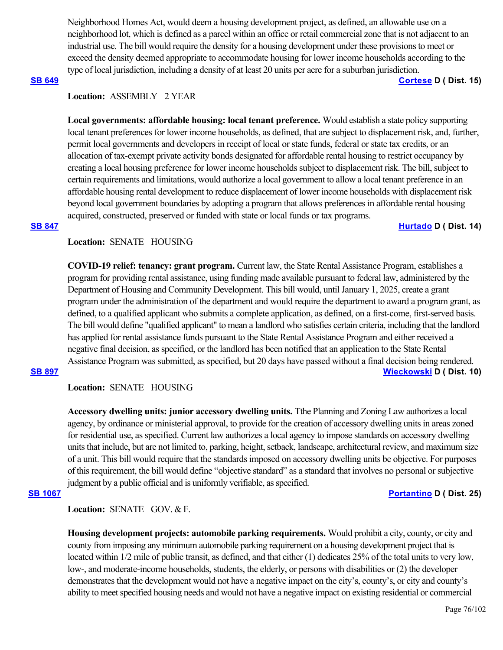Neighborhood Homes Act, would deem a housing development project, as defined, an allowable use on a neighborhood lot, which is defined as a parcel within an office or retail commercial zone that is not adjacent to an industrial use. The bill would require the density for a housing development under these provisions to meet or exceed the density deemed appropriate to accommodate housing for lower income households according to the type of local jurisdiction, including a density of at least 20 units per acre for a suburban jurisdiction.

### **[SB 649](https://ctweb.capitoltrack.com/public/publishbillinfo.aspx?bi=%2BbMisuO7rcKbxyWy6iCU8kGnPmfE8KcbemItEMkMnr9tkx0ANrW0qejb0qECcGJH) [Cortese](http://sd15.senate.ca.gov/) D ( Dist. 15)**

## **Location:**  ASSEMBLY 2 YEAR

**Local governments: affordable housing: local tenant preference.** Would establish a state policy supporting local tenant preferences for lower income households, as defined, that are subject to displacement risk, and, further, permit local governments and developers in receipt of local or state funds, federal or state tax credits, or an allocation of tax-exempt private activity bonds designated for affordable rental housing to restrict occupancy by creating a local housing preference for lower income households subject to displacement risk. The bill, subject to certain requirements and limitations, would authorize a local government to allow a local tenant preference in an affordable housing rental development to reduce displacement of lower income households with displacement risk beyond local government boundaries by adopting a program that allows preferences in affordable rental housing acquired, constructed, preserved or funded with state or local funds or tax programs.

### **[SB 847](https://ctweb.capitoltrack.com/public/publishbillinfo.aspx?bi=%2FHlilsx8485HaNkWIkVJJ3fXqlihEgUuulZxrNNwmrEgNQ9i8qmEeVt6712MsA1h) [Hurtado](https://sd14.senate.ca.gov/) D ( Dist. 14)**

## **Location:**  SENATE HOUSING

**COVID-19 relief: tenancy: grant program.** Current law, the State Rental Assistance Program, establishes a program for providing rental assistance, using funding made available pursuant to federal law, administered by the Department of Housing and Community Development. This bill would, until January 1, 2025, create a grant program under the administration of the department and would require the department to award a program grant, as defined, to a qualified applicant who submits a complete application, as defined, on a first-come, first-served basis. The bill would define "qualified applicant" to mean a landlord who satisfies certain criteria, including that the landlord has applied for rental assistance funds pursuant to the State Rental Assistance Program and either received a negative final decision, as specified, or the landlord has been notified that an application to the State Rental Assistance Program was submitted, as specified, but 20 days have passed without a final decision being rendered.

## **[SB 897](https://ctweb.capitoltrack.com/public/publishbillinfo.aspx?bi=LFXAcElsuglqltzU9dVC7zBaA04dbOaHNgRWa7fs%2BvLg%2FtBVnQZgpxDAwYJZXsEi) [Wieckowski](http://sd10.senate.ca.gov/) D ( Dist. 10)**

**Location:**  SENATE HOUSING

**Accessory dwelling units: junior accessory dwelling units.** Tthe Planning and Zoning Law authorizes a local agency, by ordinance or ministerial approval, to provide for the creation of accessory dwelling units in areas zoned for residential use, as specified. Current law authorizes a local agency to impose standards on accessory dwelling units that include, but are not limited to, parking, height, setback, landscape, architectural review, and maximum size of a unit. This bill would require that the standards imposed on accessory dwelling units be objective. For purposes of this requirement, the bill would define "objective standard" as a standard that involves no personal or subjective judgment by a public official and is uniformly verifiable, as specified.

### **[SB 1067](https://ctweb.capitoltrack.com/public/publishbillinfo.aspx?bi=1U0903spIRsw98TVspVF4JN0mVgIBBciE%2BSbnHj%2F02KI13VYUNJkgCmFENz%2Fsb2t) [Portantino](http://sd25.senate.ca.gov/) D ( Dist. 25)**

Location: **SENATE** GOV. & F.

**Housing development projects: automobile parking requirements.** Would prohibit a city, county, or city and county from imposing any minimum automobile parking requirement on a housing development project that is located within  $1/2$  mile of public transit, as defined, and that either (1) dedicates 25% of the total units to very low, low-, and moderate-income households, students, the elderly, or persons with disabilities or (2) the developer demonstrates that the development would not have a negative impact on the city's, county's, or city and county's ability to meet specified housing needs and would not have a negative impact on existing residential or commercial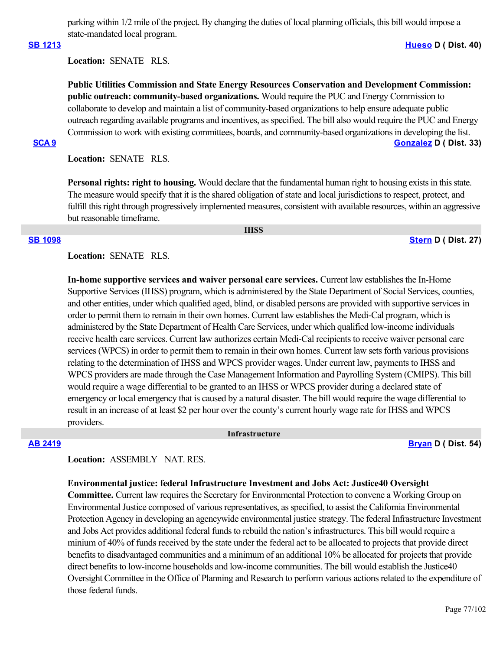parking within 1/2 mile of the project. By changing the duties of local planning officials, this bill would impose a state-mandated local program.

### **[SB 1213](https://ctweb.capitoltrack.com/public/publishbillinfo.aspx?bi=VPModTV8lx%2BidpvHyPFoJdZVUQbswwEyhUWGD%2FCnzAjvvbSuex7q92tvqidoSRVp) [Hueso](http://sd40.senate.ca.gov/) D ( Dist. 40)**

**Location:**  SENATE RLS.

**Public Utilities Commission and State Energy Resources Conservation and Development Commission: public outreach: community-based organizations.** Would require the PUC and Energy Commission to collaborate to develop and maintain a list of community-based organizations to help ensure adequate public outreach regarding available programs and incentives, as specified. The bill also would require the PUC and Energy Commission to work with existing committees, boards, and community-based organizations in developing the list. **[SCA 9](https://ctweb.capitoltrack.com/public/publishbillinfo.aspx?bi=TTtiJexiWrxi8xlB9FnYshZnpixjzLFt0kjeC8nStipVFhu9nnMvIvy0h3k6SJVd) [Gonzalez](https://sd33.senate.ca.gov/) D ( Dist. 33)**

**Location:**  SENATE RLS.

**Personal rights: right to housing.** Would declare that the fundamental human right to housing exists in this state. The measure would specify that it is the shared obligation of state and local jurisdictions to respect, protect, and fulfill this right through progressively implemented measures, consistent with available resources, within an aggressive but reasonable timeframe.

 **IHSS**

### **[SB 1098](https://ctweb.capitoltrack.com/public/publishbillinfo.aspx?bi=3odrIF%2FX0agswv4uf1ARewOCRRhsUUQTzpXApFIyaM%2Bk1RgKWJQEOBfAp8FwGUSN) [Stern](http://sd27.senate.ca.gov/) D ( Dist. 27)**

**Location:**  SENATE RLS.

**In-home supportive services and waiver personal care services.** Current law establishes the In-Home Supportive Services (IHSS) program, which is administered by the State Department of Social Services, counties, and other entities, under which qualified aged, blind, or disabled persons are provided with supportive services in order to permit them to remain in their own homes. Current law establishes the Medi-Cal program, which is administered by the State Department of Health Care Services, under which qualified low-income individuals receive health care services. Current law authorizes certain Medi-Cal recipients to receive waiver personal care services (WPCS) in order to permit them to remain in their own homes. Current law sets forth various provisions relating to the determination of IHSS and WPCS provider wages. Under current law, payments to IHSS and WPCS providers are made through the Case Management Information and Payrolling System (CMIPS). This bill would require a wage differential to be granted to an IHSS or WPCS provider during a declared state of emergency or local emergency that is caused by a natural disaster. The bill would require the wage differential to result in an increase of at least \$2 per hour over the county's current hourly wage rate for IHSS and WPCS providers.

### **Infrastructure**

**[AB 2419](https://ctweb.capitoltrack.com/public/publishbillinfo.aspx?bi=3PyA%2FOupEJdb9WGSAovbhsbCOHj%2BcqfUY61U9NYPCIucncc67wq8D14JhSDdxhCW) [Bryan](https://a54.asmdc.org/) D ( Dist. 54)**

## **Location:**  ASSEMBLY NAT. RES.

## **Environmental justice: federal Infrastructure Investment and Jobs Act: Justice40 Oversight**

**Committee.** Current law requires the Secretary for Environmental Protection to convene a Working Group on Environmental Justice composed of various representatives, as specified, to assist the California Environmental Protection Agency in developing an agencywide environmental justice strategy. The federal Infrastructure Investment and Jobs Act provides additional federal funds to rebuild the nation's infrastructures. This bill would require a minium of 40% of funds received by the state under the federal act to be allocated to projects that provide direct benefits to disadvantaged communities and a minimum of an additional 10% be allocated for projects that provide direct benefits to low-income households and low-income communities. The bill would establish the Justice40 Oversight Committee in the Office of Planning and Research to perform various actions related to the expenditure of those federal funds.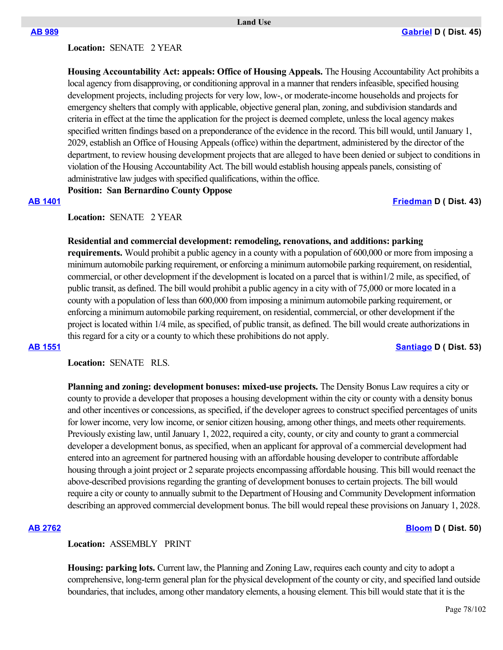### **Land Use**

## **Location:**  SENATE 2 YEAR

**Housing Accountability Act: appeals: Office of Housing Appeals.** The Housing Accountability Act prohibits a local agency from disapproving, or conditioning approval in a manner that renders infeasible, specified housing development projects, including projects for very low, low-, or moderate-income households and projects for emergency shelters that comply with applicable, objective general plan, zoning, and subdivision standards and criteria in effect at the time the application for the project is deemed complete, unless the local agency makes specified written findings based on a preponderance of the evidence in the record. This bill would, until January 1, 2029, establish an Office of Housing Appeals (office) within the department, administered by the director of the department, to review housing development projects that are alleged to have been denied or subject to conditions in violation of the Housing Accountability Act. The bill would establish housing appeals panels, consisting of administrative law judges with specified qualifications, within the office.

**Position: San Bernardino County Oppose**

**[AB 1401](https://ctweb.capitoltrack.com/public/publishbillinfo.aspx?bi=fQ56FfKqG7a6sZSjOVyOjXlJ95OI%2FLKyiBiPvRiGpmvkWVikUcdun8b73Dk0GSDa) [Friedman](https://a43.asmdc.org/) D ( Dist. 43)**

**Location:**  SENATE 2 YEAR

### **Residential and commercial development: remodeling, renovations, and additions: parking**

**requirements.** Would prohibit a public agency in a county with a population of 600,000 or more from imposing a minimum automobile parking requirement, or enforcing a minimum automobile parking requirement, on residential, commercial, or other development if the development is located on a parcel that is within1/2 mile, as specified, of public transit, as defined. The bill would prohibit a public agency in a city with of 75,000 or more located in a county with a population of less than 600,000 from imposing a minimum automobile parking requirement, or enforcing a minimum automobile parking requirement, on residential, commercial, or other development if the project is located within 1/4 mile, as specified, of public transit, as defined. The bill would create authorizations in this regard for a city or a county to which these prohibitions do not apply. **[AB 1551](https://ctweb.capitoltrack.com/public/publishbillinfo.aspx?bi=0afc6OOFaLcM8dcJXpiKK03jBFTo5%2FHoYXn7P36YwA%2FHh77jsLNwEaud6vI2DQvi) [Santiago](https://a53.asmdc.org/) D ( Dist. 53)**

**Location:**  SENATE RLS.

**Planning and zoning: development bonuses: mixed-use projects.** The Density Bonus Law requires a city or county to provide a developer that proposes a housing development within the city or county with a density bonus and other incentives or concessions, as specified, if the developer agrees to construct specified percentages of units for lower income, very low income, or senior citizen housing, among other things, and meets other requirements. Previously existing law, until January 1, 2022, required a city, county, or city and county to grant a commercial developer a development bonus, as specified, when an applicant for approval of a commercial development had entered into an agreement for partnered housing with an affordable housing developer to contribute affordable housing through a joint project or 2 separate projects encompassing affordable housing. This bill would reenact the above-described provisions regarding the granting of development bonuses to certain projects. The bill would require a city or county to annually submit to the Department of Housing and Community Development information describing an approved commercial development bonus. The bill would repeal these provisions on January 1, 2028.

### **[AB 2762](https://ctweb.capitoltrack.com/public/publishbillinfo.aspx?bi=NNGNHGpuoKtjY%2FVZ7Q%2FfmQi5WzK%2BnAR5M8wnPKEA1KeIGYtuFNKVtvh8tP8xUGDB) [Bloom](https://a50.asmdc.org/) D ( Dist. 50)**

### **Location:**  ASSEMBLY PRINT

**Housing: parking lots.** Current law, the Planning and Zoning Law, requires each county and city to adopt a comprehensive, long-term general plan for the physical development of the county or city, and specified land outside boundaries, that includes, among other mandatory elements, a housing element. This bill would state that it is the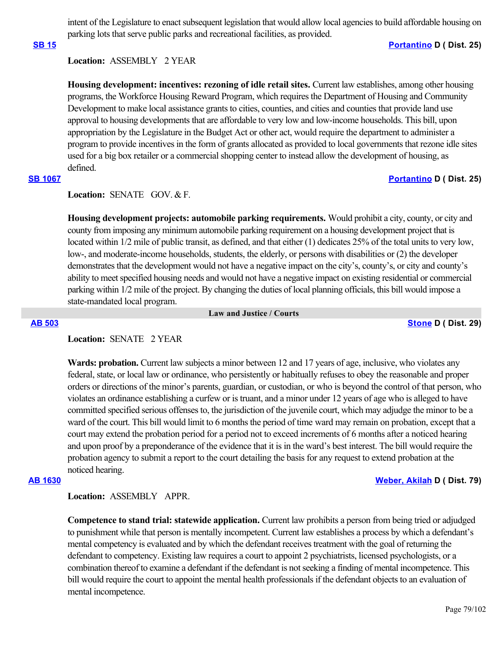intent of the Legislature to enact subsequent legislation that would allow local agencies to build affordable housing on parking lots that serve public parks and recreational facilities, as provided.

### **[SB 15](https://ctweb.capitoltrack.com/public/publishbillinfo.aspx?bi=CzBvxEQUwfWMqsZui6iOWnHXa36JrXVg%2FfGJIsWZytbLXyWuIdEN0oJ9SruHYrcW) [Portantino](http://sd25.senate.ca.gov/) D ( Dist. 25)**

## **Location:**  ASSEMBLY 2 YEAR

**Housing development: incentives: rezoning of idle retail sites.** Current law establishes, among other housing programs, the Workforce Housing Reward Program, which requires the Department of Housing and Community Development to make local assistance grants to cities, counties, and cities and counties that provide land use approval to housing developments that are affordable to very low and low-income households. This bill, upon appropriation by the Legislature in the Budget Act or other act, would require the department to administer a program to provide incentives in the form of grants allocated as provided to local governments that rezone idle sites used for a big box retailer or a commercial shopping center to instead allow the development of housing, as defined.

## **[SB 1067](https://ctweb.capitoltrack.com/public/publishbillinfo.aspx?bi=1U0903spIRsw98TVspVF4JN0mVgIBBciE%2BSbnHj%2F02KI13VYUNJkgCmFENz%2Fsb2t) [Portantino](http://sd25.senate.ca.gov/) D ( Dist. 25)**

Location: **SENATE** GOV. & F.

**Housing development projects: automobile parking requirements.** Would prohibit a city, county, or city and county from imposing any minimum automobile parking requirement on a housing development project that is located within  $1/2$  mile of public transit, as defined, and that either (1) dedicates 25% of the total units to very low, low-, and moderate-income households, students, the elderly, or persons with disabilities or (2) the developer demonstrates that the development would not have a negative impact on the city's, county's, or city and county's ability to meet specified housing needs and would not have a negative impact on existing residential or commercial parking within 1/2 mile of the project. By changing the duties of local planning officials, this bill would impose a state-mandated local program.

 **Law and Justice / Courts**

**[AB 503](https://ctweb.capitoltrack.com/public/publishbillinfo.aspx?bi=9q%2Fh7eCb8Mkl5tOrz9wE9YTwaIA0n%2FISK6GlkgeZnKpOvmEJDEoEx89yT8FKoQcn) [Stone](https://a29.asmdc.org/) D ( Dist. 29)**

### **Location:**  SENATE 2 YEAR

**Wards: probation.** Current law subjects a minor between 12 and 17 years of age, inclusive, who violates any federal, state, or local law or ordinance, who persistently or habitually refuses to obey the reasonable and proper orders or directions of the minor's parents, guardian, or custodian, or who is beyond the control of that person, who violates an ordinance establishing a curfew or is truant, and a minor under 12 years of age who is alleged to have committed specified serious offenses to, the jurisdiction of the juvenile court, which may adjudge the minor to be a ward of the court. This bill would limit to 6 months the period of time ward may remain on probation, except that a court may extend the probation period for a period not to exceed increments of 6 months after a noticed hearing and upon proof by a preponderance of the evidence that it is in the ward's best interest. The bill would require the probation agency to submit a report to the court detailing the basis for any request to extend probation at the noticed hearing.

### **[AB 1630](https://ctweb.capitoltrack.com/public/publishbillinfo.aspx?bi=lnvb529SGpCt%2BOqcxtChTM%2F9ETVgOAt0P8jnL9Tjj6YgSJh%2Bw2jNquuODF9AtSTL) [Weber, Akilah](https://a79.asmdc.org/) D ( Dist. 79)**

## **Location:**  ASSEMBLY APPR.

**Competence to stand trial: statewide application.** Current law prohibits a person from being tried or adjudged to punishment while that person is mentally incompetent. Current law establishes a process by which a defendant's mental competency is evaluated and by which the defendant receives treatment with the goal of returning the defendant to competency. Existing law requires a court to appoint 2 psychiatrists, licensed psychologists, or a combination thereof to examine a defendant if the defendant is not seeking a finding of mental incompetence. This bill would require the court to appoint the mental health professionals if the defendant objects to an evaluation of mental incompetence.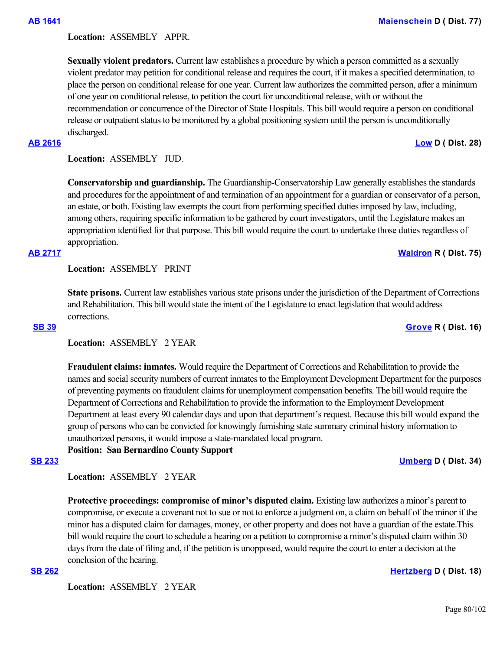Location: **ASSEMBLY APPR.** 

**Sexually violent predators.** Current law establishes a procedure by which a person committed as a sexually violent predator may petition for conditional release and requires the court, if it makes a specified determination, to place the person on conditional release for one year. Current law authorizes the committed person, after a minimum of one year on conditional release, to petition the court for unconditional release, with or without the recommendation or concurrence of the Director of State Hospitals. This bill would require a person on conditional release or outpatient status to be monitored by a global positioning system until the person is unconditionally discharged.

**Location:**  ASSEMBLY JUD.

**Conservatorship and guardianship.** The Guardianship-Conservatorship Law generally establishes the standards and procedures for the appointment of and termination of an appointment for a guardian or conservator of a person, an estate, or both. Existing law exempts the court from performing specified duties imposed by law, including, among others, requiring specific information to be gathered by court investigators, until the Legislature makes an appropriation identified for that purpose. This bill would require the court to undertake those duties regardless of appropriation.

### **[AB 2717](https://ctweb.capitoltrack.com/public/publishbillinfo.aspx?bi=yFEkGi8zPmpDOihFfa3Q0yn%2BOkhF3i%2F9wKbKgC9yNScxQ%2B9bOfC06WNam55SbuuW) [Waldron](https://ad75.asmrc.org/) R ( Dist. 75)**

**Location:**  ASSEMBLY PRINT

**State prisons.** Current law establishes various state prisons under the jurisdiction of the Department of Corrections and Rehabilitation. This bill would state the intent of the Legislature to enact legislation that would address corrections.

**Location:**  ASSEMBLY 2 YEAR

**Fraudulent claims: inmates.** Would require the Department of Corrections and Rehabilitation to provide the names and social security numbers of current inmates to the Employment Development Department for the purposes of preventing payments on fraudulent claims for unemployment compensation benefits. The bill would require the Department of Corrections and Rehabilitation to provide the information to the Employment Development Department at least every 90 calendar days and upon that department's request. Because this bill would expand the group of persons who can be convicted for knowingly furnishing state summary criminal history information to unauthorized persons, it would impose a state-mandated local program.

**Position: San Bernardino County Support**

## **[SB 233](https://ctweb.capitoltrack.com/public/publishbillinfo.aspx?bi=CWBdqm8ay5B25yfeKleer40p3DiOHCQ7El%2BakyFlnYYvTqqJ6C8nkOwv2Y0gyHoF) [Umberg](https://sd34.senate.ca.gov/) D ( Dist. 34)**

**Location:**  ASSEMBLY 2 YEAR

**Protective proceedings: compromise of minor's disputed claim.** Existing law authorizes a minor's parent to compromise, or execute a covenant not to sue or not to enforce a judgment on, a claim on behalf of the minor if the minor has a disputed claim for damages, money, or other property and does not have a guardian of the estate.This bill would require the court to schedule a hearing on a petition to compromise a minor's disputed claim within 30 days from the date of filing and, if the petition is unopposed, would require the court to enter a decision at the conclusion of the hearing.

**[SB 262](https://ctweb.capitoltrack.com/public/publishbillinfo.aspx?bi=Cq2hWoghhvqRl0KBFyLuemjOq0b%2FadyPHaxumjgw5gy2WMntLlC%2FLNLUjv%2BIY%2BY6) [Hertzberg](https://sd18.senate.ca.gov/) D ( Dist. 18)**

**Location:**  ASSEMBLY 2 YEAR

## **[AB 2616](https://ctweb.capitoltrack.com/public/publishbillinfo.aspx?bi=c5YRB3BtSFN35E1Mf1vJ6dYkzKUz2SPwmaCL8Pwby2XGZxmJb3wrHgTDlFH5unm6) [Low](https://a28.asmdc.org/) D ( Dist. 28)**

# **[SB 39](https://ctweb.capitoltrack.com/public/publishbillinfo.aspx?bi=sUKRFgAc2NMvgSBTS%2F1GGVbYKlZ1ETu1WiOud04YN1dK%2BSF7%2BA6eNuD7QMFsqQbv) [Grove](https://grove.cssrc.us/) R ( Dist. 16)**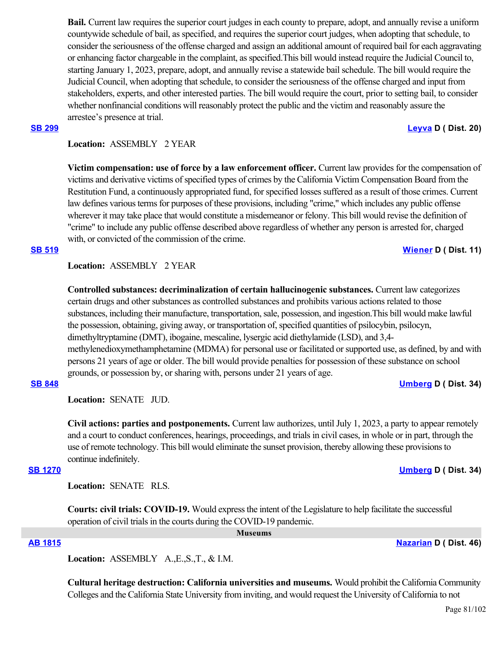**Bail.** Current law requires the superior court judges in each county to prepare, adopt, and annually revise a uniform countywide schedule of bail, as specified, and requires the superior court judges, when adopting that schedule, to consider the seriousness of the offense charged and assign an additional amount of required bail for each aggravating or enhancing factor chargeable in the complaint, as specified.This bill would instead require the Judicial Council to, starting January 1, 2023, prepare, adopt, and annually revise a statewide bail schedule. The bill would require the Judicial Council, when adopting that schedule, to consider the seriousness of the offense charged and input from stakeholders, experts, and other interested parties. The bill would require the court, prior to setting bail, to consider whether nonfinancial conditions will reasonably protect the public and the victim and reasonably assure the arrestee's presence at trial.

### **[SB 299](https://ctweb.capitoltrack.com/public/publishbillinfo.aspx?bi=5m8tyJaJ43VktoJQBcXZ4MoysGntQ9zD5Cfp94xuJYEguIXngZ4dYxUK4RWHKgP4) [Leyva](http://sd20.senate.ca.gov/) D ( Dist. 20)**

# **Location:**  ASSEMBLY 2 YEAR

**Victim compensation: use of force by a law enforcement officer.** Current law provides for the compensation of victims and derivative victims of specified types of crimes by the California Victim Compensation Board from the Restitution Fund, a continuously appropriated fund, for specified losses suffered as a result of those crimes. Current law defines various terms for purposes of these provisions, including "crime," which includes any public offense wherever it may take place that would constitute a misdemeanor or felony. This bill would revise the definition of "crime" to include any public offense described above regardless of whether any person is arrested for, charged with, or convicted of the commission of the crime.

## **Location:**  ASSEMBLY 2 YEAR

**Controlled substances: decriminalization of certain hallucinogenic substances.** Current law categorizes certain drugs and other substances as controlled substances and prohibits various actions related to those substances, including their manufacture, transportation, sale, possession, and ingestion.This bill would make lawful the possession, obtaining, giving away, or transportation of, specified quantities of psilocybin, psilocyn, dimethyltryptamine (DMT), ibogaine, mescaline, lysergic acid diethylamide (LSD), and 3,4 methylenedioxymethamphetamine (MDMA) for personal use or facilitated or supported use, as defined, by and with persons 21 years of age or older. The bill would provide penalties for possession of these substance on school grounds, or possession by, or sharing with, persons under 21 years of age.

## **[SB 848](https://ctweb.capitoltrack.com/public/publishbillinfo.aspx?bi=6OsQu0oU7JnguhmKtx3Qo65Lrk1CaeXRzGblv4mGeaJYzL4RPAEsXWKf8EIkZC3n) [Umberg](https://sd34.senate.ca.gov/) D ( Dist. 34)**

**Location:**  SENATE JUD.

**Civil actions: parties and postponements.** Current law authorizes, until July 1, 2023, a party to appear remotely and a court to conduct conferences, hearings, proceedings, and trials in civil cases, in whole or in part, through the use of remote technology. This bill would eliminate the sunset provision, thereby allowing these provisions to continue indefinitely.

### **[SB 1270](https://ctweb.capitoltrack.com/public/publishbillinfo.aspx?bi=HzyGTo%2F2NJKgmdLR9c77lfeLplPaJVpK%2BBId9iYITDEptL8IxGz7o02209jDqVTI) [Umberg](https://sd34.senate.ca.gov/) D ( Dist. 34)**

**Location:**  SENATE RLS.

**Courts: civil trials: COVID-19.** Would express the intent of the Legislature to help facilitate the successful operation of civil trials in the courts during the COVID-19 pandemic.

 **Museums**

**[AB 1815](https://ctweb.capitoltrack.com/public/publishbillinfo.aspx?bi=26vOGg2YEw6Mfb1jQAii3FOrh1RZZqZCKmuUwo5GrpVh2W3026t13UvKeXUHQnK3) [Nazarian](https://a46.asmdc.org/) D ( Dist. 46)**

**Location:**  ASSEMBLY A.,E.,S.,T., & I.M.

**Cultural heritage destruction: California universities and museums.** Would prohibit the California Community Colleges and the California State University from inviting, and would request the University of California to not

**[SB 519](https://ctweb.capitoltrack.com/public/publishbillinfo.aspx?bi=S%2Fqdy5QJb97AZhOUGFEgrrOu2893hHPADL3SNrgXeTRpxLo6I80R%2BXvamzjzl7KU) [Wiener](http://sd11.senate.ca.gov/) D ( Dist. 11)**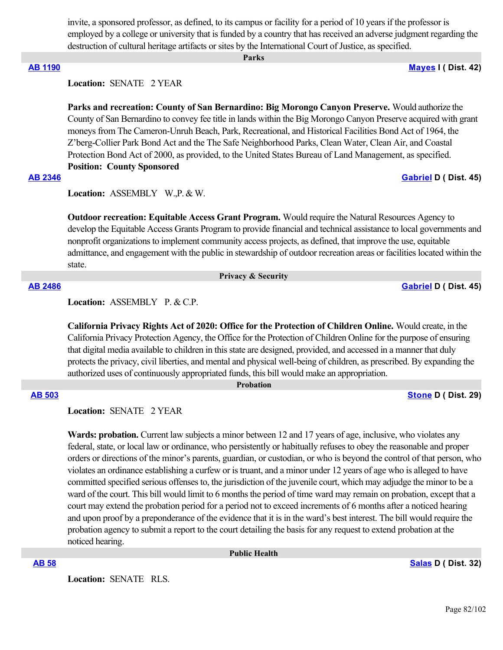invite, a sponsored professor, as defined, to its campus or facility for a period of 10 years if the professor is employed by a college or university that is funded by a country that has received an adverse judgment regarding the destruction of cultural heritage artifacts or sites by the International Court of Justice, as specified.

### **Parks**

**[AB 1190](https://ctweb.capitoltrack.com/public/publishbillinfo.aspx?bi=LyTfYYySsuFojf4ZmZJI%2B6dKv0i1XCakYBpGFoDDkutPcKgMru5fZIJE3cRJGZdS) [Mayes](https://www.assembly.ca.gov/assemblymemberchadmayes) I ( Dist. 42)**

**Location:**  SENATE 2 YEAR

**Parks and recreation: County of San Bernardino: Big Morongo Canyon Preserve.** Would authorize the County of San Bernardino to convey fee title in lands within the Big Morongo Canyon Preserve acquired with grant moneys from The Cameron-Unruh Beach, Park, Recreational, and Historical Facilities Bond Act of 1964, the Z'berg-Collier Park Bond Act and the The Safe Neighborhood Parks, Clean Water, Clean Air, and Coastal Protection Bond Act of 2000, as provided, to the United States Bureau of Land Management, as specified. **Position: County Sponsored**

### **[AB 2346](https://ctweb.capitoltrack.com/public/publishbillinfo.aspx?bi=5qHSgw%2B2dUuG1HMWXSHcEODpU3ADc5%2BKVpASo60aAnJX%2FdPTwxJqmYYmPiurw%2FrR) [Gabriel](https://a45.asmdc.org/) D ( Dist. 45)**

**Location:**  ASSEMBLY W.,P. & W.

**Outdoor recreation: Equitable Access Grant Program.** Would require the Natural Resources Agency to develop the Equitable Access Grants Program to provide financial and technical assistance to local governments and nonprofit organizations to implement community access projects, as defined, that improve the use, equitable admittance, and engagement with the public in stewardship of outdoor recreation areas or facilities located within the state.

 **Privacy & Security**

**[AB 2486](https://ctweb.capitoltrack.com/public/publishbillinfo.aspx?bi=6wsxbK3WIEiRg%2BeOJkQNpbjnM6Fs8fKMGcBx2vX%2F%2BFi4SY6C7N6jtEY9RaIl%2FEqU) [Gabriel](https://a45.asmdc.org/) D ( Dist. 45)**

Location: ASSEMBLY P. & C.P.

**California Privacy Rights Act of 2020: Office for the Protection of Children Online.** Would create, in the California Privacy Protection Agency, the Office for the Protection of Children Online for the purpose of ensuring that digital media available to children in this state are designed, provided, and accessed in a manner that duly protects the privacy, civil liberties, and mental and physical well-being of children, as prescribed. By expanding the authorized uses of continuously appropriated funds, this bill would make an appropriation.

 **Probation**

### **[AB 503](https://ctweb.capitoltrack.com/public/publishbillinfo.aspx?bi=9q%2Fh7eCb8Mkl5tOrz9wE9YTwaIA0n%2FISK6GlkgeZnKpOvmEJDEoEx89yT8FKoQcn) [Stone](https://a29.asmdc.org/) D ( Dist. 29)**

**Location:**  SENATE 2 YEAR

**Wards: probation.** Current law subjects a minor between 12 and 17 years of age, inclusive, who violates any federal, state, or local law or ordinance, who persistently or habitually refuses to obey the reasonable and proper orders or directions of the minor's parents, guardian, or custodian, or who is beyond the control of that person, who violates an ordinance establishing a curfew or is truant, and a minor under 12 years of age who is alleged to have committed specified serious offenses to, the jurisdiction of the juvenile court, which may adjudge the minor to be a ward of the court. This bill would limit to 6 months the period of time ward may remain on probation, except that a court may extend the probation period for a period not to exceed increments of 6 months after a noticed hearing and upon proof by a preponderance of the evidence that it is in the ward's best interest. The bill would require the probation agency to submit a report to the court detailing the basis for any request to extend probation at the noticed hearing.

 **Public Health**

**[AB 58](https://ctweb.capitoltrack.com/public/publishbillinfo.aspx?bi=WgrShyLX0MOnEOOovH9DdfcF5bwwiKbfN2AOah4jbt5RSeYbDiX6n8MX0tyiVoj7) [Salas](https://a32.asmdc.org/) D ( Dist. 32)**

**Location:**  SENATE RLS.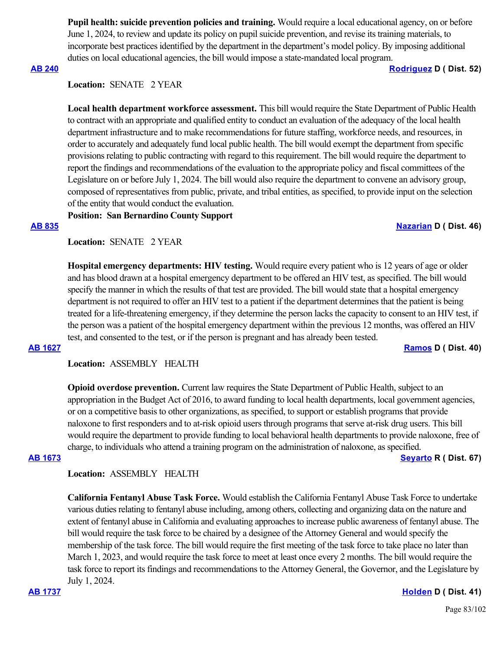**Pupil health: suicide prevention policies and training.** Would require a local educational agency, on or before June 1, 2024, to review and update its policy on pupil suicide prevention, and revise its training materials, to incorporate best practices identified by the department in the department's model policy. By imposing additional duties on local educational agencies, the bill would impose a state-mandated local program.

## **[AB 240](https://ctweb.capitoltrack.com/public/publishbillinfo.aspx?bi=34k50L13At79nUHUwlOPcRPd8koc9n7B4WWvbeedGXktY%2BNkrNYRxMRLiKQ3Ql9y) [Rodriguez](https://a52.asmdc.org/) D ( Dist. 52)**

**Location:**  SENATE 2 YEAR

**Local health department workforce assessment.** This bill would require the State Department of Public Health to contract with an appropriate and qualified entity to conduct an evaluation of the adequacy of the local health department infrastructure and to make recommendations for future staffing, workforce needs, and resources, in order to accurately and adequately fund local public health. The bill would exempt the department from specific provisions relating to public contracting with regard to this requirement. The bill would require the department to report the findings and recommendations of the evaluation to the appropriate policy and fiscal committees of the Legislature on or before July 1, 2024. The bill would also require the department to convene an advisory group, composed of representatives from public, private, and tribal entities, as specified, to provide input on the selection of the entity that would conduct the evaluation.

**Position: San Bernardino County Support**

### **[AB 835](https://ctweb.capitoltrack.com/public/publishbillinfo.aspx?bi=2aCiLjbhCP3GuNjWxI7nne8Ypa3W1fu5QHCJohjB9tlXBiqOqjdKFj4o2ETqWh%2BE) [Nazarian](https://a46.asmdc.org/) D ( Dist. 46)**

**Location:**  SENATE 2 YEAR

**Hospital emergency departments: HIV testing.** Would require every patient who is 12 years of age or older and has blood drawn at a hospital emergency department to be offered an HIV test, as specified. The bill would specify the manner in which the results of that test are provided. The bill would state that a hospital emergency department is not required to offer an HIV test to a patient if the department determines that the patient is being treated for a life-threatening emergency, if they determine the person lacks the capacity to consent to an HIV test, if the person was a patient of the hospital emergency department within the previous 12 months, was offered an HIV test, and consented to the test, or if the person is pregnant and has already been tested.

**[AB 1627](https://ctweb.capitoltrack.com/public/publishbillinfo.aspx?bi=TzQzmcQLt7l1mpFdneotmFX4LLN9CAOpBJUpwc94sV%2BaZ%2BG7i3Qon2b0uZtmjTbU) [Ramos](https://a40.asmdc.org/) D ( Dist. 40)**

**Location:**  ASSEMBLY HEALTH

**Opioid overdose prevention.** Current law requires the State Department of Public Health, subject to an appropriation in the Budget Act of 2016, to award funding to local health departments, local government agencies, or on a competitive basis to other organizations, as specified, to support or establish programs that provide naloxone to first responders and to at-risk opioid users through programs that serve at-risk drug users. This bill would require the department to provide funding to local behavioral health departments to provide naloxone, free of charge, to individuals who attend a training program on the administration of naloxone, as specified. **[AB 1673](https://ctweb.capitoltrack.com/public/publishbillinfo.aspx?bi=5vTJOL8rt7B9o%2FKYxIq950pjoXYB1AIfsaVQck4ZYRVKFhlF0XSurYm5pPwkbcvr) [Seyarto](https://ad67.asmrc.org/) R ( Dist. 67)**

**Location:**  ASSEMBLY HEALTH

**California Fentanyl Abuse Task Force.** Would establish the California Fentanyl Abuse Task Force to undertake various duties relating to fentanyl abuse including, among others, collecting and organizing data on the nature and extent of fentanyl abuse in California and evaluating approaches to increase public awareness of fentanyl abuse. The bill would require the task force to be chaired by a designee of the Attorney General and would specify the membership of the task force. The bill would require the first meeting of the task force to take place no later than March 1, 2023, and would require the task force to meet at least once every 2 months. The bill would require the task force to report its findings and recommendations to the Attorney General, the Governor, and the Legislature by July 1, 2024.

**[AB 1737](https://ctweb.capitoltrack.com/public/publishbillinfo.aspx?bi=zLZ1TCWvaKBOvXCvQdtiJc6Vr9fFv1NOGXeJZe17U%2B5sYCanB1QiJQ1vAqojO%2Fcp) [Holden](https://a41.asmdc.org/) D ( Dist. 41)**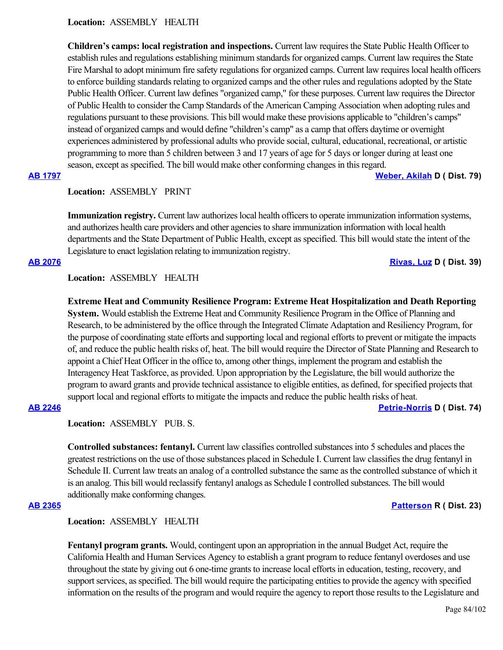**Location:**  ASSEMBLY HEALTH

**Children's camps: local registration and inspections.** Current law requires the State Public Health Officer to establish rules and regulations establishing minimum standards for organized camps. Current law requires the State Fire Marshal to adopt minimum fire safety regulations for organized camps. Current law requires local health officers to enforce building standards relating to organized camps and the other rules and regulations adopted by the State Public Health Officer. Current law defines "organized camp," for these purposes. Current law requires the Director of Public Health to consider the Camp Standards of the American Camping Association when adopting rules and regulations pursuant to these provisions. This bill would make these provisions applicable to "children's camps" instead of organized camps and would define "children's camp" as a camp that offers daytime or overnight experiences administered by professional adults who provide social, cultural, educational, recreational, or artistic programming to more than 5 children between 3 and 17 years of age for 5 days or longer during at least one season, except as specified. The bill would make other conforming changes in this regard. **[AB 1797](https://ctweb.capitoltrack.com/public/publishbillinfo.aspx?bi=MLaGase4Hr33JqNp%2BUNM1NjvIWSLxblXhwXQbIGJ0gVJC3hRcqBR6ne%2BJ10%2B5yFA) [Weber, Akilah](https://a79.asmdc.org/) D ( Dist. 79)**

**Location:**  ASSEMBLY PRINT

**Immunization registry.** Current law authorizes local health officers to operate immunization information systems, and authorizes health care providers and other agencies to share immunization information with local health departments and the State Department of Public Health, except as specified. This bill would state the intent of the Legislature to enact legislation relating to immunization registry.

**[AB 2076](https://ctweb.capitoltrack.com/public/publishbillinfo.aspx?bi=Nusf9z8NLufWyse9kNOxxo3Nyq9n9oiqTyubgl9kSWU0irGIMY2y8cTITqozWuJu) [Rivas, Luz](https://a39.asmdc.org/) D ( Dist. 39)**

**Location:**  ASSEMBLY HEALTH

**Extreme Heat and Community Resilience Program: Extreme Heat Hospitalization and Death Reporting System.** Would establish the Extreme Heat and Community Resilience Program in the Office of Planning and Research, to be administered by the office through the Integrated Climate Adaptation and Resiliency Program, for the purpose of coordinating state efforts and supporting local and regional efforts to prevent or mitigate the impacts of, and reduce the public health risks of, heat. The bill would require the Director of State Planning and Research to appoint a Chief Heat Officer in the office to, among other things, implement the program and establish the Interagency Heat Taskforce, as provided. Upon appropriation by the Legislature, the bill would authorize the program to award grants and provide technical assistance to eligible entities, as defined, for specified projects that support local and regional efforts to mitigate the impacts and reduce the public health risks of heat.

## **[AB 2246](https://ctweb.capitoltrack.com/public/publishbillinfo.aspx?bi=fFNPuCYVveRsVL4HtDH5Wk%2FzwoHw3RHpgwOMINOpdiDByPr1l7AAnrW067lDlf5l) [Petrie-Norris](https://a74.asmdc.org/) D ( Dist. 74)**

**Location:**  ASSEMBLY PUB. S.

**Controlled substances: fentanyl.** Current law classifies controlled substances into 5 schedules and places the greatest restrictions on the use of those substances placed in Schedule I. Current law classifies the drug fentanyl in Schedule II. Current law treats an analog of a controlled substance the same as the controlled substance of which it is an analog. This bill would reclassify fentanyl analogs as Schedule I controlled substances. The bill would additionally make conforming changes.

## **[AB 2365](https://ctweb.capitoltrack.com/public/publishbillinfo.aspx?bi=DXX%2Bc9eSdaSLq%2BAhzCGUoq5%2Fx4BVpw5Jk8InH96HiJyEopsLBKMAAqcQ6rIsSEmW) [Patterson](https://ad23.asmrc.org/) R ( Dist. 23)**

**Location:**  ASSEMBLY HEALTH

**Fentanyl program grants.** Would, contingent upon an appropriation in the annual Budget Act, require the California Health and Human Services Agency to establish a grant program to reduce fentanyl overdoses and use throughout the state by giving out 6 one-time grants to increase local efforts in education, testing, recovery, and support services, as specified. The bill would require the participating entities to provide the agency with specified information on the results of the program and would require the agency to report those results to the Legislature and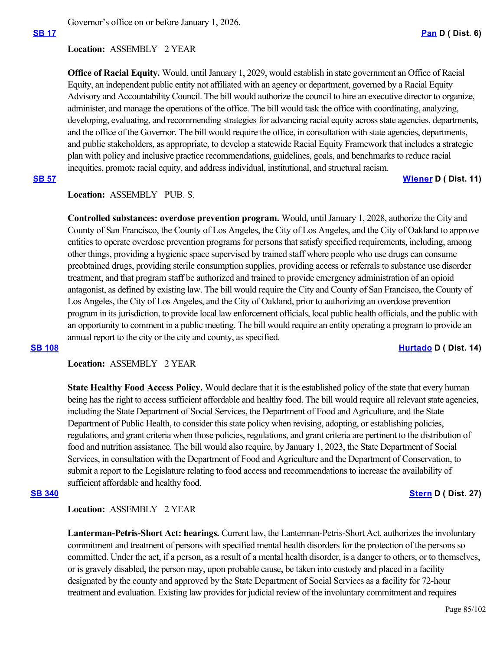Governor's office on or before January 1, 2026.

## **Location:**  ASSEMBLY 2 YEAR

**Office of Racial Equity.** Would, until January 1, 2029, would establish in state government an Office of Racial Equity, an independent public entity not affiliated with an agency or department, governed by a Racial Equity Advisory and Accountability Council. The bill would authorize the council to hire an executive director to organize, administer, and manage the operations of the office. The bill would task the office with coordinating, analyzing, developing, evaluating, and recommending strategies for advancing racial equity across state agencies, departments, and the office of the Governor. The bill would require the office, in consultation with state agencies, departments, and public stakeholders, as appropriate, to develop a statewide Racial Equity Framework that includes a strategic plan with policy and inclusive practice recommendations, guidelines, goals, and benchmarks to reduce racial inequities, promote racial equity, and address individual, institutional, and structural racism.

**[SB 57](https://ctweb.capitoltrack.com/public/publishbillinfo.aspx?bi=Lv7Elqqc41mLJLH2Zgldd2ENbBe%2F2AACEFAp57qr3o%2FEEJPqJsnF7dAV%2BDMNNJpC) [Wiener](http://sd11.senate.ca.gov/) D ( Dist. 11)**

# Location: ASSEMBLY PUB. S.

**Controlled substances: overdose prevention program.** Would, until January 1, 2028, authorize the City and County of San Francisco, the County of Los Angeles, the City of Los Angeles, and the City of Oakland to approve entities to operate overdose prevention programs for persons that satisfy specified requirements, including, among other things, providing a hygienic space supervised by trained staff where people who use drugs can consume preobtained drugs, providing sterile consumption supplies, providing access or referrals to substance use disorder treatment, and that program staff be authorized and trained to provide emergency administration of an opioid antagonist, as defined by existing law. The bill would require the City and County of San Francisco, the County of Los Angeles, the City of Los Angeles, and the City of Oakland, prior to authorizing an overdose prevention program in its jurisdiction, to provide local law enforcement officials, local public health officials, and the public with an opportunity to comment in a public meeting. The bill would require an entity operating a program to provide an annual report to the city or the city and county, as specified.

### **[SB 108](https://ctweb.capitoltrack.com/public/publishbillinfo.aspx?bi=H%2B79Zu2%2Fv7KprlgFOSP4R4lEEqXSGBTKZme%2Fow59msy8dKjD5n4SMlNd2aNP9cs8) [Hurtado](https://sd14.senate.ca.gov/) D ( Dist. 14)**

**Location:**  ASSEMBLY 2 YEAR

**State Healthy Food Access Policy.** Would declare that it is the established policy of the state that every human being has the right to access sufficient affordable and healthy food. The bill would require all relevant state agencies, including the State Department of Social Services, the Department of Food and Agriculture, and the State Department of Public Health, to consider this state policy when revising, adopting, or establishing policies, regulations, and grant criteria when those policies, regulations, and grant criteria are pertinent to the distribution of food and nutrition assistance. The bill would also require, by January 1, 2023, the State Department of Social Services, in consultation with the Department of Food and Agriculture and the Department of Conservation, to submit a report to the Legislature relating to food access and recommendations to increase the availability of sufficient affordable and healthy food.

### **[SB 340](https://ctweb.capitoltrack.com/public/publishbillinfo.aspx?bi=o7c4xnROQN3yzqqUUsr3HDvHSt5jsU2jMveJJkW5YKoG0bJsOECHrt2wV%2Fr7HQpj) [Stern](http://sd27.senate.ca.gov/) D ( Dist. 27)**

## **Location:**  ASSEMBLY 2 YEAR

**Lanterman-Petris-Short Act: hearings.** Current law, the Lanterman-Petris-Short Act, authorizes the involuntary commitment and treatment of persons with specified mental health disorders for the protection of the persons so committed. Under the act, if a person, as a result of a mental health disorder, is a danger to others, or to themselves, or is gravely disabled, the person may, upon probable cause, be taken into custody and placed in a facility designated by the county and approved by the State Department of Social Services as a facility for 72-hour treatment and evaluation. Existing law provides for judicial review of the involuntary commitment and requires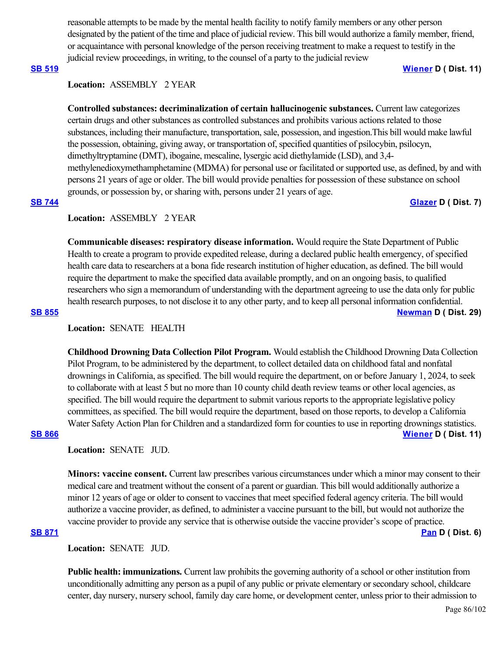reasonable attempts to be made by the mental health facility to notify family members or any other person designated by the patient of the time and place of judicial review. This bill would authorize a family member, friend, or acquaintance with personal knowledge of the person receiving treatment to make a request to testify in the judicial review proceedings, in writing, to the counsel of a party to the judicial review

**[SB 519](https://ctweb.capitoltrack.com/public/publishbillinfo.aspx?bi=S%2Fqdy5QJb97AZhOUGFEgrrOu2893hHPADL3SNrgXeTRpxLo6I80R%2BXvamzjzl7KU) [Wiener](http://sd11.senate.ca.gov/) D ( Dist. 11)**

### **Location:**  ASSEMBLY 2 YEAR

**Controlled substances: decriminalization of certain hallucinogenic substances.** Current law categorizes certain drugs and other substances as controlled substances and prohibits various actions related to those substances, including their manufacture, transportation, sale, possession, and ingestion.This bill would make lawful the possession, obtaining, giving away, or transportation of, specified quantities of psilocybin, psilocyn, dimethyltryptamine (DMT), ibogaine, mescaline, lysergic acid diethylamide (LSD), and 3,4 methylenedioxymethamphetamine (MDMA) for personal use or facilitated or supported use, as defined, by and with persons 21 years of age or older. The bill would provide penalties for possession of these substance on school grounds, or possession by, or sharing with, persons under 21 years of age.

## **[SB 744](https://ctweb.capitoltrack.com/public/publishbillinfo.aspx?bi=JIZZ3Wleqhe2Afu8aSlx2KX18JyZA8Rq1KFFiRORfqV64KqI99E5CRWoF%2Fb%2B7Mzo) [Glazer](http://sd07.senate.ca.gov/) D ( Dist. 7)**

## **Location:**  ASSEMBLY 2 YEAR

**Communicable diseases: respiratory disease information.** Would require the State Department of Public Health to create a program to provide expedited release, during a declared public health emergency, of specified health care data to researchers at a bona fide research institution of higher education, as defined. The bill would require the department to make the specified data available promptly, and on an ongoing basis, to qualified researchers who sign a memorandum of understanding with the department agreeing to use the data only for public health research purposes, to not disclose it to any other party, and to keep all personal information confidential. **[SB 855](https://ctweb.capitoltrack.com/public/publishbillinfo.aspx?bi=asP%2BPVY1VtNcJs0S%2FCNLrvQ6S6T7%2B3KwDqoC49fml8iWxwyOGVJqz0n%2FAqOUglle) [Newman](https://sd29.senate.ca.gov/) D ( Dist. 29)**

## **Location:**  SENATE HEALTH

**Childhood Drowning Data Collection Pilot Program.** Would establish the Childhood Drowning Data Collection Pilot Program, to be administered by the department, to collect detailed data on childhood fatal and nonfatal drownings in California, as specified. The bill would require the department, on or before January 1, 2024, to seek to collaborate with at least 5 but no more than 10 county child death review teams or other local agencies, as specified. The bill would require the department to submit various reports to the appropriate legislative policy committees, as specified. The bill would require the department, based on those reports, to develop a California Water Safety Action Plan for Children and a standardized form for counties to use in reporting drownings statistics. **[SB 866](https://ctweb.capitoltrack.com/public/publishbillinfo.aspx?bi=V99pAB8Y1%2Bb%2BlFK8GJaUg73grhhqh%2BMt%2FE3mxCkNVrYjqhO7Vtd1wqBNblSiS48X) [Wiener](http://sd11.senate.ca.gov/) D ( Dist. 11)**

## **Location:**  SENATE JUD.

**Minors: vaccine consent.** Current law prescribes various circumstances under which a minor may consent to their medical care and treatment without the consent of a parent or guardian. This bill would additionally authorize a minor 12 years of age or older to consent to vaccines that meet specified federal agency criteria. The bill would authorize a vaccine provider, as defined, to administer a vaccine pursuant to the bill, but would not authorize the vaccine provider to provide any service that is otherwise outside the vaccine provider's scope of practice.

## **[SB 871](https://ctweb.capitoltrack.com/public/publishbillinfo.aspx?bi=zg17N3H78wuAHw6UznmyKJ5pZZaWo2roAwrBaY%2BfZUWY7ivrgCWennq%2FqaYNNzfv) [Pan](http://sd06.senate.ca.gov/) D ( Dist. 6)**

**Location:**  SENATE JUD.

**Public health: immunizations.** Current law prohibits the governing authority of a school or other institution from unconditionally admitting any person as a pupil of any public or private elementary or secondary school, childcare center, day nursery, nursery school, family day care home, or development center, unless prior to their admission to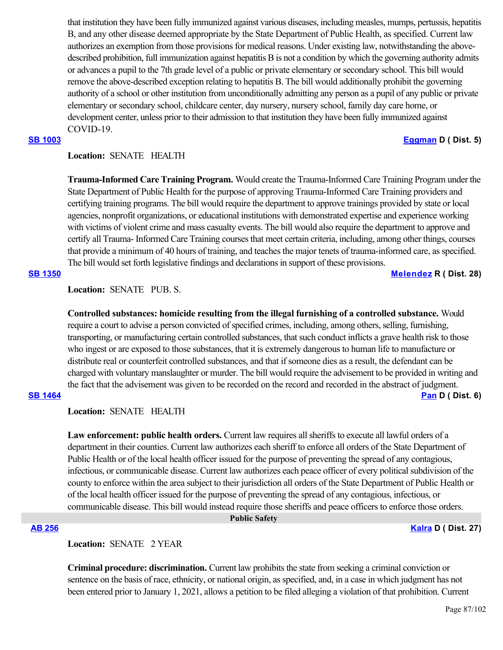that institution they have been fully immunized against various diseases, including measles, mumps, pertussis, hepatitis B, and any other disease deemed appropriate by the State Department of Public Health, as specified. Current law authorizes an exemption from those provisions for medical reasons. Under existing law, notwithstanding the abovedescribed prohibition, full immunization against hepatitis B is not a condition by which the governing authority admits or advances a pupil to the 7th grade level of a public or private elementary or secondary school. This bill would remove the above-described exception relating to hepatitis B. The bill would additionally prohibit the governing authority of a school or other institution from unconditionally admitting any person as a pupil of any public or private elementary or secondary school, childcare center, day nursery, nursery school, family day care home, or development center, unless prior to their admission to that institution they have been fully immunized against COVID-19.

## **[SB 1003](https://ctweb.capitoltrack.com/public/publishbillinfo.aspx?bi=29J6BOFriWd3nFSebHkNfGHl56i9fS5%2FFN%2FktrZ8Ku2J6MCWwnzk30KvjydpkD1q) [Eggman](http://sd05.senate.ca.gov/) D ( Dist. 5)**

## **Location:**  SENATE HEALTH

**Trauma-Informed Care Training Program.** Would create the Trauma-Informed Care Training Program under the State Department of Public Health for the purpose of approving Trauma-Informed Care Training providers and certifying training programs. The bill would require the department to approve trainings provided by state or local agencies, nonprofit organizations, or educational institutions with demonstrated expertise and experience working with victims of violent crime and mass casualty events. The bill would also require the department to approve and certify all Trauma- Informed Care Training courses that meet certain criteria, including, among other things, courses that provide a minimum of 40 hours of training, and teaches the major tenets of trauma-informed care, as specified. The bill would set forth legislative findings and declarations in support of these provisions.

## **[SB 1350](https://ctweb.capitoltrack.com/public/publishbillinfo.aspx?bi=%2FA58tzPqY8qvFRKrQqk7MOyt4o3Pn%2Fqlb8xdssFlmj18evLO4tzuCPhH5oB%2Fbg2K) [Melendez](https://melendez.cssrc.us/) R ( Dist. 28)**

## **Location:**  SENATE PUB. S.

**Controlled substances: homicide resulting from the illegal furnishing of a controlled substance.** Would require a court to advise a person convicted of specified crimes, including, among others, selling, furnishing, transporting, or manufacturing certain controlled substances, that such conduct inflicts a grave health risk to those who ingest or are exposed to those substances, that it is extremely dangerous to human life to manufacture or distribute real or counterfeit controlled substances, and that if someone dies as a result, the defendant can be charged with voluntary manslaughter or murder. The bill would require the advisement to be provided in writing and the fact that the advisement was given to be recorded on the record and recorded in the abstract of judgment.

## **[SB 1464](https://ctweb.capitoltrack.com/public/publishbillinfo.aspx?bi=7%2BZIFMUR%2ByTv4IZcscEsR4bfzanenRc%2BHDbuM07tEsjLI0uSTvxSh83MfeAGzPpN) [Pan](http://sd06.senate.ca.gov/) D ( Dist. 6)**

**Location:**  SENATE HEALTH

**Law enforcement: public health orders.** Current law requires all sheriffs to execute all lawful orders of a department in their counties. Current law authorizes each sheriff to enforce all orders of the State Department of Public Health or of the local health officer issued for the purpose of preventing the spread of any contagious, infectious, or communicable disease. Current law authorizes each peace officer of every political subdivision of the county to enforce within the area subject to their jurisdiction all orders of the State Department of Public Health or of the local health officer issued for the purpose of preventing the spread of any contagious, infectious, or communicable disease. This bill would instead require those sheriffs and peace officers to enforce those orders.

 **Public Safety**

## **[AB 256](https://ctweb.capitoltrack.com/public/publishbillinfo.aspx?bi=rQtYJcf4dXrzHn9e1RwZjOpgoG8pIdmaYjYZUZRFGTfIJrIITioAhm9HEAySE%2FU5) [Kalra](https://a27.asmdc.org/) D ( Dist. 27)**

**Location:**  SENATE 2 YEAR

**Criminal procedure: discrimination.** Current law prohibits the state from seeking a criminal conviction or sentence on the basis of race, ethnicity, or national origin, as specified, and, in a case in which judgment has not been entered prior to January 1, 2021, allows a petition to be filed alleging a violation of that prohibition. Current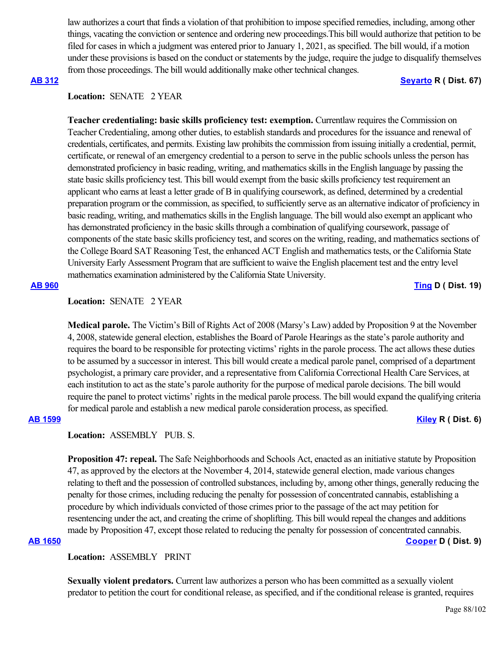law authorizes a court that finds a violation of that prohibition to impose specified remedies, including, among other things, vacating the conviction or sentence and ordering new proceedings.This bill would authorize that petition to be filed for cases in which a judgment was entered prior to January 1, 2021, as specified. The bill would, if a motion under these provisions is based on the conduct or statements by the judge, require the judge to disqualify themselves from those proceedings. The bill would additionally make other technical changes.

### **[AB 312](https://ctweb.capitoltrack.com/public/publishbillinfo.aspx?bi=FjKfgcY2mt3SCkTyoI4d1HrD7k2BCbgXSe6glqFxCKT8Np9N41GlfHYkFpdL%2BXFi) [Seyarto](https://ad67.asmrc.org/) R ( Dist. 67)**

## **Location:**  SENATE 2 YEAR

**Teacher credentialing: basic skills proficiency test: exemption.** Currentlaw requires the Commission on Teacher Credentialing, among other duties, to establish standards and procedures for the issuance and renewal of credentials, certificates, and permits. Existing law prohibits the commission from issuing initially a credential, permit, certificate, or renewal of an emergency credential to a person to serve in the public schools unless the person has demonstrated proficiency in basic reading, writing, and mathematics skills in the English language by passing the state basic skills proficiency test. This bill would exempt from the basic skills proficiency test requirement an applicant who earns at least a letter grade of B in qualifying coursework, as defined, determined by a credential preparation program or the commission, as specified, to sufficiently serve as an alternative indicator of proficiency in basic reading, writing, and mathematics skills in the English language. The bill would also exempt an applicant who has demonstrated proficiency in the basic skills through a combination of qualifying coursework, passage of components of the state basic skills proficiency test, and scores on the writing, reading, and mathematics sections of the College Board SAT Reasoning Test, the enhanced ACT English and mathematics tests, or the California State University Early Assessment Program that are sufficient to waive the English placement test and the entry level mathematics examination administered by the California State University.

### **[AB 960](https://ctweb.capitoltrack.com/public/publishbillinfo.aspx?bi=nPmUazv3CfGl4xs3NkwU9nY63ELfjp3XK9ko1a9L7kUQUkufO7KEB3%2FCGttkDq5y) [Ting](https://a19.asmdc.org/) D ( Dist. 19)**

## **Location:**  SENATE 2 YEAR

**Medical parole.** The Victim's Bill of Rights Act of 2008 (Marsy's Law) added by Proposition 9 at the November 4, 2008, statewide general election, establishes the Board of Parole Hearings as the state's parole authority and requires the board to be responsible for protecting victims' rights in the parole process. The act allows these duties to be assumed by a successor in interest. This bill would create a medical parole panel, comprised of a department psychologist, a primary care provider, and a representative from California Correctional Health Care Services, at each institution to act as the state's parole authority for the purpose of medical parole decisions. The bill would require the panel to protect victims' rights in the medical parole process. The bill would expand the qualifying criteria for medical parole and establish a new medical parole consideration process, as specified.

## **[AB 1599](https://ctweb.capitoltrack.com/public/publishbillinfo.aspx?bi=9PiOwnRjRLY4DnAca%2F3COFkubgfkQsdUW9osKyrVqR9UZownSLqTVN%2F6ZVqH%2FBVu) [Kiley](https://ad06.asmrc.org/) R ( Dist. 6)**

**Location:**  ASSEMBLY PUB. S.

**Proposition 47: repeal.** The Safe Neighborhoods and Schools Act, enacted as an initiative statute by Proposition 47, as approved by the electors at the November 4, 2014, statewide general election, made various changes relating to theft and the possession of controlled substances, including by, among other things, generally reducing the penalty for those crimes, including reducing the penalty for possession of concentrated cannabis, establishing a procedure by which individuals convicted of those crimes prior to the passage of the act may petition for resentencing under the act, and creating the crime of shoplifting. This bill would repeal the changes and additions made by Proposition 47, except those related to reducing the penalty for possession of concentrated cannabis.

### **[AB 1650](https://ctweb.capitoltrack.com/public/publishbillinfo.aspx?bi=jps%2BM3Z1RfpUQ6ahSKSklM%2BcB0DLxyf9pGJRviSC%2FmjyuNQbIxPNPicmKBznOlN5) [Cooper](https://a09.asmdc.org/) D ( Dist. 9)**

## **Location:**  ASSEMBLY PRINT

**Sexually violent predators.** Current law authorizes a person who has been committed as a sexually violent predator to petition the court for conditional release, as specified, and if the conditional release is granted, requires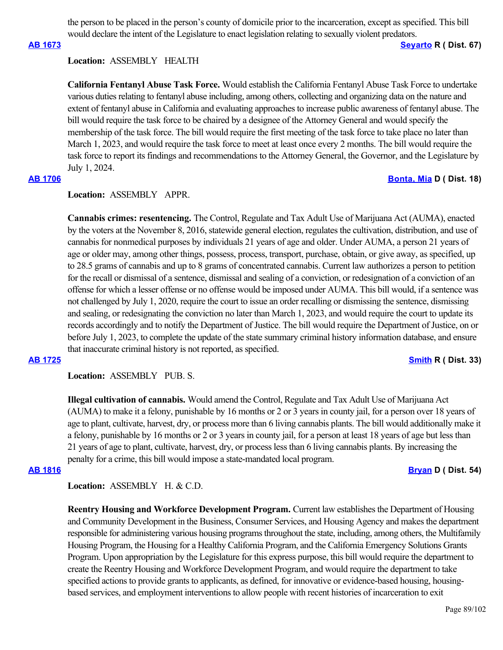the person to be placed in the person's county of domicile prior to the incarceration, except as specified. This bill would declare the intent of the Legislature to enact legislation relating to sexually violent predators.

### **[AB 1673](https://ctweb.capitoltrack.com/public/publishbillinfo.aspx?bi=5vTJOL8rt7B9o%2FKYxIq950pjoXYB1AIfsaVQck4ZYRVKFhlF0XSurYm5pPwkbcvr) [Seyarto](https://ad67.asmrc.org/) R ( Dist. 67)**

### **Location:**  ASSEMBLY HEALTH

**California Fentanyl Abuse Task Force.** Would establish the California Fentanyl Abuse Task Force to undertake various duties relating to fentanyl abuse including, among others, collecting and organizing data on the nature and extent of fentanyl abuse in California and evaluating approaches to increase public awareness of fentanyl abuse. The bill would require the task force to be chaired by a designee of the Attorney General and would specify the membership of the task force. The bill would require the first meeting of the task force to take place no later than March 1, 2023, and would require the task force to meet at least once every 2 months. The bill would require the task force to report its findings and recommendations to the Attorney General, the Governor, and the Legislature by July 1, 2024.

## **Location:**  ASSEMBLY APPR.

**Cannabis crimes: resentencing.** The Control, Regulate and Tax Adult Use of Marijuana Act (AUMA), enacted by the voters at the November 8, 2016, statewide general election, regulates the cultivation, distribution, and use of cannabis for nonmedical purposes by individuals 21 years of age and older. Under AUMA, a person 21 years of age or older may, among other things, possess, process, transport, purchase, obtain, or give away, as specified, up to 28.5 grams of cannabis and up to 8 grams of concentrated cannabis. Current law authorizes a person to petition for the recall or dismissal of a sentence, dismissal and sealing of a conviction, or redesignation of a conviction of an offense for which a lesser offense or no offense would be imposed under AUMA. This bill would, if a sentence was not challenged by July 1, 2020, require the court to issue an order recalling or dismissing the sentence, dismissing and sealing, or redesignating the conviction no later than March 1, 2023, and would require the court to update its records accordingly and to notify the Department of Justice. The bill would require the Department of Justice, on or before July 1, 2023, to complete the update of the state summary criminal history information database, and ensure that inaccurate criminal history is not reported, as specified.

### **[AB 1725](https://ctweb.capitoltrack.com/public/publishbillinfo.aspx?bi=eDF9mvzrhO16tfXjtjgocRb3w2U96hc6wcYATijL3sdIAx4x5R1ko7wfYGLXFOH8) [Smith](https://ad33.asmrc.org/) R ( Dist. 33)**

**Location:**  ASSEMBLY PUB. S.

**Illegal cultivation of cannabis.** Would amend the Control, Regulate and Tax Adult Use of Marijuana Act (AUMA) to make it a felony, punishable by 16 months or 2 or 3 years in county jail, for a person over 18 years of age to plant, cultivate, harvest, dry, or process more than 6 living cannabis plants. The bill would additionally make it a felony, punishable by 16 months or 2 or 3 years in county jail, for a person at least 18 years of age but less than 21 years of age to plant, cultivate, harvest, dry, or process less than 6 living cannabis plants. By increasing the penalty for a crime, this bill would impose a state-mandated local program.

### **[AB 1816](https://ctweb.capitoltrack.com/public/publishbillinfo.aspx?bi=J61mpejvz2vJ6zt3Dde1usn6mCchpsi2zEPLx6TwI0spERB07IcdBkzd8OQlOQMr) [Bryan](https://a54.asmdc.org/) D ( Dist. 54)**

**Location:**  ASSEMBLY H. & C.D.

**Reentry Housing and Workforce Development Program.** Current law establishes the Department of Housing and Community Development in the Business, Consumer Services, and Housing Agency and makes the department responsible for administering various housing programs throughout the state, including, among others, the Multifamily Housing Program, the Housing for a Healthy California Program, and the California Emergency Solutions Grants Program. Upon appropriation by the Legislature for this express purpose, this bill would require the department to create the Reentry Housing and Workforce Development Program, and would require the department to take specified actions to provide grants to applicants, as defined, for innovative or evidence-based housing, housingbased services, and employment interventions to allow people with recent histories of incarceration to exit

# **[AB 1706](https://ctweb.capitoltrack.com/public/publishbillinfo.aspx?bi=ircW6e4dWysjMSC4qaqJPPKCs2JgD%2BDH%2BmJ363Fat0KWoiUrudk%2FC9HLcPHhmH0g) [Bonta, Mia](https://a18.asmdc.org/) D ( Dist. 18)**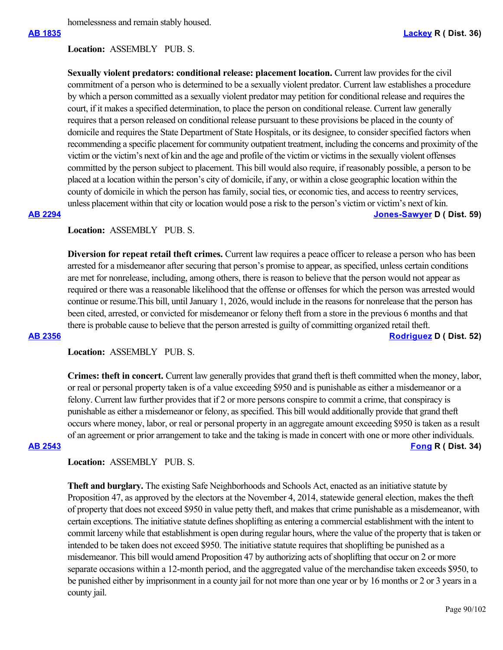## **Location:**  ASSEMBLY PUB. S.

**Sexually violent predators: conditional release: placement location.** Current law provides for the civil commitment of a person who is determined to be a sexually violent predator. Current law establishes a procedure by which a person committed as a sexually violent predator may petition for conditional release and requires the court, if it makes a specified determination, to place the person on conditional release. Current law generally requires that a person released on conditional release pursuant to these provisions be placed in the county of domicile and requires the State Department of State Hospitals, or its designee, to consider specified factors when recommending a specific placement for community outpatient treatment, including the concerns and proximity of the victim or the victim's next of kin and the age and profile of the victim or victims in the sexually violent offenses committed by the person subject to placement. This bill would also require, if reasonably possible, a person to be placed at a location within the person's city of domicile, if any, or within a close geographic location within the county of domicile in which the person has family, social ties, or economic ties, and access to reentry services, unless placement within that city or location would pose a risk to the person's victim or victim's next of kin. **[AB 2294](https://ctweb.capitoltrack.com/public/publishbillinfo.aspx?bi=d885N6neES5DWfOoFLE3qUN1f9%2B%2Ba1nmqijwBbzb0bpvpGOKBHJjU0r%2BsjoMo4ds) [Jones-Sawyer](https://a59.asmdc.org/) D ( Dist. 59)**

## **Location:**  ASSEMBLY PUB. S.

**Diversion for repeat retail theft crimes.** Current law requires a peace officer to release a person who has been arrested for a misdemeanor after securing that person's promise to appear, as specified, unless certain conditions are met for nonrelease, including, among others, there is reason to believe that the person would not appear as required or there was a reasonable likelihood that the offense or offenses for which the person was arrested would continue or resume.This bill, until January 1, 2026, would include in the reasons for nonrelease that the person has been cited, arrested, or convicted for misdemeanor or felony theft from a store in the previous 6 months and that there is probable cause to believe that the person arrested is guilty of committing organized retail theft. **[AB 2356](https://ctweb.capitoltrack.com/public/publishbillinfo.aspx?bi=JG%2BTScrVZPush2FOJnfdKDR9do1RT%2FtDejPbG9UPYrhOzJypZFx56vhrtEfTzf7p) [Rodriguez](https://a52.asmdc.org/) D ( Dist. 52)**

# **Location:**  ASSEMBLY PUB. S.

**Crimes: theft in concert.** Current law generally provides that grand theft is theft committed when the money, labor, or real or personal property taken is of a value exceeding \$950 and is punishable as either a misdemeanor or a felony. Current law further provides that if 2 or more persons conspire to commit a crime, that conspiracy is punishable as either a misdemeanor or felony, as specified. This bill would additionally provide that grand theft occurs where money, labor, or real or personal property in an aggregate amount exceeding \$950 is taken as a result of an agreement or prior arrangement to take and the taking is made in concert with one or more other individuals. **[AB 2543](https://ctweb.capitoltrack.com/public/publishbillinfo.aspx?bi=DuWI8jsWESkn8qQOpIH%2F5Zhhgv4sJbWOaSkAlL6xoqiHLKKmLiel0nx9ZRdeUMom) [Fong](https://ad34.asmrc.org/) R ( Dist. 34)**

## **Location:**  ASSEMBLY PUB. S.

**Theft and burglary.** The existing Safe Neighborhoods and Schools Act, enacted as an initiative statute by Proposition 47, as approved by the electors at the November 4, 2014, statewide general election, makes the theft of property that does not exceed \$950 in value petty theft, and makes that crime punishable as a misdemeanor, with certain exceptions. The initiative statute defines shoplifting as entering a commercial establishment with the intent to commit larceny while that establishment is open during regular hours, where the value of the property that is taken or intended to be taken does not exceed \$950. The initiative statute requires that shoplifting be punished as a misdemeanor. This bill would amend Proposition 47 by authorizing acts of shoplifting that occur on 2 or more separate occasions within a 12-month period, and the aggregated value of the merchandise taken exceeds \$950, to be punished either by imprisonment in a county jail for not more than one year or by 16 months or 2 or 3 years in a county jail.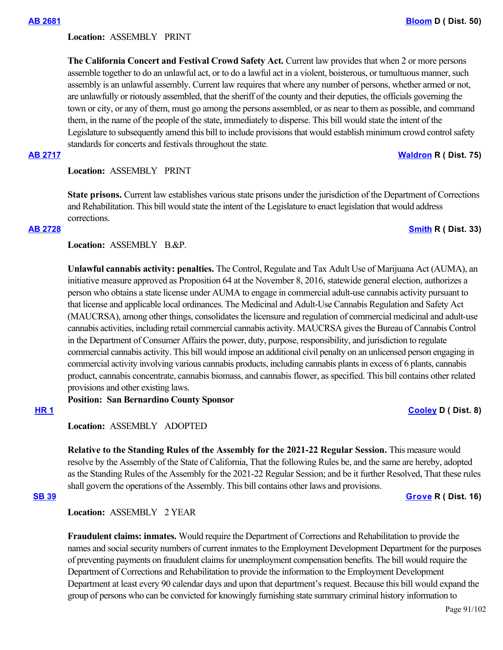### **Location:**  ASSEMBLY PRINT

**The California Concert and Festival Crowd Safety Act.** Current law provides that when 2 or more persons assemble together to do an unlawful act, or to do a lawful act in a violent, boisterous, or tumultuous manner, such assembly is an unlawful assembly. Current law requires that where any number of persons, whether armed or not, are unlawfully or riotously assembled, that the sheriff of the county and their deputies, the officials governing the town or city, or any of them, must go among the persons assembled, or as near to them as possible, and command them, in the name of the people of the state, immediately to disperse. This bill would state the intent of the Legislature to subsequently amend this bill to include provisions that would establish minimum crowd control safety standards for concerts and festivals throughout the state.

### **[AB 2717](https://ctweb.capitoltrack.com/public/publishbillinfo.aspx?bi=yFEkGi8zPmpDOihFfa3Q0yn%2BOkhF3i%2F9wKbKgC9yNScxQ%2B9bOfC06WNam55SbuuW) [Waldron](https://ad75.asmrc.org/) R ( Dist. 75)**

### **Location:**  ASSEMBLY PRINT

**State prisons.** Current law establishes various state prisons under the jurisdiction of the Department of Corrections and Rehabilitation. This bill would state the intent of the Legislature to enact legislation that would address corrections.

## **[AB 2728](https://ctweb.capitoltrack.com/public/publishbillinfo.aspx?bi=e15joL2ba4hu3wxRsnQ1srQ2J3KgmQ%2B%2F7G0sFcWLeSdMMkB5%2FksDtSoncfIzBwy5) [Smith](https://ad33.asmrc.org/) R ( Dist. 33)**

## Location: ASSEMBLY B.&P.

**Unlawful cannabis activity: penalties.** The Control, Regulate and Tax Adult Use of Marijuana Act (AUMA), an initiative measure approved as Proposition 64 at the November 8, 2016, statewide general election, authorizes a person who obtains a state license under AUMA to engage in commercial adult-use cannabis activity pursuant to that license and applicable local ordinances. The Medicinal and Adult-Use Cannabis Regulation and Safety Act (MAUCRSA), among other things, consolidates the licensure and regulation of commercial medicinal and adult-use cannabis activities, including retail commercial cannabis activity. MAUCRSA gives the Bureau of Cannabis Control in the Department of Consumer Affairs the power, duty, purpose, responsibility, and jurisdiction to regulate commercial cannabis activity. This bill would impose an additional civil penalty on an unlicensed person engaging in commercial activity involving various cannabis products, including cannabis plants in excess of 6 plants, cannabis product, cannabis concentrate, cannabis biomass, and cannabis flower, as specified. This bill contains other related provisions and other existing laws.

**Position: San Bernardino County Sponsor**

## **[HR 1](https://ctweb.capitoltrack.com/public/publishbillinfo.aspx?bi=Jm%2FyAY%2FX%2FbZqajqviCnPU7wcE2ard6%2B23H4yLIfjTKxLI97jwSCe6SKB6x8OqZoe) [Cooley](https://a08.asmdc.org/) D ( Dist. 8)**

## **Location:**  ASSEMBLY ADOPTED

**Relative to the Standing Rules of the Assembly for the 2021-22 Regular Session.** This measure would resolve by the Assembly of the State of California, That the following Rules be, and the same are hereby, adopted as the Standing Rules of the Assembly for the 2021-22 Regular Session; and be it further Resolved, That these rules shall govern the operations of the Assembly. This bill contains other laws and provisions.

**[SB 39](https://ctweb.capitoltrack.com/public/publishbillinfo.aspx?bi=sUKRFgAc2NMvgSBTS%2F1GGVbYKlZ1ETu1WiOud04YN1dK%2BSF7%2BA6eNuD7QMFsqQbv) [Grove](https://grove.cssrc.us/) R ( Dist. 16)**

### **Location:**  ASSEMBLY 2 YEAR

**Fraudulent claims: inmates.** Would require the Department of Corrections and Rehabilitation to provide the names and social security numbers of current inmates to the Employment Development Department for the purposes of preventing payments on fraudulent claims for unemployment compensation benefits. The bill would require the Department of Corrections and Rehabilitation to provide the information to the Employment Development Department at least every 90 calendar days and upon that department's request. Because this bill would expand the group of persons who can be convicted for knowingly furnishing state summary criminal history information to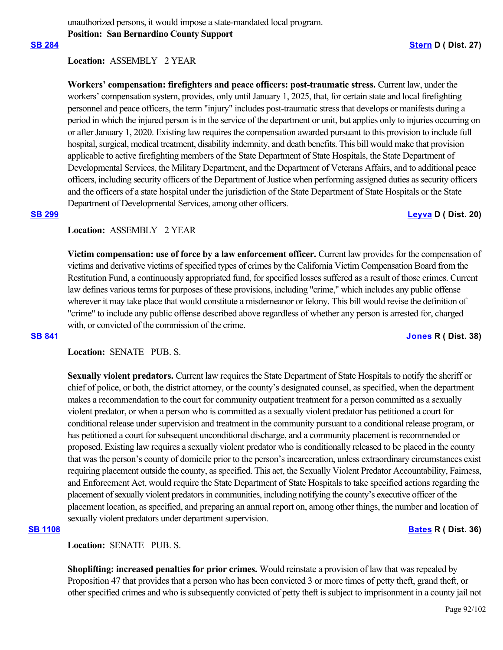unauthorized persons, it would impose a state-mandated local program. **Position: San Bernardino County Support**

## **Location:**  ASSEMBLY 2 YEAR

**Workers' compensation: firefighters and peace officers: post-traumatic stress.** Current law, under the workers' compensation system, provides, only until January 1, 2025, that, for certain state and local firefighting personnel and peace officers, the term "injury" includes post-traumatic stress that develops or manifests during a period in which the injured person is in the service of the department or unit, but applies only to injuries occurring on or after January 1, 2020. Existing law requires the compensation awarded pursuant to this provision to include full hospital, surgical, medical treatment, disability indemnity, and death benefits. This bill would make that provision applicable to active firefighting members of the State Department of State Hospitals, the State Department of Developmental Services, the Military Department, and the Department of Veterans Affairs, and to additional peace officers, including security officers of the Department of Justice when performing assigned duties as security officers and the officers of a state hospital under the jurisdiction of the State Department of State Hospitals or the State Department of Developmental Services, among other officers.

### **[SB 299](https://ctweb.capitoltrack.com/public/publishbillinfo.aspx?bi=5m8tyJaJ43VktoJQBcXZ4MoysGntQ9zD5Cfp94xuJYEguIXngZ4dYxUK4RWHKgP4) [Leyva](http://sd20.senate.ca.gov/) D ( Dist. 20)**

## **Location:**  ASSEMBLY 2 YEAR

**Victim compensation: use of force by a law enforcement officer.** Current law provides for the compensation of victims and derivative victims of specified types of crimes by the California Victim Compensation Board from the Restitution Fund, a continuously appropriated fund, for specified losses suffered as a result of those crimes. Current law defines various terms for purposes of these provisions, including "crime," which includes any public offense wherever it may take place that would constitute a misdemeanor or felony. This bill would revise the definition of "crime" to include any public offense described above regardless of whether any person is arrested for, charged with, or convicted of the commission of the crime.

### **[SB 841](https://ctweb.capitoltrack.com/public/publishbillinfo.aspx?bi=EXXQDedcat9%2B46LSRAfTfll1b16aSrtc3NwU3vTrPHuO5d5yS8qswncT1m65pJby) [Jones](https://jones.cssrc.us/) R ( Dist. 38)**

## **Location:**  SENATE PUB. S.

**Sexually violent predators.** Current law requires the State Department of State Hospitals to notify the sheriff or chief of police, or both, the district attorney, or the county's designated counsel, as specified, when the department makes a recommendation to the court for community outpatient treatment for a person committed as a sexually violent predator, or when a person who is committed as a sexually violent predator has petitioned a court for conditional release under supervision and treatment in the community pursuant to a conditional release program, or has petitioned a court for subsequent unconditional discharge, and a community placement is recommended or proposed. Existing law requires a sexually violent predator who is conditionally released to be placed in the county that was the person's county of domicile prior to the person's incarceration, unless extraordinary circumstances exist requiring placement outside the county, as specified. This act, the Sexually Violent Predator Accountability, Fairness, and Enforcement Act, would require the State Department of State Hospitals to take specified actions regarding the placement of sexually violent predators in communities, including notifying the county's executive officer of the placement location, as specified, and preparing an annual report on, among other things, the number and location of sexually violent predators under department supervision.

## **[SB 1108](https://ctweb.capitoltrack.com/public/publishbillinfo.aspx?bi=qYYJv8qeu4pHod1KyvnbFu%2BwxY3WH8QfEAaK3boSKybfoqWgo%2Bhw6IDXSm58N8Yv) [Bates](https://bates.cssrc.us/) R ( Dist. 36)**

**Location:**  SENATE PUB. S.

**Shoplifting: increased penalties for prior crimes.** Would reinstate a provision of law that was repealed by Proposition 47 that provides that a person who has been convicted 3 or more times of petty theft, grand theft, or other specified crimes and who is subsequently convicted of petty theft is subject to imprisonment in a county jail not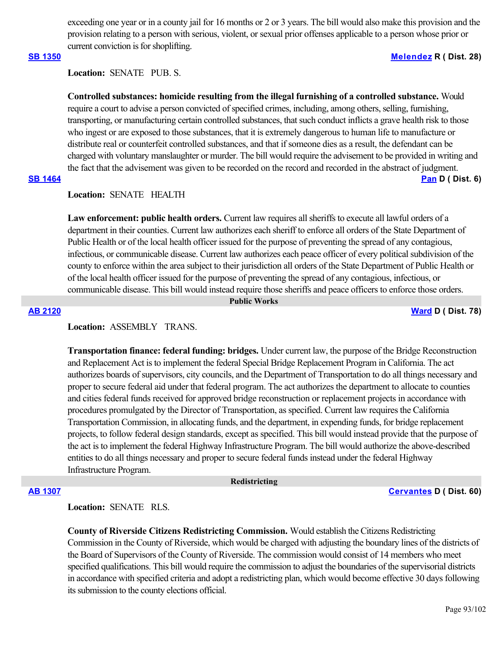exceeding one year or in a county jail for 16 months or 2 or 3 years. The bill would also make this provision and the provision relating to a person with serious, violent, or sexual prior offenses applicable to a person whose prior or current conviction is for shoplifting.

### **[SB 1350](https://ctweb.capitoltrack.com/public/publishbillinfo.aspx?bi=%2FA58tzPqY8qvFRKrQqk7MOyt4o3Pn%2Fqlb8xdssFlmj18evLO4tzuCPhH5oB%2Fbg2K) [Melendez](https://melendez.cssrc.us/) R ( Dist. 28)**

Location: **SENATE** PUB. S.

**Controlled substances: homicide resulting from the illegal furnishing of a controlled substance.** Would require a court to advise a person convicted of specified crimes, including, among others, selling, furnishing, transporting, or manufacturing certain controlled substances, that such conduct inflicts a grave health risk to those who ingest or are exposed to those substances, that it is extremely dangerous to human life to manufacture or distribute real or counterfeit controlled substances, and that if someone dies as a result, the defendant can be charged with voluntary manslaughter or murder. The bill would require the advisement to be provided in writing and the fact that the advisement was given to be recorded on the record and recorded in the abstract of judgment.

## **[SB 1464](https://ctweb.capitoltrack.com/public/publishbillinfo.aspx?bi=7%2BZIFMUR%2ByTv4IZcscEsR4bfzanenRc%2BHDbuM07tEsjLI0uSTvxSh83MfeAGzPpN) [Pan](http://sd06.senate.ca.gov/) D ( Dist. 6)**

## **Location:**  SENATE HEALTH

**Law enforcement: public health orders.** Current law requires all sheriffs to execute all lawful orders of a department in their counties. Current law authorizes each sheriff to enforce all orders of the State Department of Public Health or of the local health officer issued for the purpose of preventing the spread of any contagious, infectious, or communicable disease. Current law authorizes each peace officer of every political subdivision of the county to enforce within the area subject to their jurisdiction all orders of the State Department of Public Health or of the local health officer issued for the purpose of preventing the spread of any contagious, infectious, or communicable disease. This bill would instead require those sheriffs and peace officers to enforce those orders.

### **Public Works**

**[AB 2120](https://ctweb.capitoltrack.com/public/publishbillinfo.aspx?bi=EauQqrW0pk83io5Ruslcmr7eLA%2BOrgI943tB%2BPqyKIIOWt6LQlZLw7tcX78lPkpa) [Ward](https://a78.asmdc.org/) D ( Dist. 78)**

# **Location:**  ASSEMBLY TRANS.

**Transportation finance: federal funding: bridges.** Under current law, the purpose of the Bridge Reconstruction and Replacement Act is to implement the federal Special Bridge Replacement Program in California. The act authorizes boards of supervisors, city councils, and the Department of Transportation to do all things necessary and proper to secure federal aid under that federal program. The act authorizes the department to allocate to counties and cities federal funds received for approved bridge reconstruction or replacement projects in accordance with procedures promulgated by the Director of Transportation, as specified. Current law requires the California Transportation Commission, in allocating funds, and the department, in expending funds, for bridge replacement projects, to follow federal design standards, except as specified. This bill would instead provide that the purpose of the act is to implement the federal Highway Infrastructure Program. The bill would authorize the above-described entities to do all things necessary and proper to secure federal funds instead under the federal Highway Infrastructure Program.

### **Redistricting**

**[AB 1307](https://ctweb.capitoltrack.com/public/publishbillinfo.aspx?bi=6LFqxwLruF4%2BpePcbMnH3OjKWP%2B%2Fg7DLH422kYadQSyp0bb8y1fxb74Xblqmf%2Ffz) [Cervantes](https://a60.asmdc.org/) D ( Dist. 60)**

## **Location:**  SENATE RLS.

**County of Riverside Citizens Redistricting Commission.** Would establish the Citizens Redistricting Commission in the County of Riverside, which would be charged with adjusting the boundary lines of the districts of the Board of Supervisors of the County of Riverside. The commission would consist of 14 members who meet specified qualifications. This bill would require the commission to adjust the boundaries of the supervisorial districts in accordance with specified criteria and adopt a redistricting plan, which would become effective 30 days following its submission to the county elections official.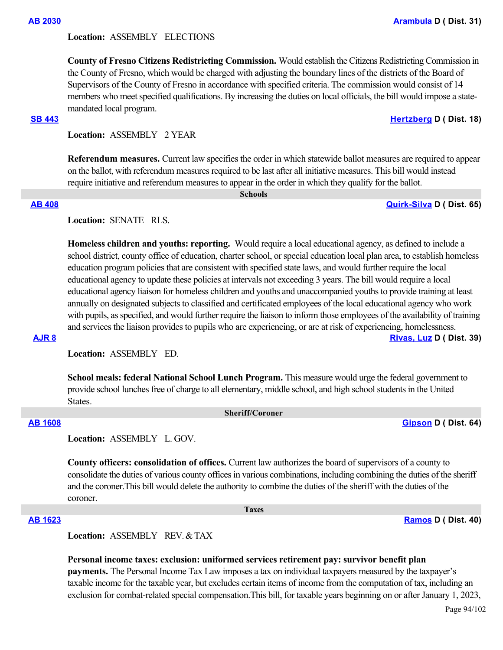### **Location:**  ASSEMBLY ELECTIONS

**County of Fresno Citizens Redistricting Commission.** Would establish the Citizens Redistricting Commission in the County of Fresno, which would be charged with adjusting the boundary lines of the districts of the Board of Supervisors of the County of Fresno in accordance with specified criteria. The commission would consist of 14 members who meet specified qualifications. By increasing the duties on local officials, the bill would impose a statemandated local program.

### **[SB 443](https://ctweb.capitoltrack.com/public/publishbillinfo.aspx?bi=HIojWqTdpascDXzdrowFDmZfMBn6ikUpCG3ceZICtuNK6Drr9Vz38JPGnn2sEp40) [Hertzberg](https://sd18.senate.ca.gov/) D ( Dist. 18)**

**Location:**  ASSEMBLY 2 YEAR

**Referendum measures.** Current law specifies the order in which statewide ballot measures are required to appear on the ballot, with referendum measures required to be last after all initiative measures. This bill would instead require initiative and referendum measures to appear in the order in which they qualify for the ballot.

 **Schools**

**[AB 408](https://ctweb.capitoltrack.com/public/publishbillinfo.aspx?bi=m3m8rEkAcDZBKMwu3d7LNwvEQkFtgVtPg5HZ0KUQxJdi%2FpPLe0OhkVrxV0vi59Zr) [Quirk-Silva](https://a65.asmdc.org/) D ( Dist. 65)**

### **Location:**  SENATE RLS.

**Homeless children and youths: reporting.** Would require a local educational agency, as defined to include a school district, county office of education, charter school, or special education local plan area, to establish homeless education program policies that are consistent with specified state laws, and would further require the local educational agency to update these policies at intervals not exceeding 3 years. The bill would require a local educational agency liaison for homeless children and youths and unaccompanied youths to provide training at least annually on designated subjects to classified and certificated employees of the local educational agency who work with pupils, as specified, and would further require the liaison to inform those employees of the availability of training and services the liaison provides to pupils who are experiencing, or are at risk of experiencing, homelessness. **[AJR 8](https://ctweb.capitoltrack.com/public/publishbillinfo.aspx?bi=v4%2B0xj2Ty4VOuB755EUx7TIU%2FiDqC1JYXWz9PsnQvsbnclKsucmy0nxLqyxNFpWv) [Rivas, Luz](https://a39.asmdc.org/) D ( Dist. 39)**

**Location:**  ASSEMBLY ED.

**School meals: federal National School Lunch Program.** This measure would urge the federal government to provide school lunches free of charge to all elementary, middle school, and high school students in the United States.

### **Sheriff/Coroner**

**[AB 1608](https://ctweb.capitoltrack.com/public/publishbillinfo.aspx?bi=2wpBJxC0ubOrI0Aj17ki5THOC5O3h0jlbKqkHkco4lIy4OuaP4FYP7XFEBwomJKI) [Gipson](https://a64.asmdc.org/) D ( Dist. 64)**

**Location:**  ASSEMBLY L. GOV.

**County officers: consolidation of offices.** Current law authorizes the board of supervisors of a county to consolidate the duties of various county offices in various combinations, including combining the duties of the sheriff and the coroner.This bill would delete the authority to combine the duties of the sheriff with the duties of the coroner.

 **Taxes**

**[AB 1623](https://ctweb.capitoltrack.com/public/publishbillinfo.aspx?bi=g45GJvv3aSqHeUF1Xub4q5WI4n7fyOlJrLU%2FtQWBK3hA%2BpBOy0W7gfP3jXwW5ZJv) [Ramos](https://a40.asmdc.org/) D ( Dist. 40)**

Location: **ASSEMBLY REV & TAX** 

**Personal income taxes: exclusion: uniformed services retirement pay: survivor benefit plan payments.** The Personal Income Tax Law imposes a tax on individual taxpayers measured by the taxpayer's taxable income for the taxable year, but excludes certain items of income from the computation of tax, including an exclusion for combat-related special compensation.This bill, for taxable years beginning on or after January 1, 2023,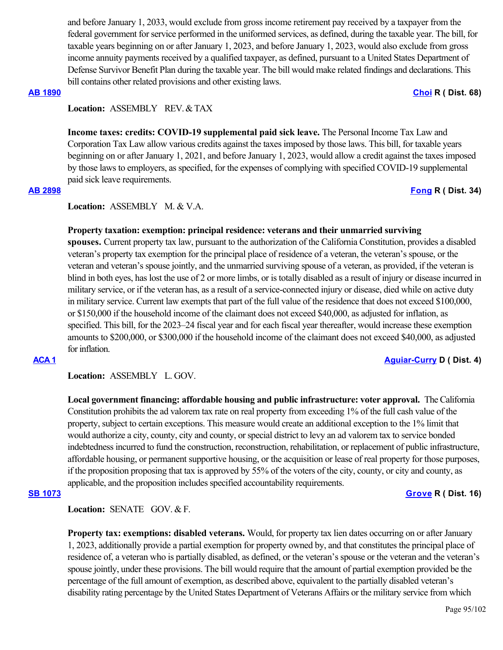and before January 1, 2033, would exclude from gross income retirement pay received by a taxpayer from the federal government for service performed in the uniformed services, as defined, during the taxable year. The bill, for taxable years beginning on or after January 1, 2023, and before January 1, 2023, would also exclude from gross income annuity payments received by a qualified taxpayer, as defined, pursuant to a United States Department of Defense Survivor Benefit Plan during the taxable year. The bill would make related findings and declarations. This bill contains other related provisions and other existing laws.

### **[AB 1890](https://ctweb.capitoltrack.com/public/publishbillinfo.aspx?bi=UH4XiiD51j6u%2Fm9%2BivrxLDVgDB%2F7N36X4xCVmh0l4ha4Q3KXo2y88zA8KDsIGv0u) [Choi](https://ad68.asmrc.org/) R ( Dist. 68)**

## **Location:**  ASSEMBLY REV. & TAX

**Income taxes: credits: COVID-19 supplemental paid sick leave.** The Personal Income Tax Law and Corporation Tax Law allow various credits against the taxes imposed by those laws. This bill, for taxable years beginning on or after January 1, 2021, and before January 1, 2023, would allow a credit against the taxes imposed by those laws to employers, as specified, for the expenses of complying with specified COVID-19 supplemental paid sick leave requirements.

**[AB 2898](https://ctweb.capitoltrack.com/public/publishbillinfo.aspx?bi=proEpTocxqpTL7lTZMKRjSduBEZtEP3uijHjk1yMtdo%2FgUduvcUN37RYa6TrLiAq) [Fong](https://ad34.asmrc.org/) R ( Dist. 34)**

**Location:**  ASSEMBLY M. & V.A.

## **Property taxation: exemption: principal residence: veterans and their unmarried surviving**

**spouses.** Current property tax law, pursuant to the authorization of the California Constitution, provides a disabled veteran's property tax exemption for the principal place of residence of a veteran, the veteran's spouse, or the veteran and veteran's spouse jointly, and the unmarried surviving spouse of a veteran, as provided, if the veteran is blind in both eyes, has lost the use of 2 or more limbs, or is totally disabled as a result of injury or disease incurred in military service, or if the veteran has, as a result of a service-connected injury or disease, died while on active duty in military service. Current law exempts that part of the full value of the residence that does not exceed \$100,000, or \$150,000 if the household income of the claimant does not exceed \$40,000, as adjusted for inflation, as specified. This bill, for the 2023–24 fiscal year and for each fiscal year thereafter, would increase these exemption amounts to \$200,000, or \$300,000 if the household income of the claimant does not exceed \$40,000, as adjusted for inflation.

**[ACA 1](https://ctweb.capitoltrack.com/public/publishbillinfo.aspx?bi=vkAbgpBB9wOKQrx%2F6m3DJE4Lfzjw%2B69Lv7GxnaWpsGPIGgKDXm0xJSIkZsa8QVVB) [Aguiar-Curry](https://a04.asmdc.org/) D ( Dist. 4)**

## **Location:**  ASSEMBLY L. GOV.

**Local government financing: affordable housing and public infrastructure: voter approval.** The California Constitution prohibits the ad valorem tax rate on real property from exceeding 1% of the full cash value of the property, subject to certain exceptions. This measure would create an additional exception to the 1% limit that would authorize a city, county, city and county, or special district to levy an ad valorem tax to service bonded indebtedness incurred to fund the construction, reconstruction, rehabilitation, or replacement of public infrastructure, affordable housing, or permanent supportive housing, or the acquisition or lease of real property for those purposes, if the proposition proposing that tax is approved by 55% of the voters of the city, county, or city and county, as applicable, and the proposition includes specified accountability requirements.

### **[SB 1073](https://ctweb.capitoltrack.com/public/publishbillinfo.aspx?bi=xnx0Ilf40Z7qZpyNwbMcGFXGJ%2BP4ryiNs%2BeqQNU7r8bYWayUTecFuwEAxpVl42ZB) [Grove](https://grove.cssrc.us/) R ( Dist. 16)**

Location: **SENATE** GOV. & F.

**Property tax: exemptions: disabled veterans.** Would, for property tax lien dates occurring on or after January 1, 2023, additionally provide a partial exemption for property owned by, and that constitutes the principal place of residence of, a veteran who is partially disabled, as defined, or the veteran's spouse or the veteran and the veteran's spouse jointly, under these provisions. The bill would require that the amount of partial exemption provided be the percentage of the full amount of exemption, as described above, equivalent to the partially disabled veteran's disability rating percentage by the United States Department of Veterans Affairs or the military service from which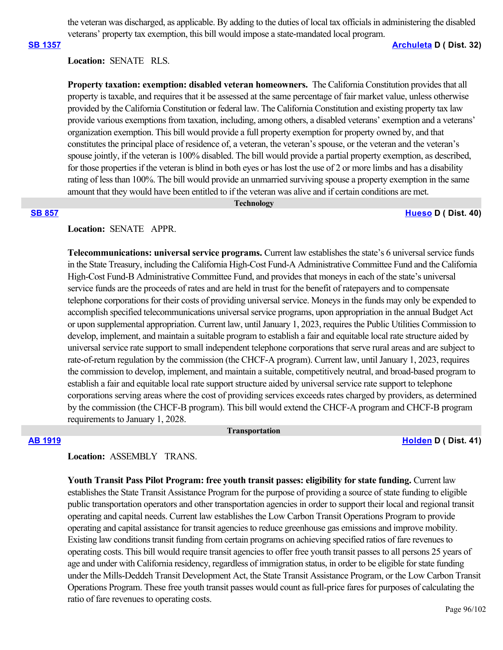the veteran was discharged, as applicable. By adding to the duties of local tax officials in administering the disabled veterans' property tax exemption, this bill would impose a state-mandated local program.

### **[SB 1357](https://ctweb.capitoltrack.com/public/publishbillinfo.aspx?bi=fmxn1rdnXBGjm5WWmsIbfsVAzh37XZvV7J6ToIoew219nCgfzlMnov6JNZ1SEQPW) [Archuleta](http://sd32.senate.ca.gov/) D ( Dist. 32)**

## **Location:**  SENATE RLS.

**Property taxation: exemption: disabled veteran homeowners.**  The California Constitution provides that all property is taxable, and requires that it be assessed at the same percentage of fair market value, unless otherwise provided by the California Constitution or federal law. The California Constitution and existing property tax law provide various exemptions from taxation, including, among others, a disabled veterans' exemption and a veterans' organization exemption. This bill would provide a full property exemption for property owned by, and that constitutes the principal place of residence of, a veteran, the veteran's spouse, or the veteran and the veteran's spouse jointly, if the veteran is 100% disabled. The bill would provide a partial property exemption, as described, for those properties if the veteran is blind in both eyes or has lost the use of 2 or more limbs and has a disability rating of less than 100%. The bill would provide an unmarried surviving spouse a property exemption in the same amount that they would have been entitled to if the veteran was alive and if certain conditions are met.

### **Technology**

### **[SB 857](https://ctweb.capitoltrack.com/public/publishbillinfo.aspx?bi=XoSLnRumH%2FCJPqtdv24%2FSK%2FqGs9XWXRgYnxe4W%2FV7fVXWIQH8b0Bune9SQ9py9g3) [Hueso](http://sd40.senate.ca.gov/) D ( Dist. 40)**

## **Location:**  SENATE APPR.

**Telecommunications: universal service programs.** Current law establishes the state's 6 universal service funds in the State Treasury, including the California High-Cost Fund-A Administrative Committee Fund and the California High-Cost Fund-B Administrative Committee Fund, and provides that moneys in each of the state's universal service funds are the proceeds of rates and are held in trust for the benefit of ratepayers and to compensate telephone corporations for their costs of providing universal service. Moneys in the funds may only be expended to accomplish specified telecommunications universal service programs, upon appropriation in the annual Budget Act or upon supplemental appropriation. Current law, until January 1, 2023, requires the Public Utilities Commission to develop, implement, and maintain a suitable program to establish a fair and equitable local rate structure aided by universal service rate support to small independent telephone corporations that serve rural areas and are subject to rate-of-return regulation by the commission (the CHCF-A program). Current law, until January 1, 2023, requires the commission to develop, implement, and maintain a suitable, competitively neutral, and broad-based program to establish a fair and equitable local rate support structure aided by universal service rate support to telephone corporations serving areas where the cost of providing services exceeds rates charged by providers, as determined by the commission (the CHCF-B program). This bill would extend the CHCF-A program and CHCF-B program requirements to January 1, 2028.

 **Transportation**

**[AB 1919](https://ctweb.capitoltrack.com/public/publishbillinfo.aspx?bi=ccSjQVYL%2FpKlVBSUqc7Gjv4DBMT%2B7g1OGPqkS85hPYrjxmaISdPF4mRXDPH5%2BjKl) [Holden](https://a41.asmdc.org/) D ( Dist. 41)**

# **Location:**  ASSEMBLY TRANS.

**Youth Transit Pass Pilot Program: free youth transit passes: eligibility for state funding.** Current law establishes the State Transit Assistance Program for the purpose of providing a source of state funding to eligible public transportation operators and other transportation agencies in order to support their local and regional transit operating and capital needs. Current law establishes the Low Carbon Transit Operations Program to provide operating and capital assistance for transit agencies to reduce greenhouse gas emissions and improve mobility. Existing law conditions transit funding from certain programs on achieving specified ratios of fare revenues to operating costs. This bill would require transit agencies to offer free youth transit passes to all persons 25 years of age and under with California residency, regardless of immigration status, in order to be eligible for state funding under the Mills-Deddeh Transit Development Act, the State Transit Assistance Program, or the Low Carbon Transit Operations Program. These free youth transit passes would count as full-price fares for purposes of calculating the ratio of fare revenues to operating costs.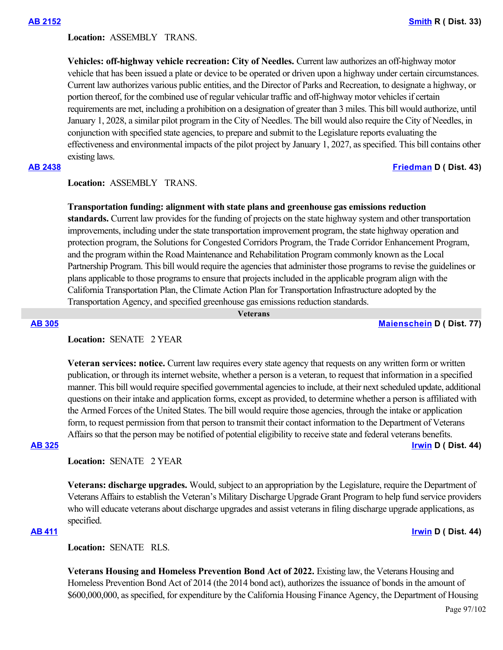**Location:**  ASSEMBLY TRANS.

**Vehicles: off-highway vehicle recreation: City of Needles.** Current law authorizes an off-highway motor vehicle that has been issued a plate or device to be operated or driven upon a highway under certain circumstances. Current law authorizes various public entities, and the Director of Parks and Recreation, to designate a highway, or portion thereof, for the combined use of regular vehicular traffic and off-highway motor vehicles if certain requirements are met, including a prohibition on a designation of greater than 3 miles. This bill would authorize, until January 1, 2028, a similar pilot program in the City of Needles. The bill would also require the City of Needles, in conjunction with specified state agencies, to prepare and submit to the Legislature reports evaluating the effectiveness and environmental impacts of the pilot project by January 1, 2027, as specified. This bill contains other existing laws.

**[AB 2438](https://ctweb.capitoltrack.com/public/publishbillinfo.aspx?bi=zaJ9JZU%2F3h%2FrEqUcBXnJv4Sb4WDD1aK0FojMwGNk8YlIc9mGzBB7sB48FpclzuFx) [Friedman](https://a43.asmdc.org/) D ( Dist. 43)**

## **Location:**  ASSEMBLY TRANS.

### **Transportation funding: alignment with state plans and greenhouse gas emissions reduction**

**standards.** Current law provides for the funding of projects on the state highway system and other transportation improvements, including under the state transportation improvement program, the state highway operation and protection program, the Solutions for Congested Corridors Program, the Trade Corridor Enhancement Program, and the program within the Road Maintenance and Rehabilitation Program commonly known as the Local Partnership Program. This bill would require the agencies that administer those programs to revise the guidelines or plans applicable to those programs to ensure that projects included in the applicable program align with the California Transportation Plan, the Climate Action Plan for Transportation Infrastructure adopted by the Transportation Agency, and specified greenhouse gas emissions reduction standards.

 **Veterans**

**[AB 305](https://ctweb.capitoltrack.com/public/publishbillinfo.aspx?bi=qbvKkBAf9ecArIhcDAXUlVGE6wjbPJnzsxcI6anzh4cafvWR8QvLfP1LwZ68qJOe) [Maienschein](https://a77.asmdc.org/) D ( Dist. 77)**

## **Location:**  SENATE 2 YEAR

**Veteran services: notice.** Current law requires every state agency that requests on any written form or written publication, or through its internet website, whether a person is a veteran, to request that information in a specified manner. This bill would require specified governmental agencies to include, at their next scheduled update, additional questions on their intake and application forms, except as provided, to determine whether a person is affiliated with the Armed Forces of the United States. The bill would require those agencies, through the intake or application form, to request permission from that person to transmit their contact information to the Department of Veterans Affairs so that the person may be notified of potential eligibility to receive state and federal veterans benefits. **[AB 325](https://ctweb.capitoltrack.com/public/publishbillinfo.aspx?bi=WeYjmgsEqjXuM4VU%2B%2BzNJjGMW68mpb%2BT1a7jtKSOweDfPgSidGvi4uADGyKTqHz1) [Irwin](https://a44.asmdc.org/) D ( Dist. 44)**

Location: **SENATE 2 YEAR** 

**Veterans: discharge upgrades.** Would, subject to an appropriation by the Legislature, require the Department of Veterans Affairs to establish the Veteran's Military Discharge Upgrade Grant Program to help fund service providers who will educate veterans about discharge upgrades and assist veterans in filing discharge upgrade applications, as specified.

### **[AB 411](https://ctweb.capitoltrack.com/public/publishbillinfo.aspx?bi=6IwhXVaxMzjl9v%2BGayCf4CP6tdK1hC14JWJSWj9pNaZK2MjOO4pqVVPP%2BlmhXeUY) [Irwin](https://a44.asmdc.org/) D ( Dist. 44)**

**Location:**  SENATE RLS.

**Veterans Housing and Homeless Prevention Bond Act of 2022.** Existing law, the Veterans Housing and Homeless Prevention Bond Act of 2014 (the 2014 bond act), authorizes the issuance of bonds in the amount of \$600,000,000, as specified, for expenditure by the California Housing Finance Agency, the Department of Housing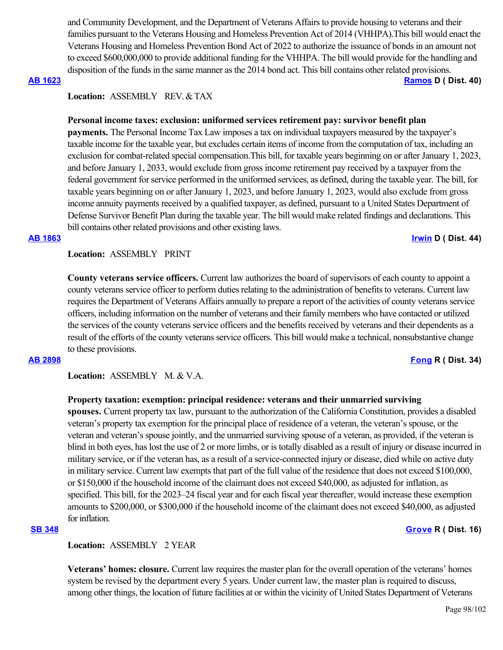and Community Development, and the Department of Veterans Affairs to provide housing to veterans and their families pursuant to the Veterans Housing and Homeless Prevention Act of 2014 (VHHPA).This bill would enact the Veterans Housing and Homeless Prevention Bond Act of 2022 to authorize the issuance of bonds in an amount not to exceed \$600,000,000 to provide additional funding for the VHHPA. The bill would provide for the handling and disposition of the funds in the same manner as the 2014 bond act. This bill contains other related provisions.

### **[AB 1623](https://ctweb.capitoltrack.com/public/publishbillinfo.aspx?bi=g45GJvv3aSqHeUF1Xub4q5WI4n7fyOlJrLU%2FtQWBK3hA%2BpBOy0W7gfP3jXwW5ZJv) [Ramos](https://a40.asmdc.org/) D ( Dist. 40)**

## **Location:**  ASSEMBLY REV. & TAX

## **Personal income taxes: exclusion: uniformed services retirement pay: survivor benefit plan**

**payments.** The Personal Income Tax Law imposes a tax on individual taxpayers measured by the taxpayer's taxable income for the taxable year, but excludes certain items of income from the computation of tax, including an exclusion for combat-related special compensation.This bill, for taxable years beginning on or after January 1, 2023, and before January 1, 2033, would exclude from gross income retirement pay received by a taxpayer from the federal government for service performed in the uniformed services, as defined, during the taxable year. The bill, for taxable years beginning on or after January 1, 2023, and before January 1, 2023, would also exclude from gross income annuity payments received by a qualified taxpayer, as defined, pursuant to a United States Department of Defense Survivor Benefit Plan during the taxable year. The bill would make related findings and declarations. This bill contains other related provisions and other existing laws.

### **[AB 1863](https://ctweb.capitoltrack.com/public/publishbillinfo.aspx?bi=at9QiXH9Gza0bsCLzHbMaubs%2BIerV1Zi6TKtguZyEnHeELvGKSk5SUMXY%2F1nE2v8) [Irwin](https://a44.asmdc.org/) D ( Dist. 44)**

**Location:**  ASSEMBLY PRINT

**County veterans service officers.** Current law authorizes the board of supervisors of each county to appoint a county veterans service officer to perform duties relating to the administration of benefits to veterans. Current law requires the Department of Veterans Affairs annually to prepare a report of the activities of county veterans service officers, including information on the number of veterans and their family members who have contacted or utilized the services of the county veterans service officers and the benefits received by veterans and their dependents as a result of the efforts of the county veterans service officers. This bill would make a technical, nonsubstantive change to these provisions.

**[AB 2898](https://ctweb.capitoltrack.com/public/publishbillinfo.aspx?bi=proEpTocxqpTL7lTZMKRjSduBEZtEP3uijHjk1yMtdo%2FgUduvcUN37RYa6TrLiAq) [Fong](https://ad34.asmrc.org/) R ( Dist. 34)**

**Location:**  ASSEMBLY M. & V.A.

### **Property taxation: exemption: principal residence: veterans and their unmarried surviving**

**spouses.** Current property tax law, pursuant to the authorization of the California Constitution, provides a disabled veteran's property tax exemption for the principal place of residence of a veteran, the veteran's spouse, or the veteran and veteran's spouse jointly, and the unmarried surviving spouse of a veteran, as provided, if the veteran is blind in both eyes, has lost the use of 2 or more limbs, or is totally disabled as a result of injury or disease incurred in military service, or if the veteran has, as a result of a service-connected injury or disease, died while on active duty in military service. Current law exempts that part of the full value of the residence that does not exceed \$100,000, or \$150,000 if the household income of the claimant does not exceed \$40,000, as adjusted for inflation, as specified. This bill, for the 2023–24 fiscal year and for each fiscal year thereafter, would increase these exemption amounts to \$200,000, or \$300,000 if the household income of the claimant does not exceed \$40,000, as adjusted for inflation.

## **[SB 348](https://ctweb.capitoltrack.com/public/publishbillinfo.aspx?bi=nLXgUtIujQf8UKXVZS9hVdSm0hqz67MIYYZdXKGTKhPzpB31PxX1pHNLmmpxBZbu) [Grove](https://grove.cssrc.us/) R ( Dist. 16)**

### **Location:**  ASSEMBLY 2 YEAR

**Veterans' homes: closure.** Current law requires the master plan for the overall operation of the veterans' homes system be revised by the department every 5 years. Under current law, the master plan is required to discuss, among other things, the location of future facilities at or within the vicinity of United States Department of Veterans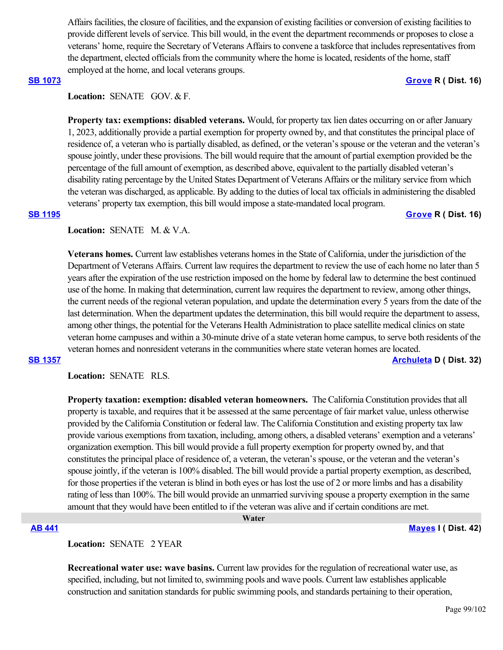Affairs facilities, the closure of facilities, and the expansion of existing facilities or conversion of existing facilities to provide different levels of service. This bill would, in the event the department recommends or proposes to close a veterans' home, require the Secretary of Veterans Affairs to convene a taskforce that includes representatives from the department, elected officials from the community where the home is located, residents of the home, staff employed at the home, and local veterans groups.

## **[SB 1073](https://ctweb.capitoltrack.com/public/publishbillinfo.aspx?bi=xnx0Ilf40Z7qZpyNwbMcGFXGJ%2BP4ryiNs%2BeqQNU7r8bYWayUTecFuwEAxpVl42ZB) [Grove](https://grove.cssrc.us/) R ( Dist. 16)**

# Location: **SENATE** GOV. & F.

**Property tax: exemptions: disabled veterans.** Would, for property tax lien dates occurring on or after January 1, 2023, additionally provide a partial exemption for property owned by, and that constitutes the principal place of residence of, a veteran who is partially disabled, as defined, or the veteran's spouse or the veteran and the veteran's spouse jointly, under these provisions. The bill would require that the amount of partial exemption provided be the percentage of the full amount of exemption, as described above, equivalent to the partially disabled veteran's disability rating percentage by the United States Department of Veterans Affairs or the military service from which the veteran was discharged, as applicable. By adding to the duties of local tax officials in administering the disabled veterans' property tax exemption, this bill would impose a state-mandated local program.

### **[SB 1195](https://ctweb.capitoltrack.com/public/publishbillinfo.aspx?bi=gbRojT3NQ4Ze6q5wG2i%2Fpf01i5onX4hiZ8mc0nxWmxlH3ANUnN0tCYN7MlPga8Xc) [Grove](https://grove.cssrc.us/) R ( Dist. 16)**

**Location:**  SENATE M. & V.A.

**Veterans homes.** Current law establishes veterans homes in the State of California, under the jurisdiction of the Department of Veterans Affairs. Current law requires the department to review the use of each home no later than 5 years after the expiration of the use restriction imposed on the home by federal law to determine the best continued use of the home. In making that determination, current law requires the department to review, among other things, the current needs of the regional veteran population, and update the determination every 5 years from the date of the last determination. When the department updates the determination, this bill would require the department to assess, among other things, the potential for the Veterans Health Administration to place satellite medical clinics on state veteran home campuses and within a 30-minute drive of a state veteran home campus, to serve both residents of the veteran homes and nonresident veterans in the communities where state veteran homes are located.

### **[SB 1357](https://ctweb.capitoltrack.com/public/publishbillinfo.aspx?bi=fmxn1rdnXBGjm5WWmsIbfsVAzh37XZvV7J6ToIoew219nCgfzlMnov6JNZ1SEQPW) [Archuleta](http://sd32.senate.ca.gov/) D ( Dist. 32)**

**Location:**  SENATE RLS.

**Property taxation: exemption: disabled veteran homeowners.**  The California Constitution provides that all property is taxable, and requires that it be assessed at the same percentage of fair market value, unless otherwise provided by the California Constitution or federal law. The California Constitution and existing property tax law provide various exemptions from taxation, including, among others, a disabled veterans' exemption and a veterans' organization exemption. This bill would provide a full property exemption for property owned by, and that constitutes the principal place of residence of, a veteran, the veteran's spouse, or the veteran and the veteran's spouse jointly, if the veteran is 100% disabled. The bill would provide a partial property exemption, as described, for those properties if the veteran is blind in both eyes or has lost the use of 2 or more limbs and has a disability rating of less than 100%. The bill would provide an unmarried surviving spouse a property exemption in the same amount that they would have been entitled to if the veteran was alive and if certain conditions are met.

 **Water**

### **[AB 441](https://ctweb.capitoltrack.com/public/publishbillinfo.aspx?bi=oqyp6GJ0p0sy9WvFZ2GTH%2FYL4lTm5%2B6CBmHGWmTfS%2FGDq1drB5MKBjVuoTtcFywR) [Mayes](https://www.assembly.ca.gov/assemblymemberchadmayes) I ( Dist. 42)**

**Location:**  SENATE 2 YEAR

**Recreational water use: wave basins.** Current law provides for the regulation of recreational water use, as specified, including, but not limited to, swimming pools and wave pools. Current law establishes applicable construction and sanitation standards for public swimming pools, and standards pertaining to their operation,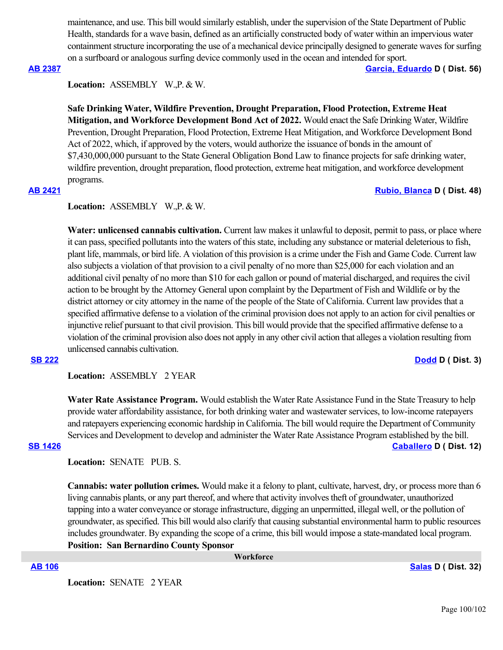maintenance, and use. This bill would similarly establish, under the supervision of the State Department of Public Health, standards for a wave basin, defined as an artificially constructed body of water within an impervious water containment structure incorporating the use of a mechanical device principally designed to generate waves for surfing on a surfboard or analogous surfing device commonly used in the ocean and intended for sport.

**[AB 2387](https://ctweb.capitoltrack.com/public/publishbillinfo.aspx?bi=mAsKx02WwTNLoXWuXh8d4TjCjo3Lvn%2BgRbIrd0vXWo5WJFK5Aq09vk3pePdlwvw%2F) [Garcia, Eduardo](https://a56.asmdc.org/) D ( Dist. 56)**

**Location:**  ASSEMBLY W.,P. & W.

**Safe Drinking Water, Wildfire Prevention, Drought Preparation, Flood Protection, Extreme Heat Mitigation, and Workforce Development Bond Act of 2022.** Would enact the Safe Drinking Water, Wildfire Prevention, Drought Preparation, Flood Protection, Extreme Heat Mitigation, and Workforce Development Bond Act of 2022, which, if approved by the voters, would authorize the issuance of bonds in the amount of \$7,430,000,000 pursuant to the State General Obligation Bond Law to finance projects for safe drinking water, wildfire prevention, drought preparation, flood protection, extreme heat mitigation, and workforce development programs.

## **[AB 2421](https://ctweb.capitoltrack.com/public/publishbillinfo.aspx?bi=Yv5oqQzdvN3CGGfOMWwk35fLfHbS3z%2FMWMlEL9cVlv22eLn1cLkUz%2Bho5IiAs1al) [Rubio, Blanca](https://a48.asmdc.org/) D ( Dist. 48)**

### **Location:**  ASSEMBLY W.,P. & W.

Water: unlicensed cannabis cultivation. Current law makes it unlawful to deposit, permit to pass, or place where it can pass, specified pollutants into the waters of this state, including any substance or material deleterious to fish, plant life, mammals, or bird life. A violation of this provision is a crime under the Fish and Game Code. Current law also subjects a violation of that provision to a civil penalty of no more than \$25,000 for each violation and an additional civil penalty of no more than \$10 for each gallon or pound of material discharged, and requires the civil action to be brought by the Attorney General upon complaint by the Department of Fish and Wildlife or by the district attorney or city attorney in the name of the people of the State of California. Current law provides that a specified affirmative defense to a violation of the criminal provision does not apply to an action for civil penalties or injunctive relief pursuant to that civil provision. This bill would provide that the specified affirmative defense to a violation of the criminal provision also does not apply in any other civil action that alleges a violation resulting from unlicensed cannabis cultivation.

### **[SB 222](https://ctweb.capitoltrack.com/public/publishbillinfo.aspx?bi=7sVgn2aW5KlbSu52Ipo6jKfrv%2B9UmFmFS%2F2T%2BTQ4qnAAuRJnojTSViiGLctcdCK5) [Dodd](http://sd03.senate.ca.gov/) D ( Dist. 3)**

**Location:**  ASSEMBLY 2 YEAR

**Water Rate Assistance Program.** Would establish the Water Rate Assistance Fund in the State Treasury to help provide water affordability assistance, for both drinking water and wastewater services, to low-income ratepayers and ratepayers experiencing economic hardship in California. The bill would require the Department of Community Services and Development to develop and administer the Water Rate Assistance Program established by the bill. **[SB 1426](https://ctweb.capitoltrack.com/public/publishbillinfo.aspx?bi=GQl2nfJ%2FKvoazRd4%2FxxsOOUa6OJSZeiuD2mR3vAOV9gOxaFQqsN0hIdo00DR3HVg) [Caballero](https://sd12.senate.ca.gov/) D ( Dist. 12)**

**Location:**  SENATE PUB. S.

**Cannabis: water pollution crimes.** Would make it a felony to plant, cultivate, harvest, dry, or process more than 6 living cannabis plants, or any part thereof, and where that activity involves theft of groundwater, unauthorized tapping into a water conveyance or storage infrastructure, digging an unpermitted, illegal well, or the pollution of groundwater, as specified. This bill would also clarify that causing substantial environmental harm to public resources includes groundwater. By expanding the scope of a crime, this bill would impose a state-mandated local program. **Position: San Bernardino County Sponsor**

 **Workforce**

**[AB 106](https://ctweb.capitoltrack.com/public/publishbillinfo.aspx?bi=TSHJENppxbfSG53un6%2BUCngvhXso2lgVZ4pSYQx3GPXcEkM9Nfz4NFNaLhigTmpX) [Salas](https://a32.asmdc.org/) D ( Dist. 32)**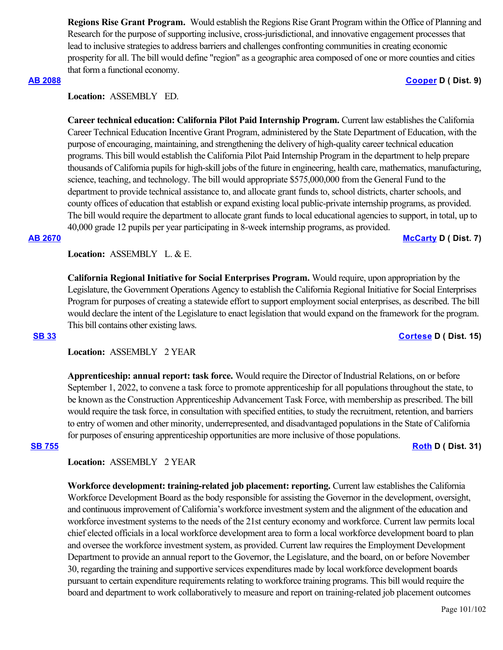**Regions Rise Grant Program.** Would establish the Regions Rise Grant Program within the Office of Planning and Research for the purpose of supporting inclusive, cross-jurisdictional, and innovative engagement processes that lead to inclusive strategies to address barriers and challenges confronting communities in creating economic prosperity for all. The bill would define "region" as a geographic area composed of one or more counties and cities that form a functional economy.

### **[AB 2088](https://ctweb.capitoltrack.com/public/publishbillinfo.aspx?bi=KGHPh8uYt805tahbEhlr%2BoPbSLvIX5B%2FK3%2Bj4AI2cB51qd%2B9HGFWh6AWUyeDXjVj) [Cooper](https://a09.asmdc.org/) D ( Dist. 9)**

## **Location:**  ASSEMBLY ED.

**Career technical education: California Pilot Paid Internship Program.** Current law establishes the California Career Technical Education Incentive Grant Program, administered by the State Department of Education, with the purpose of encouraging, maintaining, and strengthening the delivery of high-quality career technical education programs. This bill would establish the California Pilot Paid Internship Program in the department to help prepare thousands of California pupils for high-skill jobs of the future in engineering, health care, mathematics, manufacturing, science, teaching, and technology. The bill would appropriate \$575,000,000 from the General Fund to the department to provide technical assistance to, and allocate grant funds to, school districts, charter schools, and county offices of education that establish or expand existing local public-private internship programs, as provided. The bill would require the department to allocate grant funds to local educational agencies to support, in total, up to 40,000 grade 12 pupils per year participating in 8-week internship programs, as provided.

### **[AB 2670](https://ctweb.capitoltrack.com/public/publishbillinfo.aspx?bi=ucYrgGNaMUHvy6g3huXPtty89bRWGrLU2I2eGANvQpT7SWq2HuU2dOEVDIN1X%2F6j) [McCarty](https://a07.asmdc.org/) D ( Dist. 7)**

**Location:**  ASSEMBLY L. & E.

**California Regional Initiative for Social Enterprises Program.** Would require, upon appropriation by the Legislature, the Government Operations Agency to establish the California Regional Initiative for Social Enterprises Program for purposes of creating a statewide effort to support employment social enterprises, as described. The bill would declare the intent of the Legislature to enact legislation that would expand on the framework for the program. This bill contains other existing laws.

**[SB 33](https://ctweb.capitoltrack.com/public/publishbillinfo.aspx?bi=z2uhVZovYdQ5Rd5SBow7bxolla7xKqhJljdhJ%2BHhZkYiSCnpTQ9HmMwlSIIvhSnu) [Cortese](http://sd15.senate.ca.gov/) D ( Dist. 15)**

## **Location:**  ASSEMBLY 2 YEAR

**Apprenticeship: annual report: task force.** Would require the Director of Industrial Relations, on or before September 1, 2022, to convene a task force to promote apprenticeship for all populations throughout the state, to be known as the Construction Apprenticeship Advancement Task Force, with membership as prescribed. The bill would require the task force, in consultation with specified entities, to study the recruitment, retention, and barriers to entry of women and other minority, underrepresented, and disadvantaged populations in the State of California for purposes of ensuring apprenticeship opportunities are more inclusive of those populations.

**[SB 755](https://ctweb.capitoltrack.com/public/publishbillinfo.aspx?bi=O0EKjk6MHnc0I1vTba5%2FX56KGox9itc5QlYD8TmF0P4IulqDEyMJsCfimeMKPxf4) [Roth](http://sd31.senate.ca.gov/)** D ( Dist. 31)

## **Location:**  ASSEMBLY 2 YEAR

**Workforce development: training-related job placement: reporting.** Current law establishes the California Workforce Development Board as the body responsible for assisting the Governor in the development, oversight, and continuous improvement of California's workforce investment system and the alignment of the education and workforce investment systems to the needs of the 21st century economy and workforce. Current law permits local chief elected officials in a local workforce development area to form a local workforce development board to plan and oversee the workforce investment system, as provided. Current law requires the Employment Development Department to provide an annual report to the Governor, the Legislature, and the board, on or before November 30, regarding the training and supportive services expenditures made by local workforce development boards pursuant to certain expenditure requirements relating to workforce training programs. This bill would require the board and department to work collaboratively to measure and report on training-related job placement outcomes